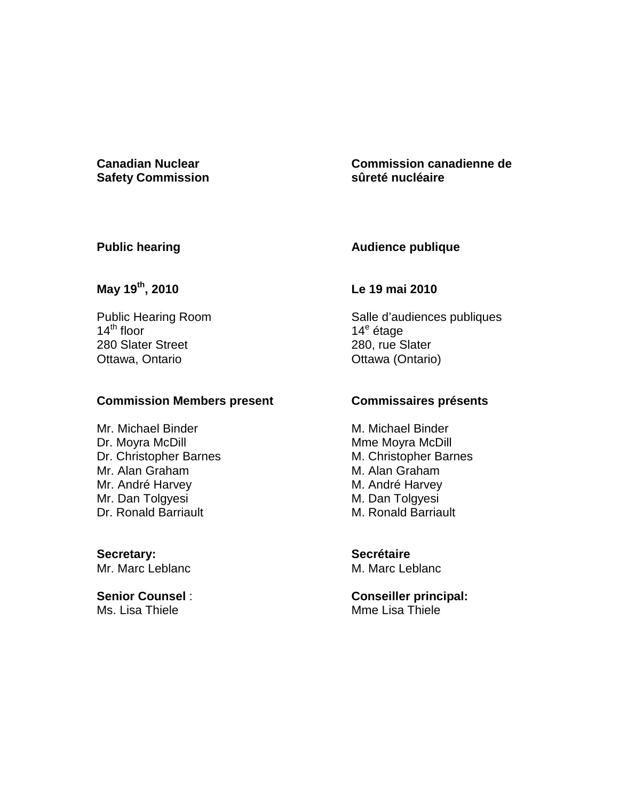# **Safety Commission**

# **Canadian Nuclear Commission canadienne de sûreté nucléaire**

# **Public hearing**

# **Audience publique**

# **May 19th, 2010**

Public Hearing Room  $14^{\text{th}}$  floor 280 Slater Street Ottawa, Ontario

### **Commission Members present**

Mr. Michael Binder Dr. Moyra McDill Dr. Christopher Barnes Mr. Alan Graham Mr. André Harvey Mr. Dan Tolgyesi Dr. Ronald Barriault

**Secretary:**  Mr. Marc Leblanc

**Senior Counsel** : Ms. Lisa Thiele

# **Le 19 mai 2010**

Salle d'audiences publiques 14<sup>e</sup> étage 280, rue Slater Ottawa (Ontario)

# **Commissaires présents**

M. Michael Binder Mme Moyra McDill M. Christopher Barnes M. Alan Graham M. André Harvey M. Dan Tolgyesi M. Ronald Barriault

**Secrétaire**  M. Marc Leblanc

**Conseiller principal:**  Mme Lisa Thiele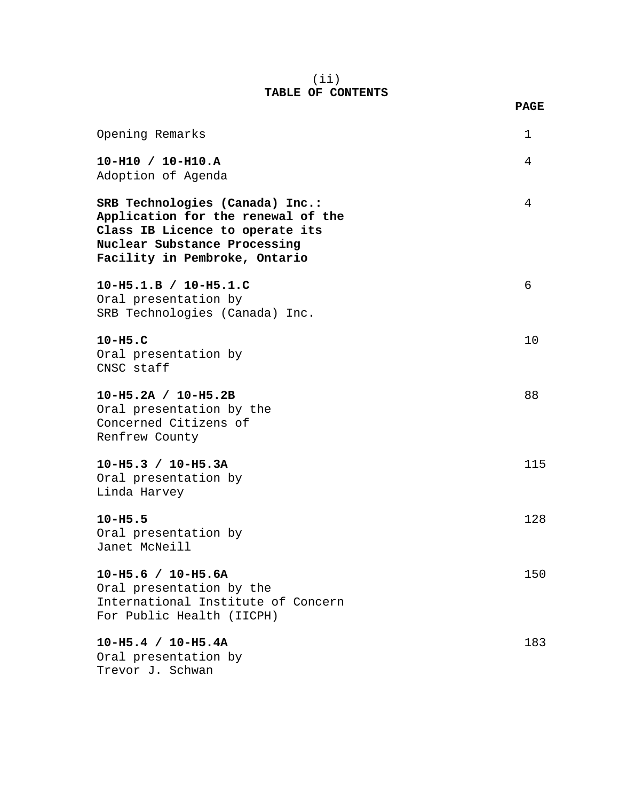#### (ii) **TABLE OF CONTENTS**

| Opening Remarks                                                                                                                                                           | $\mathbf{1}$ |
|---------------------------------------------------------------------------------------------------------------------------------------------------------------------------|--------------|
| $10-H10 / 10-H10.A$<br>Adoption of Agenda                                                                                                                                 | 4            |
| SRB Technologies (Canada) Inc.:<br>Application for the renewal of the<br>Class IB Licence to operate its<br>Nuclear Substance Processing<br>Facility in Pembroke, Ontario | 4            |
| 10-H5.1.B / 10-H5.1.C<br>Oral presentation by<br>SRB Technologies (Canada) Inc.                                                                                           | 6            |
| $10-H5.C$<br>Oral presentation by<br>CNSC staff                                                                                                                           | 10           |
| 10-H5.2A / 10-H5.2B<br>Oral presentation by the<br>Concerned Citizens of<br>Renfrew County                                                                                | 88           |
| $10-H5.3 / 10-H5.3A$<br>Oral presentation by<br>Linda Harvey                                                                                                              | 115          |
| $10 - H5.5$<br>Oral presentation by<br>Janet McNeill                                                                                                                      | 128          |
| $10 - H5.6 / 10 - H5.6A$<br>Oral presentation by the<br>International Institute of Concern<br>For Public Health (IICPH)                                                   | 150          |
| $10-H5.4 / 10-H5.4A$<br>Oral presentation by<br>Trevor J. Schwan                                                                                                          | 183          |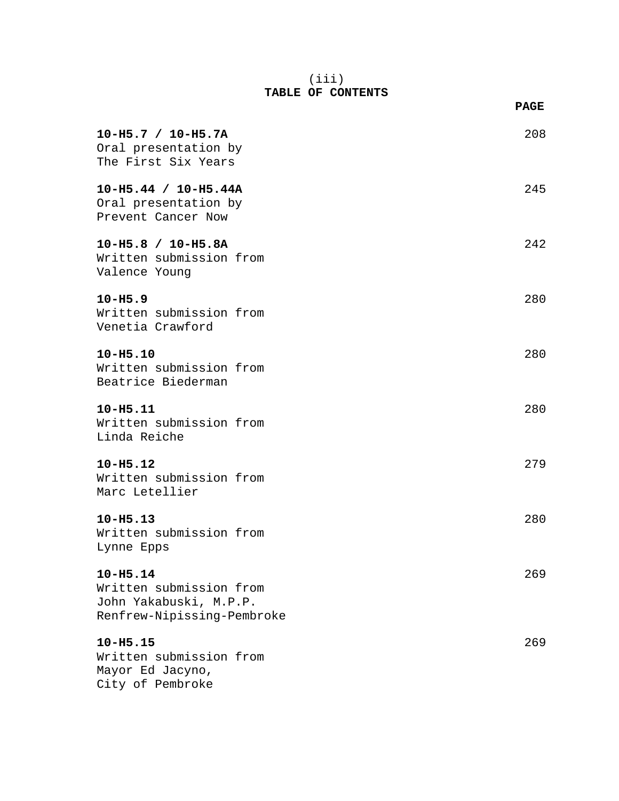#### (iii) **TABLE OF CONTENTS**

|                                                                                                 | <b>PAGE</b> |
|-------------------------------------------------------------------------------------------------|-------------|
| $10-H5.7 / 10-H5.7A$<br>Oral presentation by<br>The First Six Years                             | 208         |
| $10-H5.44 / 10-H5.44A$<br>Oral presentation by<br>Prevent Cancer Now                            | 245         |
| 10-H5.8 / 10-H5.8A<br>Written submission from<br>Valence Young                                  | 242         |
| $10 - H5.9$<br>Written submission from<br>Venetia Crawford                                      | 280         |
| $10 - H5.10$<br>Written submission from<br>Beatrice Biederman                                   | 280         |
| $10 - H5.11$<br>Written submission from<br>Linda Reiche                                         | 280         |
| $10 - H5.12$<br>Written submission from<br>Marc Letellier                                       | 279         |
| $10 - H5.13$<br>Written submission from<br>Lynne Epps                                           | 280         |
| $10 - H5.14$<br>Written submission from<br>John Yakabuski, M.P.P.<br>Renfrew-Nipissing-Pembroke | 269         |
| $10 - H5.15$<br>Written submission from<br>Mayor Ed Jacyno,<br>City of Pembroke                 | 269         |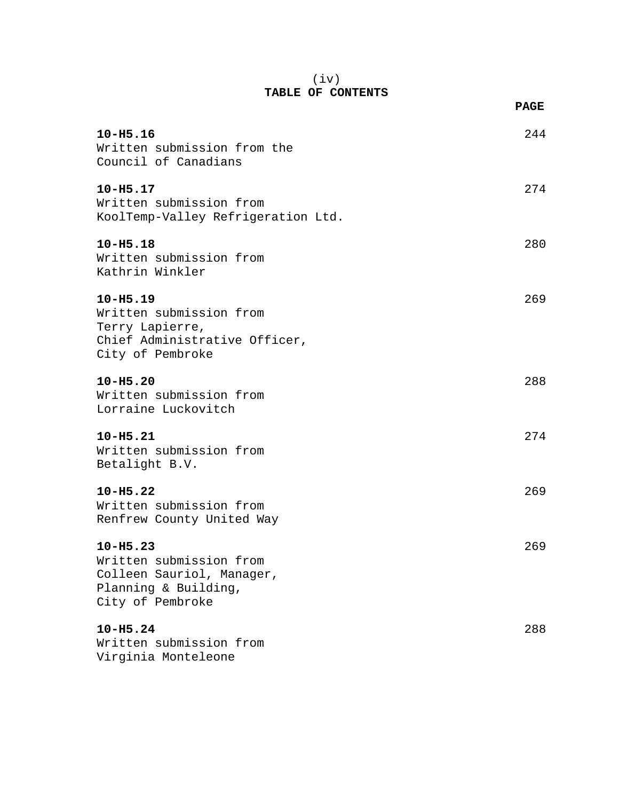#### (iv) **TABLE OF CONTENTS**

|                                                                                                                  | <b>PAGE</b> |
|------------------------------------------------------------------------------------------------------------------|-------------|
| $10 - H5.16$<br>Written submission from the<br>Council of Canadians                                              | 244         |
| $10 - H5.17$<br>Written submission from<br>KoolTemp-Valley Refrigeration Ltd.                                    | 274         |
| $10 - H5.18$<br>Written submission from<br>Kathrin Winkler                                                       | 280         |
| $10 - H5.19$<br>Written submission from<br>Terry Lapierre,<br>Chief Administrative Officer,<br>City of Pembroke  | 269         |
| $10 - H5.20$<br>Written submission from<br>Lorraine Luckovitch                                                   | 288         |
| $10 - H5.21$<br>Written submission from<br>Betalight B.V.                                                        | 274         |
| $10 - H5.22$<br>Written submission from<br>Renfrew County United Way                                             | 269         |
| $10 - H5.23$<br>Written submission from<br>Colleen Sauriol, Manager,<br>Planning & Building,<br>City of Pembroke | 269         |
| $10 - H5.24$<br>Written submission from<br>Virginia Monteleone                                                   | 288         |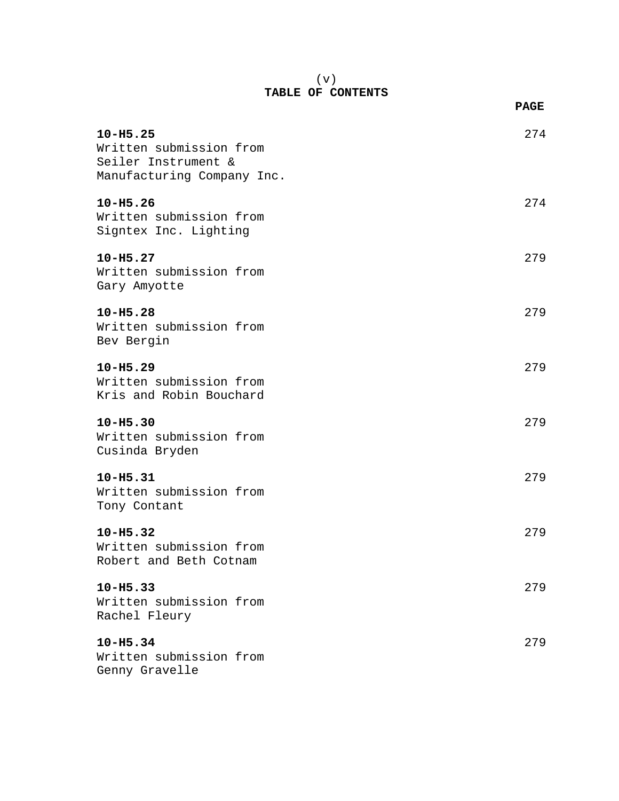#### (v) **TABLE OF CONTENTS**

|                                                                                              | <b>PAGE</b> |
|----------------------------------------------------------------------------------------------|-------------|
| $10 - H5.25$<br>Written submission from<br>Seiler Instrument &<br>Manufacturing Company Inc. | 274         |
| $10 - H5.26$<br>Written submission from<br>Signtex Inc. Lighting                             | 274         |
| $10 - H5.27$<br>Written submission from<br>Gary Amyotte                                      | 279         |
| $10 - H5.28$<br>Written submission from<br>Bev Bergin                                        | 279         |
| $10 - H5.29$<br>Written submission from<br>Kris and Robin Bouchard                           | 279         |
| $10 - H5.30$<br>Written submission from<br>Cusinda Bryden                                    | 279         |
| $10 - H5.31$<br>Written submission from<br>Tony Contant                                      | 279         |
| $10 - H5.32$<br>Written submission from<br>Robert and Beth Cotnam                            | 279         |
| $10 - H5.33$<br>Written submission from<br>Rachel Fleury                                     | 279         |
| $10 - H5.34$<br>Written submission from<br>Genny Gravelle                                    | 279         |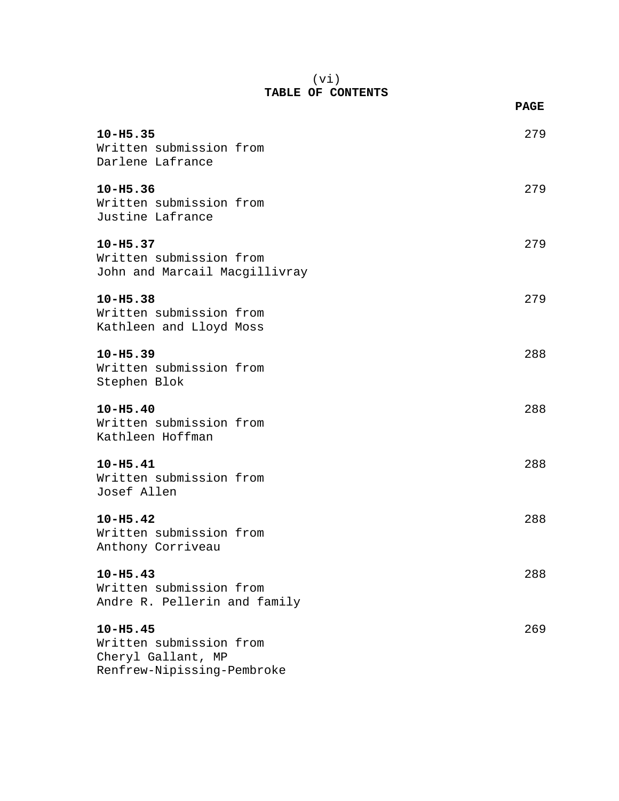#### (vi) **TABLE OF CONTENTS**

|                               | <b>PAGE</b> |
|-------------------------------|-------------|
| 10-H5.35                      | 279         |
| Written submission from       |             |
| Darlene Lafrance              |             |
| 10-H5.36                      | 279         |
| Written submission from       |             |
| Justine Lafrance              |             |
| $10 - H5.37$                  | 279         |
| Written submission from       |             |
| John and Marcail Macgillivray |             |
| $10 - H5.38$                  | 279         |
| Written submission from       |             |
| Kathleen and Lloyd Moss       |             |
| $10 - H5.39$                  | 288         |
| Written submission from       |             |
| Stephen Blok                  |             |
| $10 - H5.40$                  | 288         |
| Written submission from       |             |
| Kathleen Hoffman              |             |
| $10 - H5.41$                  | 288         |
| Written submission from       |             |
| Josef Allen                   |             |
| $10 - H5.42$                  | 288         |
| Written submission from       |             |
| Anthony Corriveau             |             |
| $10 - H5.43$                  | 288         |
| Written submission from       |             |
| Andre R. Pellerin and family  |             |
| $10 - H5.45$                  | 269         |
| Written submission from       |             |
| Cheryl Gallant, MP            |             |

Renfrew-Nipissing-Pembroke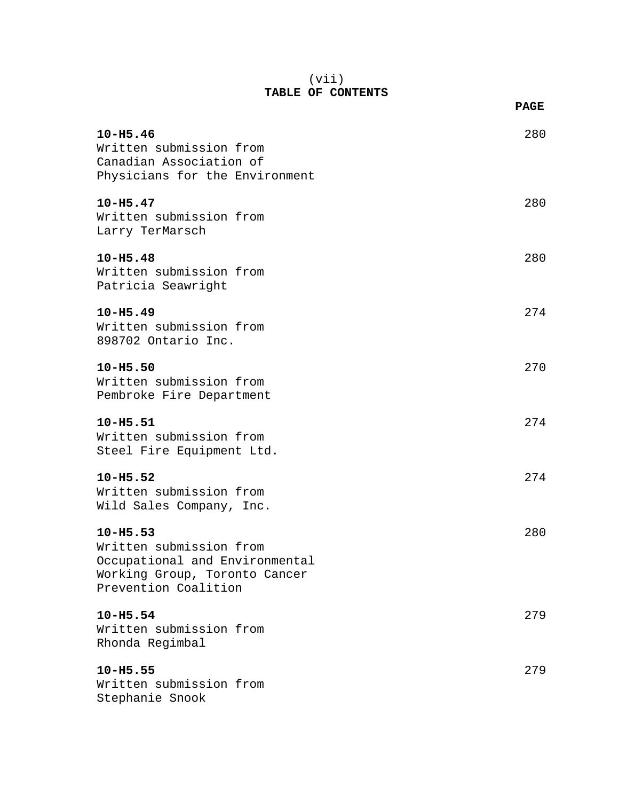#### (vii) **TABLE OF CONTENTS**

|                                                                                                                                    | <b>PAGE</b> |
|------------------------------------------------------------------------------------------------------------------------------------|-------------|
| $10 - H5.46$<br>Written submission from<br>Canadian Association of<br>Physicians for the Environment                               | 280         |
| $10 - H5.47$<br>Written submission from<br>Larry TerMarsch                                                                         | 280         |
| $10 - H5.48$<br>Written submission from<br>Patricia Seawright                                                                      | 280         |
| $10 - H5.49$<br>Written submission from<br>898702 Ontario Inc.                                                                     | 274         |
| $10 - H5.50$<br>Written submission from<br>Pembroke Fire Department                                                                | 270         |
| $10 - H5.51$<br>Written submission from<br>Steel Fire Equipment Ltd.                                                               | 274         |
| $10 - H5.52$<br>Written submission from<br>Wild Sales Company, Inc.                                                                | 274         |
| $10 - H5.53$<br>Written submission from<br>Occupational and Environmental<br>Working Group, Toronto Cancer<br>Prevention Coalition | 280         |
| $10 - H5.54$<br>Written submission from<br>Rhonda Regimbal                                                                         | 279         |
| $10 - H5.55$<br>Written submission from<br>Stephanie Snook                                                                         | 279         |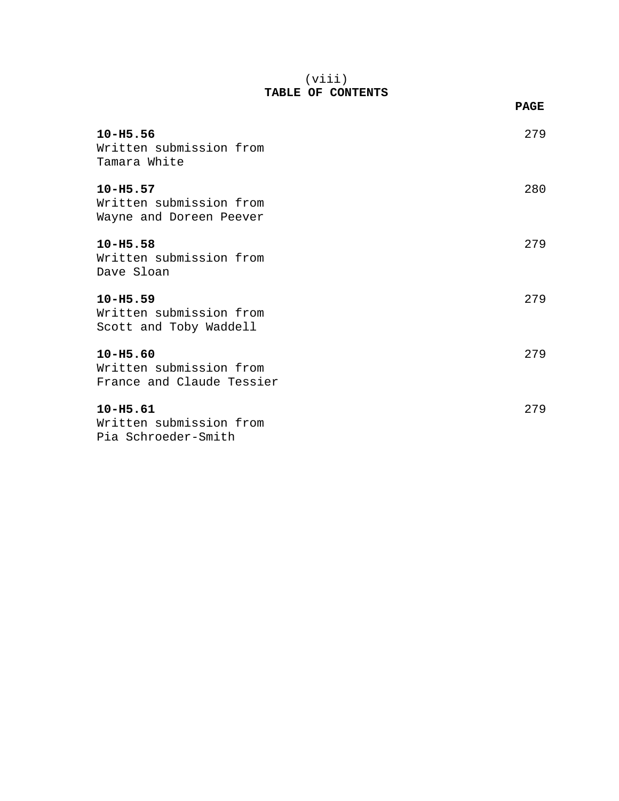#### (viii) **TABLE OF CONTENTS**

|                                                                      | <b>PAGE</b> |
|----------------------------------------------------------------------|-------------|
| $10 - H5.56$<br>Written submission from<br>Tamara White              | 279         |
| $10 - H5.57$<br>Written submission from<br>Wayne and Doreen Peever   | 280         |
| $10 - H5.58$<br>Written submission from<br>Dave Sloan                | 279         |
| $10 - H5.59$<br>Written submission from<br>Scott and Toby Waddell    | 279         |
| $10 - H5.60$<br>Written submission from<br>France and Claude Tessier | 279         |
| $10 - H5.61$<br>Written submission from<br>Pia Schroeder-Smith       | 279         |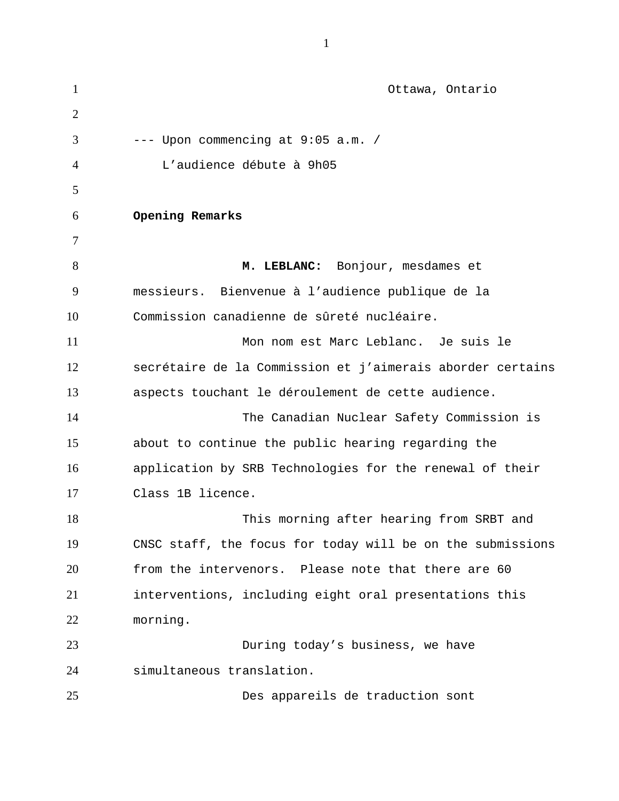| $\mathbf{1}$   | Ottawa, Ontario                                            |
|----------------|------------------------------------------------------------|
| $\overline{2}$ |                                                            |
| 3              | --- Upon commencing at 9:05 a.m. /                         |
| 4              | L'audience débute à 9h05                                   |
| 5              |                                                            |
| 6              | Opening Remarks                                            |
| 7              |                                                            |
| 8              | M. LEBLANC: Bonjour, mesdames et                           |
| 9              | messieurs. Bienvenue à l'audience publique de la           |
| 10             | Commission canadienne de sûreté nucléaire.                 |
| 11             | Mon nom est Marc Leblanc. Je suis le                       |
| 12             | secrétaire de la Commission et j'aimerais aborder certains |
| 13             | aspects touchant le déroulement de cette audience.         |
| 14             | The Canadian Nuclear Safety Commission is                  |
| 15             | about to continue the public hearing regarding the         |
| 16             | application by SRB Technologies for the renewal of their   |
| 17             | Class 1B licence.                                          |
| 18             | This morning after hearing from SRBT and                   |
| 19             | CNSC staff, the focus for today will be on the submissions |
| 20             | from the intervenors. Please note that there are 60        |
| 21             | interventions, including eight oral presentations this     |
| 22             | morning.                                                   |
| 23             | During today's business, we have                           |
| 24             | simultaneous translation.                                  |
| 25             | Des appareils de traduction sont                           |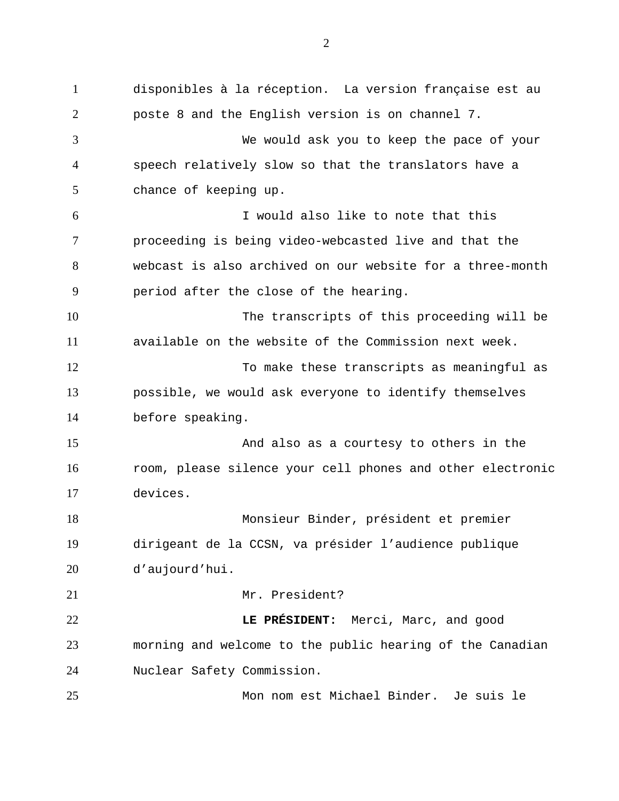disponibles à la réception. La version française est au poste 8 and the English version is on channel 7. We would ask you to keep the pace of your speech relatively slow so that the translators have a chance of keeping up. I would also like to note that this proceeding is being video-webcasted live and that the webcast is also archived on our website for a three-month period after the close of the hearing. The transcripts of this proceeding will be available on the website of the Commission next week. To make these transcripts as meaningful as possible, we would ask everyone to identify themselves before speaking. And also as a courtesy to others in the room, please silence your cell phones and other electronic devices. Monsieur Binder, président et premier dirigeant de la CCSN, va présider l'audience publique d'aujourd'hui. Mr. President? **LE PRÉSIDENT:** Merci, Marc, and good morning and welcome to the public hearing of the Canadian Nuclear Safety Commission. Mon nom est Michael Binder. Je suis le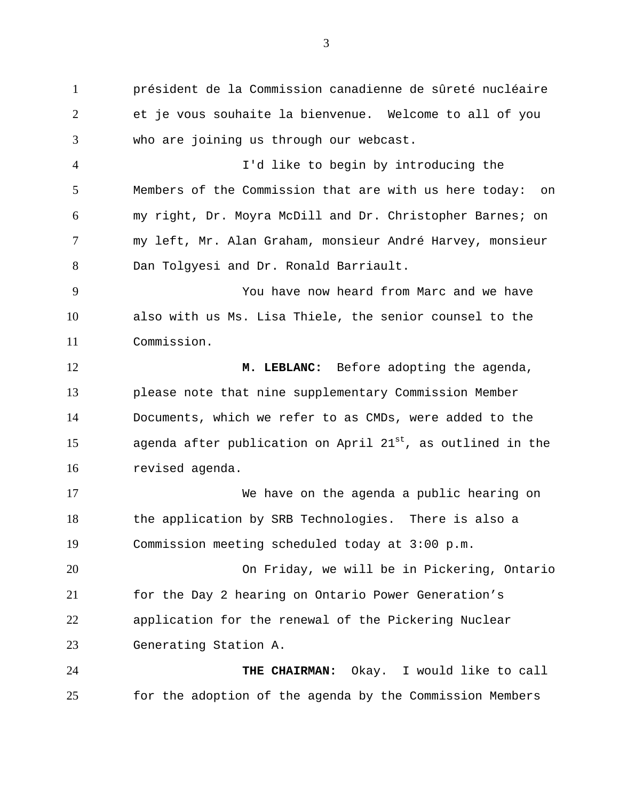président de la Commission canadienne de sûreté nucléaire et je vous souhaite la bienvenue. Welcome to all of you who are joining us through our webcast.

I'd like to begin by introducing the Members of the Commission that are with us here today: on my right, Dr. Moyra McDill and Dr. Christopher Barnes; on my left, Mr. Alan Graham, monsieur André Harvey, monsieur Dan Tolgyesi and Dr. Ronald Barriault.

You have now heard from Marc and we have also with us Ms. Lisa Thiele, the senior counsel to the Commission.

**M. LEBLANC:** Before adopting the agenda, please note that nine supplementary Commission Member Documents, which we refer to as CMDs, were added to the 15 agenda after publication on April  $21^{st}$ , as outlined in the revised agenda.

We have on the agenda a public hearing on the application by SRB Technologies. There is also a Commission meeting scheduled today at 3:00 p.m.

On Friday, we will be in Pickering, Ontario for the Day 2 hearing on Ontario Power Generation's application for the renewal of the Pickering Nuclear Generating Station A.

**THE CHAIRMAN:** Okay. I would like to call for the adoption of the agenda by the Commission Members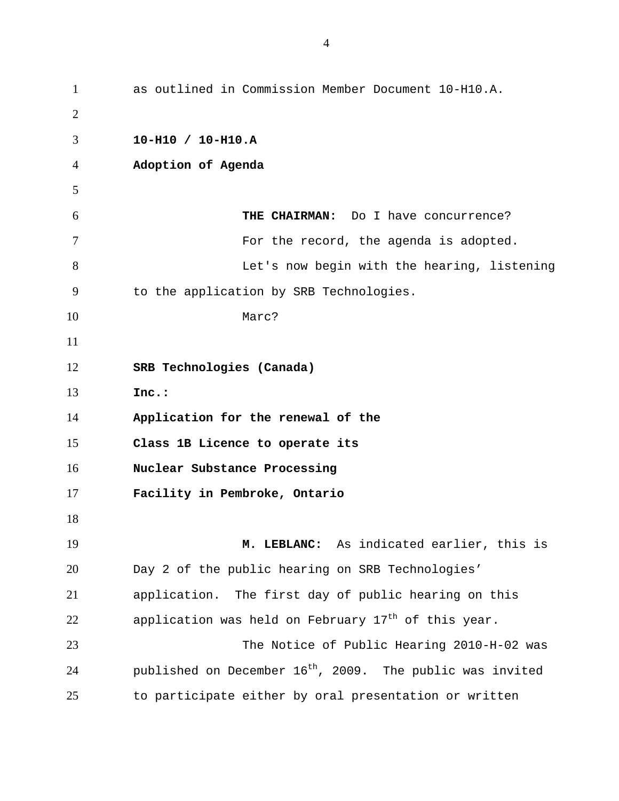as outlined in Commission Member Document 10-H10.A. **10-H10 / 10-H10.A Adoption of Agenda THE CHAIRMAN:** Do I have concurrence? **For the record, the agenda is adopted.** Let's now begin with the hearing, listening to the application by SRB Technologies. 10 Marc? **SRB Technologies (Canada) Inc.: Application for the renewal of the Class 1B Licence to operate its Nuclear Substance Processing Facility in Pembroke, Ontario M. LEBLANC:** As indicated earlier, this is Day 2 of the public hearing on SRB Technologies' application. The first day of public hearing on this 22 application was held on February  $17<sup>th</sup>$  of this year. The Notice of Public Hearing 2010-H-02 was  $p$ ublished on December 16<sup>th</sup>, 2009. The public was invited to participate either by oral presentation or written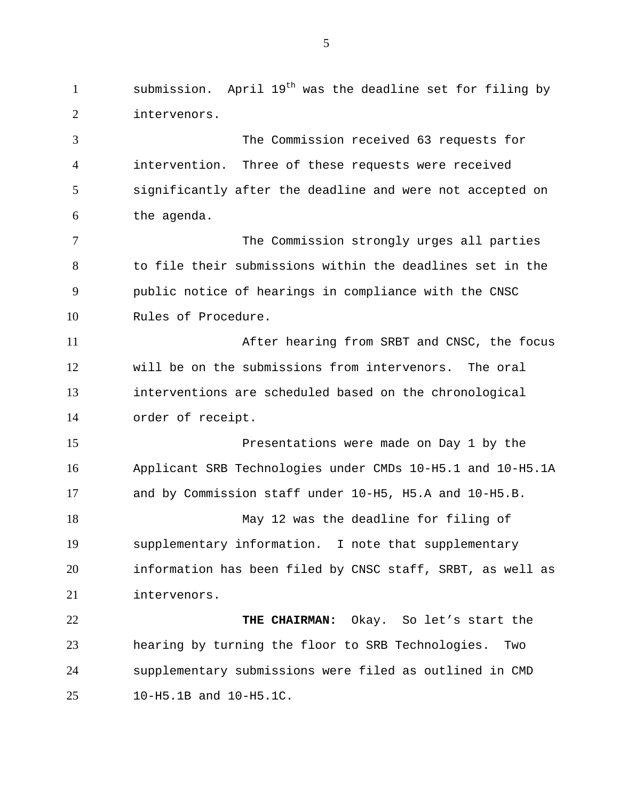1 submission. April  $19^{th}$  was the deadline set for filing by intervenors. The Commission received 63 requests for intervention. Three of these requests were received significantly after the deadline and were not accepted on the agenda. 7 The Commission strongly urges all parties to file their submissions within the deadlines set in the public notice of hearings in compliance with the CNSC Rules of Procedure. After hearing from SRBT and CNSC, the focus will be on the submissions from intervenors. The oral interventions are scheduled based on the chronological order of receipt. Presentations were made on Day 1 by the Applicant SRB Technologies under CMDs 10-H5.1 and 10-H5.1A and by Commission staff under 10-H5, H5.A and 10-H5.B. May 12 was the deadline for filing of supplementary information. I note that supplementary information has been filed by CNSC staff, SRBT, as well as intervenors. **THE CHAIRMAN:** Okay. So let's start the hearing by turning the floor to SRB Technologies. Two supplementary submissions were filed as outlined in CMD 10-H5.1B and 10-H5.1C.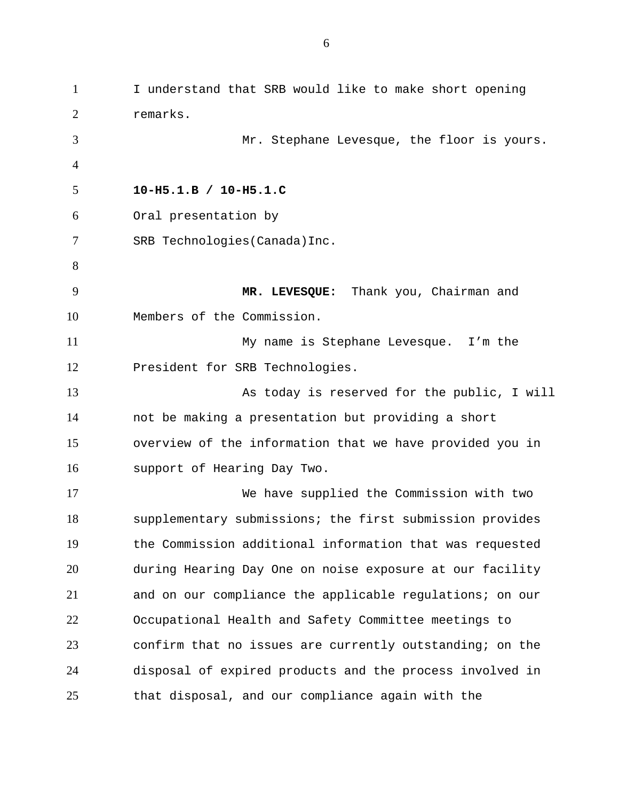I understand that SRB would like to make short opening remarks. Mr. Stephane Levesque, the floor is yours. **10-H5.1.B / 10-H5.1.C**  Oral presentation by SRB Technologies(Canada)Inc. **MR. LEVESQUE:** Thank you, Chairman and Members of the Commission. My name is Stephane Levesque. I'm the President for SRB Technologies. As today is reserved for the public, I will not be making a presentation but providing a short overview of the information that we have provided you in support of Hearing Day Two. We have supplied the Commission with two supplementary submissions; the first submission provides the Commission additional information that was requested during Hearing Day One on noise exposure at our facility and on our compliance the applicable regulations; on our Occupational Health and Safety Committee meetings to confirm that no issues are currently outstanding; on the disposal of expired products and the process involved in that disposal, and our compliance again with the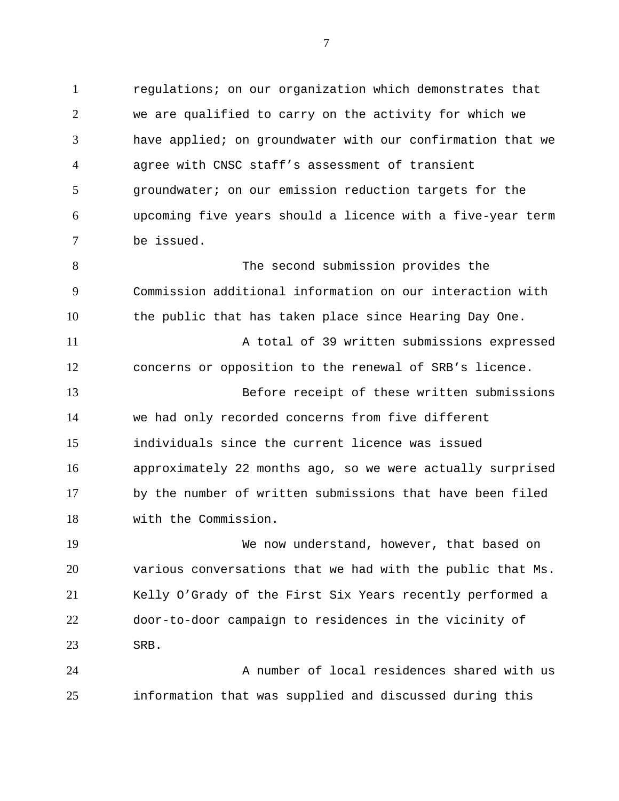regulations; on our organization which demonstrates that we are qualified to carry on the activity for which we have applied; on groundwater with our confirmation that we agree with CNSC staff's assessment of transient groundwater; on our emission reduction targets for the upcoming five years should a licence with a five-year term be issued.

 The second submission provides the Commission additional information on our interaction with the public that has taken place since Hearing Day One.

 A total of 39 written submissions expressed concerns or opposition to the renewal of SRB's licence.

 Before receipt of these written submissions we had only recorded concerns from five different individuals since the current licence was issued approximately 22 months ago, so we were actually surprised by the number of written submissions that have been filed with the Commission.

 We now understand, however, that based on various conversations that we had with the public that Ms. Kelly O'Grady of the First Six Years recently performed a door-to-door campaign to residences in the vicinity of SRB.

 A number of local residences shared with us information that was supplied and discussed during this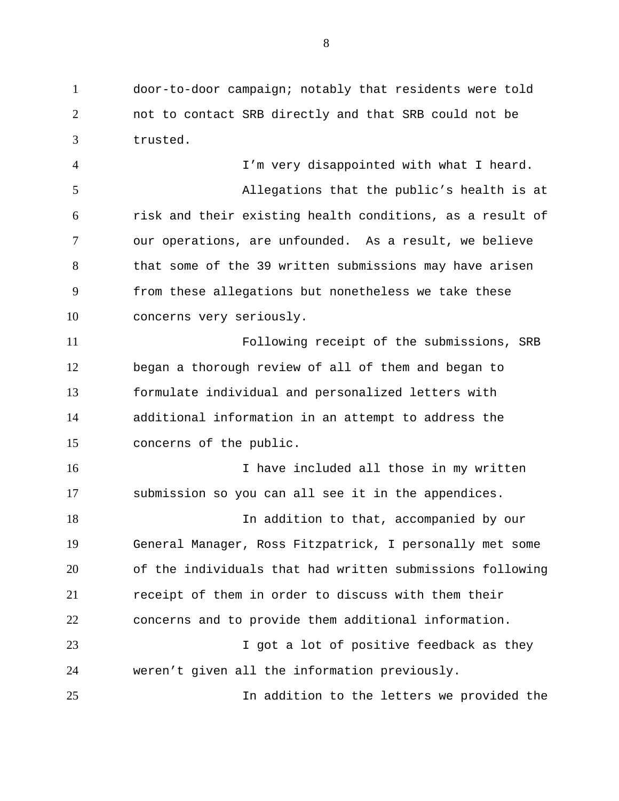door-to-door campaign; notably that residents were told not to contact SRB directly and that SRB could not be trusted.

 I'm very disappointed with what I heard. Allegations that the public's health is at risk and their existing health conditions, as a result of our operations, are unfounded. As a result, we believe that some of the 39 written submissions may have arisen from these allegations but nonetheless we take these concerns very seriously.

 Following receipt of the submissions, SRB began a thorough review of all of them and began to formulate individual and personalized letters with additional information in an attempt to address the concerns of the public.

16 16 I have included all those in my written submission so you can all see it in the appendices.

 In addition to that, accompanied by our General Manager, Ross Fitzpatrick, I personally met some of the individuals that had written submissions following receipt of them in order to discuss with them their concerns and to provide them additional information.

23 I got a lot of positive feedback as they weren't given all the information previously.

In addition to the letters we provided the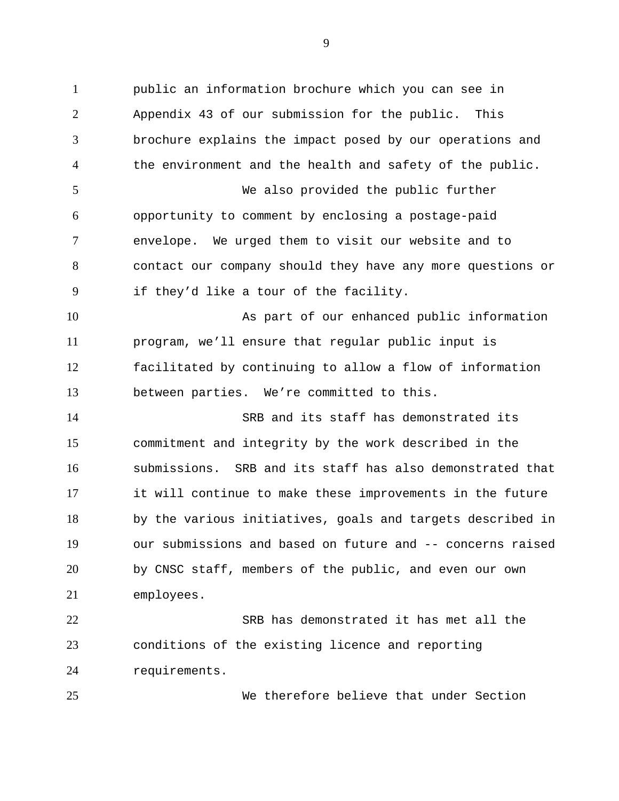public an information brochure which you can see in Appendix 43 of our submission for the public. This brochure explains the impact posed by our operations and the environment and the health and safety of the public. We also provided the public further opportunity to comment by enclosing a postage-paid envelope. We urged them to visit our website and to contact our company should they have any more questions or if they'd like a tour of the facility. As part of our enhanced public information program, we'll ensure that regular public input is facilitated by continuing to allow a flow of information between parties. We're committed to this. SRB and its staff has demonstrated its commitment and integrity by the work described in the submissions. SRB and its staff has also demonstrated that it will continue to make these improvements in the future by the various initiatives, goals and targets described in our submissions and based on future and -- concerns raised by CNSC staff, members of the public, and even our own employees. SRB has demonstrated it has met all the conditions of the existing licence and reporting requirements.

We therefore believe that under Section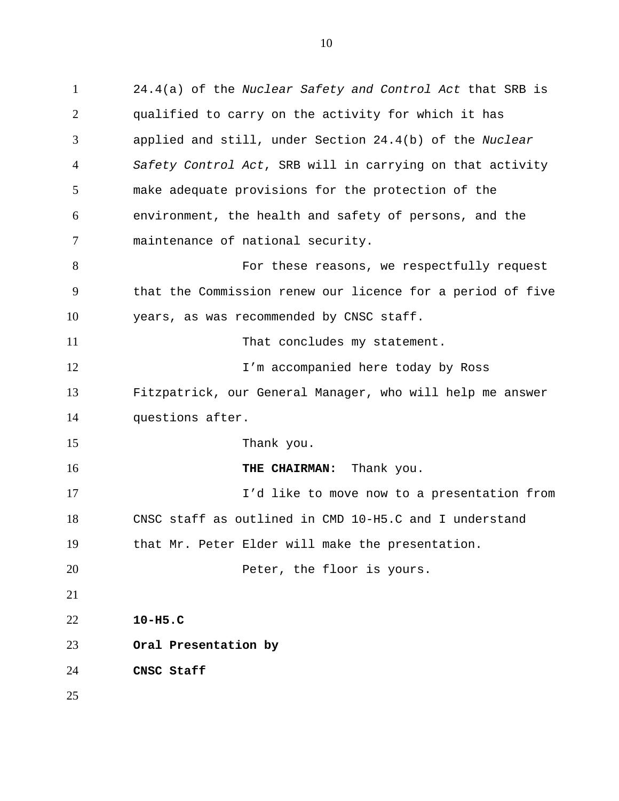24.4(a) of the *Nuclear Safety and Control Act* that SRB is qualified to carry on the activity for which it has applied and still, under Section 24.4(b) of the *Nuclear Safety Control Act*, SRB will in carrying on that activity make adequate provisions for the protection of the environment, the health and safety of persons, and the maintenance of national security. 8 For these reasons, we respectfully request that the Commission renew our licence for a period of five years, as was recommended by CNSC staff. 11 That concludes my statement. 12 12 I'm accompanied here today by Ross Fitzpatrick, our General Manager, who will help me answer questions after. 15 Thank you. **THE CHAIRMAN:** Thank you. I'd like to move now to a presentation from CNSC staff as outlined in CMD 10-H5.C and I understand that Mr. Peter Elder will make the presentation. **Peter, the floor is yours. 10-H5.C Oral Presentation by CNSC Staff**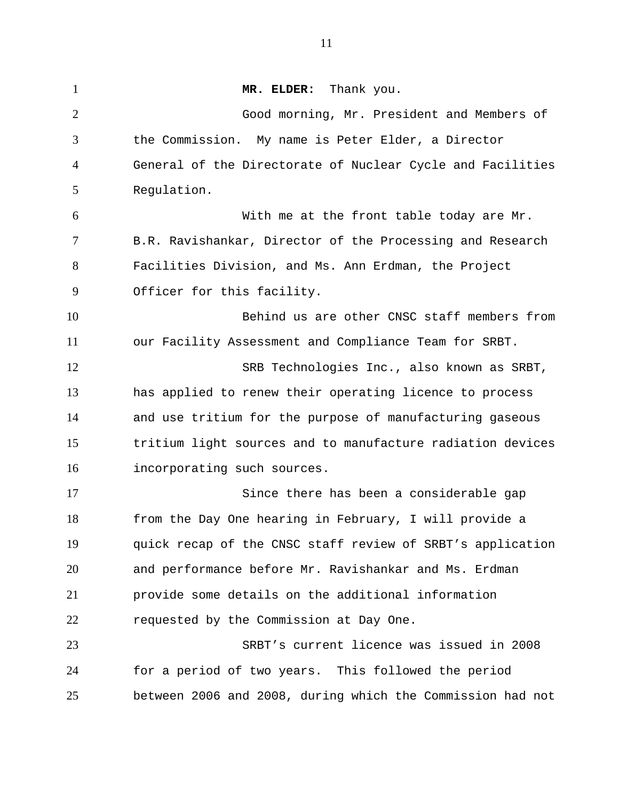1 MR. ELDER: Thank you. Good morning, Mr. President and Members of the Commission. My name is Peter Elder, a Director General of the Directorate of Nuclear Cycle and Facilities Regulation. With me at the front table today are Mr. B.R. Ravishankar, Director of the Processing and Research Facilities Division, and Ms. Ann Erdman, the Project Officer for this facility. Behind us are other CNSC staff members from our Facility Assessment and Compliance Team for SRBT. SRB Technologies Inc., also known as SRBT, has applied to renew their operating licence to process and use tritium for the purpose of manufacturing gaseous tritium light sources and to manufacture radiation devices incorporating such sources. Since there has been a considerable gap from the Day One hearing in February, I will provide a quick recap of the CNSC staff review of SRBT's application and performance before Mr. Ravishankar and Ms. Erdman provide some details on the additional information requested by the Commission at Day One. SRBT's current licence was issued in 2008 for a period of two years. This followed the period between 2006 and 2008, during which the Commission had not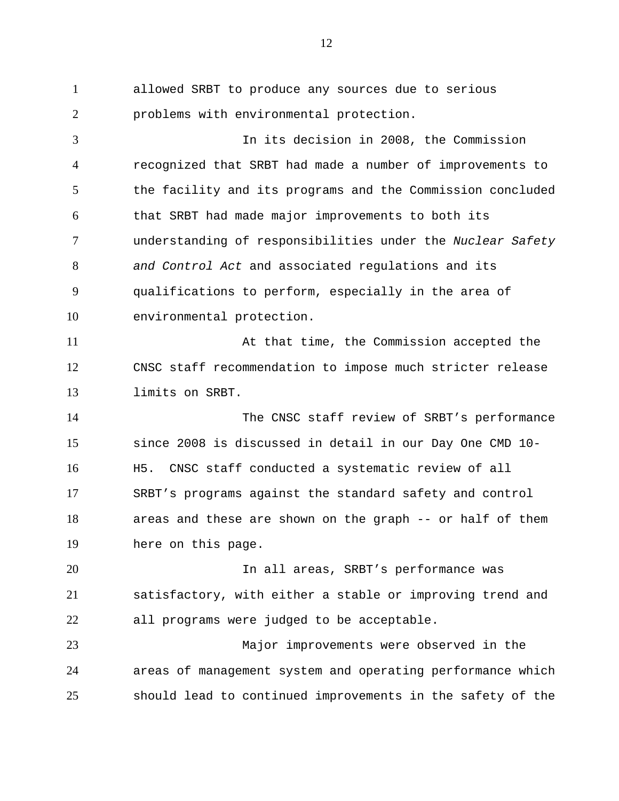allowed SRBT to produce any sources due to serious problems with environmental protection. In its decision in 2008, the Commission recognized that SRBT had made a number of improvements to the facility and its programs and the Commission concluded that SRBT had made major improvements to both its understanding of responsibilities under the *Nuclear Safety and Control Act* and associated regulations and its qualifications to perform, especially in the area of environmental protection. 11 At that time, the Commission accepted the CNSC staff recommendation to impose much stricter release limits on SRBT. The CNSC staff review of SRBT's performance since 2008 is discussed in detail in our Day One CMD 10- H5. CNSC staff conducted a systematic review of all SRBT's programs against the standard safety and control areas and these are shown on the graph -- or half of them here on this page. In all areas, SRBT's performance was satisfactory, with either a stable or improving trend and all programs were judged to be acceptable. Major improvements were observed in the areas of management system and operating performance which should lead to continued improvements in the safety of the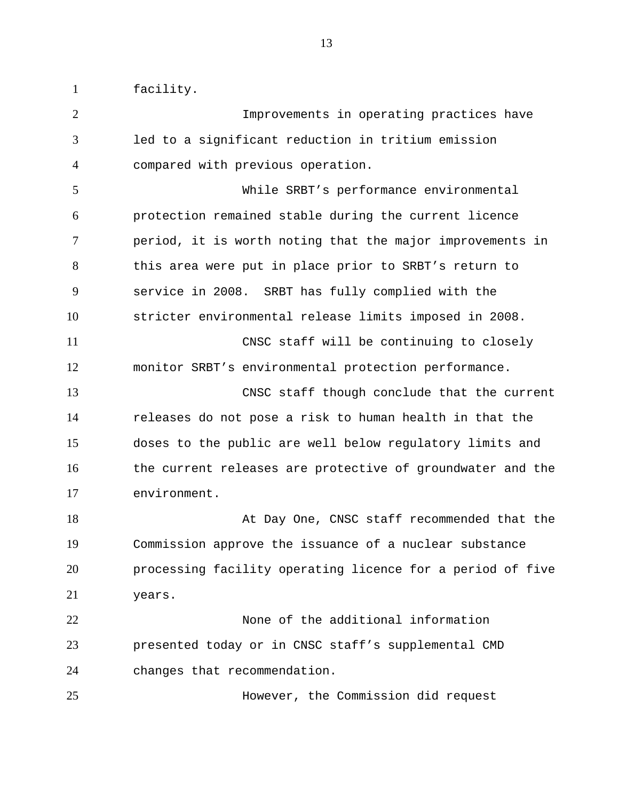facility.

 Improvements in operating practices have led to a significant reduction in tritium emission compared with previous operation. While SRBT's performance environmental protection remained stable during the current licence period, it is worth noting that the major improvements in this area were put in place prior to SRBT's return to service in 2008. SRBT has fully complied with the stricter environmental release limits imposed in 2008. CNSC staff will be continuing to closely monitor SRBT's environmental protection performance. CNSC staff though conclude that the current releases do not pose a risk to human health in that the doses to the public are well below regulatory limits and 16 the current releases are protective of groundwater and the environment. At Day One, CNSC staff recommended that the Commission approve the issuance of a nuclear substance processing facility operating licence for a period of five years. None of the additional information presented today or in CNSC staff's supplemental CMD changes that recommendation. However, the Commission did request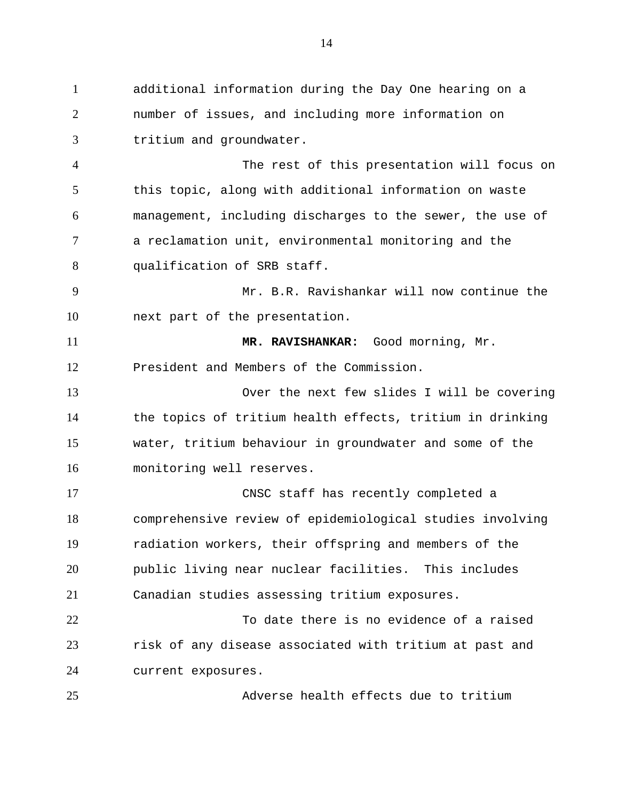additional information during the Day One hearing on a number of issues, and including more information on tritium and groundwater. The rest of this presentation will focus on this topic, along with additional information on waste management, including discharges to the sewer, the use of a reclamation unit, environmental monitoring and the 8 qualification of SRB staff. Mr. B.R. Ravishankar will now continue the next part of the presentation. **MR. RAVISHANKAR:** Good morning, Mr. President and Members of the Commission. Over the next few slides I will be covering the topics of tritium health effects, tritium in drinking water, tritium behaviour in groundwater and some of the monitoring well reserves. CNSC staff has recently completed a comprehensive review of epidemiological studies involving radiation workers, their offspring and members of the public living near nuclear facilities. This includes Canadian studies assessing tritium exposures. To date there is no evidence of a raised risk of any disease associated with tritium at past and current exposures.

Adverse health effects due to tritium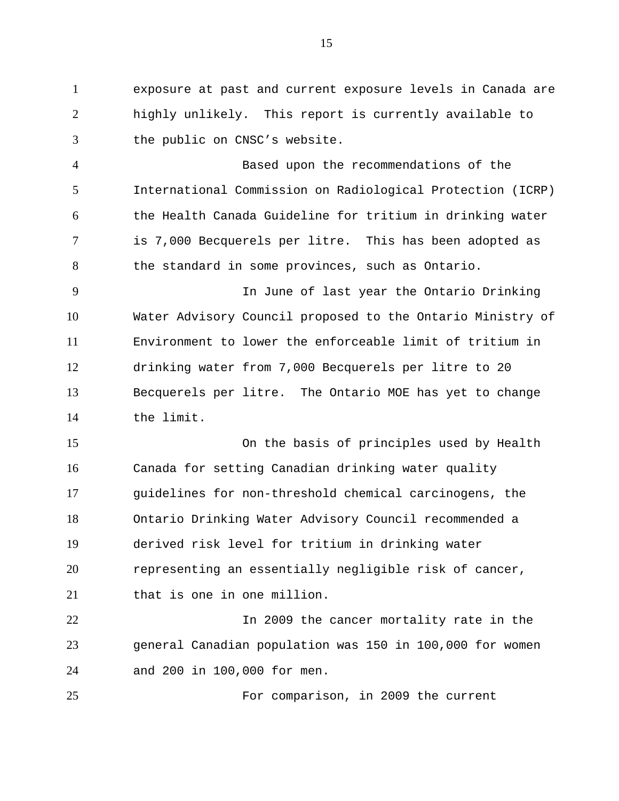exposure at past and current exposure levels in Canada are highly unlikely. This report is currently available to the public on CNSC's website.

 Based upon the recommendations of the International Commission on Radiological Protection (ICRP) the Health Canada Guideline for tritium in drinking water is 7,000 Becquerels per litre. This has been adopted as 8 the standard in some provinces, such as Ontario.

 In June of last year the Ontario Drinking Water Advisory Council proposed to the Ontario Ministry of Environment to lower the enforceable limit of tritium in drinking water from 7,000 Becquerels per litre to 20 Becquerels per litre. The Ontario MOE has yet to change the limit.

 On the basis of principles used by Health Canada for setting Canadian drinking water quality guidelines for non-threshold chemical carcinogens, the Ontario Drinking Water Advisory Council recommended a derived risk level for tritium in drinking water representing an essentially negligible risk of cancer, that is one in one million.

**In 2009** the cancer mortality rate in the general Canadian population was 150 in 100,000 for women and 200 in 100,000 for men.

For comparison, in 2009 the current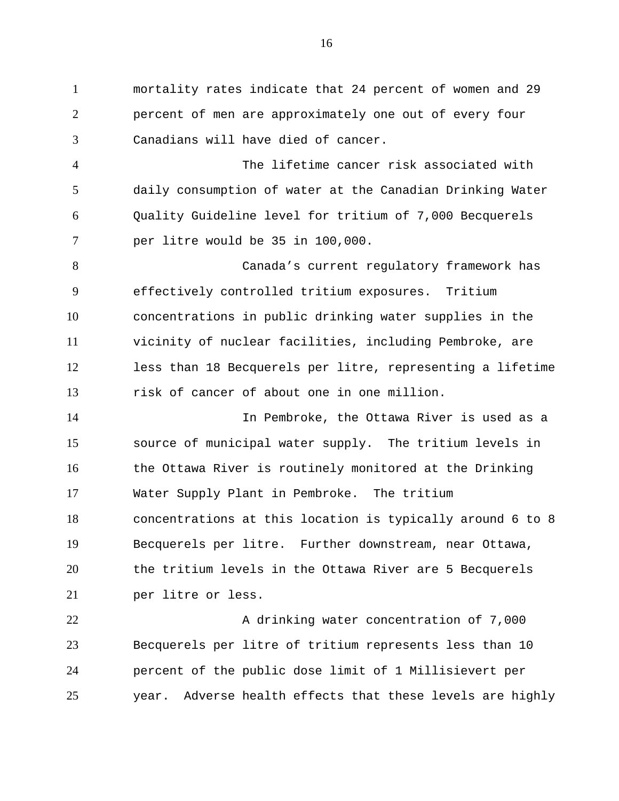mortality rates indicate that 24 percent of women and 29 percent of men are approximately one out of every four Canadians will have died of cancer.

 The lifetime cancer risk associated with daily consumption of water at the Canadian Drinking Water Quality Guideline level for tritium of 7,000 Becquerels per litre would be 35 in 100,000.

 Canada's current regulatory framework has effectively controlled tritium exposures. Tritium concentrations in public drinking water supplies in the vicinity of nuclear facilities, including Pembroke, are less than 18 Becquerels per litre, representing a lifetime risk of cancer of about one in one million.

 In Pembroke, the Ottawa River is used as a source of municipal water supply. The tritium levels in 16 the Ottawa River is routinely monitored at the Drinking Water Supply Plant in Pembroke. The tritium concentrations at this location is typically around 6 to 8 Becquerels per litre. Further downstream, near Ottawa, the tritium levels in the Ottawa River are 5 Becquerels per litre or less.

22 A drinking water concentration of 7,000 Becquerels per litre of tritium represents less than 10 percent of the public dose limit of 1 Millisievert per year. Adverse health effects that these levels are highly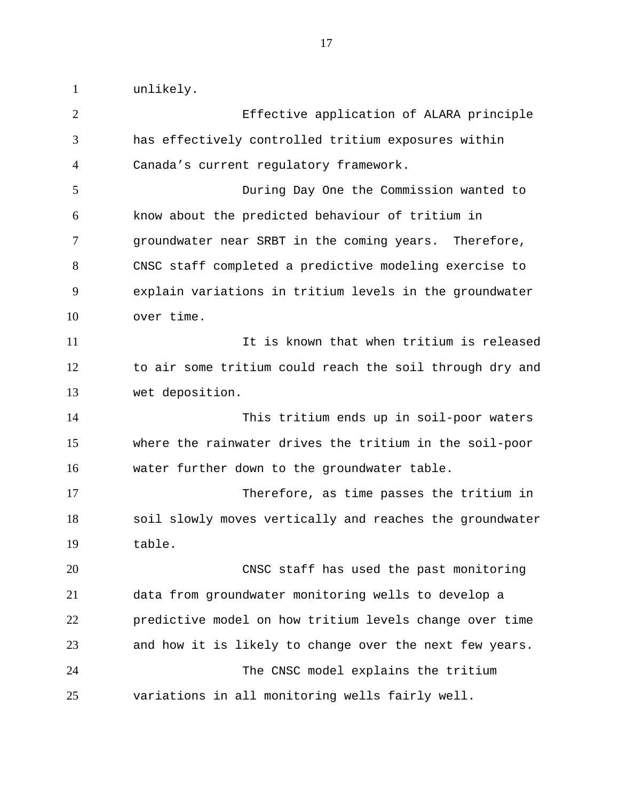unlikely.

| $\overline{2}$ | Effective application of ALARA principle                 |
|----------------|----------------------------------------------------------|
| 3              | has effectively controlled tritium exposures within      |
| 4              | Canada's current regulatory framework.                   |
| 5              | During Day One the Commission wanted to                  |
| 6              | know about the predicted behaviour of tritium in         |
| $\overline{7}$ | groundwater near SRBT in the coming years. Therefore,    |
| 8              | CNSC staff completed a predictive modeling exercise to   |
| 9              | explain variations in tritium levels in the groundwater  |
| 10             | over time.                                               |
| 11             | It is known that when tritium is released                |
| 12             | to air some tritium could reach the soil through dry and |
| 13             | wet deposition.                                          |
| 14             | This tritium ends up in soil-poor waters                 |
| 15             | where the rainwater drives the tritium in the soil-poor  |
| 16             | water further down to the groundwater table.             |
| 17             | Therefore, as time passes the tritium in                 |
| 18             | soil slowly moves vertically and reaches the groundwater |
| 19             | table.                                                   |
| 20             | CNSC staff has used the past monitoring                  |
| 21             | data from groundwater monitoring wells to develop a      |
| 22             | predictive model on how tritium levels change over time  |
| 23             | and how it is likely to change over the next few years.  |
| 24             | The CNSC model explains the tritium                      |
| 25             | variations in all monitoring wells fairly well.          |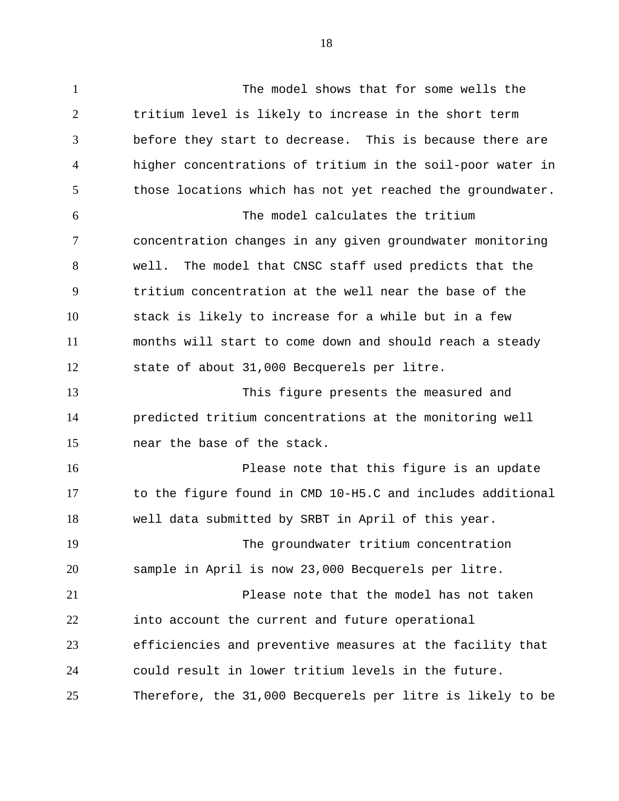The model shows that for some wells the tritium level is likely to increase in the short term before they start to decrease. This is because there are higher concentrations of tritium in the soil-poor water in those locations which has not yet reached the groundwater. The model calculates the tritium concentration changes in any given groundwater monitoring well. The model that CNSC staff used predicts that the tritium concentration at the well near the base of the stack is likely to increase for a while but in a few months will start to come down and should reach a steady state of about 31,000 Becquerels per litre. This figure presents the measured and predicted tritium concentrations at the monitoring well near the base of the stack. Please note that this figure is an update to the figure found in CMD 10-H5.C and includes additional well data submitted by SRBT in April of this year. The groundwater tritium concentration sample in April is now 23,000 Becquerels per litre. Please note that the model has not taken into account the current and future operational efficiencies and preventive measures at the facility that could result in lower tritium levels in the future.

Therefore, the 31,000 Becquerels per litre is likely to be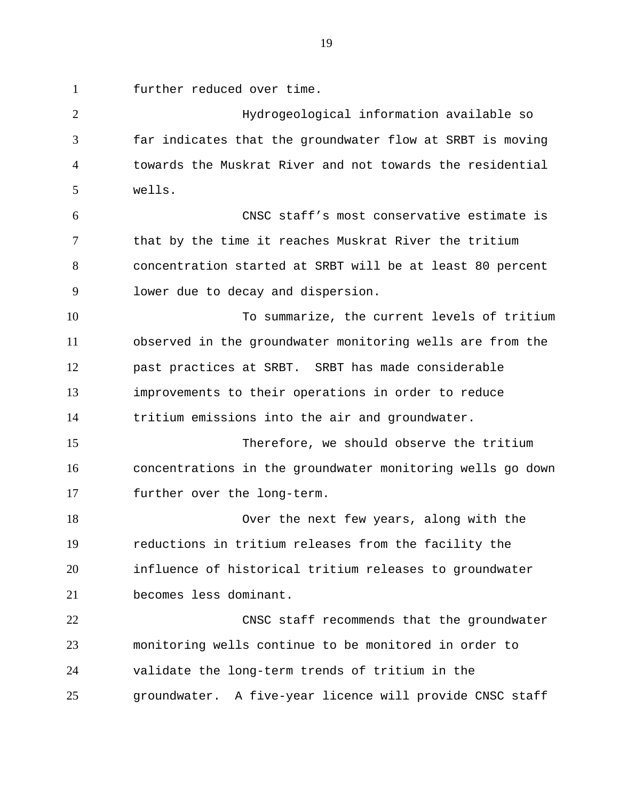further reduced over time.

Hydrogeological information available so far indicates that the groundwater flow at SRBT is moving towards the Muskrat River and not towards the residential wells. CNSC staff's most conservative estimate is that by the time it reaches Muskrat River the tritium concentration started at SRBT will be at least 80 percent lower due to decay and dispersion. To summarize, the current levels of tritium observed in the groundwater monitoring wells are from the past practices at SRBT. SRBT has made considerable improvements to their operations in order to reduce tritium emissions into the air and groundwater. Therefore, we should observe the tritium concentrations in the groundwater monitoring wells go down further over the long-term. Over the next few years, along with the reductions in tritium releases from the facility the influence of historical tritium releases to groundwater becomes less dominant. CNSC staff recommends that the groundwater monitoring wells continue to be monitored in order to validate the long-term trends of tritium in the groundwater. A five-year licence will provide CNSC staff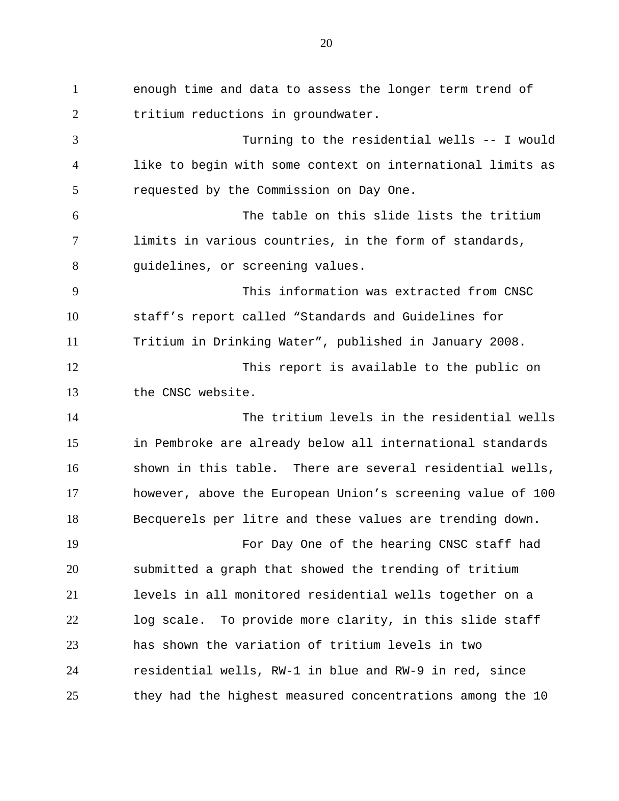enough time and data to assess the longer term trend of tritium reductions in groundwater. Turning to the residential wells -- I would like to begin with some context on international limits as requested by the Commission on Day One. The table on this slide lists the tritium limits in various countries, in the form of standards, guidelines, or screening values. This information was extracted from CNSC staff's report called "Standards and Guidelines for Tritium in Drinking Water", published in January 2008. 12 This report is available to the public on the CNSC website. The tritium levels in the residential wells in Pembroke are already below all international standards shown in this table. There are several residential wells, however, above the European Union's screening value of 100 Becquerels per litre and these values are trending down. For Day One of the hearing CNSC staff had submitted a graph that showed the trending of tritium levels in all monitored residential wells together on a log scale. To provide more clarity, in this slide staff has shown the variation of tritium levels in two residential wells, RW-1 in blue and RW-9 in red, since they had the highest measured concentrations among the 10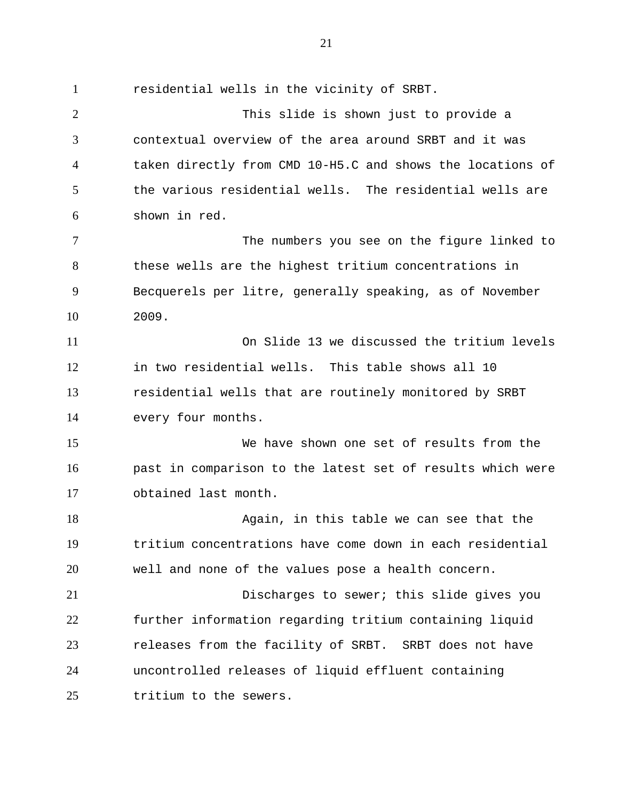residential wells in the vicinity of SRBT. This slide is shown just to provide a contextual overview of the area around SRBT and it was taken directly from CMD 10-H5.C and shows the locations of the various residential wells. The residential wells are shown in red. The numbers you see on the figure linked to these wells are the highest tritium concentrations in Becquerels per litre, generally speaking, as of November 2009. On Slide 13 we discussed the tritium levels in two residential wells. This table shows all 10 residential wells that are routinely monitored by SRBT every four months. We have shown one set of results from the past in comparison to the latest set of results which were obtained last month. Again, in this table we can see that the tritium concentrations have come down in each residential well and none of the values pose a health concern. Discharges to sewer; this slide gives you further information regarding tritium containing liquid releases from the facility of SRBT. SRBT does not have uncontrolled releases of liquid effluent containing tritium to the sewers.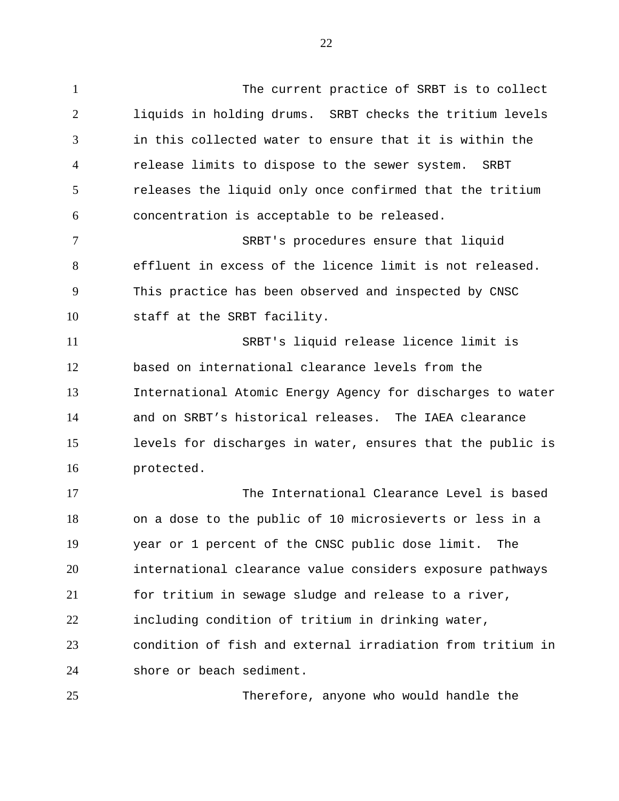The current practice of SRBT is to collect liquids in holding drums. SRBT checks the tritium levels in this collected water to ensure that it is within the release limits to dispose to the sewer system. SRBT releases the liquid only once confirmed that the tritium concentration is acceptable to be released.

SRBT's procedures ensure that liquid effluent in excess of the licence limit is not released. This practice has been observed and inspected by CNSC staff at the SRBT facility.

SRBT's liquid release licence limit is based on international clearance levels from the International Atomic Energy Agency for discharges to water and on SRBT's historical releases. The IAEA clearance levels for discharges in water, ensures that the public is protected.

The International Clearance Level is based on a dose to the public of 10 microsieverts or less in a year or 1 percent of the CNSC public dose limit. The international clearance value considers exposure pathways for tritium in sewage sludge and release to a river, including condition of tritium in drinking water, condition of fish and external irradiation from tritium in shore or beach sediment.

Therefore, anyone who would handle the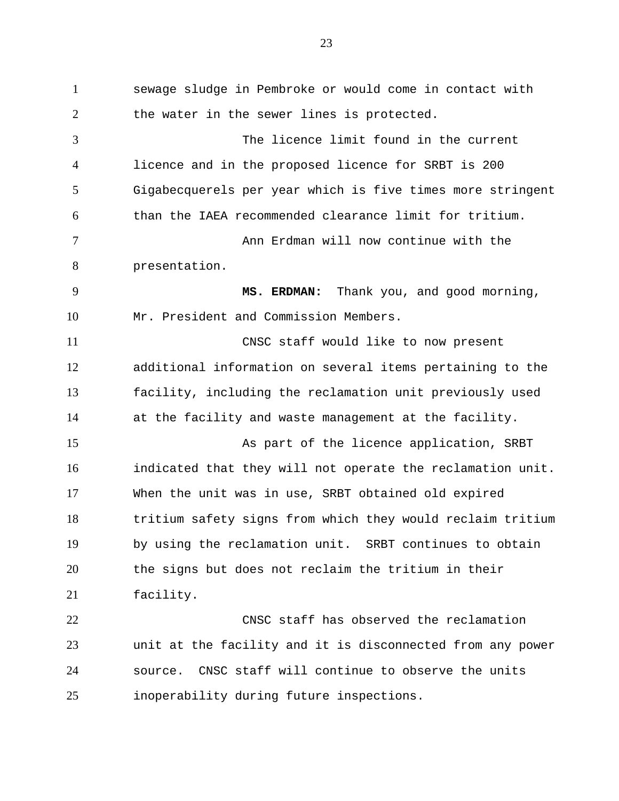sewage sludge in Pembroke or would come in contact with 2 the water in the sewer lines is protected. The licence limit found in the current licence and in the proposed licence for SRBT is 200 Gigabecquerels per year which is five times more stringent than the IAEA recommended clearance limit for tritium. Ann Erdman will now continue with the presentation. **MS. ERDMAN:** Thank you, and good morning, Mr. President and Commission Members. CNSC staff would like to now present additional information on several items pertaining to the facility, including the reclamation unit previously used at the facility and waste management at the facility. 15 As part of the licence application, SRBT indicated that they will not operate the reclamation unit. When the unit was in use, SRBT obtained old expired tritium safety signs from which they would reclaim tritium by using the reclamation unit. SRBT continues to obtain the signs but does not reclaim the tritium in their facility. CNSC staff has observed the reclamation unit at the facility and it is disconnected from any power source. CNSC staff will continue to observe the units inoperability during future inspections.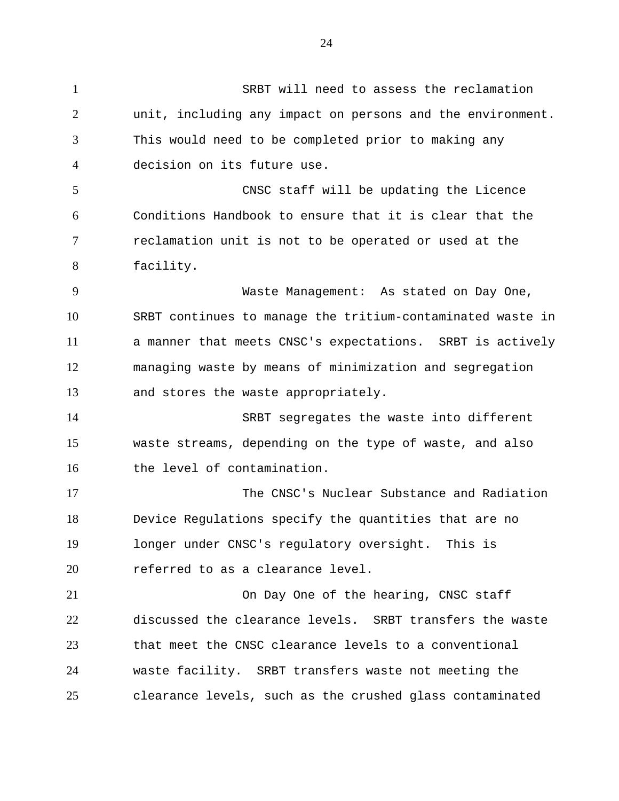SRBT will need to assess the reclamation unit, including any impact on persons and the environment. This would need to be completed prior to making any decision on its future use. CNSC staff will be updating the Licence Conditions Handbook to ensure that it is clear that the reclamation unit is not to be operated or used at the facility. Waste Management: As stated on Day One, SRBT continues to manage the tritium-contaminated waste in a manner that meets CNSC's expectations. SRBT is actively managing waste by means of minimization and segregation and stores the waste appropriately. SRBT segregates the waste into different waste streams, depending on the type of waste, and also the level of contamination. The CNSC's Nuclear Substance and Radiation Device Regulations specify the quantities that are no longer under CNSC's regulatory oversight. This is **referred** to as a clearance level. On Day One of the hearing, CNSC staff discussed the clearance levels. SRBT transfers the waste that meet the CNSC clearance levels to a conventional waste facility. SRBT transfers waste not meeting the clearance levels, such as the crushed glass contaminated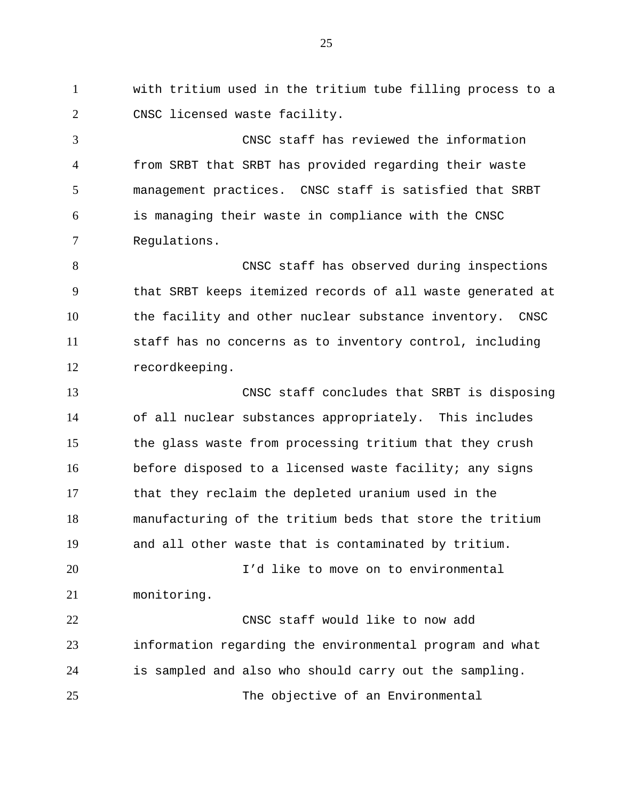with tritium used in the tritium tube filling process to a CNSC licensed waste facility.

CNSC staff has reviewed the information from SRBT that SRBT has provided regarding their waste management practices. CNSC staff is satisfied that SRBT is managing their waste in compliance with the CNSC Regulations.

CNSC staff has observed during inspections that SRBT keeps itemized records of all waste generated at the facility and other nuclear substance inventory. CNSC staff has no concerns as to inventory control, including recordkeeping.

CNSC staff concludes that SRBT is disposing of all nuclear substances appropriately. This includes the glass waste from processing tritium that they crush before disposed to a licensed waste facility; any signs that they reclaim the depleted uranium used in the manufacturing of the tritium beds that store the tritium and all other waste that is contaminated by tritium. I'd like to move on to environmental

monitoring. CNSC staff would like to now add

information regarding the environmental program and what is sampled and also who should carry out the sampling.

The objective of an Environmental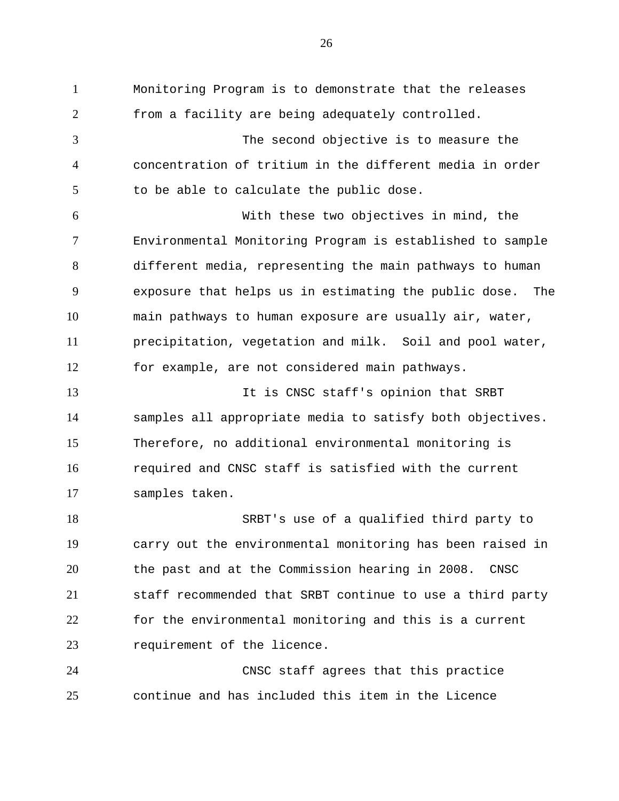Monitoring Program is to demonstrate that the releases from a facility are being adequately controlled. The second objective is to measure the concentration of tritium in the different media in order to be able to calculate the public dose. With these two objectives in mind, the Environmental Monitoring Program is established to sample different media, representing the main pathways to human exposure that helps us in estimating the public dose. The main pathways to human exposure are usually air, water, precipitation, vegetation and milk. Soil and pool water, for example, are not considered main pathways. 13 13 It is CNSC staff's opinion that SRBT samples all appropriate media to satisfy both objectives. Therefore, no additional environmental monitoring is required and CNSC staff is satisfied with the current samples taken. SRBT's use of a qualified third party to carry out the environmental monitoring has been raised in the past and at the Commission hearing in 2008. CNSC staff recommended that SRBT continue to use a third party for the environmental monitoring and this is a current requirement of the licence. CNSC staff agrees that this practice continue and has included this item in the Licence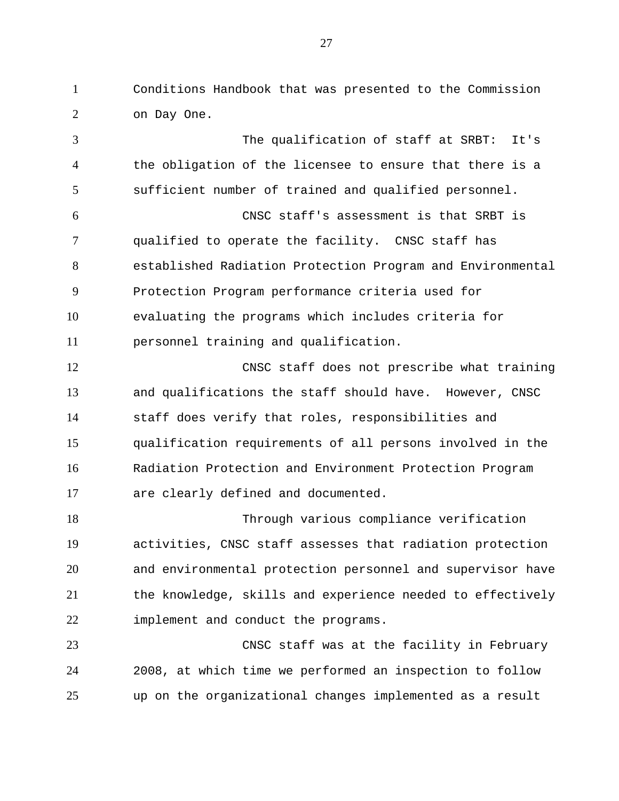Conditions Handbook that was presented to the Commission on Day One.

 The qualification of staff at SRBT: It's the obligation of the licensee to ensure that there is a sufficient number of trained and qualified personnel. CNSC staff's assessment is that SRBT is qualified to operate the facility. CNSC staff has established Radiation Protection Program and Environmental Protection Program performance criteria used for evaluating the programs which includes criteria for personnel training and qualification. CNSC staff does not prescribe what training and qualifications the staff should have. However, CNSC staff does verify that roles, responsibilities and qualification requirements of all persons involved in the Radiation Protection and Environment Protection Program are clearly defined and documented. Through various compliance verification activities, CNSC staff assesses that radiation protection and environmental protection personnel and supervisor have the knowledge, skills and experience needed to effectively

 CNSC staff was at the facility in February 2008, at which time we performed an inspection to follow up on the organizational changes implemented as a result

implement and conduct the programs.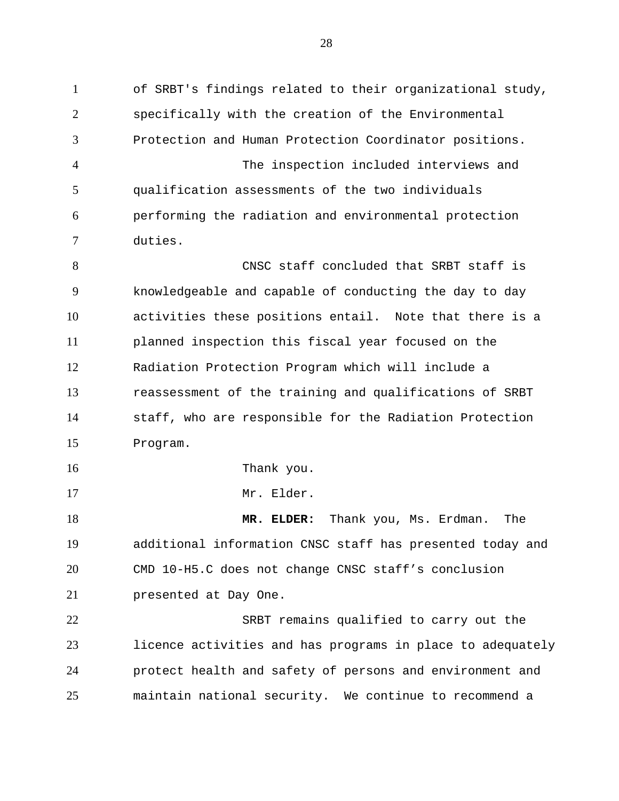of SRBT's findings related to their organizational study, specifically with the creation of the Environmental Protection and Human Protection Coordinator positions. The inspection included interviews and qualification assessments of the two individuals performing the radiation and environmental protection duties. CNSC staff concluded that SRBT staff is knowledgeable and capable of conducting the day to day activities these positions entail. Note that there is a planned inspection this fiscal year focused on the Radiation Protection Program which will include a reassessment of the training and qualifications of SRBT staff, who are responsible for the Radiation Protection Program. 16 Thank you. 17 Mr. Elder. **MR. ELDER:** Thank you, Ms. Erdman. The additional information CNSC staff has presented today and CMD 10-H5.C does not change CNSC staff's conclusion presented at Day One. SRBT remains qualified to carry out the licence activities and has programs in place to adequately protect health and safety of persons and environment and maintain national security. We continue to recommend a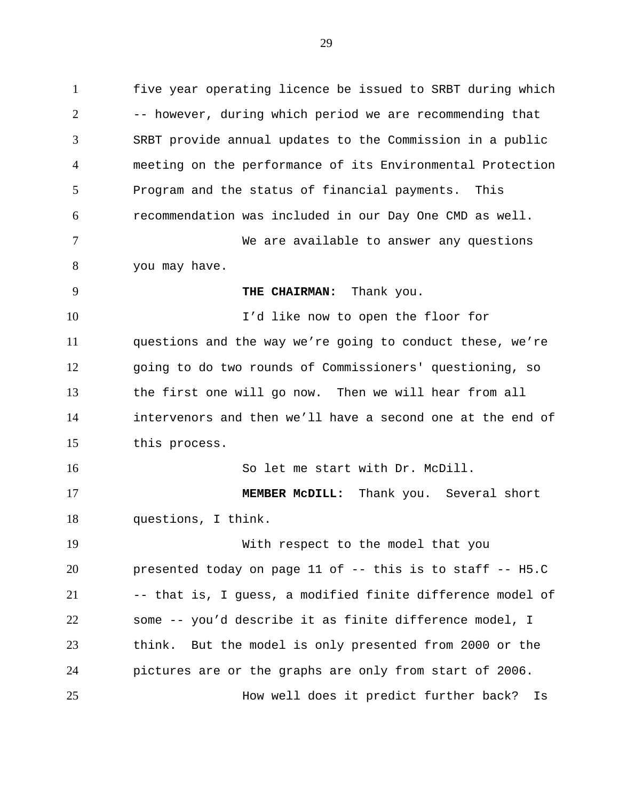five year operating licence be issued to SRBT during which -- however, during which period we are recommending that SRBT provide annual updates to the Commission in a public meeting on the performance of its Environmental Protection Program and the status of financial payments. This recommendation was included in our Day One CMD as well. We are available to answer any questions you may have. **THE CHAIRMAN:** Thank you. I'd like now to open the floor for questions and the way we're going to conduct these, we're going to do two rounds of Commissioners' questioning, so the first one will go now. Then we will hear from all intervenors and then we'll have a second one at the end of

this process.

So let me start with Dr. McDill.

 **MEMBER McDILL:** Thank you. Several short questions, I think.

 With respect to the model that you presented today on page 11 of -- this is to staff -- H5.C -- that is, I guess, a modified finite difference model of some -- you'd describe it as finite difference model, I think. But the model is only presented from 2000 or the pictures are or the graphs are only from start of 2006. How well does it predict further back? Is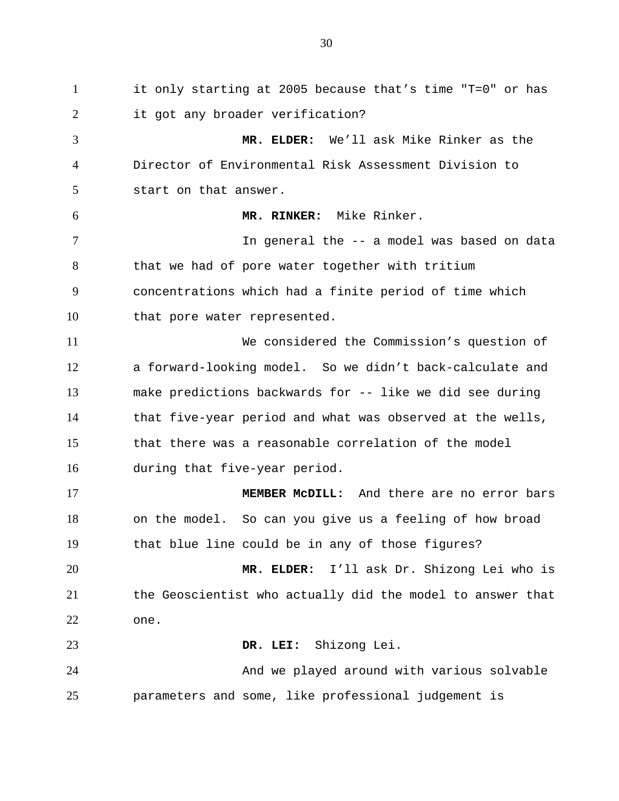it only starting at 2005 because that's time "T=0" or has it got any broader verification? **MR. ELDER:** We'll ask Mike Rinker as the Director of Environmental Risk Assessment Division to start on that answer. **MR. RINKER:** Mike Rinker. In general the -- a model was based on data 8 that we had of pore water together with tritium concentrations which had a finite period of time which 10 that pore water represented. We considered the Commission's question of a forward-looking model. So we didn't back-calculate and make predictions backwards for -- like we did see during that five-year period and what was observed at the wells, that there was a reasonable correlation of the model during that five-year period. **MEMBER McDILL:** And there are no error bars on the model. So can you give us a feeling of how broad that blue line could be in any of those figures? **MR. ELDER:** I'll ask Dr. Shizong Lei who is the Geoscientist who actually did the model to answer that one. **DR. LEI:** Shizong Lei. And we played around with various solvable parameters and some, like professional judgement is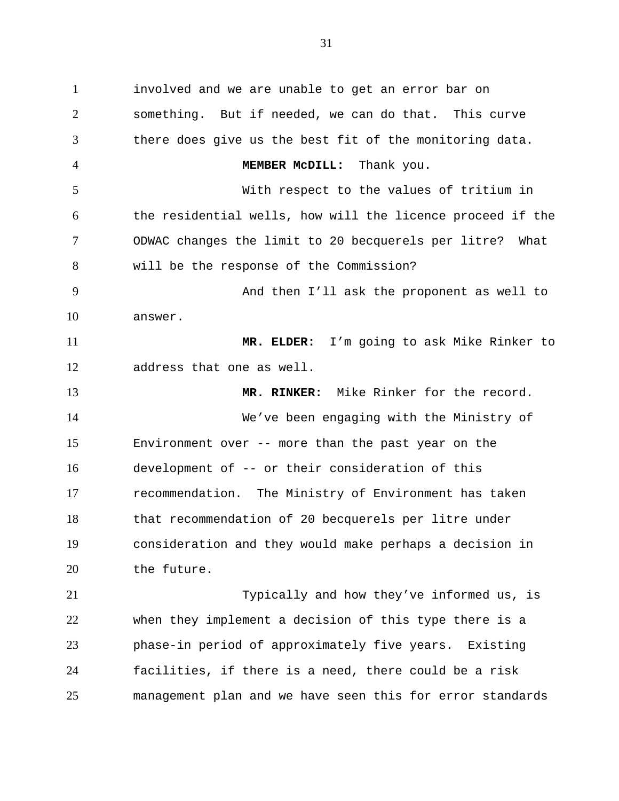involved and we are unable to get an error bar on something. But if needed, we can do that. This curve there does give us the best fit of the monitoring data. **MEMBER McDILL:** Thank you. With respect to the values of tritium in the residential wells, how will the licence proceed if the ODWAC changes the limit to 20 becquerels per litre? What will be the response of the Commission? And then I'll ask the proponent as well to answer. **MR. ELDER:** I'm going to ask Mike Rinker to address that one as well. **MR. RINKER:** Mike Rinker for the record. We've been engaging with the Ministry of Environment over -- more than the past year on the development of -- or their consideration of this recommendation. The Ministry of Environment has taken that recommendation of 20 becquerels per litre under consideration and they would make perhaps a decision in the future. Typically and how they've informed us, is when they implement a decision of this type there is a phase-in period of approximately five years. Existing facilities, if there is a need, there could be a risk

management plan and we have seen this for error standards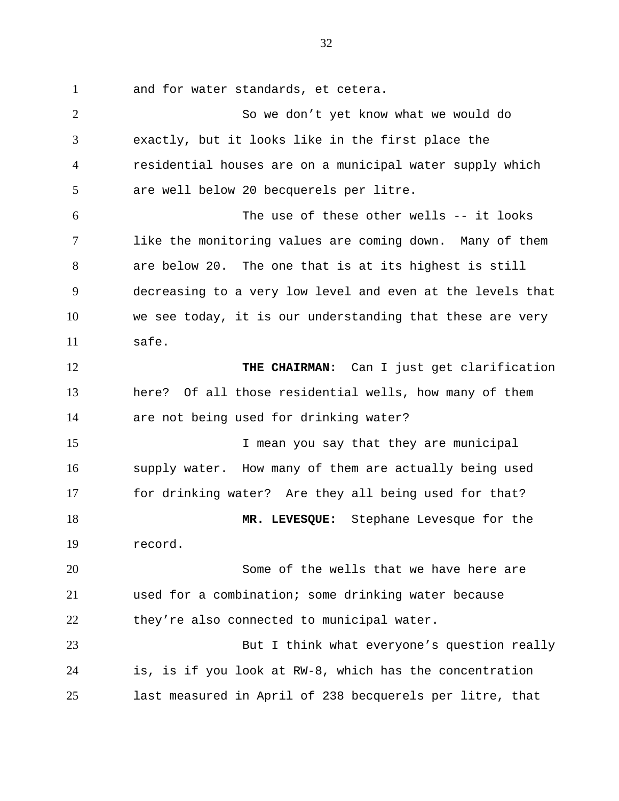and for water standards, et cetera.

 So we don't yet know what we would do exactly, but it looks like in the first place the residential houses are on a municipal water supply which are well below 20 becquerels per litre. The use of these other wells -- it looks like the monitoring values are coming down. Many of them are below 20. The one that is at its highest is still decreasing to a very low level and even at the levels that we see today, it is our understanding that these are very safe. **THE CHAIRMAN:** Can I just get clarification here? Of all those residential wells, how many of them are not being used for drinking water? 15 15 I mean you say that they are municipal supply water. How many of them are actually being used for drinking water? Are they all being used for that? **MR. LEVESQUE:** Stephane Levesque for the record. Some of the wells that we have here are used for a combination; some drinking water because they're also connected to municipal water. But I think what everyone's question really is, is if you look at RW-8, which has the concentration last measured in April of 238 becquerels per litre, that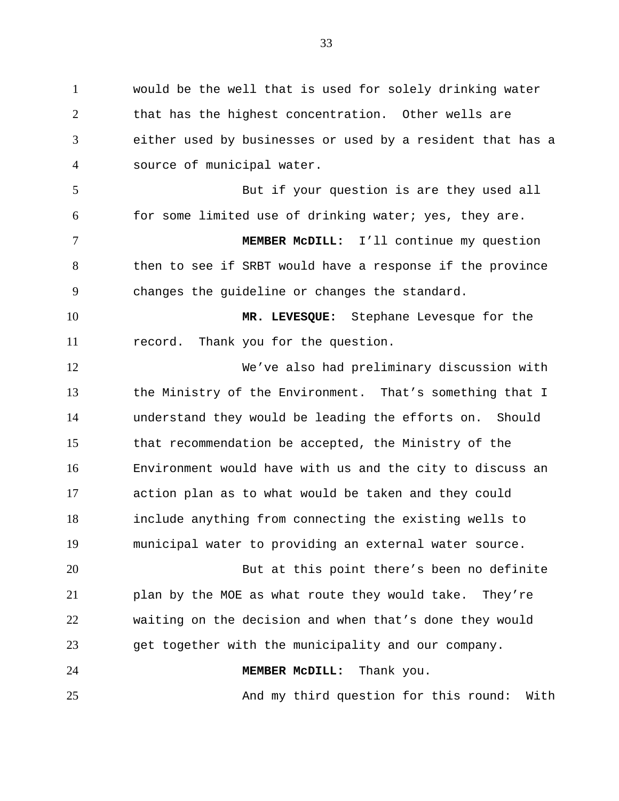would be the well that is used for solely drinking water that has the highest concentration. Other wells are either used by businesses or used by a resident that has a source of municipal water. But if your question is are they used all for some limited use of drinking water; yes, they are. **MEMBER McDILL:** I'll continue my question then to see if SRBT would have a response if the province changes the guideline or changes the standard. **MR. LEVESQUE:** Stephane Levesque for the record. Thank you for the question. We've also had preliminary discussion with the Ministry of the Environment. That's something that I understand they would be leading the efforts on. Should that recommendation be accepted, the Ministry of the Environment would have with us and the city to discuss an action plan as to what would be taken and they could include anything from connecting the existing wells to municipal water to providing an external water source. But at this point there's been no definite plan by the MOE as what route they would take. They're waiting on the decision and when that's done they would get together with the municipality and our company. **MEMBER McDILL:** Thank you. And my third question for this round: With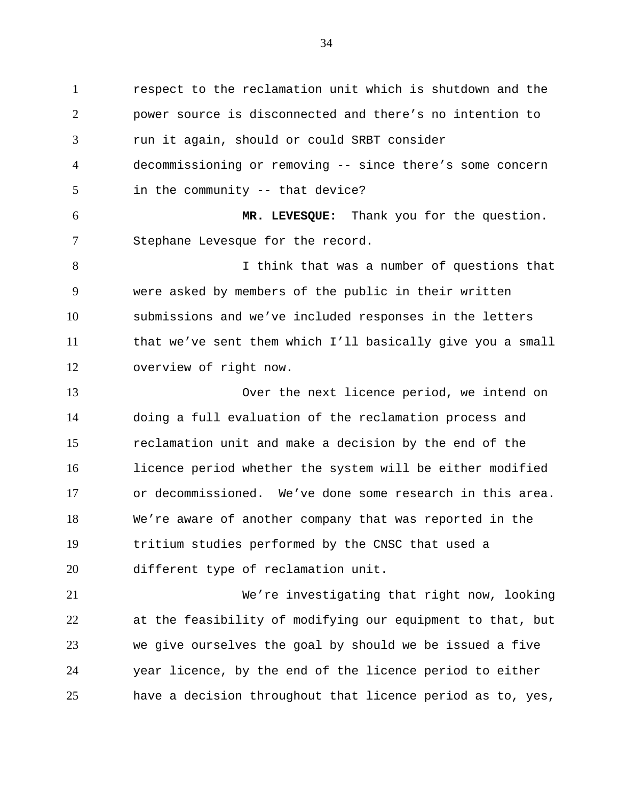respect to the reclamation unit which is shutdown and the power source is disconnected and there's no intention to run it again, should or could SRBT consider decommissioning or removing -- since there's some concern in the community -- that device? **MR. LEVESQUE:** Thank you for the question. Stephane Levesque for the record. I think that was a number of questions that were asked by members of the public in their written submissions and we've included responses in the letters that we've sent them which I'll basically give you a small overview of right now. Over the next licence period, we intend on doing a full evaluation of the reclamation process and reclamation unit and make a decision by the end of the licence period whether the system will be either modified or decommissioned. We've done some research in this area. We're aware of another company that was reported in the tritium studies performed by the CNSC that used a different type of reclamation unit. We're investigating that right now, looking at the feasibility of modifying our equipment to that, but we give ourselves the goal by should we be issued a five

year licence, by the end of the licence period to either

have a decision throughout that licence period as to, yes,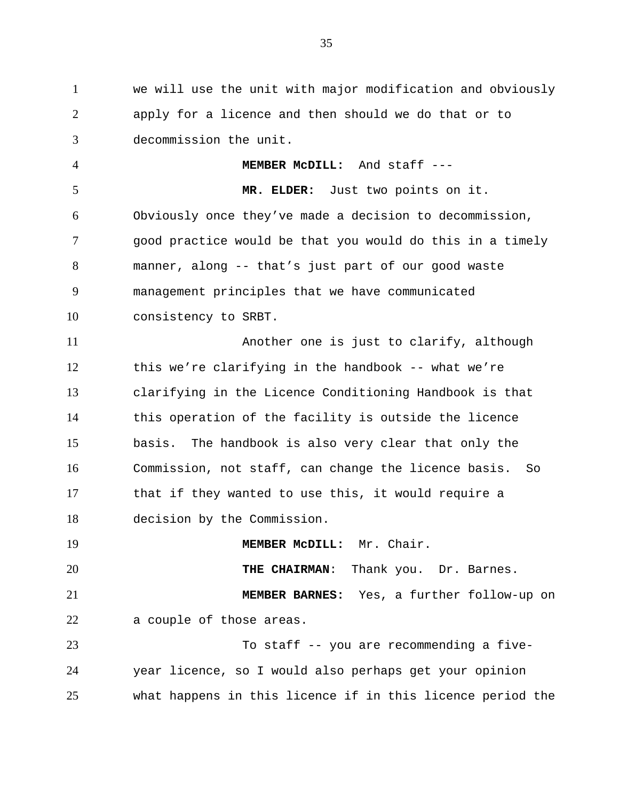we will use the unit with major modification and obviously apply for a licence and then should we do that or to decommission the unit.

 **MEMBER McDILL:** And staff --- **MR. ELDER:** Just two points on it. Obviously once they've made a decision to decommission, good practice would be that you would do this in a timely manner, along -- that's just part of our good waste management principles that we have communicated consistency to SRBT. Another one is just to clarify, although

 this we're clarifying in the handbook -- what we're clarifying in the Licence Conditioning Handbook is that this operation of the facility is outside the licence basis. The handbook is also very clear that only the Commission, not staff, can change the licence basis. So that if they wanted to use this, it would require a decision by the Commission.

**MEMBER MCDILL:** Mr. Chair. **THE CHAIRMAN**: Thank you. Dr. Barnes. **MEMBER BARNES:** Yes, a further follow-up on a couple of those areas. To staff -- you are recommending a five-year licence, so I would also perhaps get your opinion

what happens in this licence if in this licence period the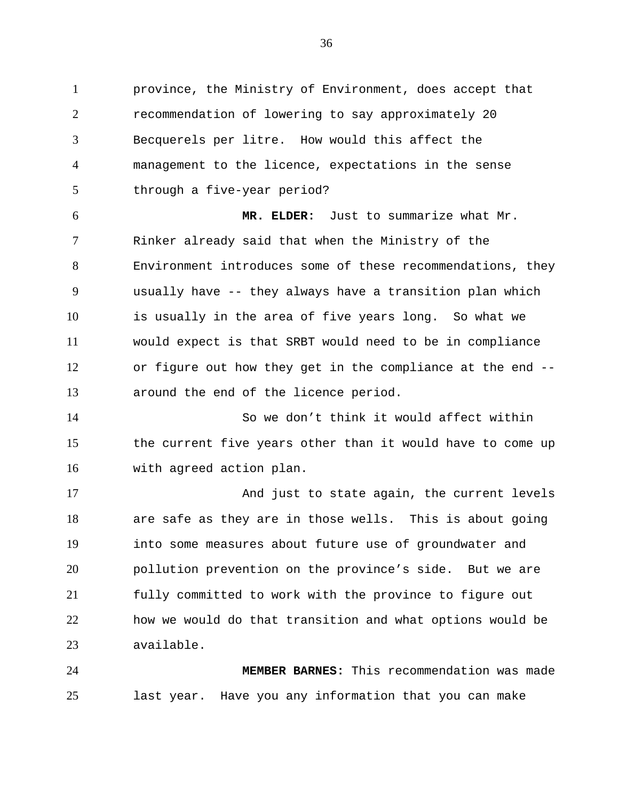province, the Ministry of Environment, does accept that recommendation of lowering to say approximately 20 Becquerels per litre. How would this affect the management to the licence, expectations in the sense through a five-year period?

 **MR. ELDER:** Just to summarize what Mr. Rinker already said that when the Ministry of the Environment introduces some of these recommendations, they usually have -- they always have a transition plan which is usually in the area of five years long. So what we would expect is that SRBT would need to be in compliance or figure out how they get in the compliance at the end -- around the end of the licence period.

 So we don't think it would affect within the current five years other than it would have to come up with agreed action plan.

 And just to state again, the current levels are safe as they are in those wells. This is about going into some measures about future use of groundwater and pollution prevention on the province's side. But we are fully committed to work with the province to figure out how we would do that transition and what options would be available.

 **MEMBER BARNES:** This recommendation was made last year. Have you any information that you can make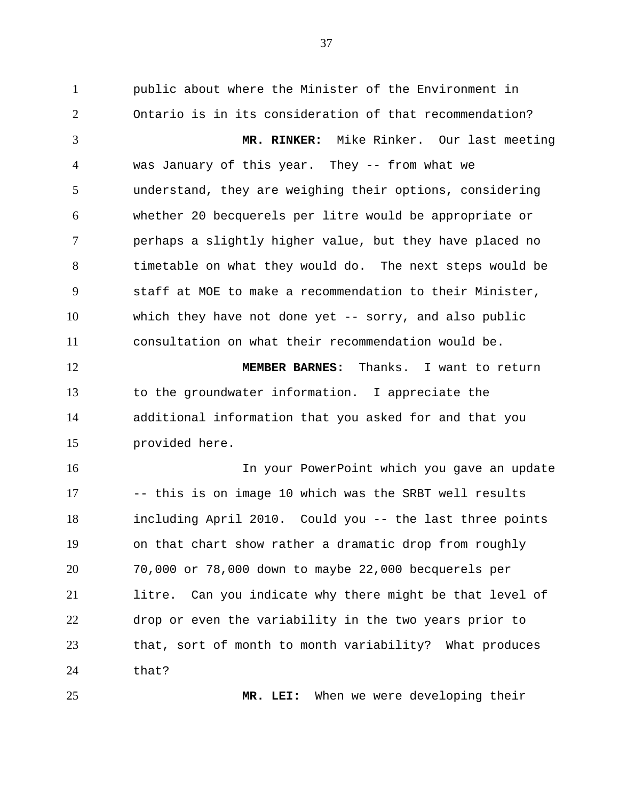public about where the Minister of the Environment in Ontario is in its consideration of that recommendation?

**MR. RINKER:** Mike Rinker. Our last meeting was January of this year. They -- from what we understand, they are weighing their options, considering whether 20 becquerels per litre would be appropriate or perhaps a slightly higher value, but they have placed no timetable on what they would do. The next steps would be staff at MOE to make a recommendation to their Minister, which they have not done yet -- sorry, and also public consultation on what their recommendation would be.

**MEMBER BARNES:** Thanks. I want to return to the groundwater information. I appreciate the additional information that you asked for and that you provided here.

In your PowerPoint which you gave an update -- this is on image 10 which was the SRBT well results including April 2010. Could you -- the last three points on that chart show rather a dramatic drop from roughly 70,000 or 78,000 down to maybe 22,000 becquerels per litre. Can you indicate why there might be that level of drop or even the variability in the two years prior to that, sort of month to month variability? What produces that?

**MR. LEI:** When we were developing their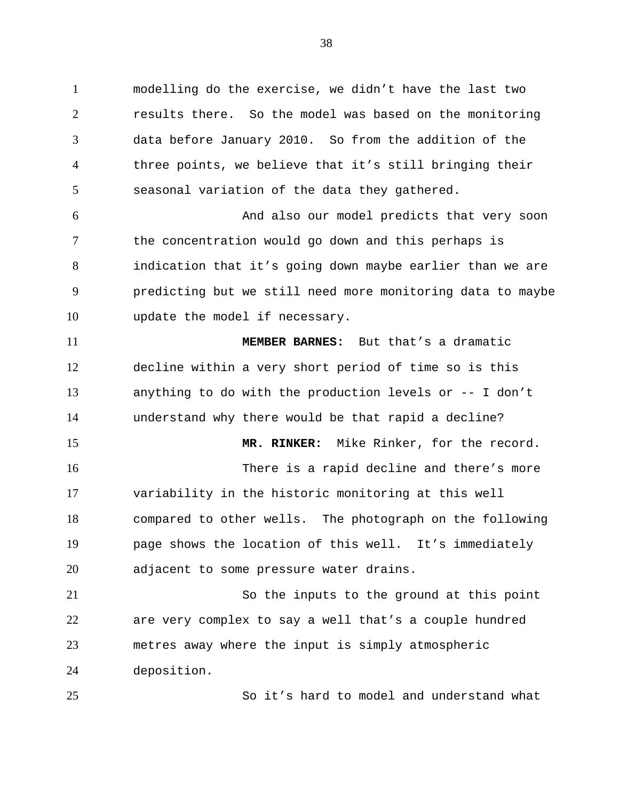modelling do the exercise, we didn't have the last two results there. So the model was based on the monitoring data before January 2010. So from the addition of the three points, we believe that it's still bringing their seasonal variation of the data they gathered.

And also our model predicts that very soon the concentration would go down and this perhaps is indication that it's going down maybe earlier than we are predicting but we still need more monitoring data to maybe update the model if necessary.

**MEMBER BARNES:** But that's a dramatic decline within a very short period of time so is this anything to do with the production levels or -- I don't understand why there would be that rapid a decline?

**MR. RINKER:** Mike Rinker, for the record. There is a rapid decline and there's more variability in the historic monitoring at this well compared to other wells. The photograph on the following page shows the location of this well. It's immediately adjacent to some pressure water drains.

So the inputs to the ground at this point are very complex to say a well that's a couple hundred metres away where the input is simply atmospheric deposition.

So it's hard to model and understand what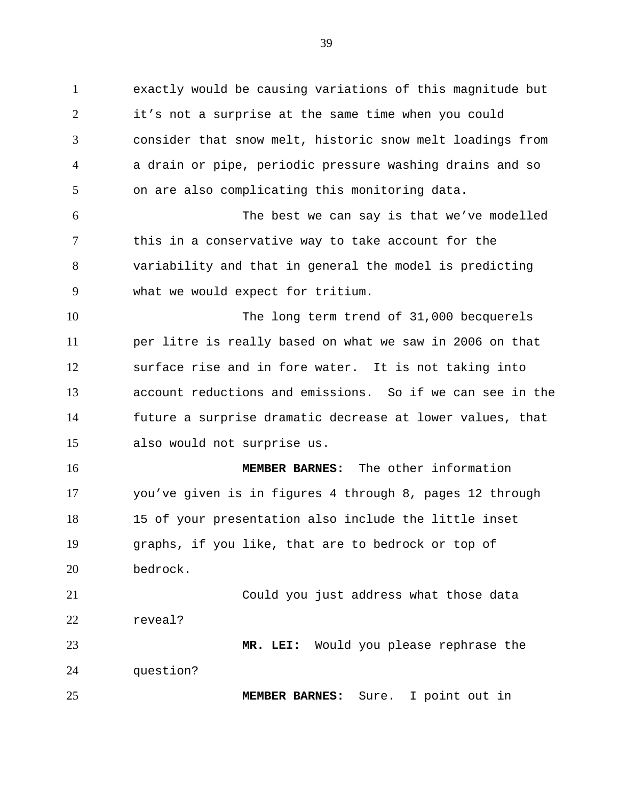exactly would be causing variations of this magnitude but it's not a surprise at the same time when you could consider that snow melt, historic snow melt loadings from a drain or pipe, periodic pressure washing drains and so on are also complicating this monitoring data. The best we can say is that we've modelled this in a conservative way to take account for the variability and that in general the model is predicting what we would expect for tritium. The long term trend of 31,000 becquerels per litre is really based on what we saw in 2006 on that surface rise and in fore water. It is not taking into account reductions and emissions. So if we can see in the future a surprise dramatic decrease at lower values, that also would not surprise us. **MEMBER BARNES:** The other information you've given is in figures 4 through 8, pages 12 through 15 of your presentation also include the little inset graphs, if you like, that are to bedrock or top of bedrock. Could you just address what those data reveal? **MR. LEI:** Would you please rephrase the question? **MEMBER BARNES:** Sure. I point out in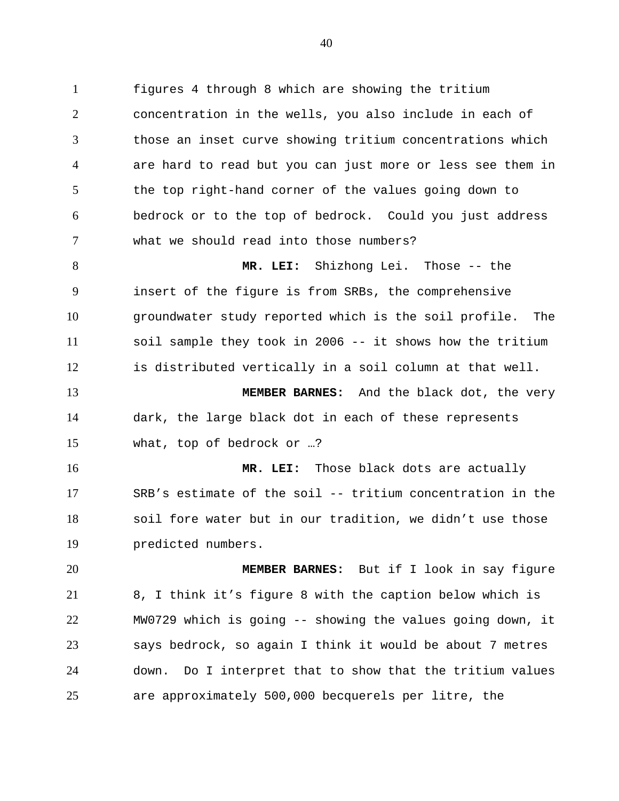figures 4 through 8 which are showing the tritium concentration in the wells, you also include in each of those an inset curve showing tritium concentrations which are hard to read but you can just more or less see them in the top right-hand corner of the values going down to bedrock or to the top of bedrock. Could you just address what we should read into those numbers?

 **MR. LEI:** Shizhong Lei. Those -- the insert of the figure is from SRBs, the comprehensive groundwater study reported which is the soil profile. The soil sample they took in 2006 -- it shows how the tritium is distributed vertically in a soil column at that well.

 **MEMBER BARNES:** And the black dot, the very dark, the large black dot in each of these represents what, top of bedrock or …?

 **MR. LEI:** Those black dots are actually SRB's estimate of the soil -- tritium concentration in the soil fore water but in our tradition, we didn't use those predicted numbers.

 **MEMBER BARNES:** But if I look in say figure 8, I think it's figure 8 with the caption below which is MW0729 which is going -- showing the values going down, it says bedrock, so again I think it would be about 7 metres down. Do I interpret that to show that the tritium values are approximately 500,000 becquerels per litre, the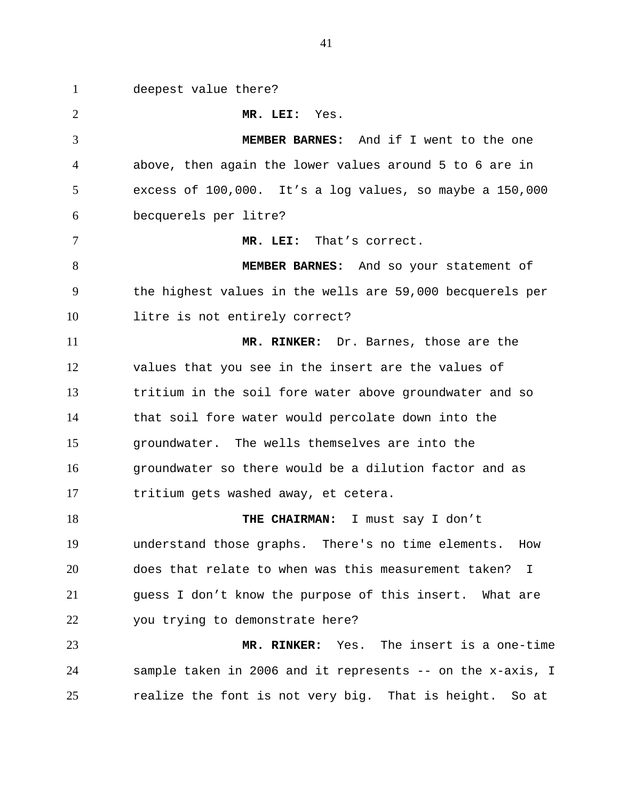deepest value there? **MR. LEI:** Yes. **MEMBER BARNES:** And if I went to the one above, then again the lower values around 5 to 6 are in excess of 100,000. It's a log values, so maybe a 150,000 becquerels per litre? **MR. LEI:** That's correct. **MEMBER BARNES:** And so your statement of the highest values in the wells are 59,000 becquerels per litre is not entirely correct? **MR. RINKER:** Dr. Barnes, those are the values that you see in the insert are the values of tritium in the soil fore water above groundwater and so that soil fore water would percolate down into the groundwater. The wells themselves are into the groundwater so there would be a dilution factor and as tritium gets washed away, et cetera. **THE CHAIRMAN:** I must say I don't understand those graphs. There's no time elements. How does that relate to when was this measurement taken? I guess I don't know the purpose of this insert. What are you trying to demonstrate here? **MR. RINKER:** Yes. The insert is a one-time sample taken in 2006 and it represents -- on the x-axis, I realize the font is not very big. That is height. So at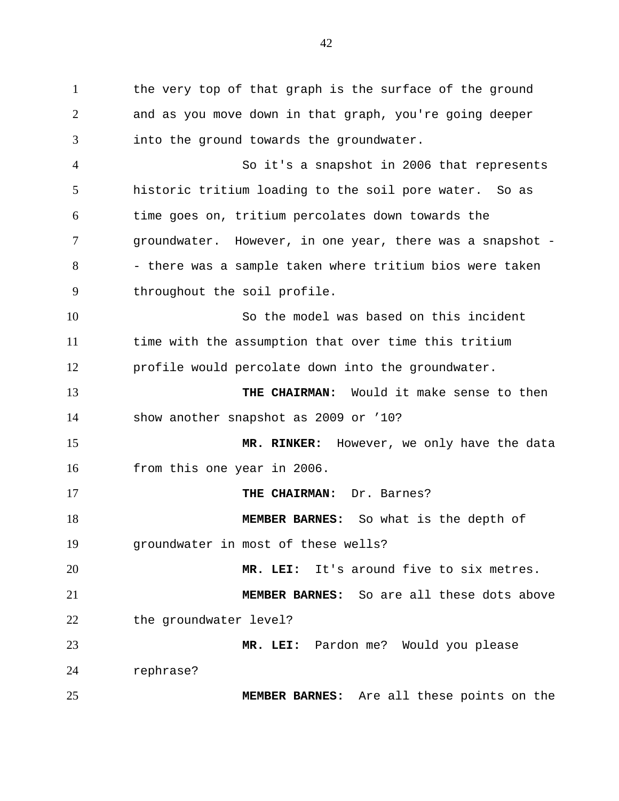1 the very top of that graph is the surface of the ground and as you move down in that graph, you're going deeper into the ground towards the groundwater. So it's a snapshot in 2006 that represents historic tritium loading to the soil pore water. So as time goes on, tritium percolates down towards the groundwater. However, in one year, there was a snapshot - - there was a sample taken where tritium bios were taken throughout the soil profile. So the model was based on this incident time with the assumption that over time this tritium profile would percolate down into the groundwater. **THE CHAIRMAN:** Would it make sense to then show another snapshot as 2009 or '10? **MR. RINKER:** However, we only have the data from this one year in 2006. **THE CHAIRMAN:** Dr. Barnes? **MEMBER BARNES:** So what is the depth of groundwater in most of these wells? **MR. LEI:** It's around five to six metres. **MEMBER BARNES:** So are all these dots above 22 the groundwater level? **MR. LEI:** Pardon me? Would you please rephrase? **MEMBER BARNES:** Are all these points on the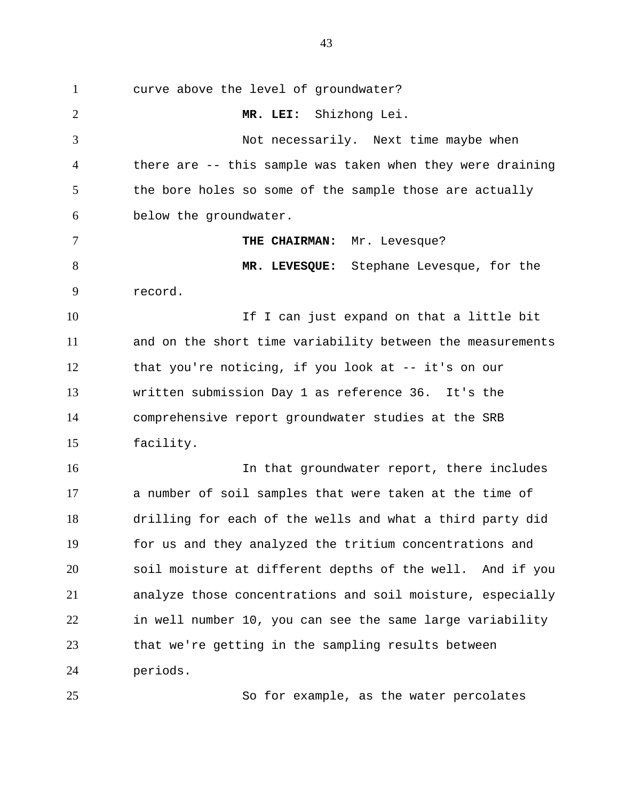curve above the level of groundwater? **MR. LEI:** Shizhong Lei. Not necessarily. Next time maybe when there are -- this sample was taken when they were draining 5 the bore holes so some of the sample those are actually below the groundwater. **THE CHAIRMAN:** Mr. Levesque? **MR. LEVESQUE:** Stephane Levesque, for the record. 10 10 If I can just expand on that a little bit and on the short time variability between the measurements that you're noticing, if you look at -- it's on our written submission Day 1 as reference 36. It's the comprehensive report groundwater studies at the SRB facility. In that groundwater report, there includes a number of soil samples that were taken at the time of drilling for each of the wells and what a third party did for us and they analyzed the tritium concentrations and soil moisture at different depths of the well. And if you analyze those concentrations and soil moisture, especially in well number 10, you can see the same large variability that we're getting in the sampling results between periods.

So for example, as the water percolates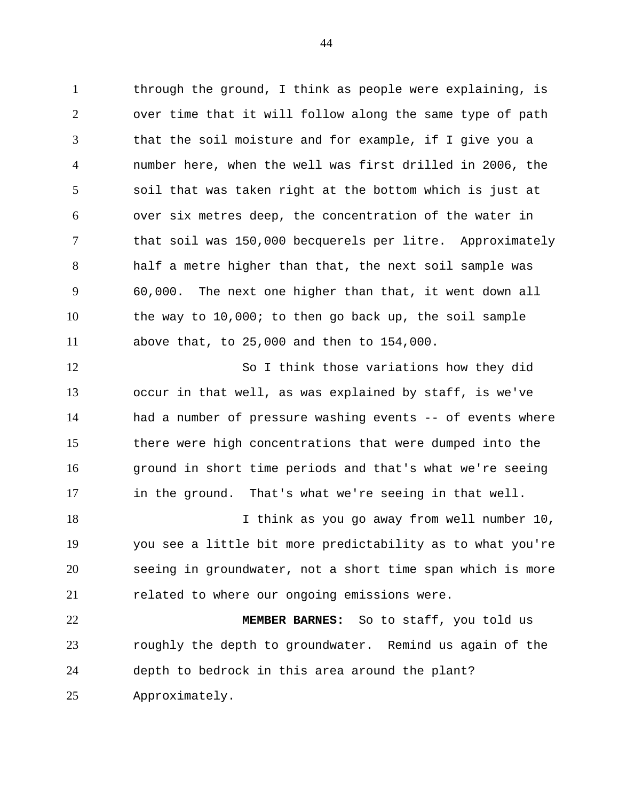1 through the ground, I think as people were explaining, is over time that it will follow along the same type of path that the soil moisture and for example, if I give you a number here, when the well was first drilled in 2006, the soil that was taken right at the bottom which is just at over six metres deep, the concentration of the water in that soil was 150,000 becquerels per litre. Approximately half a metre higher than that, the next soil sample was 60,000. The next one higher than that, it went down all the way to 10,000; to then go back up, the soil sample above that, to 25,000 and then to 154,000.

 So I think those variations how they did occur in that well, as was explained by staff, is we've had a number of pressure washing events -- of events where there were high concentrations that were dumped into the ground in short time periods and that's what we're seeing in the ground. That's what we're seeing in that well.

18 I think as you go away from well number 10, you see a little bit more predictability as to what you're seeing in groundwater, not a short time span which is more related to where our ongoing emissions were.

 **MEMBER BARNES:** So to staff, you told us roughly the depth to groundwater. Remind us again of the depth to bedrock in this area around the plant? Approximately.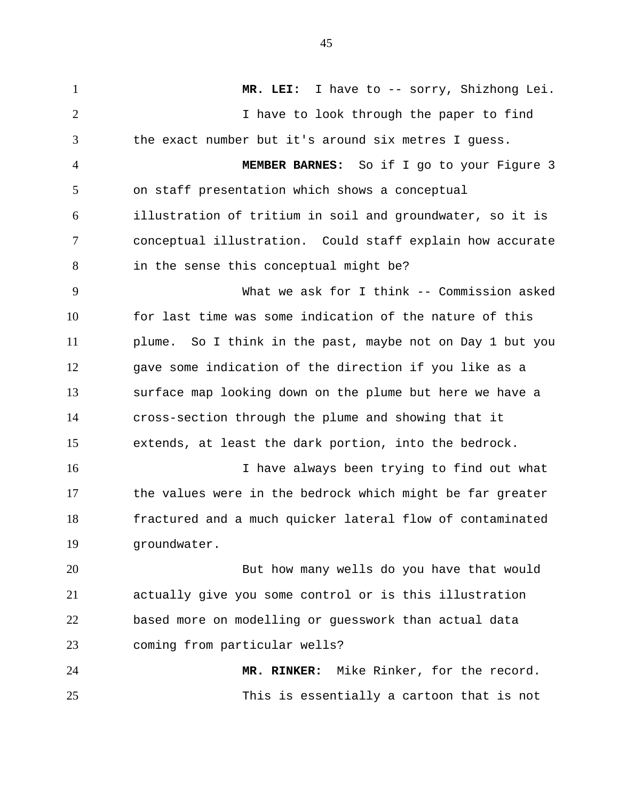**MR. LEI:** I have to -- sorry, Shizhong Lei. I have to look through the paper to find the exact number but it's around six metres I guess. **MEMBER BARNES:** So if I go to your Figure 3 on staff presentation which shows a conceptual illustration of tritium in soil and groundwater, so it is conceptual illustration. Could staff explain how accurate in the sense this conceptual might be? What we ask for I think -- Commission asked for last time was some indication of the nature of this plume. So I think in the past, maybe not on Day 1 but you gave some indication of the direction if you like as a surface map looking down on the plume but here we have a cross-section through the plume and showing that it extends, at least the dark portion, into the bedrock. 16 16 I have always been trying to find out what the values were in the bedrock which might be far greater fractured and a much quicker lateral flow of contaminated groundwater. But how many wells do you have that would actually give you some control or is this illustration based more on modelling or guesswork than actual data coming from particular wells? **MR. RINKER:** Mike Rinker, for the record.

This is essentially a cartoon that is not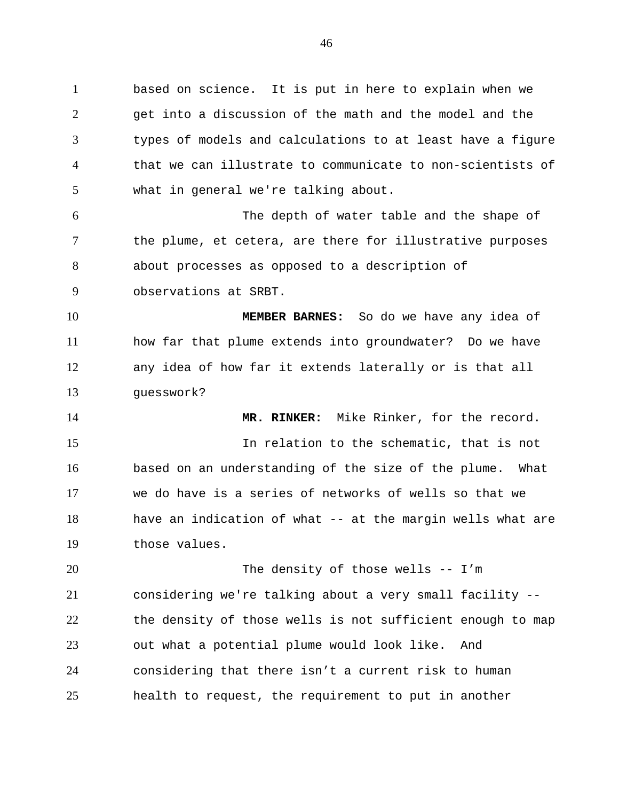based on science. It is put in here to explain when we get into a discussion of the math and the model and the types of models and calculations to at least have a figure that we can illustrate to communicate to non-scientists of what in general we're talking about.

The depth of water table and the shape of 7 the plume, et cetera, are there for illustrative purposes about processes as opposed to a description of observations at SRBT.

**MEMBER BARNES:** So do we have any idea of how far that plume extends into groundwater? Do we have any idea of how far it extends laterally or is that all guesswork?

**MR. RINKER:** Mike Rinker, for the record. In relation to the schematic, that is not based on an understanding of the size of the plume. What we do have is a series of networks of wells so that we have an indication of what -- at the margin wells what are those values.

The density of those wells -- I'm considering we're talking about a very small facility -- the density of those wells is not sufficient enough to map out what a potential plume would look like. And considering that there isn't a current risk to human health to request, the requirement to put in another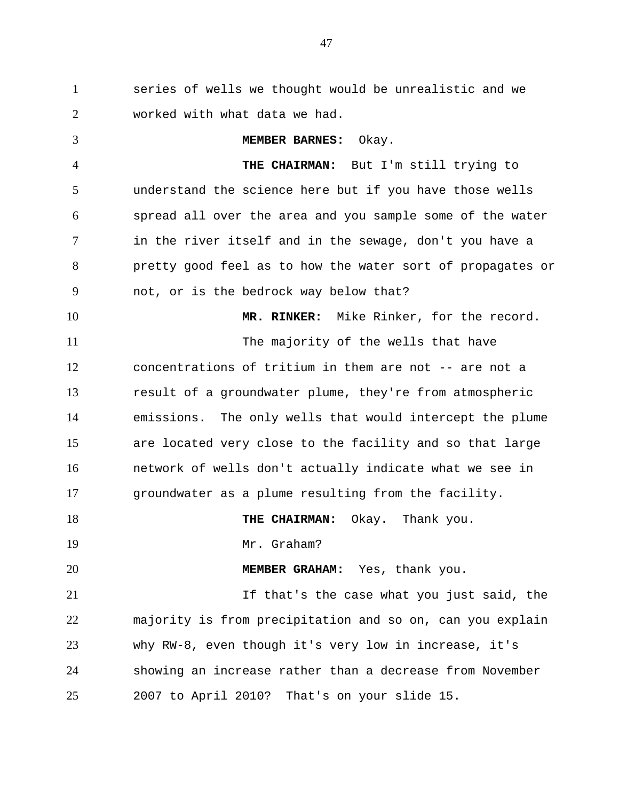series of wells we thought would be unrealistic and we worked with what data we had.

**MEMBER BARNES:** Okay. **THE CHAIRMAN:** But I'm still trying to understand the science here but if you have those wells spread all over the area and you sample some of the water in the river itself and in the sewage, don't you have a pretty good feel as to how the water sort of propagates or not, or is the bedrock way below that? **MR. RINKER:** Mike Rinker, for the record. The majority of the wells that have concentrations of tritium in them are not -- are not a result of a groundwater plume, they're from atmospheric emissions. The only wells that would intercept the plume are located very close to the facility and so that large network of wells don't actually indicate what we see in groundwater as a plume resulting from the facility. **THE CHAIRMAN:** Okay. Thank you. 19 Mr. Graham? **MEMBER GRAHAM:** Yes, thank you. 21 11 12 11 12 15 That's the case what you just said, the majority is from precipitation and so on, can you explain why RW-8, even though it's very low in increase, it's showing an increase rather than a decrease from November 2007 to April 2010? That's on your slide 15.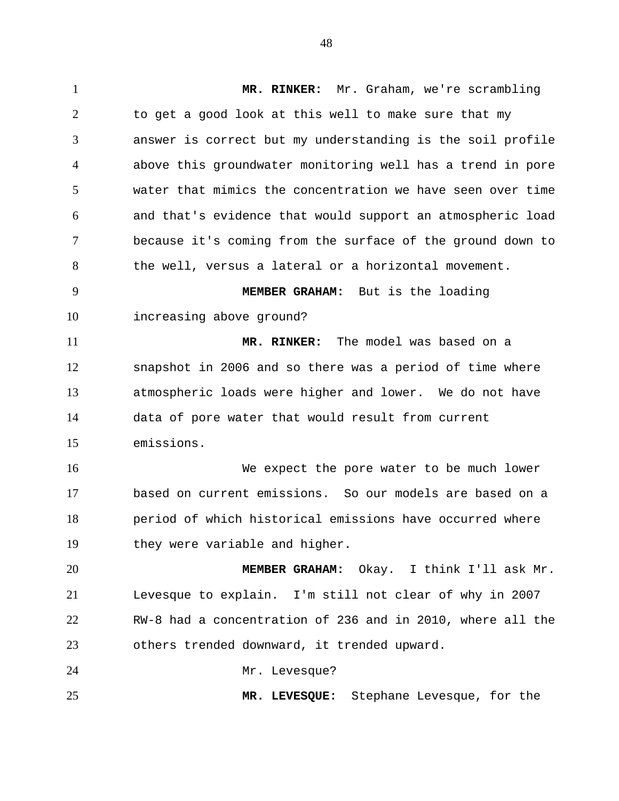**MR. RINKER:** Mr. Graham, we're scrambling to get a good look at this well to make sure that my answer is correct but my understanding is the soil profile above this groundwater monitoring well has a trend in pore water that mimics the concentration we have seen over time and that's evidence that would support an atmospheric load because it's coming from the surface of the ground down to the well, versus a lateral or a horizontal movement. **MEMBER GRAHAM:** But is the loading increasing above ground? **MR. RINKER:** The model was based on a snapshot in 2006 and so there was a period of time where atmospheric loads were higher and lower. We do not have data of pore water that would result from current emissions. We expect the pore water to be much lower based on current emissions. So our models are based on a period of which historical emissions have occurred where they were variable and higher. **MEMBER GRAHAM:** Okay. I think I'll ask Mr. Levesque to explain. I'm still not clear of why in 2007 RW-8 had a concentration of 236 and in 2010, where all the others trended downward, it trended upward. 24 Mr. Levesque? **MR. LEVESQUE:** Stephane Levesque, for the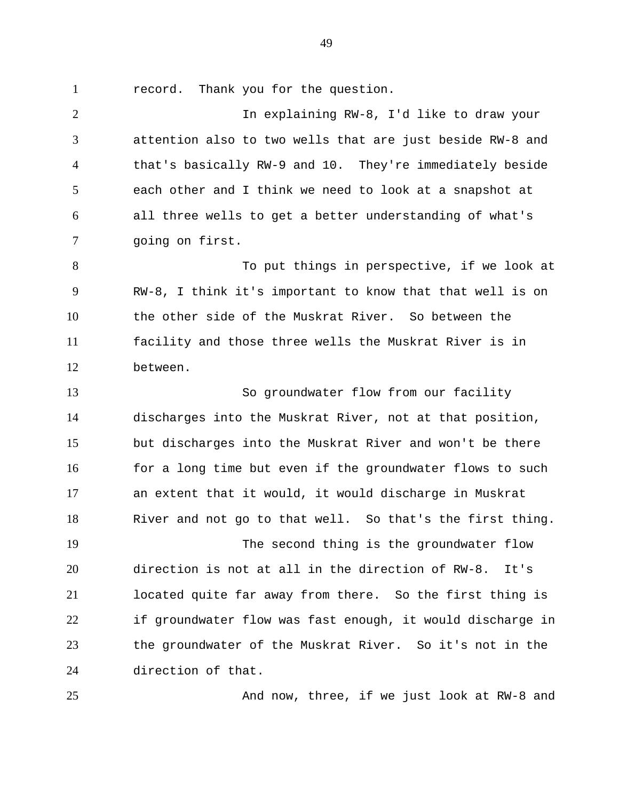record. Thank you for the question.

 In explaining RW-8, I'd like to draw your attention also to two wells that are just beside RW-8 and that's basically RW-9 and 10. They're immediately beside each other and I think we need to look at a snapshot at all three wells to get a better understanding of what's going on first.

8 To put things in perspective, if we look at RW-8, I think it's important to know that that well is on the other side of the Muskrat River. So between the facility and those three wells the Muskrat River is in between.

 So groundwater flow from our facility discharges into the Muskrat River, not at that position, but discharges into the Muskrat River and won't be there 16 for a long time but even if the groundwater flows to such an extent that it would, it would discharge in Muskrat River and not go to that well. So that's the first thing.

 The second thing is the groundwater flow direction is not at all in the direction of RW-8. It's located quite far away from there. So the first thing is if groundwater flow was fast enough, it would discharge in the groundwater of the Muskrat River. So it's not in the direction of that.

And now, three, if we just look at RW-8 and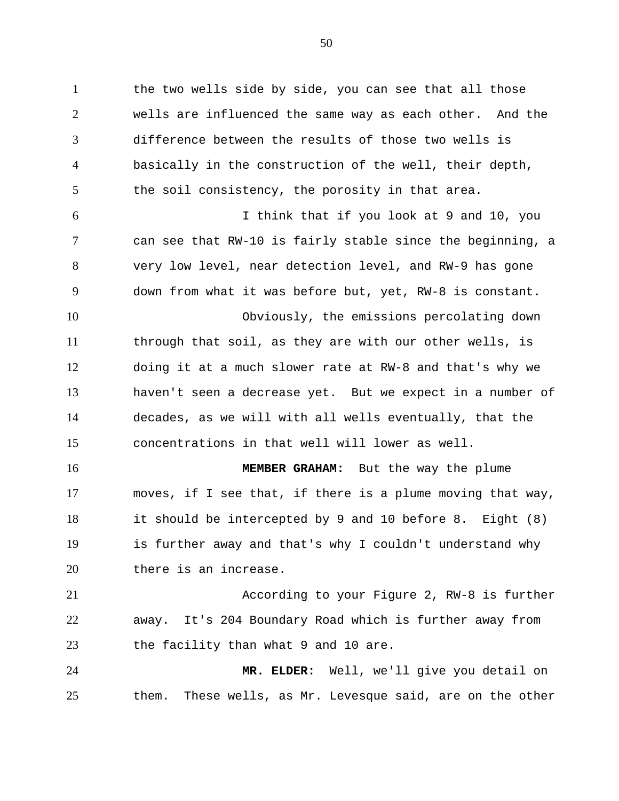the two wells side by side, you can see that all those wells are influenced the same way as each other. And the difference between the results of those two wells is basically in the construction of the well, their depth, 5 the soil consistency, the porosity in that area. I think that if you look at 9 and 10, you can see that RW-10 is fairly stable since the beginning, a very low level, near detection level, and RW-9 has gone down from what it was before but, yet, RW-8 is constant. Obviously, the emissions percolating down through that soil, as they are with our other wells, is doing it at a much slower rate at RW-8 and that's why we haven't seen a decrease yet. But we expect in a number of decades, as we will with all wells eventually, that the concentrations in that well will lower as well. **MEMBER GRAHAM:** But the way the plume moves, if I see that, if there is a plume moving that way, it should be intercepted by 9 and 10 before 8. Eight (8) is further away and that's why I couldn't understand why 20 there is an increase. According to your Figure 2, RW-8 is further away. It's 204 Boundary Road which is further away from 23 the facility than what 9 and 10 are. **MR. ELDER:** Well, we'll give you detail on them. These wells, as Mr. Levesque said, are on the other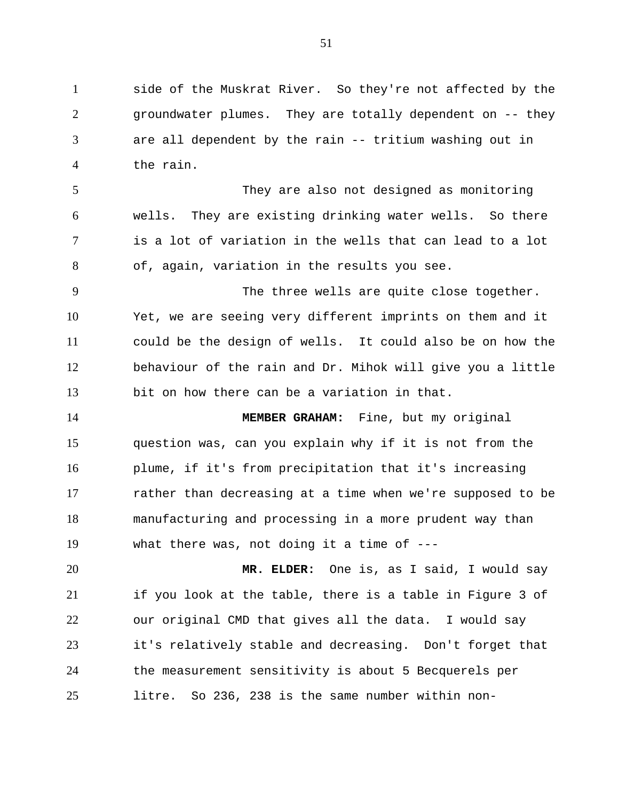side of the Muskrat River. So they're not affected by the groundwater plumes. They are totally dependent on -- they are all dependent by the rain -- tritium washing out in the rain.

They are also not designed as monitoring wells. They are existing drinking water wells. So there is a lot of variation in the wells that can lead to a lot of, again, variation in the results you see.

The three wells are quite close together. Yet, we are seeing very different imprints on them and it could be the design of wells. It could also be on how the behaviour of the rain and Dr. Mihok will give you a little bit on how there can be a variation in that.

**MEMBER GRAHAM:** Fine, but my original question was, can you explain why if it is not from the plume, if it's from precipitation that it's increasing rather than decreasing at a time when we're supposed to be manufacturing and processing in a more prudent way than what there was, not doing it a time of ---

**MR. ELDER:** One is, as I said, I would say if you look at the table, there is a table in Figure 3 of our original CMD that gives all the data. I would say it's relatively stable and decreasing. Don't forget that the measurement sensitivity is about 5 Becquerels per litre. So 236, 238 is the same number within non-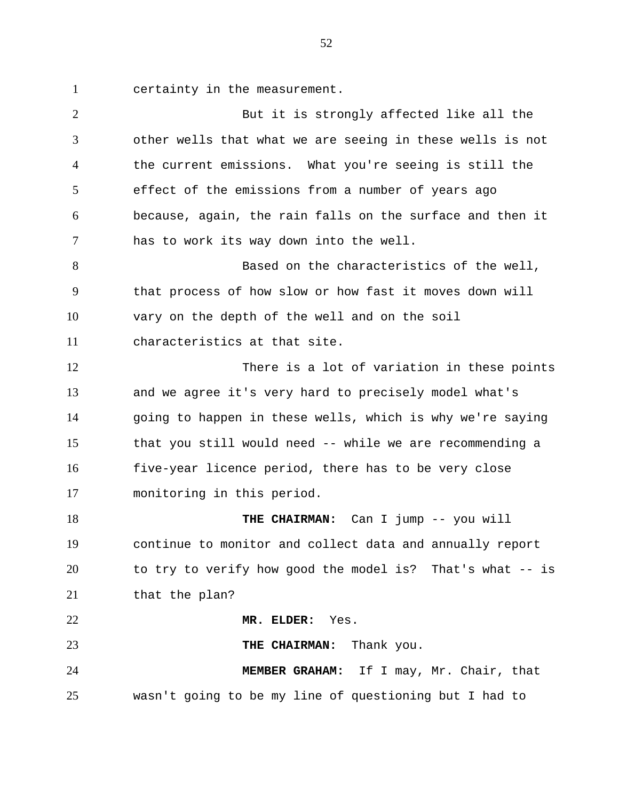certainty in the measurement.

2 But it is strongly affected like all the other wells that what we are seeing in these wells is not the current emissions. What you're seeing is still the effect of the emissions from a number of years ago because, again, the rain falls on the surface and then it has to work its way down into the well. Based on the characteristics of the well, that process of how slow or how fast it moves down will vary on the depth of the well and on the soil characteristics at that site. 12 There is a lot of variation in these points and we agree it's very hard to precisely model what's going to happen in these wells, which is why we're saying that you still would need -- while we are recommending a five-year licence period, there has to be very close monitoring in this period. 18 THE CHAIRMAN: Can I jump -- you will continue to monitor and collect data and annually report to try to verify how good the model is? That's what -- is 21 that the plan? **MR. ELDER:** Yes. **THE CHAIRMAN:** Thank you. **MEMBER GRAHAM:** If I may, Mr. Chair, that wasn't going to be my line of questioning but I had to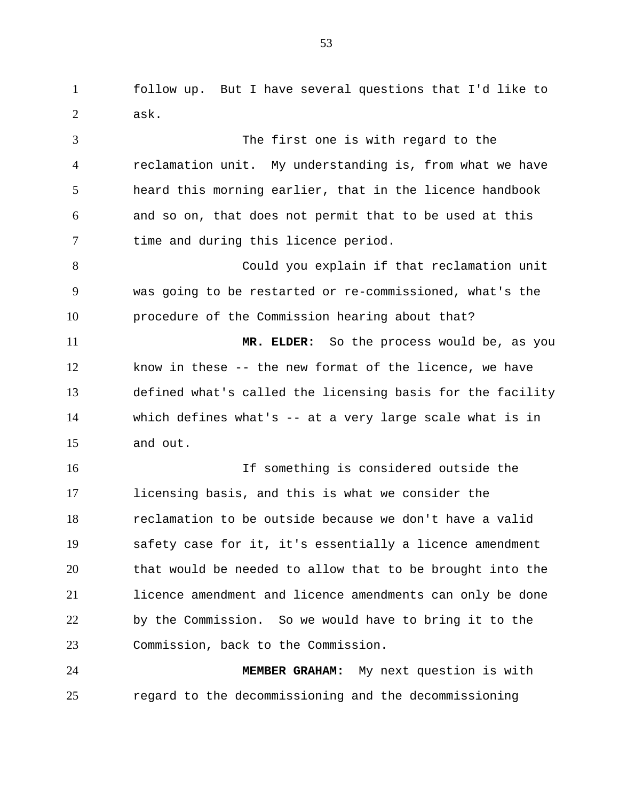follow up. But I have several questions that I'd like to ask.

 The first one is with regard to the reclamation unit. My understanding is, from what we have heard this morning earlier, that in the licence handbook and so on, that does not permit that to be used at this 7 time and during this licence period. Could you explain if that reclamation unit was going to be restarted or re-commissioned, what's the procedure of the Commission hearing about that? **MR. ELDER:** So the process would be, as you know in these -- the new format of the licence, we have defined what's called the licensing basis for the facility which defines what's -- at a very large scale what is in and out. If something is considered outside the licensing basis, and this is what we consider the reclamation to be outside because we don't have a valid safety case for it, it's essentially a licence amendment that would be needed to allow that to be brought into the licence amendment and licence amendments can only be done by the Commission. So we would have to bring it to the Commission, back to the Commission. **MEMBER GRAHAM:** My next question is with

regard to the decommissioning and the decommissioning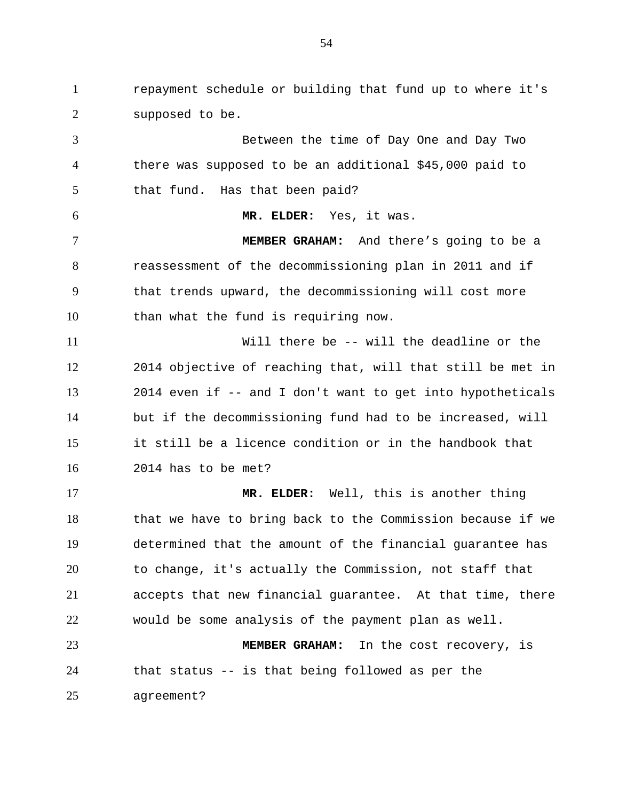repayment schedule or building that fund up to where it's supposed to be.

 Between the time of Day One and Day Two there was supposed to be an additional \$45,000 paid to that fund. Has that been paid? **MR. ELDER:** Yes, it was. **MEMBER GRAHAM:** And there's going to be a reassessment of the decommissioning plan in 2011 and if that trends upward, the decommissioning will cost more than what the fund is requiring now. Will there be -- will the deadline or the 2014 objective of reaching that, will that still be met in 2014 even if -- and I don't want to get into hypotheticals but if the decommissioning fund had to be increased, will it still be a licence condition or in the handbook that 2014 has to be met? **MR. ELDER:** Well, this is another thing that we have to bring back to the Commission because if we determined that the amount of the financial guarantee has to change, it's actually the Commission, not staff that accepts that new financial guarantee. At that time, there would be some analysis of the payment plan as well. **MEMBER GRAHAM:** In the cost recovery, is that status -- is that being followed as per the

agreement?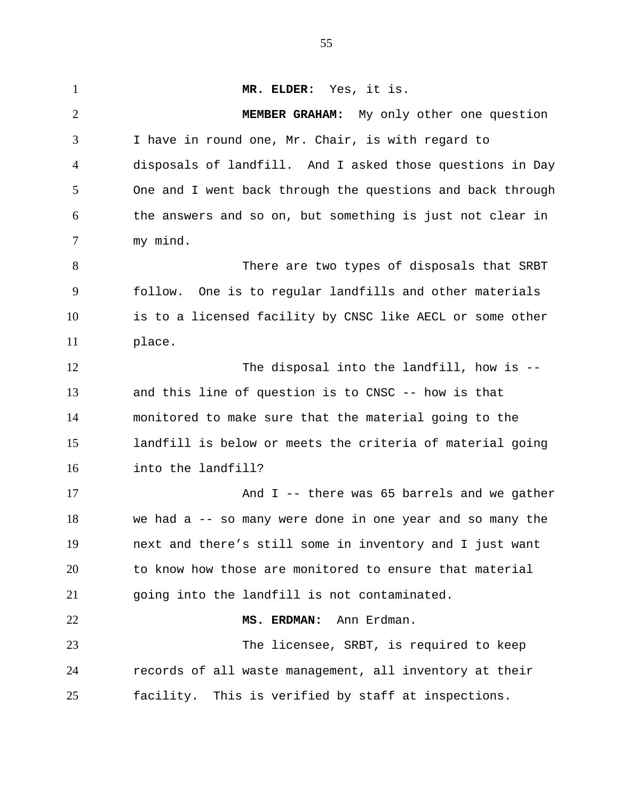**MR. ELDER:** Yes, it is. **MEMBER GRAHAM:** My only other one question I have in round one, Mr. Chair, is with regard to disposals of landfill. And I asked those questions in Day One and I went back through the questions and back through the answers and so on, but something is just not clear in my mind. 8 There are two types of disposals that SRBT follow. One is to regular landfills and other materials is to a licensed facility by CNSC like AECL or some other place. 12 The disposal into the landfill, how is -- and this line of question is to CNSC -- how is that monitored to make sure that the material going to the landfill is below or meets the criteria of material going into the landfill? And I -- there was 65 barrels and we gather we had a -- so many were done in one year and so many the next and there's still some in inventory and I just want to know how those are monitored to ensure that material going into the landfill is not contaminated. **MS. ERDMAN:** Ann Erdman. The licensee, SRBT, is required to keep records of all waste management, all inventory at their facility. This is verified by staff at inspections.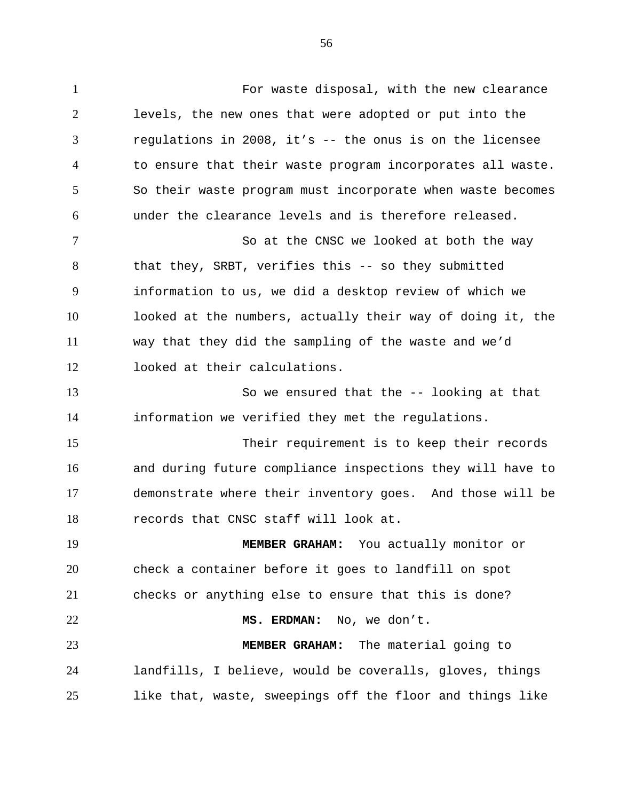For waste disposal, with the new clearance levels, the new ones that were adopted or put into the regulations in 2008, it's -- the onus is on the licensee to ensure that their waste program incorporates all waste. So their waste program must incorporate when waste becomes under the clearance levels and is therefore released. 7 So at the CNSC we looked at both the way that they, SRBT, verifies this -- so they submitted information to us, we did a desktop review of which we looked at the numbers, actually their way of doing it, the way that they did the sampling of the waste and we'd looked at their calculations. So we ensured that the -- looking at that information we verified they met the regulations. Their requirement is to keep their records and during future compliance inspections they will have to demonstrate where their inventory goes. And those will be records that CNSC staff will look at. **MEMBER GRAHAM:** You actually monitor or check a container before it goes to landfill on spot checks or anything else to ensure that this is done? **MS. ERDMAN:** No, we don't. **MEMBER GRAHAM:** The material going to

 landfills, I believe, would be coveralls, gloves, things like that, waste, sweepings off the floor and things like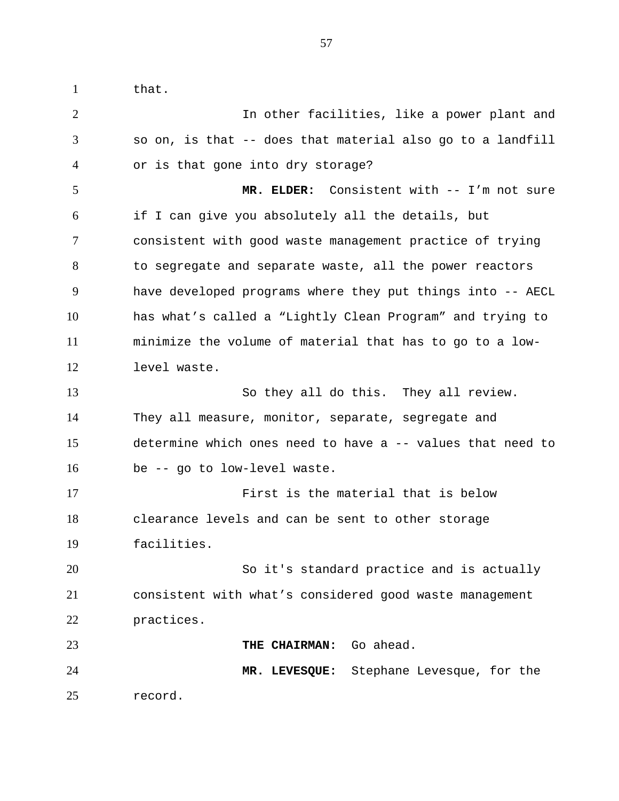1 that.

| $\overline{2}$ | In other facilities, like a power plant and                |
|----------------|------------------------------------------------------------|
| 3              | so on, is that -- does that material also go to a landfill |
| 4              | or is that gone into dry storage?                          |
| 5              | MR. ELDER: Consistent with -- I'm not sure                 |
| 6              | if I can give you absolutely all the details, but          |
| $\overline{7}$ | consistent with good waste management practice of trying   |
| 8              | to segregate and separate waste, all the power reactors    |
| 9              | have developed programs where they put things into -- AECL |
| 10             | has what's called a "Lightly Clean Program" and trying to  |
| 11             | minimize the volume of material that has to go to a low-   |
| 12             | level waste.                                               |
| 13             | So they all do this. They all review.                      |
| 14             | They all measure, monitor, separate, segregate and         |
| 15             | determine which ones need to have a -- values that need to |
| 16             | be -- go to low-level waste.                               |
| 17             | First is the material that is below                        |
| 18             | clearance levels and can be sent to other storage          |
| 19             | facilities.                                                |
| 20             | So it's standard practice and is actually                  |
| 21             | consistent with what's considered good waste management    |
| 22             | practices.                                                 |
| 23             | THE CHAIRMAN: Go ahead.                                    |
| 24             | MR. LEVESQUE: Stephane Levesque, for the                   |
| 25             | record.                                                    |
|                |                                                            |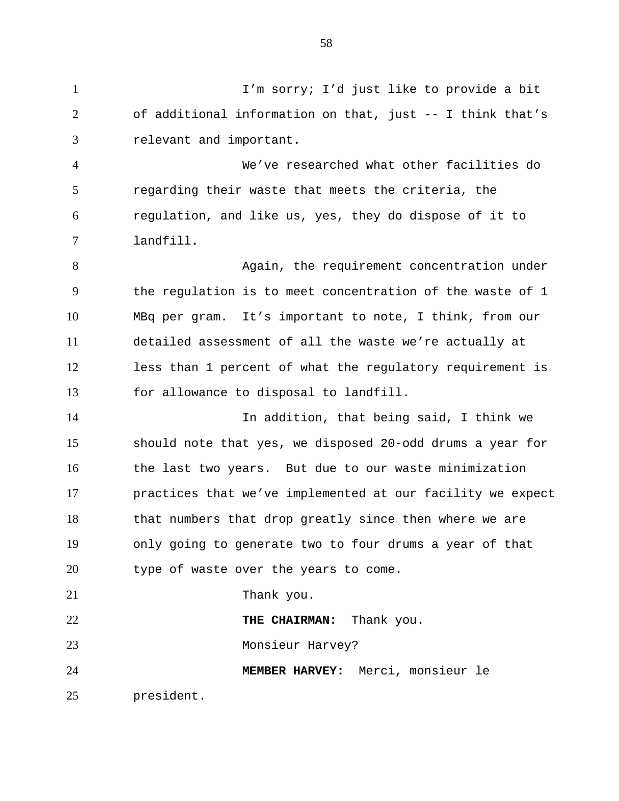I'm sorry; I'd just like to provide a bit of additional information on that, just -- I think that's relevant and important.

 We've researched what other facilities do regarding their waste that meets the criteria, the regulation, and like us, yes, they do dispose of it to landfill.

8 Again, the requirement concentration under the regulation is to meet concentration of the waste of 1 MBq per gram. It's important to note, I think, from our detailed assessment of all the waste we're actually at less than 1 percent of what the regulatory requirement is for allowance to disposal to landfill.

 In addition, that being said, I think we should note that yes, we disposed 20-odd drums a year for the last two years. But due to our waste minimization practices that we've implemented at our facility we expect 18 that numbers that drop greatly since then where we are only going to generate two to four drums a year of that type of waste over the years to come.

21 Thank you.

**THE CHAIRMAN:** Thank you. Monsieur Harvey? **MEMBER HARVEY:** Merci, monsieur le

president.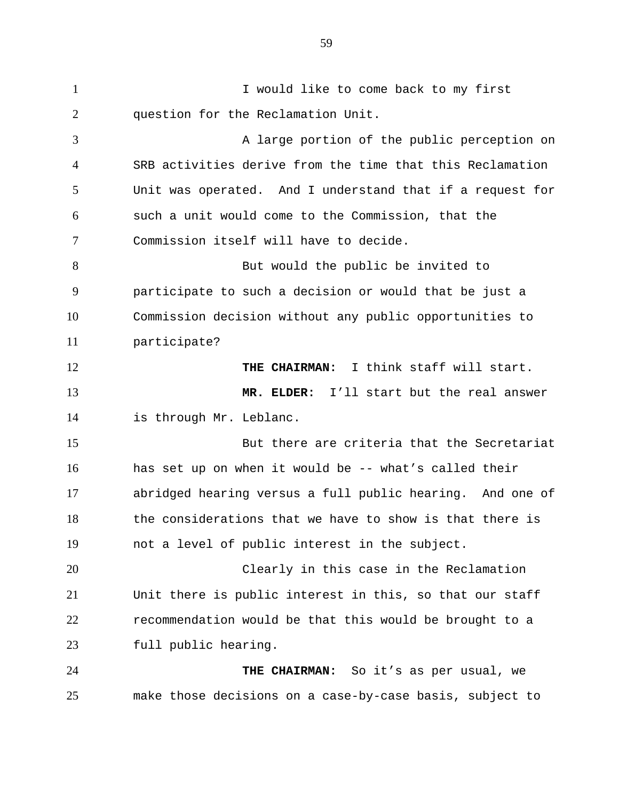I would like to come back to my first question for the Reclamation Unit. 3 A large portion of the public perception on SRB activities derive from the time that this Reclamation Unit was operated. And I understand that if a request for such a unit would come to the Commission, that the Commission itself will have to decide. 8 But would the public be invited to participate to such a decision or would that be just a Commission decision without any public opportunities to participate? **THE CHAIRMAN:** I think staff will start. **MR. ELDER:** I'll start but the real answer is through Mr. Leblanc. But there are criteria that the Secretariat has set up on when it would be -- what's called their abridged hearing versus a full public hearing. And one of the considerations that we have to show is that there is not a level of public interest in the subject. Clearly in this case in the Reclamation Unit there is public interest in this, so that our staff recommendation would be that this would be brought to a full public hearing. **THE CHAIRMAN:** So it's as per usual, we make those decisions on a case-by-case basis, subject to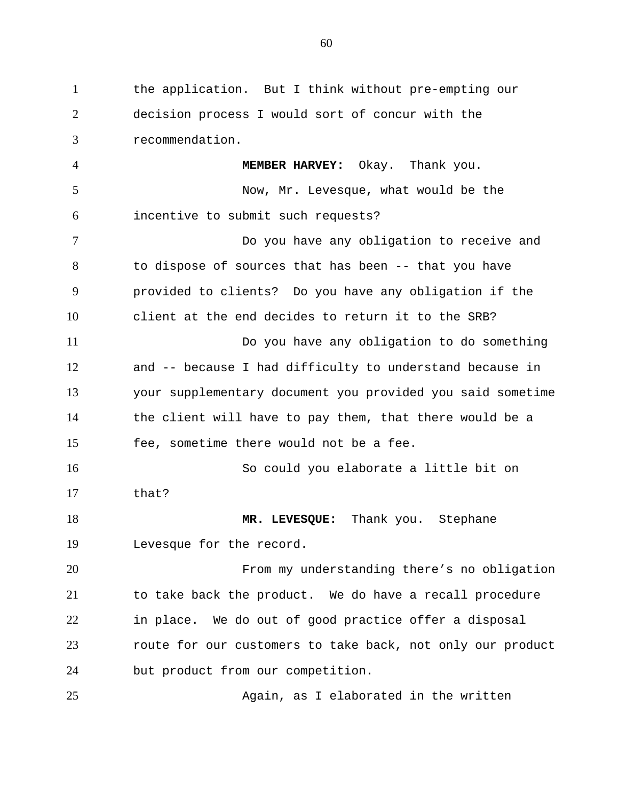the application. But I think without pre-empting our decision process I would sort of concur with the recommendation. **MEMBER HARVEY:** Okay. Thank you. Now, Mr. Levesque, what would be the incentive to submit such requests? Do you have any obligation to receive and to dispose of sources that has been -- that you have provided to clients? Do you have any obligation if the client at the end decides to return it to the SRB? Do you have any obligation to do something and -- because I had difficulty to understand because in your supplementary document you provided you said sometime the client will have to pay them, that there would be a fee, sometime there would not be a fee. So could you elaborate a little bit on that? **MR. LEVESQUE:** Thank you. Stephane Levesque for the record. From my understanding there's no obligation to take back the product. We do have a recall procedure in place. We do out of good practice offer a disposal route for our customers to take back, not only our product but product from our competition. Again, as I elaborated in the written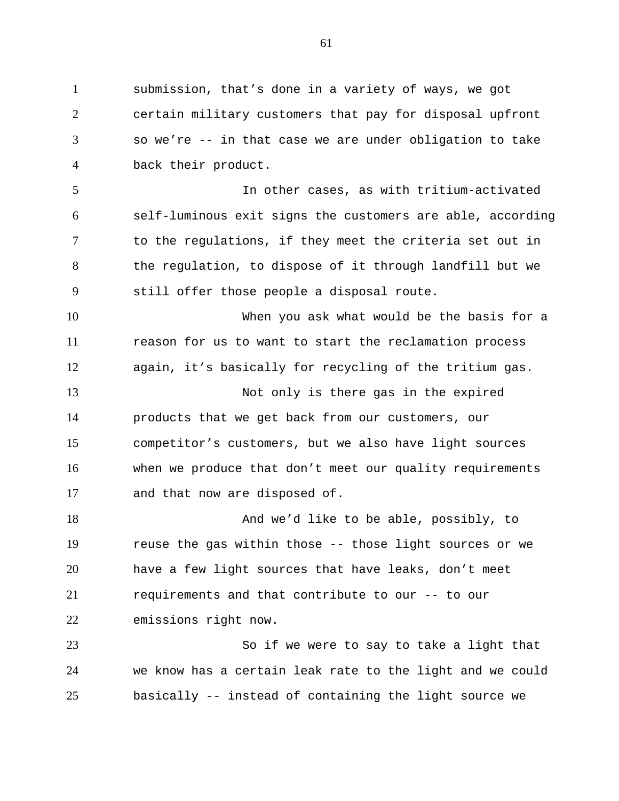submission, that's done in a variety of ways, we got certain military customers that pay for disposal upfront so we're -- in that case we are under obligation to take back their product.

 In other cases, as with tritium-activated self-luminous exit signs the customers are able, according to the regulations, if they meet the criteria set out in the regulation, to dispose of it through landfill but we still offer those people a disposal route.

 When you ask what would be the basis for a reason for us to want to start the reclamation process again, it's basically for recycling of the tritium gas.

 Not only is there gas in the expired products that we get back from our customers, our competitor's customers, but we also have light sources when we produce that don't meet our quality requirements and that now are disposed of.

 And we'd like to be able, possibly, to reuse the gas within those -- those light sources or we have a few light sources that have leaks, don't meet requirements and that contribute to our -- to our emissions right now.

 So if we were to say to take a light that we know has a certain leak rate to the light and we could basically -- instead of containing the light source we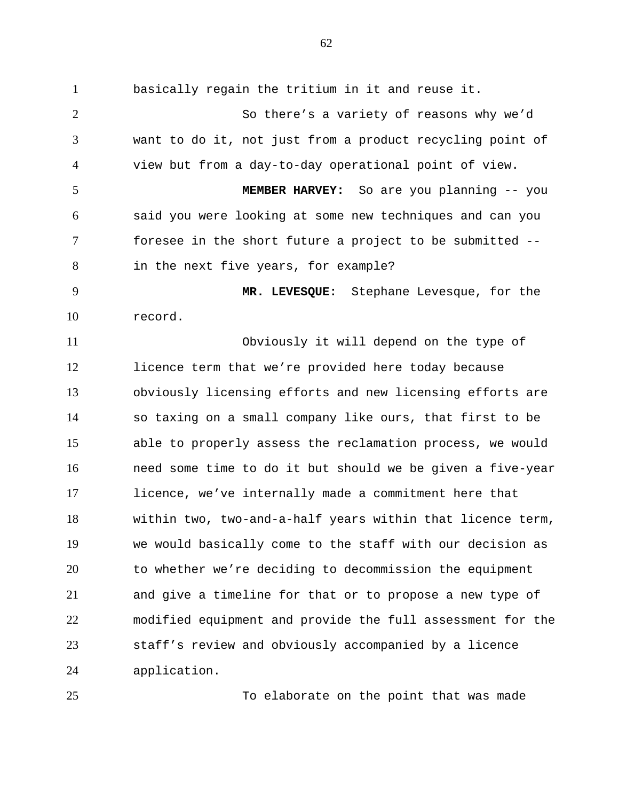basically regain the tritium in it and reuse it. So there's a variety of reasons why we'd want to do it, not just from a product recycling point of view but from a day-to-day operational point of view. **MEMBER HARVEY:** So are you planning -- you said you were looking at some new techniques and can you foresee in the short future a project to be submitted -- in the next five years, for example? **MR. LEVESQUE:** Stephane Levesque, for the record. Obviously it will depend on the type of licence term that we're provided here today because obviously licensing efforts and new licensing efforts are so taxing on a small company like ours, that first to be able to properly assess the reclamation process, we would need some time to do it but should we be given a five-year licence, we've internally made a commitment here that within two, two-and-a-half years within that licence term, we would basically come to the staff with our decision as to whether we're deciding to decommission the equipment and give a timeline for that or to propose a new type of modified equipment and provide the full assessment for the staff's review and obviously accompanied by a licence application.

To elaborate on the point that was made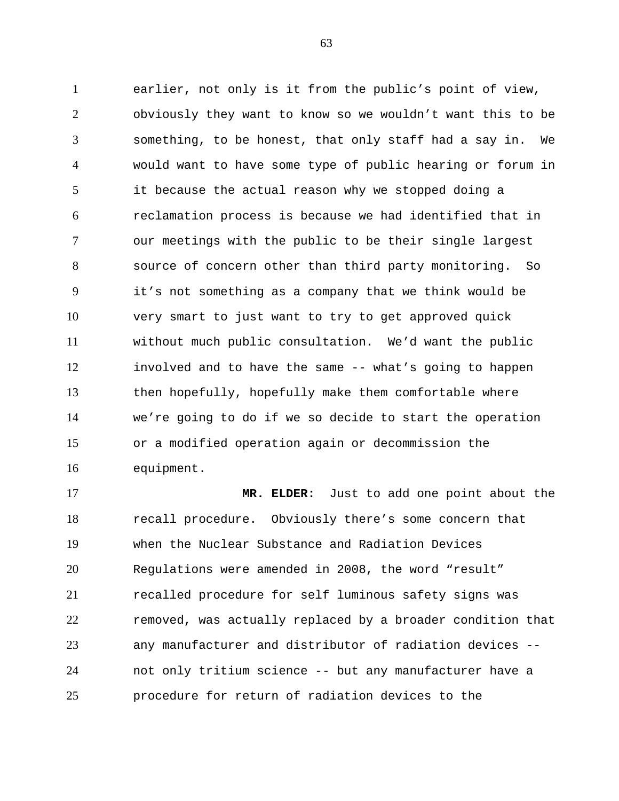earlier, not only is it from the public's point of view, obviously they want to know so we wouldn't want this to be something, to be honest, that only staff had a say in. We would want to have some type of public hearing or forum in it because the actual reason why we stopped doing a reclamation process is because we had identified that in our meetings with the public to be their single largest source of concern other than third party monitoring. So it's not something as a company that we think would be very smart to just want to try to get approved quick without much public consultation. We'd want the public involved and to have the same -- what's going to happen then hopefully, hopefully make them comfortable where we're going to do if we so decide to start the operation or a modified operation again or decommission the equipment.

 **MR. ELDER:** Just to add one point about the recall procedure. Obviously there's some concern that when the Nuclear Substance and Radiation Devices Regulations were amended in 2008, the word "result" recalled procedure for self luminous safety signs was removed, was actually replaced by a broader condition that any manufacturer and distributor of radiation devices -- not only tritium science -- but any manufacturer have a procedure for return of radiation devices to the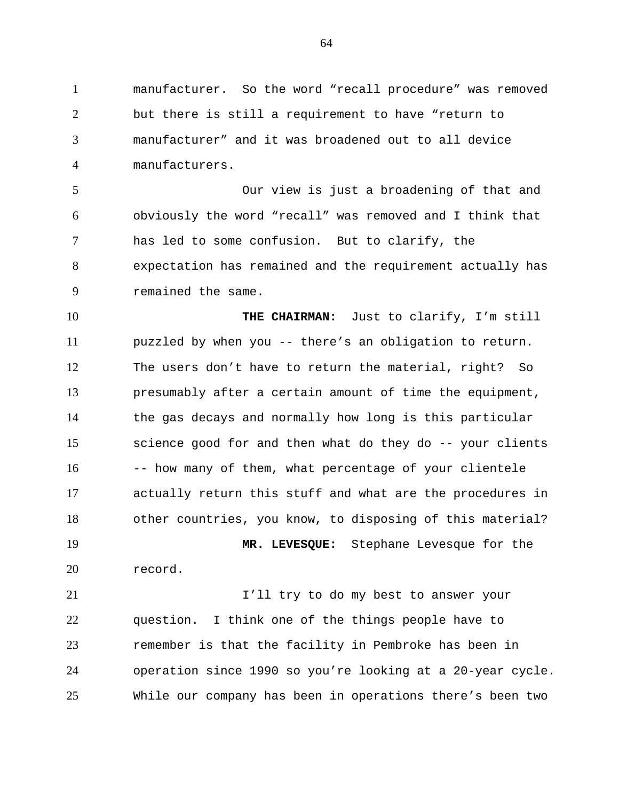manufacturer. So the word "recall procedure" was removed but there is still a requirement to have "return to manufacturer" and it was broadened out to all device manufacturers.

 Our view is just a broadening of that and obviously the word "recall" was removed and I think that has led to some confusion. But to clarify, the expectation has remained and the requirement actually has remained the same.

 **THE CHAIRMAN:** Just to clarify, I'm still puzzled by when you -- there's an obligation to return. The users don't have to return the material, right? So presumably after a certain amount of time the equipment, the gas decays and normally how long is this particular science good for and then what do they do -- your clients 16 -- how many of them, what percentage of your clientele actually return this stuff and what are the procedures in other countries, you know, to disposing of this material?

 **MR. LEVESQUE:** Stephane Levesque for the record.

21 I'll try to do my best to answer your question. I think one of the things people have to remember is that the facility in Pembroke has been in operation since 1990 so you're looking at a 20-year cycle. While our company has been in operations there's been two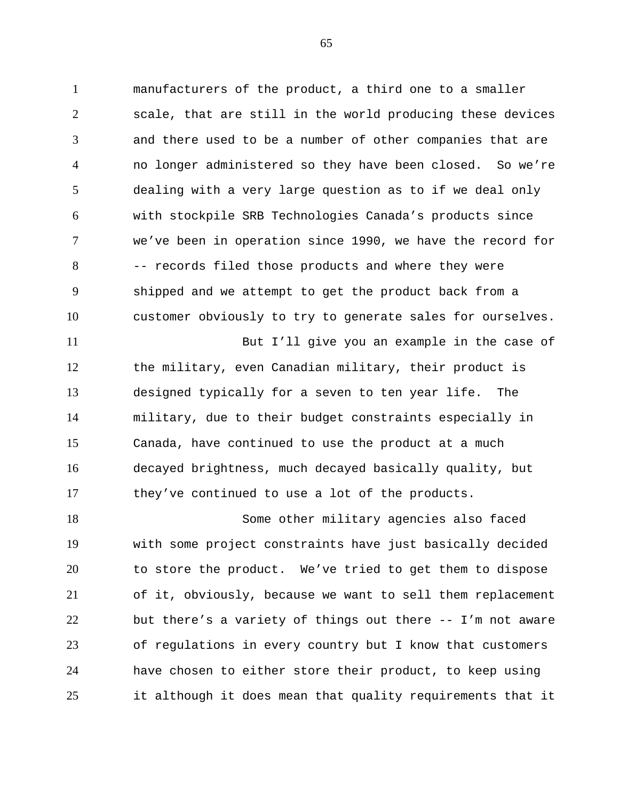manufacturers of the product, a third one to a smaller scale, that are still in the world producing these devices and there used to be a number of other companies that are no longer administered so they have been closed. So we're dealing with a very large question as to if we deal only with stockpile SRB Technologies Canada's products since we've been in operation since 1990, we have the record for -- records filed those products and where they were shipped and we attempt to get the product back from a customer obviously to try to generate sales for ourselves. But I'll give you an example in the case of

 the military, even Canadian military, their product is designed typically for a seven to ten year life. The military, due to their budget constraints especially in Canada, have continued to use the product at a much decayed brightness, much decayed basically quality, but they've continued to use a lot of the products.

 Some other military agencies also faced with some project constraints have just basically decided to store the product. We've tried to get them to dispose of it, obviously, because we want to sell them replacement but there's a variety of things out there -- I'm not aware of regulations in every country but I know that customers have chosen to either store their product, to keep using it although it does mean that quality requirements that it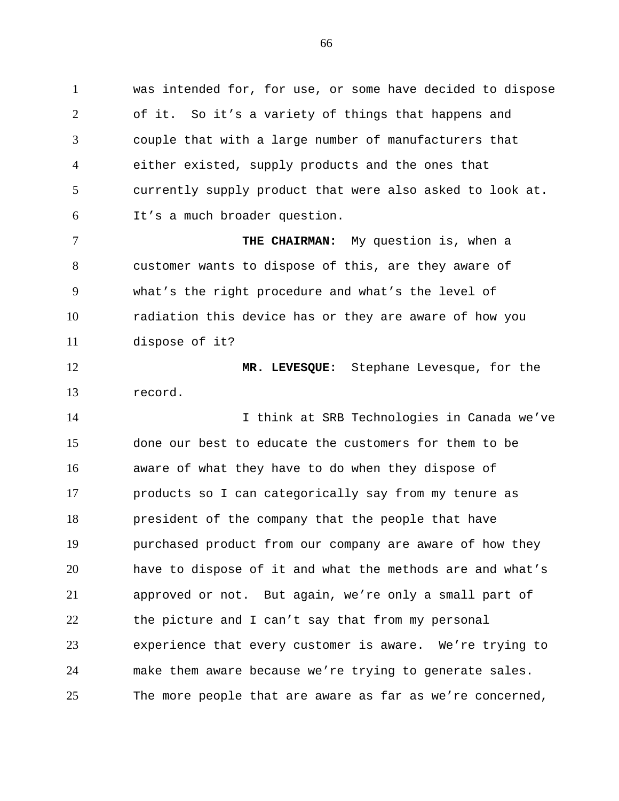was intended for, for use, or some have decided to dispose of it. So it's a variety of things that happens and couple that with a large number of manufacturers that either existed, supply products and the ones that currently supply product that were also asked to look at. It's a much broader question.

 **THE CHAIRMAN:** My question is, when a customer wants to dispose of this, are they aware of what's the right procedure and what's the level of radiation this device has or they are aware of how you dispose of it?

 **MR. LEVESQUE:** Stephane Levesque, for the record.

 I think at SRB Technologies in Canada we've done our best to educate the customers for them to be aware of what they have to do when they dispose of products so I can categorically say from my tenure as president of the company that the people that have purchased product from our company are aware of how they have to dispose of it and what the methods are and what's approved or not. But again, we're only a small part of the picture and I can't say that from my personal experience that every customer is aware. We're trying to make them aware because we're trying to generate sales. The more people that are aware as far as we're concerned,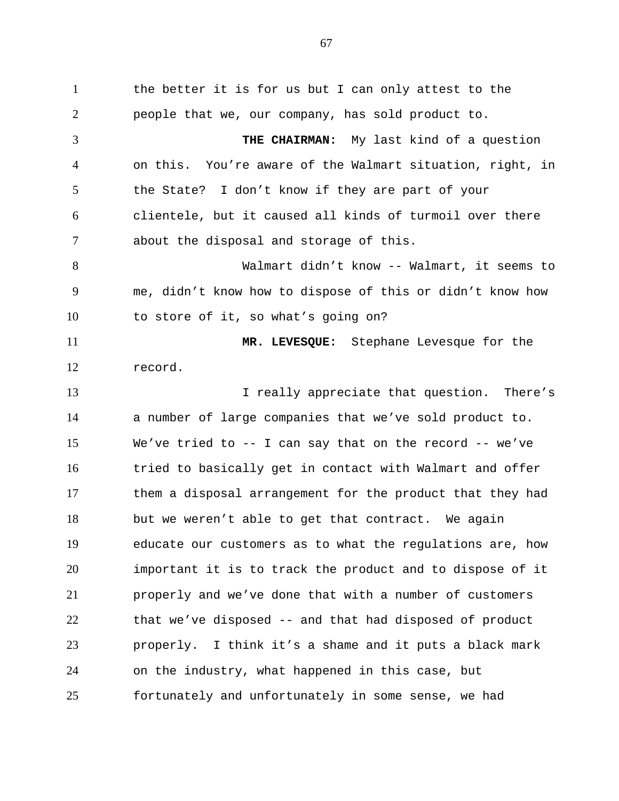the better it is for us but I can only attest to the people that we, our company, has sold product to. **THE CHAIRMAN:** My last kind of a question on this. You're aware of the Walmart situation, right, in 5 the State? I don't know if they are part of your clientele, but it caused all kinds of turmoil over there about the disposal and storage of this. Walmart didn't know -- Walmart, it seems to me, didn't know how to dispose of this or didn't know how to store of it, so what's going on? **MR. LEVESQUE:** Stephane Levesque for the record. **I** really appreciate that question. There's a number of large companies that we've sold product to. We've tried to -- I can say that on the record -- we've 16 tried to basically get in contact with Walmart and offer them a disposal arrangement for the product that they had but we weren't able to get that contract. We again educate our customers as to what the regulations are, how important it is to track the product and to dispose of it properly and we've done that with a number of customers that we've disposed -- and that had disposed of product properly. I think it's a shame and it puts a black mark on the industry, what happened in this case, but fortunately and unfortunately in some sense, we had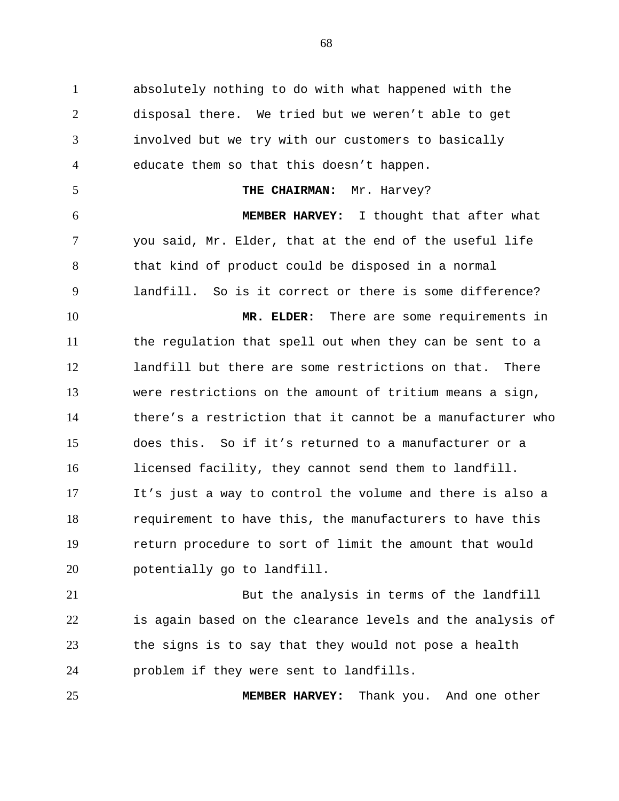absolutely nothing to do with what happened with the disposal there. We tried but we weren't able to get involved but we try with our customers to basically educate them so that this doesn't happen. 5 THE CHAIRMAN: Mr. Harvey? **MEMBER HARVEY:** I thought that after what you said, Mr. Elder, that at the end of the useful life that kind of product could be disposed in a normal landfill. So is it correct or there is some difference? **MR. ELDER:** There are some requirements in the regulation that spell out when they can be sent to a landfill but there are some restrictions on that. There were restrictions on the amount of tritium means a sign, there's a restriction that it cannot be a manufacturer who does this. So if it's returned to a manufacturer or a licensed facility, they cannot send them to landfill. It's just a way to control the volume and there is also a requirement to have this, the manufacturers to have this return procedure to sort of limit the amount that would potentially go to landfill.

 But the analysis in terms of the landfill is again based on the clearance levels and the analysis of the signs is to say that they would not pose a health problem if they were sent to landfills.

**MEMBER HARVEY:** Thank you. And one other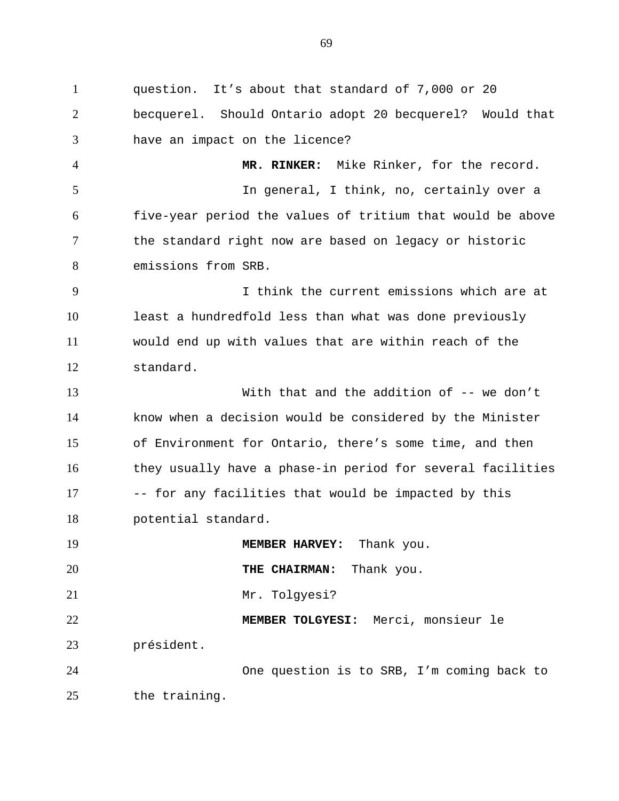question. It's about that standard of 7,000 or 20 becquerel. Should Ontario adopt 20 becquerel? Would that have an impact on the licence? **MR. RINKER:** Mike Rinker, for the record. In general, I think, no, certainly over a five-year period the values of tritium that would be above the standard right now are based on legacy or historic emissions from SRB. I think the current emissions which are at least a hundredfold less than what was done previously would end up with values that are within reach of the standard. With that and the addition of -- we don't know when a decision would be considered by the Minister of Environment for Ontario, there's some time, and then 16 they usually have a phase-in period for several facilities 17 -- for any facilities that would be impacted by this potential standard. 19 MEMBER HARVEY: Thank you. **THE CHAIRMAN:** Thank you. Mr. Tolgyesi? **MEMBER TOLGYESI:** Merci, monsieur le président. One question is to SRB, I'm coming back to the training.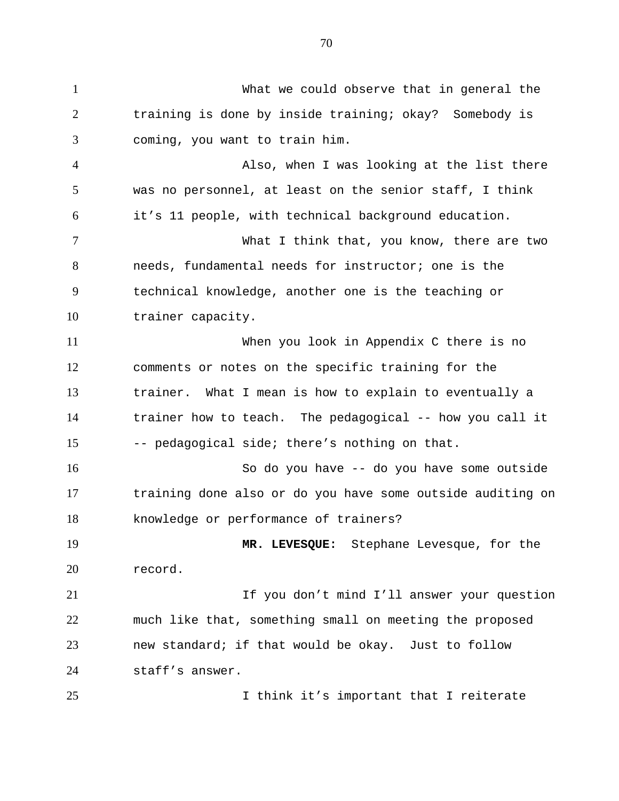What we could observe that in general the training is done by inside training; okay? Somebody is coming, you want to train him. Also, when I was looking at the list there was no personnel, at least on the senior staff, I think it's 11 people, with technical background education. What I think that, you know, there are two needs, fundamental needs for instructor; one is the technical knowledge, another one is the teaching or trainer capacity. When you look in Appendix C there is no comments or notes on the specific training for the trainer. What I mean is how to explain to eventually a trainer how to teach. The pedagogical -- how you call it -- pedagogical side; there's nothing on that. So do you have -- do you have some outside training done also or do you have some outside auditing on knowledge or performance of trainers? **MR. LEVESQUE:** Stephane Levesque, for the record. 21 12 If you don't mind I'll answer your question much like that, something small on meeting the proposed new standard; if that would be okay. Just to follow staff's answer. I think it's important that I reiterate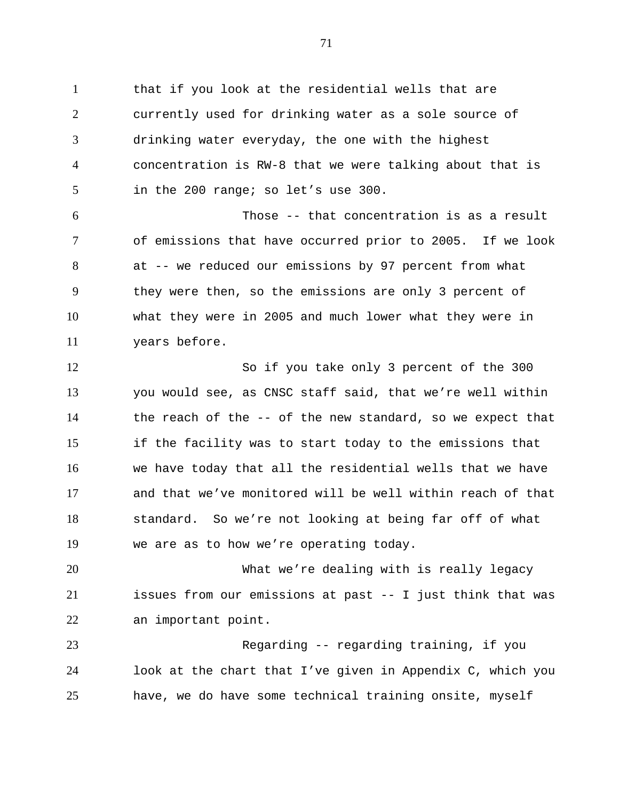that if you look at the residential wells that are currently used for drinking water as a sole source of drinking water everyday, the one with the highest concentration is RW-8 that we were talking about that is in the 200 range; so let's use 300.

 Those -- that concentration is as a result of emissions that have occurred prior to 2005. If we look at -- we reduced our emissions by 97 percent from what they were then, so the emissions are only 3 percent of what they were in 2005 and much lower what they were in years before.

 So if you take only 3 percent of the 300 you would see, as CNSC staff said, that we're well within the reach of the -- of the new standard, so we expect that if the facility was to start today to the emissions that we have today that all the residential wells that we have and that we've monitored will be well within reach of that standard. So we're not looking at being far off of what we are as to how we're operating today.

 What we're dealing with is really legacy issues from our emissions at past -- I just think that was an important point.

 Regarding -- regarding training, if you look at the chart that I've given in Appendix C, which you have, we do have some technical training onsite, myself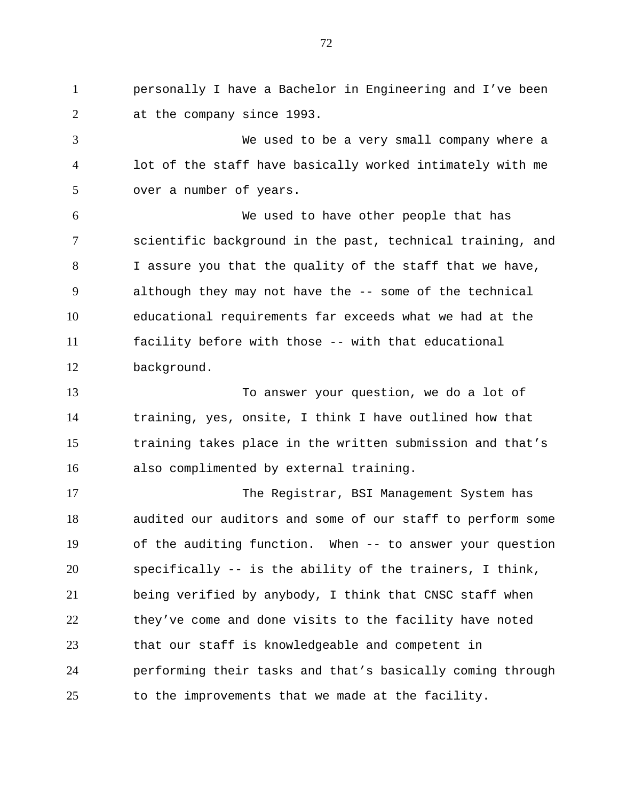personally I have a Bachelor in Engineering and I've been at the company since 1993.

 We used to be a very small company where a lot of the staff have basically worked intimately with me over a number of years.

 We used to have other people that has scientific background in the past, technical training, and I assure you that the quality of the staff that we have, although they may not have the -- some of the technical educational requirements far exceeds what we had at the facility before with those -- with that educational background.

 To answer your question, we do a lot of training, yes, onsite, I think I have outlined how that training takes place in the written submission and that's also complimented by external training.

 The Registrar, BSI Management System has audited our auditors and some of our staff to perform some of the auditing function. When -- to answer your question specifically -- is the ability of the trainers, I think, being verified by anybody, I think that CNSC staff when they've come and done visits to the facility have noted that our staff is knowledgeable and competent in performing their tasks and that's basically coming through to the improvements that we made at the facility.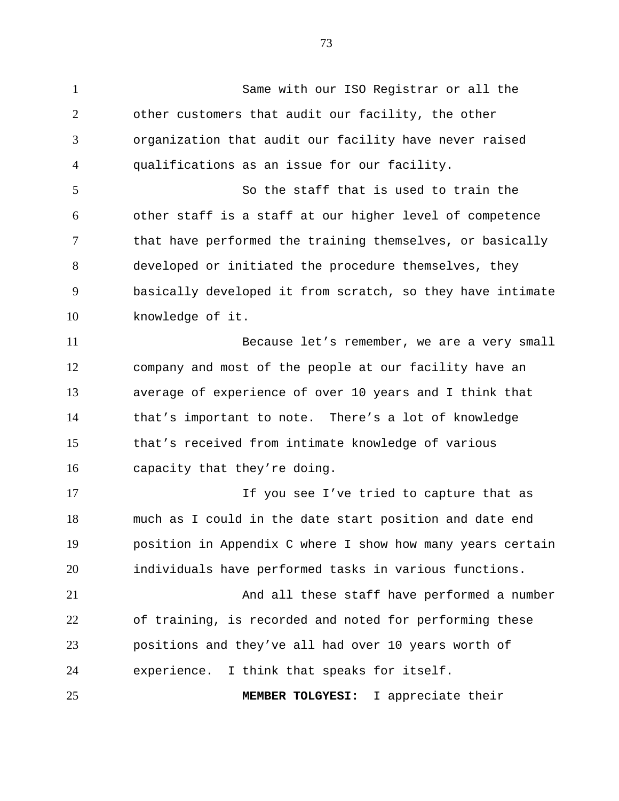Same with our ISO Registrar or all the other customers that audit our facility, the other organization that audit our facility have never raised qualifications as an issue for our facility. So the staff that is used to train the other staff is a staff at our higher level of competence that have performed the training themselves, or basically developed or initiated the procedure themselves, they basically developed it from scratch, so they have intimate knowledge of it. Because let's remember, we are a very small company and most of the people at our facility have an average of experience of over 10 years and I think that that's important to note. There's a lot of knowledge that's received from intimate knowledge of various capacity that they're doing. If you see I've tried to capture that as much as I could in the date start position and date end position in Appendix C where I show how many years certain individuals have performed tasks in various functions. And all these staff have performed a number of training, is recorded and noted for performing these positions and they've all had over 10 years worth of experience. I think that speaks for itself. **MEMBER TOLGYESI:** I appreciate their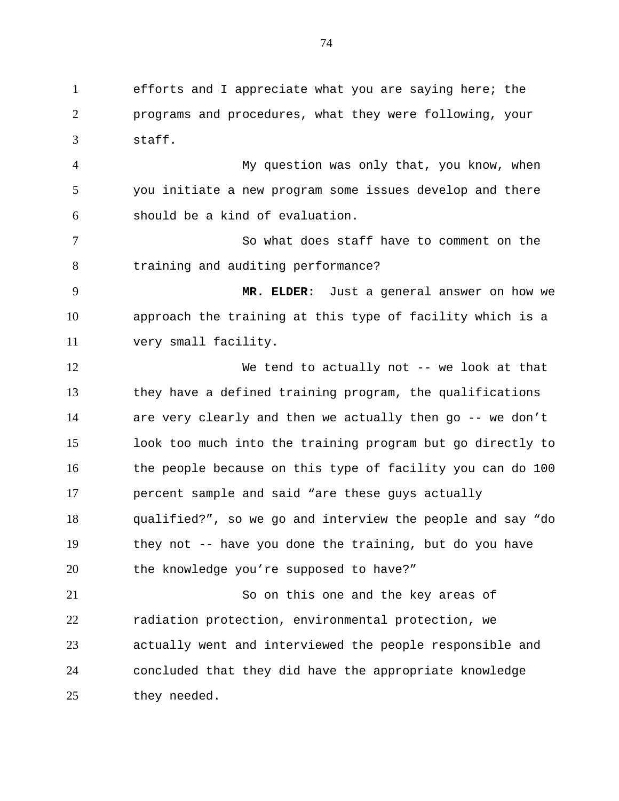efforts and I appreciate what you are saying here; the programs and procedures, what they were following, your staff.

 My question was only that, you know, when you initiate a new program some issues develop and there should be a kind of evaluation.

 So what does staff have to comment on the training and auditing performance?

 **MR. ELDER:** Just a general answer on how we approach the training at this type of facility which is a very small facility.

 We tend to actually not -- we look at that they have a defined training program, the qualifications are very clearly and then we actually then go -- we don't look too much into the training program but go directly to the people because on this type of facility you can do 100 percent sample and said "are these guys actually qualified?", so we go and interview the people and say "do they not -- have you done the training, but do you have the knowledge you're supposed to have?"

 So on this one and the key areas of radiation protection, environmental protection, we actually went and interviewed the people responsible and concluded that they did have the appropriate knowledge they needed.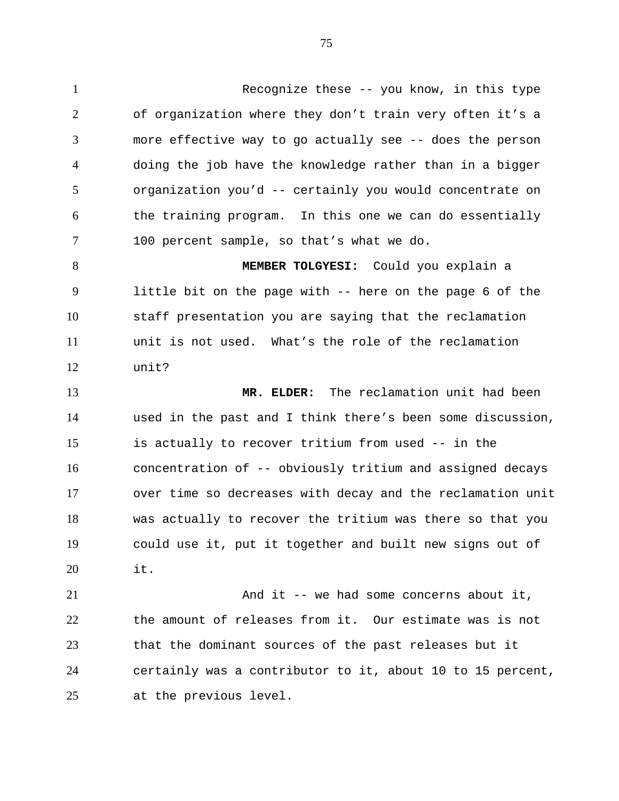Recognize these -- you know, in this type of organization where they don't train very often it's a more effective way to go actually see -- does the person doing the job have the knowledge rather than in a bigger organization you'd -- certainly you would concentrate on the training program. In this one we can do essentially 100 percent sample, so that's what we do.

 **MEMBER TOLGYESI:** Could you explain a little bit on the page with -- here on the page 6 of the staff presentation you are saying that the reclamation unit is not used. What's the role of the reclamation unit?

 **MR. ELDER:** The reclamation unit had been used in the past and I think there's been some discussion, is actually to recover tritium from used -- in the concentration of -- obviously tritium and assigned decays over time so decreases with decay and the reclamation unit was actually to recover the tritium was there so that you could use it, put it together and built new signs out of it.

21 And it -- we had some concerns about it, the amount of releases from it. Our estimate was is not that the dominant sources of the past releases but it certainly was a contributor to it, about 10 to 15 percent, at the previous level.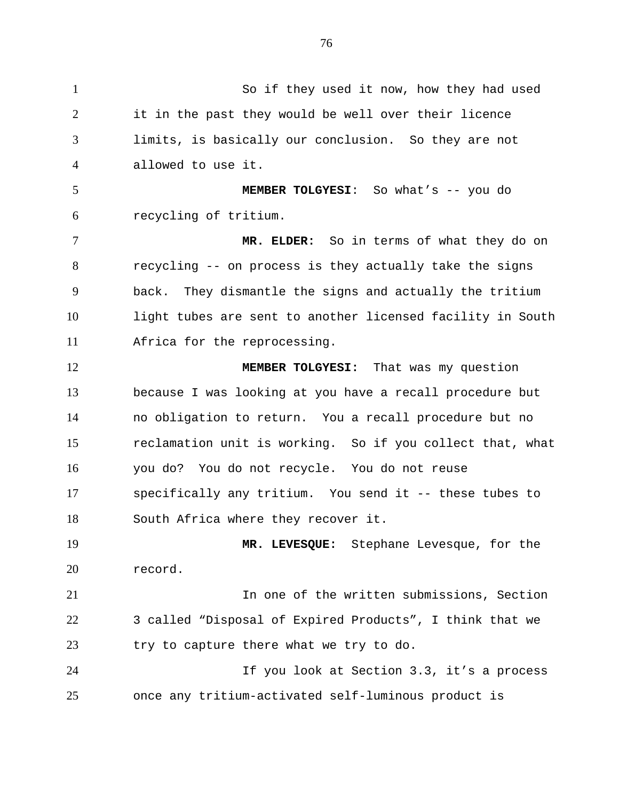So if they used it now, how they had used it in the past they would be well over their licence limits, is basically our conclusion. So they are not allowed to use it. **MEMBER TOLGYESI**: So what's -- you do recycling of tritium. **MR. ELDER:** So in terms of what they do on recycling -- on process is they actually take the signs back. They dismantle the signs and actually the tritium light tubes are sent to another licensed facility in South Africa for the reprocessing. **MEMBER TOLGYESI:** That was my question because I was looking at you have a recall procedure but no obligation to return. You a recall procedure but no reclamation unit is working. So if you collect that, what you do? You do not recycle. You do not reuse specifically any tritium. You send it -- these tubes to South Africa where they recover it. **MR. LEVESQUE:** Stephane Levesque, for the record. In one of the written submissions, Section 3 called "Disposal of Expired Products", I think that we try to capture there what we try to do. If you look at Section 3.3, it's a process once any tritium-activated self-luminous product is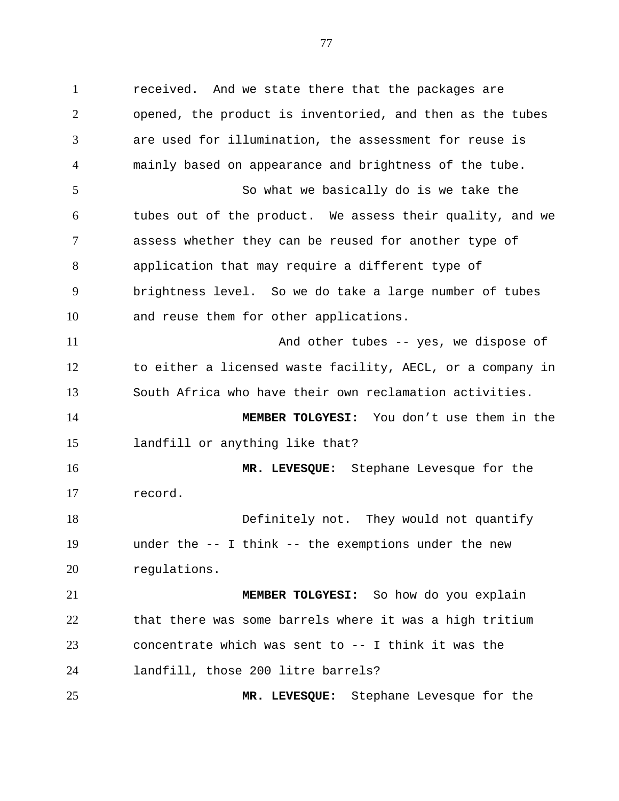received. And we state there that the packages are opened, the product is inventoried, and then as the tubes are used for illumination, the assessment for reuse is mainly based on appearance and brightness of the tube. So what we basically do is we take the tubes out of the product. We assess their quality, and we assess whether they can be reused for another type of application that may require a different type of brightness level. So we do take a large number of tubes and reuse them for other applications. And other tubes -- yes, we dispose of to either a licensed waste facility, AECL, or a company in South Africa who have their own reclamation activities. **MEMBER TOLGYESI:** You don't use them in the landfill or anything like that? **MR. LEVESQUE:** Stephane Levesque for the record. Definitely not. They would not quantify under the -- I think -- the exemptions under the new regulations. **MEMBER TOLGYESI:** So how do you explain that there was some barrels where it was a high tritium concentrate which was sent to -- I think it was the landfill, those 200 litre barrels? **MR. LEVESQUE:** Stephane Levesque for the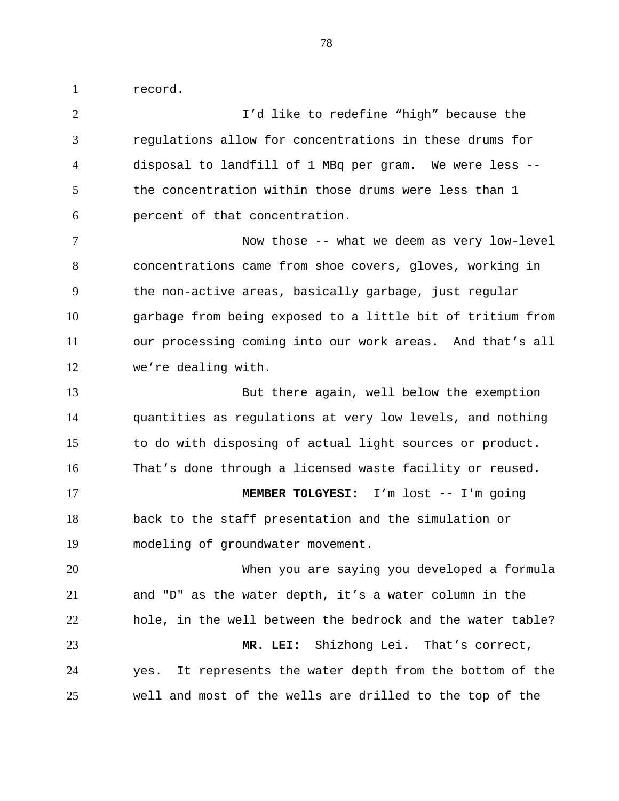record.

 I'd like to redefine "high" because the regulations allow for concentrations in these drums for disposal to landfill of 1 MBq per gram. We were less -- the concentration within those drums were less than 1 percent of that concentration. Now those -- what we deem as very low-level concentrations came from shoe covers, gloves, working in the non-active areas, basically garbage, just regular garbage from being exposed to a little bit of tritium from our processing coming into our work areas. And that's all we're dealing with. But there again, well below the exemption quantities as regulations at very low levels, and nothing to do with disposing of actual light sources or product. That's done through a licensed waste facility or reused. **MEMBER TOLGYESI:** I'm lost -- I'm going back to the staff presentation and the simulation or modeling of groundwater movement. When you are saying you developed a formula and "D" as the water depth, it's a water column in the hole, in the well between the bedrock and the water table? **MR. LEI:** Shizhong Lei. That's correct, yes. It represents the water depth from the bottom of the well and most of the wells are drilled to the top of the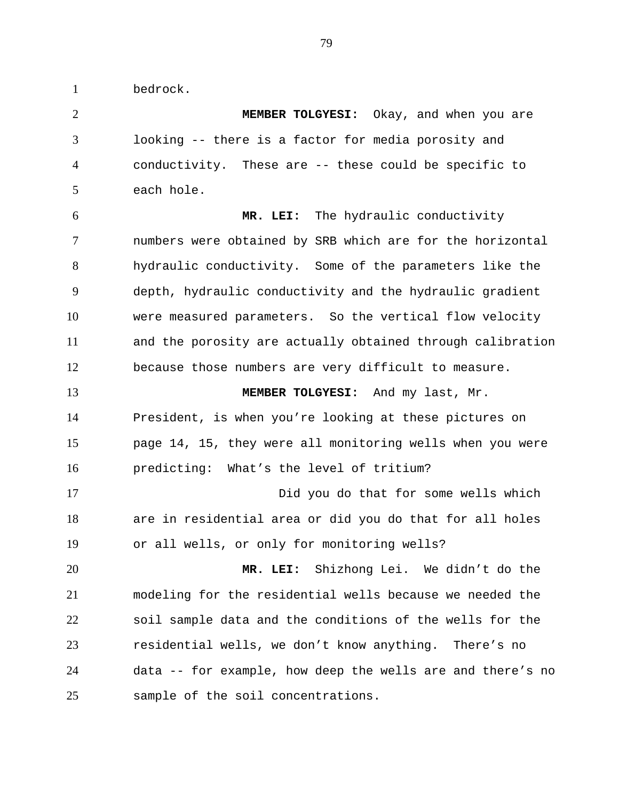bedrock.

 **MEMBER TOLGYESI:** Okay, and when you are looking -- there is a factor for media porosity and conductivity. These are -- these could be specific to each hole. **MR. LEI:** The hydraulic conductivity

 numbers were obtained by SRB which are for the horizontal hydraulic conductivity. Some of the parameters like the depth, hydraulic conductivity and the hydraulic gradient were measured parameters. So the vertical flow velocity and the porosity are actually obtained through calibration because those numbers are very difficult to measure.

 **MEMBER TOLGYESI:** And my last, Mr. President, is when you're looking at these pictures on page 14, 15, they were all monitoring wells when you were predicting: What's the level of tritium?

 Did you do that for some wells which are in residential area or did you do that for all holes or all wells, or only for monitoring wells?

 **MR. LEI:** Shizhong Lei. We didn't do the modeling for the residential wells because we needed the soil sample data and the conditions of the wells for the residential wells, we don't know anything. There's no data -- for example, how deep the wells are and there's no sample of the soil concentrations.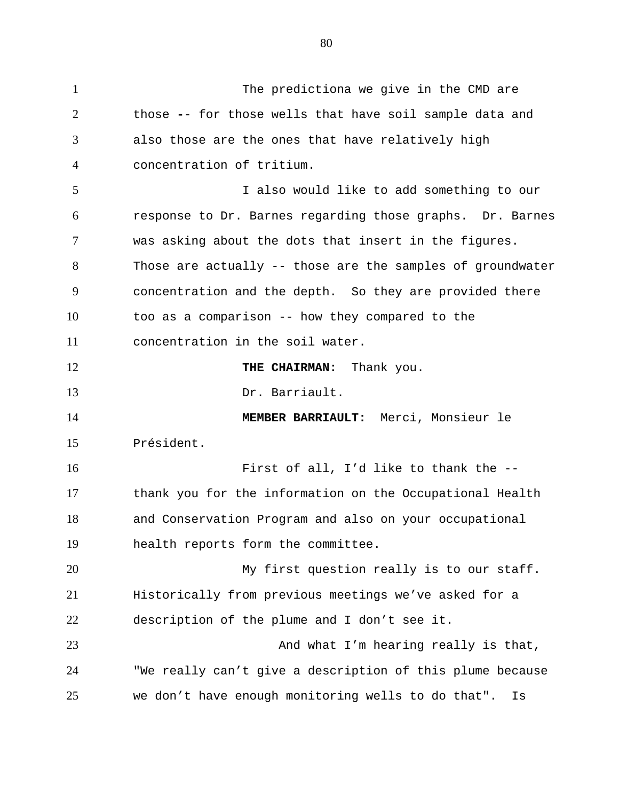The predictiona we give in the CMD are those **-**- for those wells that have soil sample data and also those are the ones that have relatively high concentration of tritium. I also would like to add something to our response to Dr. Barnes regarding those graphs. Dr. Barnes was asking about the dots that insert in the figures. Those are actually -- those are the samples of groundwater concentration and the depth. So they are provided there too as a comparison -- how they compared to the concentration in the soil water. **THE CHAIRMAN:** Thank you. Dr. Barriault. **MEMBER BARRIAULT:** Merci, Monsieur le Président. First of all, I'd like to thank the -- thank you for the information on the Occupational Health and Conservation Program and also on your occupational health reports form the committee. My first question really is to our staff. Historically from previous meetings we've asked for a description of the plume and I don't see it. 23 And what I'm hearing really is that, "We really can't give a description of this plume because we don't have enough monitoring wells to do that". Is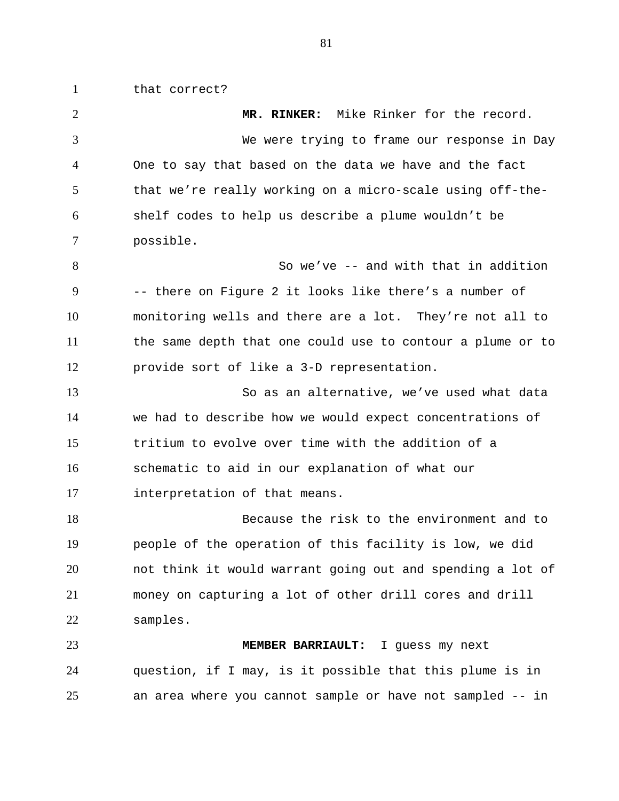that correct?

 **MR. RINKER:** Mike Rinker for the record. We were trying to frame our response in Day One to say that based on the data we have and the fact that we're really working on a micro-scale using off-the- shelf codes to help us describe a plume wouldn't be possible. So we've -- and with that in addition -- there on Figure 2 it looks like there's a number of monitoring wells and there are a lot. They're not all to the same depth that one could use to contour a plume or to provide sort of like a 3-D representation. So as an alternative, we've used what data we had to describe how we would expect concentrations of tritium to evolve over time with the addition of a schematic to aid in our explanation of what our interpretation of that means. Because the risk to the environment and to people of the operation of this facility is low, we did not think it would warrant going out and spending a lot of money on capturing a lot of other drill cores and drill samples. **MEMBER BARRIAULT:** I guess my next question, if I may, is it possible that this plume is in an area where you cannot sample or have not sampled -- in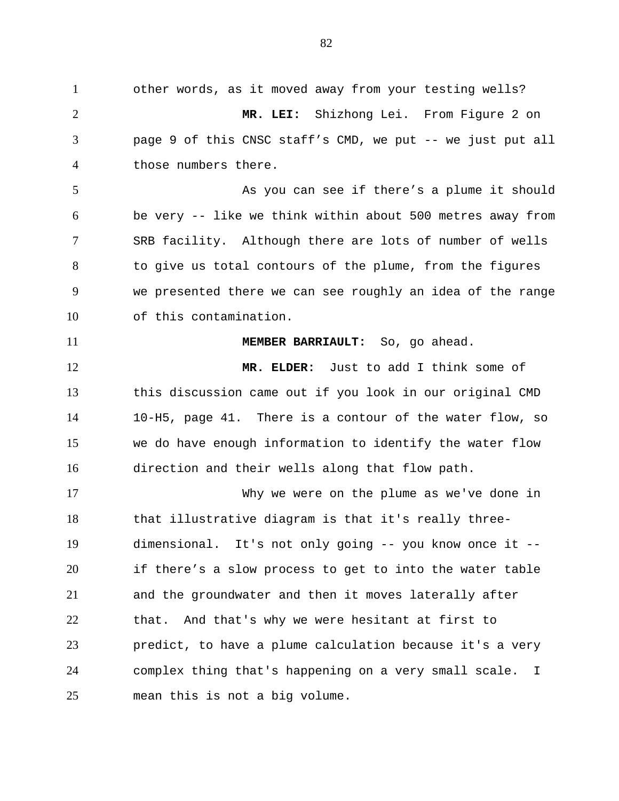other words, as it moved away from your testing wells? **MR. LEI:** Shizhong Lei. From Figure 2 on page 9 of this CNSC staff's CMD, we put -- we just put all those numbers there. 5 As you can see if there's a plume it should be very -- like we think within about 500 metres away from SRB facility. Although there are lots of number of wells 8 to give us total contours of the plume, from the figures we presented there we can see roughly an idea of the range of this contamination. **MEMBER BARRIAULT:** So, go ahead. **MR. ELDER:** Just to add I think some of this discussion came out if you look in our original CMD 10-H5, page 41. There is a contour of the water flow, so we do have enough information to identify the water flow direction and their wells along that flow path. Why we were on the plume as we've done in that illustrative diagram is that it's really three- dimensional. It's not only going -- you know once it -- if there's a slow process to get to into the water table and the groundwater and then it moves laterally after that. And that's why we were hesitant at first to predict, to have a plume calculation because it's a very complex thing that's happening on a very small scale. I mean this is not a big volume.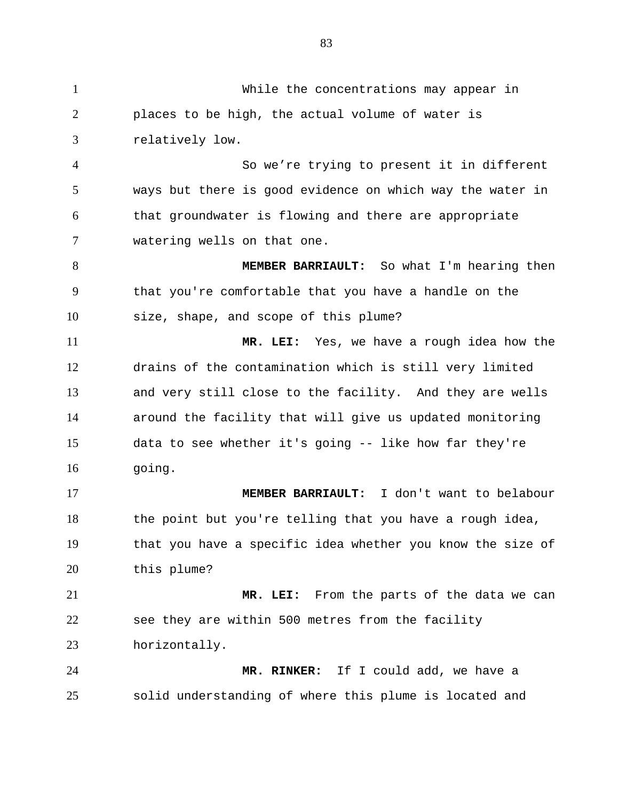While the concentrations may appear in places to be high, the actual volume of water is relatively low. So we're trying to present it in different ways but there is good evidence on which way the water in that groundwater is flowing and there are appropriate watering wells on that one. **MEMBER BARRIAULT:** So what I'm hearing then that you're comfortable that you have a handle on the size, shape, and scope of this plume? **MR. LEI:** Yes, we have a rough idea how the drains of the contamination which is still very limited and very still close to the facility. And they are wells around the facility that will give us updated monitoring data to see whether it's going -- like how far they're going. **MEMBER BARRIAULT:** I don't want to belabour the point but you're telling that you have a rough idea, that you have a specific idea whether you know the size of this plume? **MR. LEI:** From the parts of the data we can see they are within 500 metres from the facility horizontally. **MR. RINKER:** If I could add, we have a solid understanding of where this plume is located and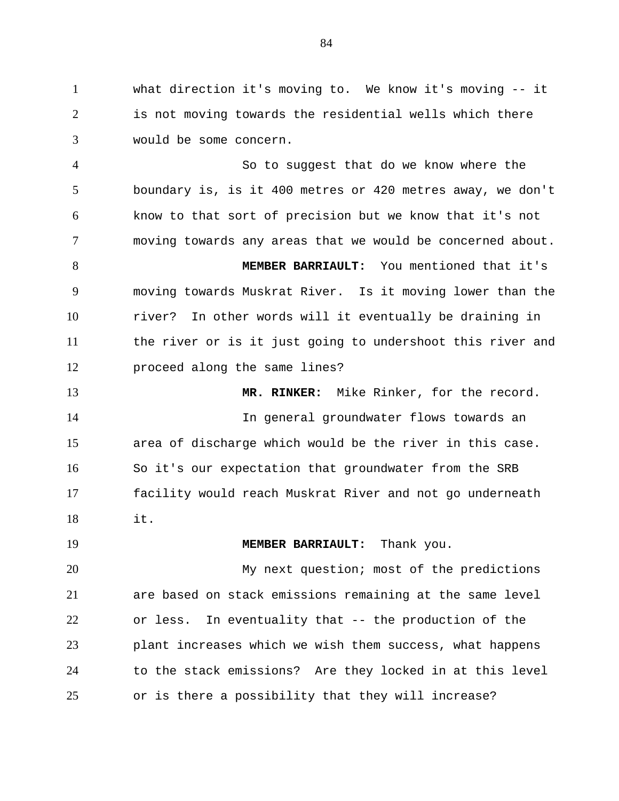what direction it's moving to. We know it's moving -- it is not moving towards the residential wells which there would be some concern.

 So to suggest that do we know where the boundary is, is it 400 metres or 420 metres away, we don't know to that sort of precision but we know that it's not moving towards any areas that we would be concerned about.

 **MEMBER BARRIAULT:** You mentioned that it's moving towards Muskrat River. Is it moving lower than the river? In other words will it eventually be draining in the river or is it just going to undershoot this river and proceed along the same lines?

 **MR. RINKER:** Mike Rinker, for the record. In general groundwater flows towards an area of discharge which would be the river in this case. So it's our expectation that groundwater from the SRB facility would reach Muskrat River and not go underneath it.

**MEMBER BARRIAULT:** Thank you.

 My next question; most of the predictions are based on stack emissions remaining at the same level or less. In eventuality that -- the production of the plant increases which we wish them success, what happens to the stack emissions? Are they locked in at this level or is there a possibility that they will increase?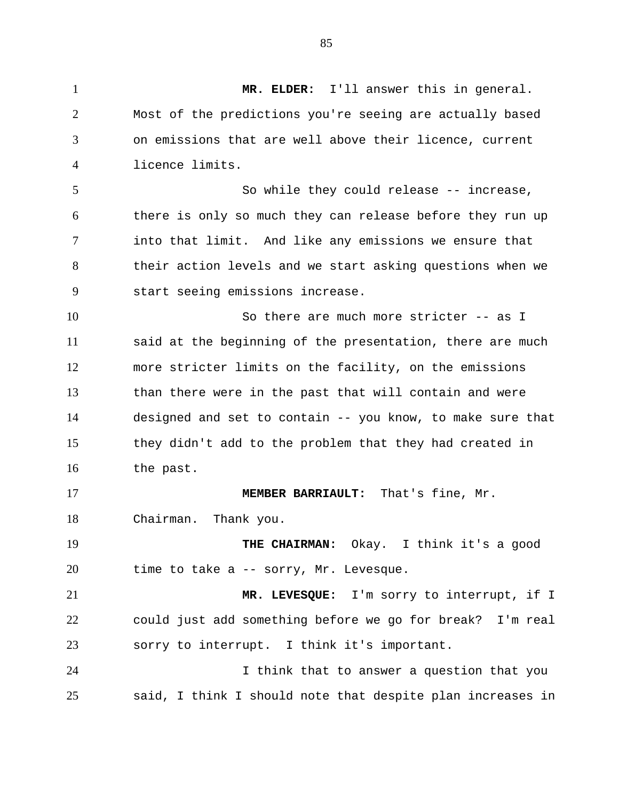**MR. ELDER:** I'll answer this in general. Most of the predictions you're seeing are actually based on emissions that are well above their licence, current licence limits. So while they could release -- increase, there is only so much they can release before they run up into that limit. And like any emissions we ensure that their action levels and we start asking questions when we start seeing emissions increase. So there are much more stricter -- as I said at the beginning of the presentation, there are much more stricter limits on the facility, on the emissions than there were in the past that will contain and were designed and set to contain -- you know, to make sure that they didn't add to the problem that they had created in the past. **MEMBER BARRIAULT:** That's fine, Mr. Chairman. Thank you. **THE CHAIRMAN:** Okay. I think it's a good time to take a -- sorry, Mr. Levesque. **MR. LEVESQUE:** I'm sorry to interrupt, if I could just add something before we go for break? I'm real sorry to interrupt. I think it's important. I think that to answer a question that you said, I think I should note that despite plan increases in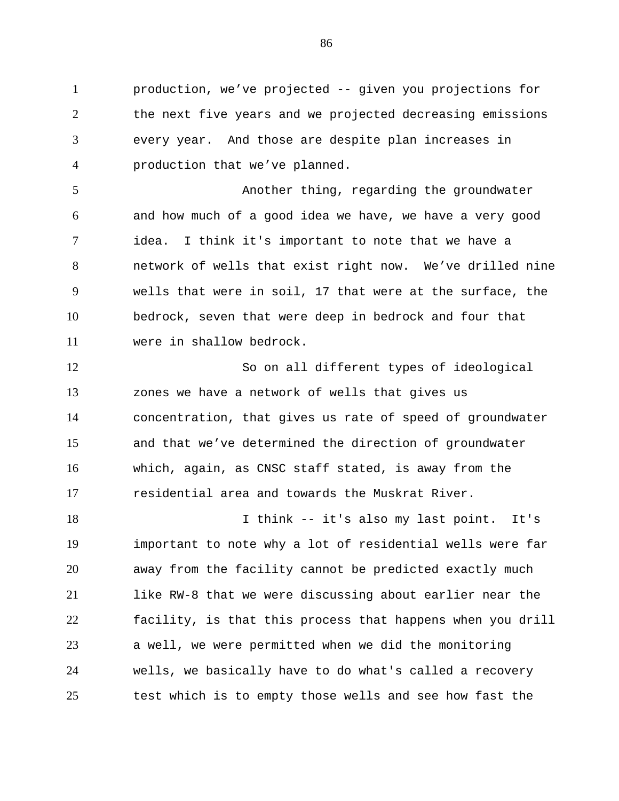production, we've projected -- given you projections for the next five years and we projected decreasing emissions every year. And those are despite plan increases in production that we've planned.

 Another thing, regarding the groundwater and how much of a good idea we have, we have a very good idea. I think it's important to note that we have a network of wells that exist right now. We've drilled nine wells that were in soil, 17 that were at the surface, the bedrock, seven that were deep in bedrock and four that were in shallow bedrock.

 So on all different types of ideological zones we have a network of wells that gives us concentration, that gives us rate of speed of groundwater and that we've determined the direction of groundwater which, again, as CNSC staff stated, is away from the residential area and towards the Muskrat River.

18 I think -- it's also my last point. It's important to note why a lot of residential wells were far away from the facility cannot be predicted exactly much like RW-8 that we were discussing about earlier near the facility, is that this process that happens when you drill a well, we were permitted when we did the monitoring wells, we basically have to do what's called a recovery test which is to empty those wells and see how fast the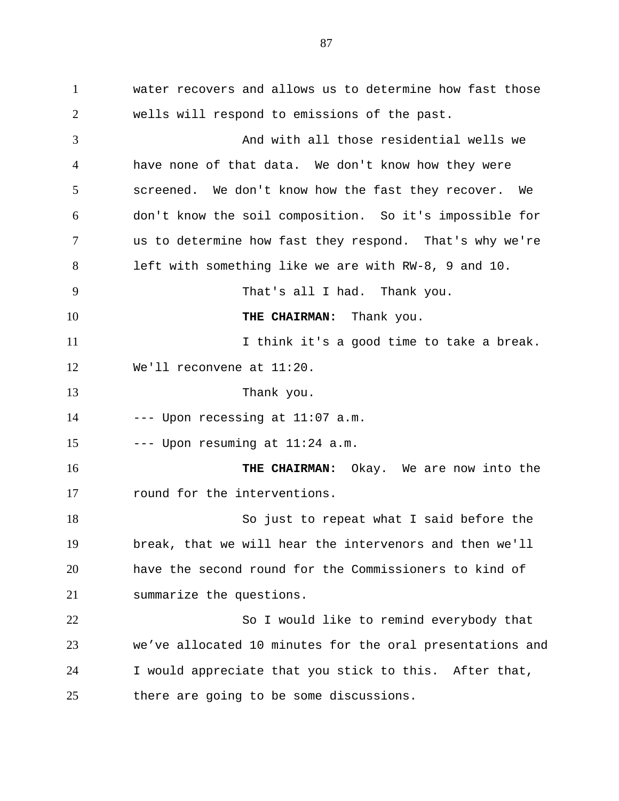water recovers and allows us to determine how fast those wells will respond to emissions of the past. And with all those residential wells we have none of that data. We don't know how they were screened. We don't know how the fast they recover. We don't know the soil composition. So it's impossible for us to determine how fast they respond. That's why we're left with something like we are with RW-8, 9 and 10. That's all I had. Thank you. **THE CHAIRMAN:** Thank you. **I** think it's a good time to take a break. We'll reconvene at 11:20. Thank you. --- Upon recessing at  $11:07$  a.m. 15 --- Upon resuming at  $11:24$  a.m. **THE CHAIRMAN:** Okay. We are now into the round for the interventions. So just to repeat what I said before the break, that we will hear the intervenors and then we'll have the second round for the Commissioners to kind of summarize the questions. 22 So I would like to remind everybody that we've allocated 10 minutes for the oral presentations and I would appreciate that you stick to this. After that, there are going to be some discussions.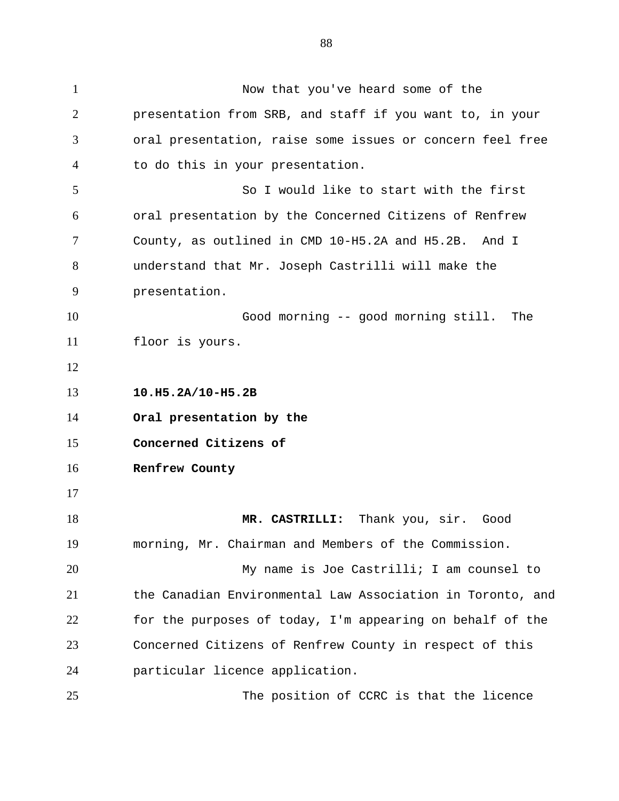Now that you've heard some of the presentation from SRB, and staff if you want to, in your oral presentation, raise some issues or concern feel free to do this in your presentation. So I would like to start with the first oral presentation by the Concerned Citizens of Renfrew County, as outlined in CMD 10-H5.2A and H5.2B. And I understand that Mr. Joseph Castrilli will make the presentation. Good morning -- good morning still. The floor is yours. **10.H5.2A/10-H5.2B Oral presentation by the Concerned Citizens of Renfrew County MR. CASTRILLI:** Thank you, sir. Good morning, Mr. Chairman and Members of the Commission. My name is Joe Castrilli; I am counsel to the Canadian Environmental Law Association in Toronto, and for the purposes of today, I'm appearing on behalf of the Concerned Citizens of Renfrew County in respect of this particular licence application.

The position of CCRC is that the licence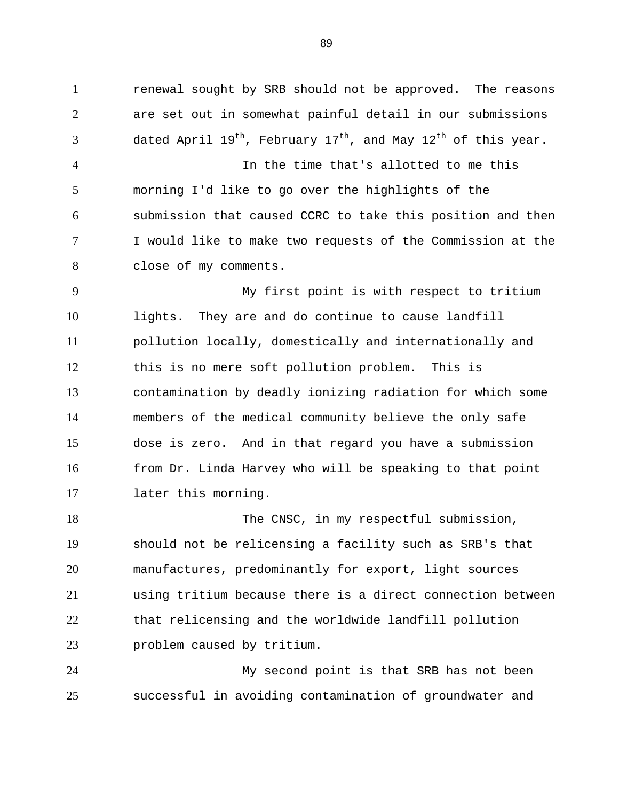renewal sought by SRB should not be approved. The reasons are set out in somewhat painful detail in our submissions  $\beta$  dated April 19<sup>th</sup>, February 17<sup>th</sup>, and May 12<sup>th</sup> of this year. In the time that's allotted to me this morning I'd like to go over the highlights of the submission that caused CCRC to take this position and then I would like to make two requests of the Commission at the

close of my comments.

 My first point is with respect to tritium lights. They are and do continue to cause landfill pollution locally, domestically and internationally and this is no mere soft pollution problem. This is contamination by deadly ionizing radiation for which some members of the medical community believe the only safe dose is zero. And in that regard you have a submission from Dr. Linda Harvey who will be speaking to that point later this morning.

18 The CNSC, in my respectful submission, should not be relicensing a facility such as SRB's that manufactures, predominantly for export, light sources using tritium because there is a direct connection between that relicensing and the worldwide landfill pollution problem caused by tritium.

 My second point is that SRB has not been successful in avoiding contamination of groundwater and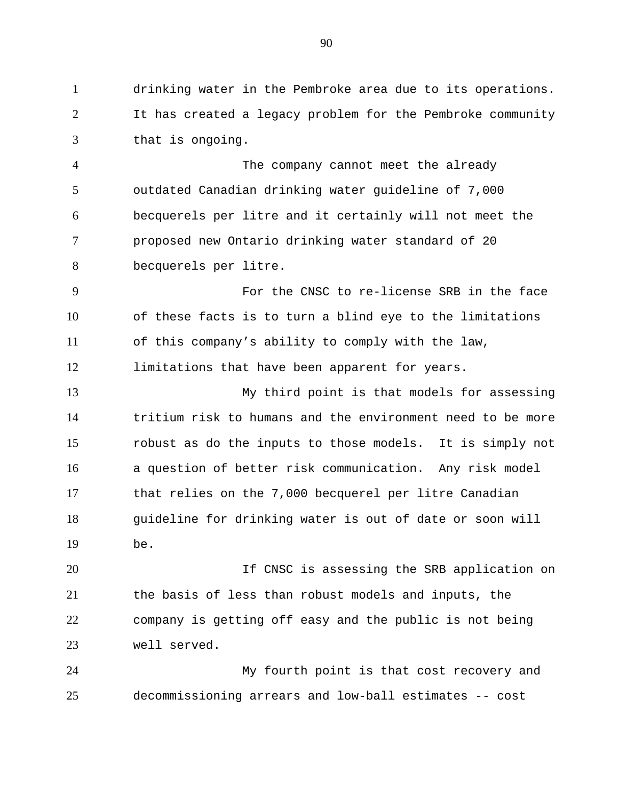drinking water in the Pembroke area due to its operations. It has created a legacy problem for the Pembroke community that is ongoing.

 The company cannot meet the already outdated Canadian drinking water guideline of 7,000 becquerels per litre and it certainly will not meet the proposed new Ontario drinking water standard of 20 becquerels per litre.

 For the CNSC to re-license SRB in the face of these facts is to turn a blind eye to the limitations of this company's ability to comply with the law, limitations that have been apparent for years.

 My third point is that models for assessing tritium risk to humans and the environment need to be more robust as do the inputs to those models. It is simply not a question of better risk communication. Any risk model that relies on the 7,000 becquerel per litre Canadian guideline for drinking water is out of date or soon will be.

20 15 20 If CNSC is assessing the SRB application on the basis of less than robust models and inputs, the company is getting off easy and the public is not being well served.

 My fourth point is that cost recovery and decommissioning arrears and low-ball estimates -- cost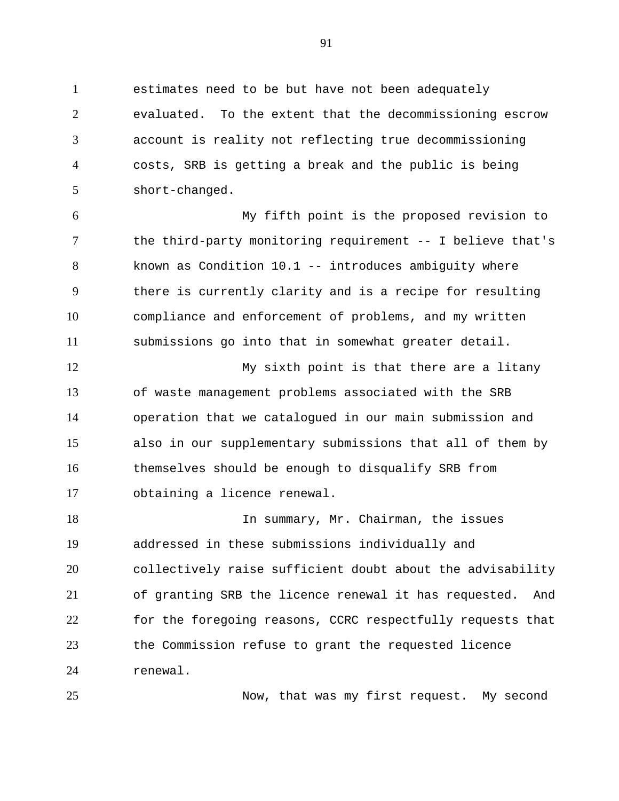estimates need to be but have not been adequately evaluated. To the extent that the decommissioning escrow account is reality not reflecting true decommissioning costs, SRB is getting a break and the public is being short-changed.

 My fifth point is the proposed revision to the third-party monitoring requirement -- I believe that's known as Condition 10.1 -- introduces ambiguity where there is currently clarity and is a recipe for resulting compliance and enforcement of problems, and my written submissions go into that in somewhat greater detail.

 My sixth point is that there are a litany of waste management problems associated with the SRB operation that we catalogued in our main submission and also in our supplementary submissions that all of them by themselves should be enough to disqualify SRB from obtaining a licence renewal.

18 In summary, Mr. Chairman, the issues addressed in these submissions individually and collectively raise sufficient doubt about the advisability of granting SRB the licence renewal it has requested. And for the foregoing reasons, CCRC respectfully requests that the Commission refuse to grant the requested licence renewal.

Now, that was my first request. My second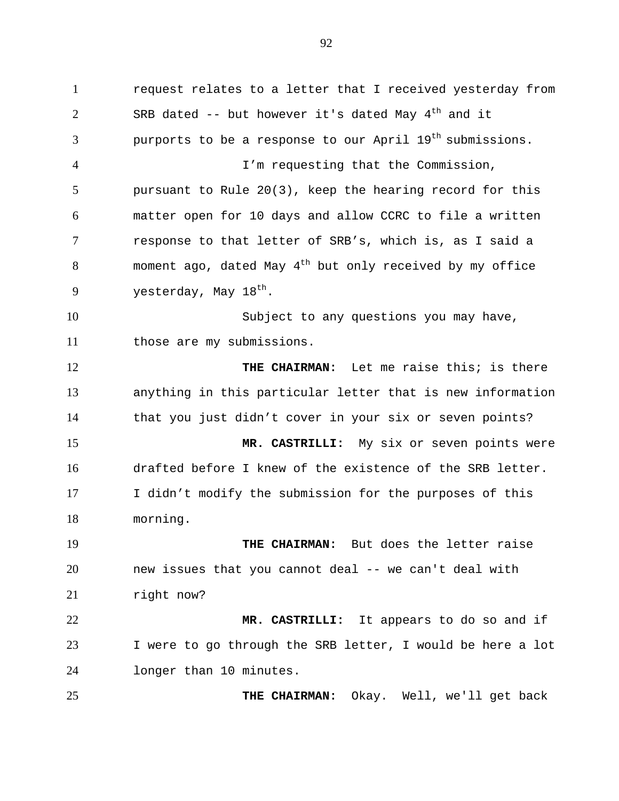request relates to a letter that I received yesterday from 2 SRB dated  $-$  but however it's dated May  $4<sup>th</sup>$  and it 3 burports to be a response to our April  $19<sup>th</sup>$  submissions. I'm requesting that the Commission, pursuant to Rule 20(3), keep the hearing record for this matter open for 10 days and allow CCRC to file a written response to that letter of SRB's, which is, as I said a 8 moment ago, dated May  $4^{th}$  but only received by my office 9 vesterday, May  $18<sup>th</sup>$ . Subject to any questions you may have, those are my submissions. **THE CHAIRMAN:** Let me raise this; is there anything in this particular letter that is new information that you just didn't cover in your six or seven points? **MR. CASTRILLI:** My six or seven points were drafted before I knew of the existence of the SRB letter. I didn't modify the submission for the purposes of this morning. **THE CHAIRMAN:** But does the letter raise new issues that you cannot deal -- we can't deal with 21 right now?

 **MR. CASTRILLI:** It appears to do so and if I were to go through the SRB letter, I would be here a lot longer than 10 minutes.

**THE CHAIRMAN:** Okay. Well, we'll get back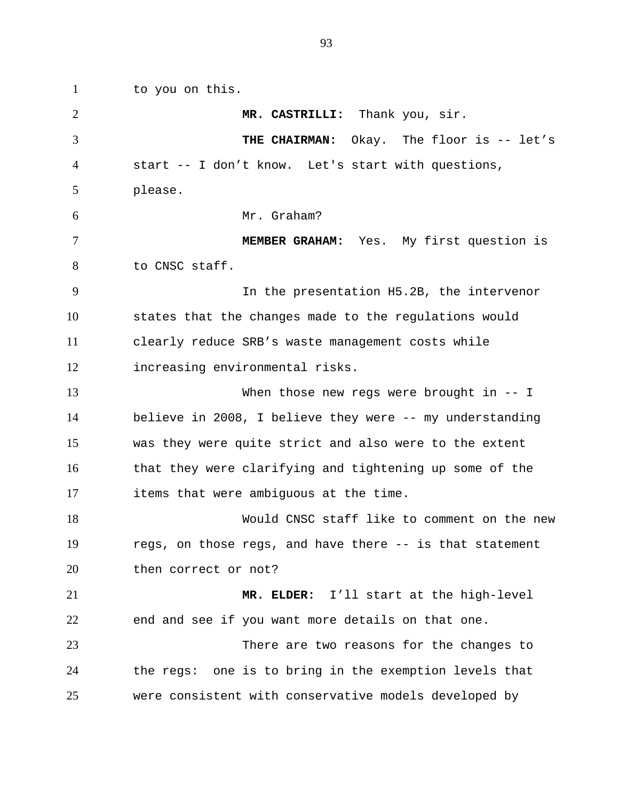to you on this. **MR. CASTRILLI:** Thank you, sir. **THE CHAIRMAN:** Okay. The floor is -- let's start -- I don't know. Let's start with questions, please. Mr. Graham? **MEMBER GRAHAM:** Yes. My first question is to CNSC staff. In the presentation H5.2B, the intervenor states that the changes made to the regulations would clearly reduce SRB's waste management costs while increasing environmental risks. When those new regs were brought in -- I believe in 2008, I believe they were -- my understanding was they were quite strict and also were to the extent that they were clarifying and tightening up some of the items that were ambiguous at the time. Would CNSC staff like to comment on the new regs, on those regs, and have there -- is that statement 20 then correct or not? **MR. ELDER:** I'll start at the high-level end and see if you want more details on that one. There are two reasons for the changes to the regs: one is to bring in the exemption levels that were consistent with conservative models developed by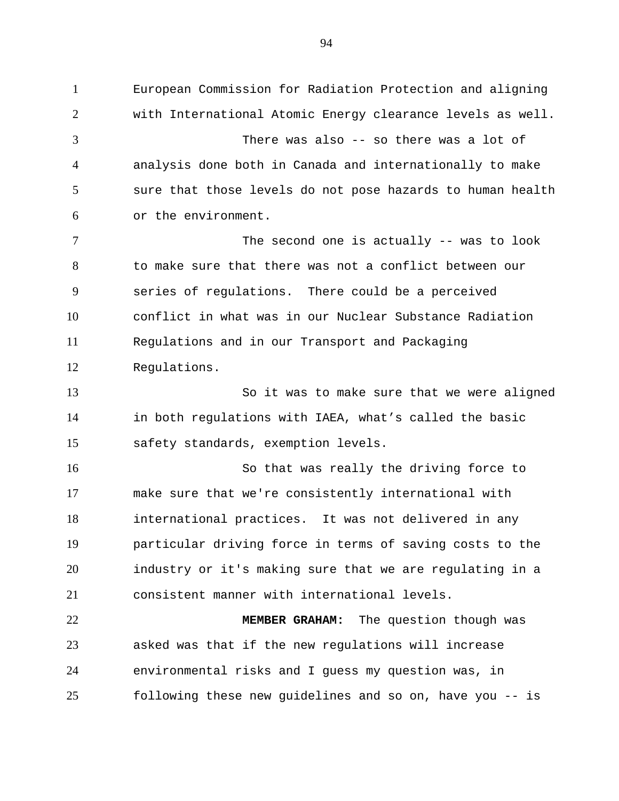European Commission for Radiation Protection and aligning with International Atomic Energy clearance levels as well. There was also -- so there was a lot of analysis done both in Canada and internationally to make sure that those levels do not pose hazards to human health or the environment. 7 The second one is actually -- was to look to make sure that there was not a conflict between our series of regulations. There could be a perceived conflict in what was in our Nuclear Substance Radiation Regulations and in our Transport and Packaging Regulations. So it was to make sure that we were aligned in both regulations with IAEA, what's called the basic safety standards, exemption levels. So that was really the driving force to make sure that we're consistently international with international practices. It was not delivered in any particular driving force in terms of saving costs to the industry or it's making sure that we are regulating in a consistent manner with international levels. **MEMBER GRAHAM:** The question though was asked was that if the new regulations will increase environmental risks and I guess my question was, in following these new guidelines and so on, have you -- is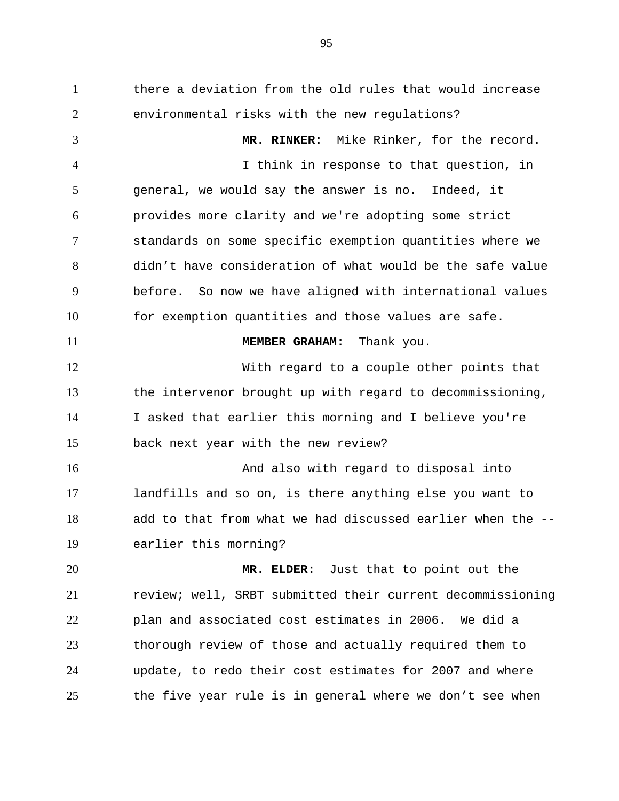there a deviation from the old rules that would increase environmental risks with the new regulations? **MR. RINKER:** Mike Rinker, for the record. I think in response to that question, in general, we would say the answer is no. Indeed, it provides more clarity and we're adopting some strict standards on some specific exemption quantities where we didn't have consideration of what would be the safe value before. So now we have aligned with international values for exemption quantities and those values are safe. **MEMBER GRAHAM:** Thank you. With regard to a couple other points that the intervenor brought up with regard to decommissioning, I asked that earlier this morning and I believe you're back next year with the new review? And also with regard to disposal into landfills and so on, is there anything else you want to add to that from what we had discussed earlier when the -- earlier this morning? **MR. ELDER:** Just that to point out the review; well, SRBT submitted their current decommissioning plan and associated cost estimates in 2006. We did a thorough review of those and actually required them to update, to redo their cost estimates for 2007 and where

the five year rule is in general where we don't see when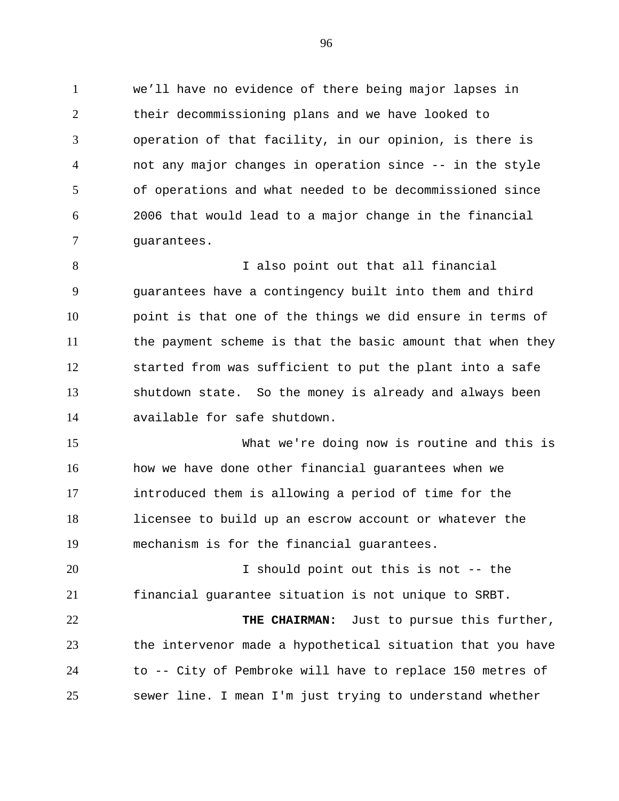we'll have no evidence of there being major lapses in their decommissioning plans and we have looked to operation of that facility, in our opinion, is there is not any major changes in operation since -- in the style of operations and what needed to be decommissioned since 2006 that would lead to a major change in the financial guarantees.

 I also point out that all financial guarantees have a contingency built into them and third point is that one of the things we did ensure in terms of the payment scheme is that the basic amount that when they started from was sufficient to put the plant into a safe shutdown state. So the money is already and always been available for safe shutdown.

 What we're doing now is routine and this is how we have done other financial guarantees when we introduced them is allowing a period of time for the licensee to build up an escrow account or whatever the mechanism is for the financial guarantees.

 I should point out this is not -- the financial guarantee situation is not unique to SRBT.

 **THE CHAIRMAN:** Just to pursue this further, the intervenor made a hypothetical situation that you have to -- City of Pembroke will have to replace 150 metres of sewer line. I mean I'm just trying to understand whether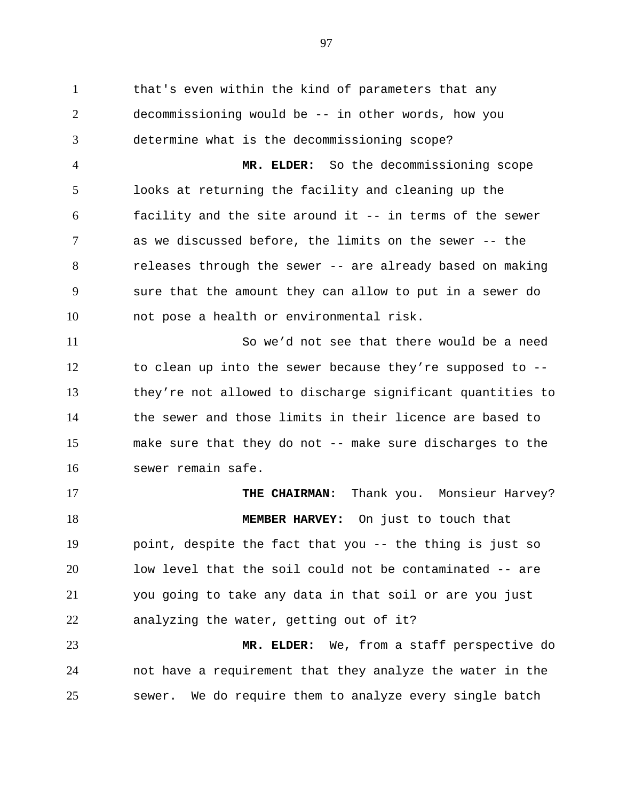that's even within the kind of parameters that any decommissioning would be -- in other words, how you determine what is the decommissioning scope? **MR. ELDER:** So the decommissioning scope looks at returning the facility and cleaning up the facility and the site around it -- in terms of the sewer as we discussed before, the limits on the sewer -- the releases through the sewer -- are already based on making sure that the amount they can allow to put in a sewer do not pose a health or environmental risk. So we'd not see that there would be a need to clean up into the sewer because they're supposed to -- they're not allowed to discharge significant quantities to the sewer and those limits in their licence are based to make sure that they do not -- make sure discharges to the sewer remain safe. **THE CHAIRMAN:** Thank you. Monsieur Harvey? **MEMBER HARVEY:** On just to touch that point, despite the fact that you -- the thing is just so

 low level that the soil could not be contaminated -- are you going to take any data in that soil or are you just analyzing the water, getting out of it?

 **MR. ELDER:** We, from a staff perspective do not have a requirement that they analyze the water in the sewer. We do require them to analyze every single batch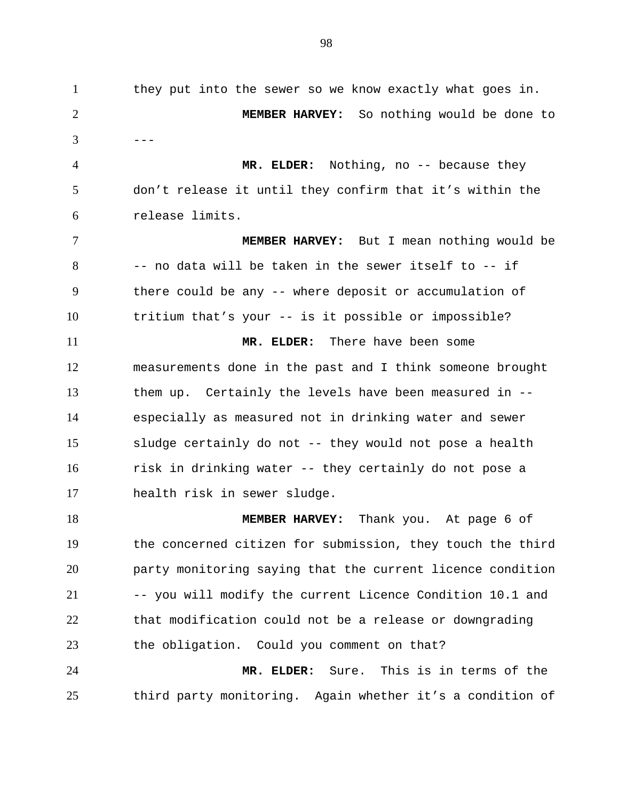| $\mathbf{1}$   | they put into the sewer so we know exactly what goes in.   |
|----------------|------------------------------------------------------------|
| $\overline{2}$ | MEMBER HARVEY: So nothing would be done to                 |
| 3              |                                                            |
| 4              | MR. ELDER: Nothing, no -- because they                     |
| 5              | don't release it until they confirm that it's within the   |
| 6              | release limits.                                            |
| 7              | <b>MEMBER HARVEY:</b> But I mean nothing would be          |
| 8              | -- no data will be taken in the sewer itself to -- if      |
| 9              | there could be any -- where deposit or accumulation of     |
| 10             | tritium that's your -- is it possible or impossible?       |
| 11             | MR. ELDER: There have been some                            |
| 12             | measurements done in the past and I think someone brought  |
| 13             | them up. Certainly the levels have been measured in --     |
| 14             | especially as measured not in drinking water and sewer     |
| 15             | sludge certainly do not -- they would not pose a health    |
| 16             | risk in drinking water -- they certainly do not pose a     |
| 17             | health risk in sewer sludge.                               |
| 18             | MEMBER HARVEY: Thank you. At page 6 of                     |
| 19             | the concerned citizen for submission, they touch the third |
| 20             | party monitoring saying that the current licence condition |
| 21             | -- you will modify the current Licence Condition 10.1 and  |
| 22             | that modification could not be a release or downgrading    |
| 23             | the obligation. Could you comment on that?                 |
| 24             | This is in terms of the<br>MR. ELDER:<br>Sure.             |
| 25             | third party monitoring. Again whether it's a condition of  |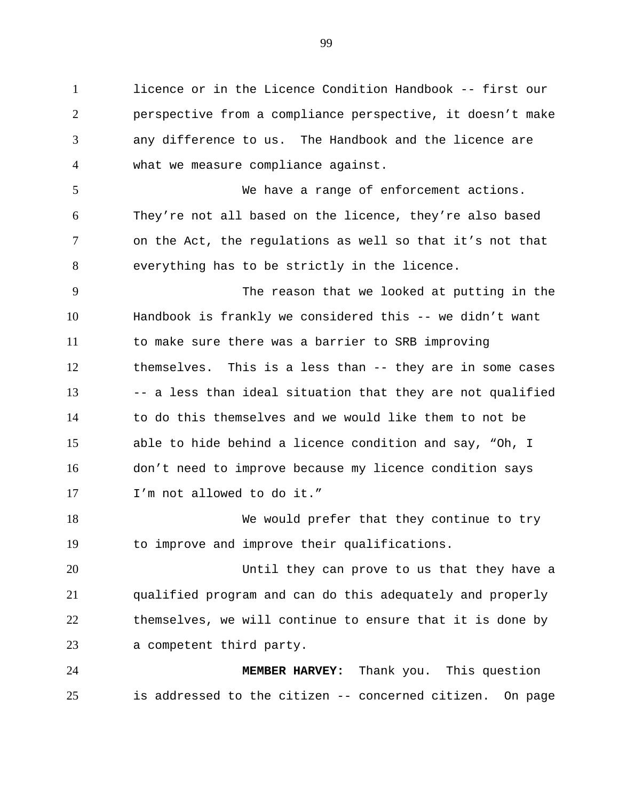licence or in the Licence Condition Handbook -- first our perspective from a compliance perspective, it doesn't make any difference to us. The Handbook and the licence are what we measure compliance against.

 We have a range of enforcement actions. They're not all based on the licence, they're also based on the Act, the regulations as well so that it's not that everything has to be strictly in the licence.

 The reason that we looked at putting in the Handbook is frankly we considered this -- we didn't want to make sure there was a barrier to SRB improving themselves. This is a less than -- they are in some cases 13 -- a less than ideal situation that they are not qualified to do this themselves and we would like them to not be able to hide behind a licence condition and say, "Oh, I don't need to improve because my licence condition says I'm not allowed to do it."

18 We would prefer that they continue to try to improve and improve their qualifications.

 Until they can prove to us that they have a qualified program and can do this adequately and properly themselves, we will continue to ensure that it is done by a competent third party.

 **MEMBER HARVEY:** Thank you. This question is addressed to the citizen -- concerned citizen. On page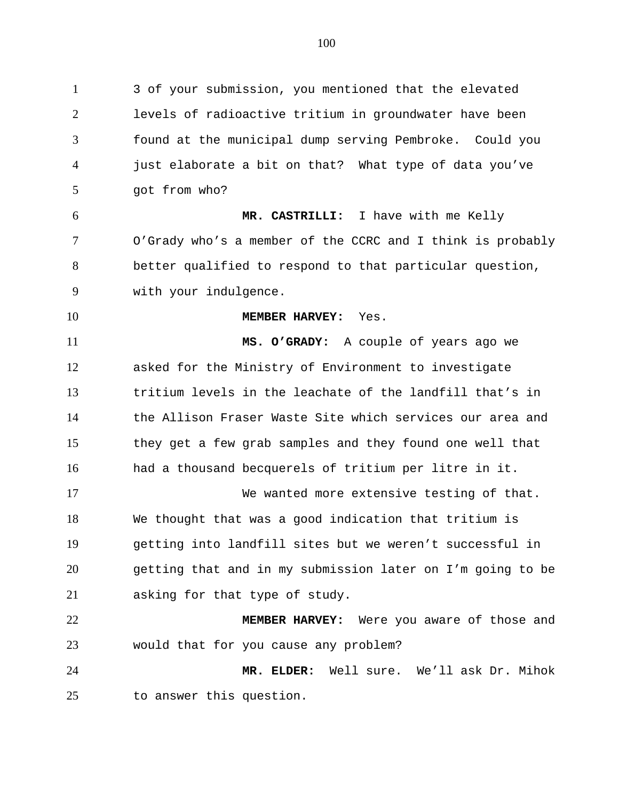3 of your submission, you mentioned that the elevated levels of radioactive tritium in groundwater have been found at the municipal dump serving Pembroke. Could you just elaborate a bit on that? What type of data you've got from who? **MR. CASTRILLI:** I have with me Kelly O'Grady who's a member of the CCRC and I think is probably better qualified to respond to that particular question, with your indulgence. **MEMBER HARVEY:** Yes. **MS. O'GRADY:** A couple of years ago we asked for the Ministry of Environment to investigate tritium levels in the leachate of the landfill that's in the Allison Fraser Waste Site which services our area and they get a few grab samples and they found one well that had a thousand becquerels of tritium per litre in it. We wanted more extensive testing of that. We thought that was a good indication that tritium is getting into landfill sites but we weren't successful in getting that and in my submission later on I'm going to be asking for that type of study. **MEMBER HARVEY:** Were you aware of those and would that for you cause any problem? **MR. ELDER:** Well sure. We'll ask Dr. Mihok to answer this question.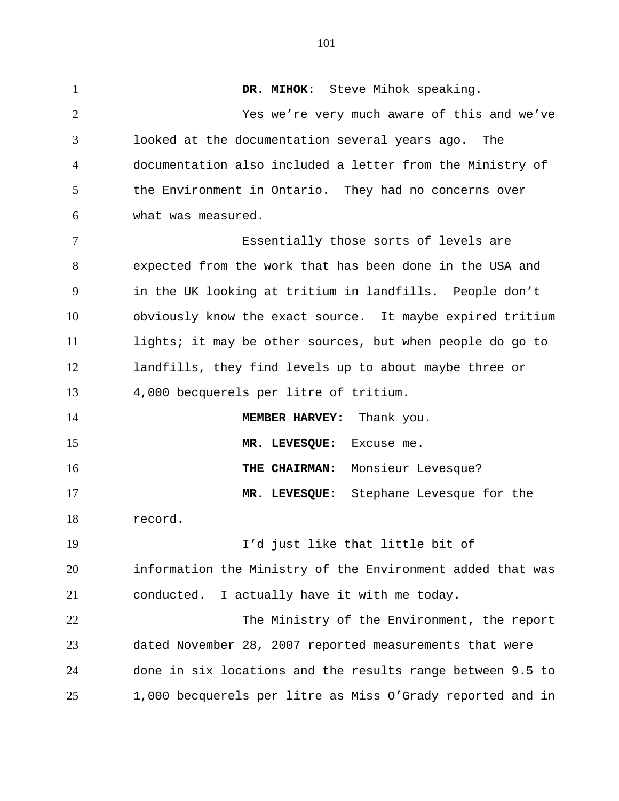**DR. MIHOK:** Steve Mihok speaking. Yes we're very much aware of this and we've looked at the documentation several years ago. The documentation also included a letter from the Ministry of the Environment in Ontario. They had no concerns over what was measured. Essentially those sorts of levels are expected from the work that has been done in the USA and in the UK looking at tritium in landfills. People don't obviously know the exact source. It maybe expired tritium lights; it may be other sources, but when people do go to landfills, they find levels up to about maybe three or 4,000 becquerels per litre of tritium. **MEMBER HARVEY:** Thank you. **MR. LEVESQUE:** Excuse me. **THE CHAIRMAN:** Monsieur Levesque? **MR. LEVESQUE:** Stephane Levesque for the record. I'd just like that little bit of information the Ministry of the Environment added that was conducted. I actually have it with me today. The Ministry of the Environment, the report dated November 28, 2007 reported measurements that were done in six locations and the results range between 9.5 to 1,000 becquerels per litre as Miss O'Grady reported and in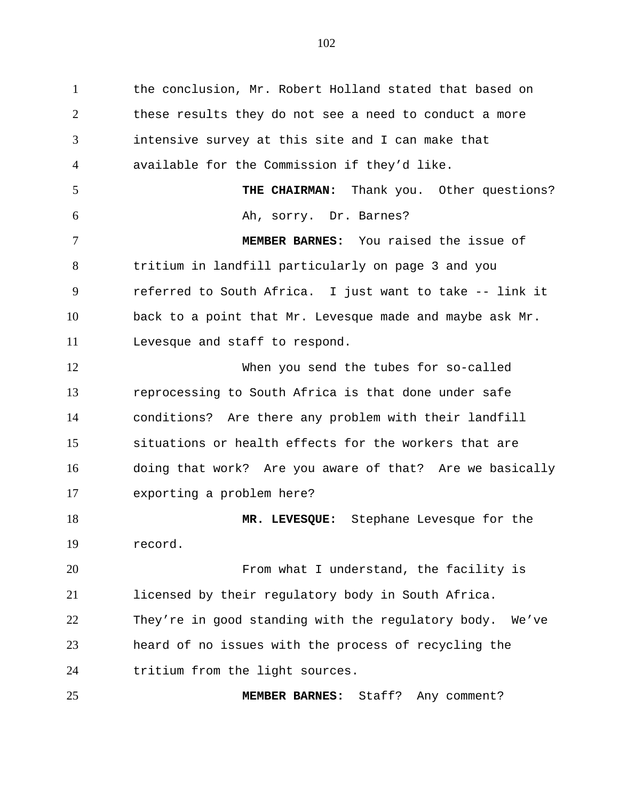the conclusion, Mr. Robert Holland stated that based on these results they do not see a need to conduct a more intensive survey at this site and I can make that available for the Commission if they'd like. **THE CHAIRMAN:** Thank you. Other questions? Ah, sorry. Dr. Barnes? **MEMBER BARNES:** You raised the issue of tritium in landfill particularly on page 3 and you referred to South Africa. I just want to take -- link it back to a point that Mr. Levesque made and maybe ask Mr. Levesque and staff to respond. When you send the tubes for so-called reprocessing to South Africa is that done under safe conditions? Are there any problem with their landfill situations or health effects for the workers that are doing that work? Are you aware of that? Are we basically exporting a problem here? **MR. LEVESQUE:** Stephane Levesque for the record. From what I understand, the facility is licensed by their regulatory body in South Africa. They're in good standing with the regulatory body. We've heard of no issues with the process of recycling the tritium from the light sources. **MEMBER BARNES:** Staff? Any comment?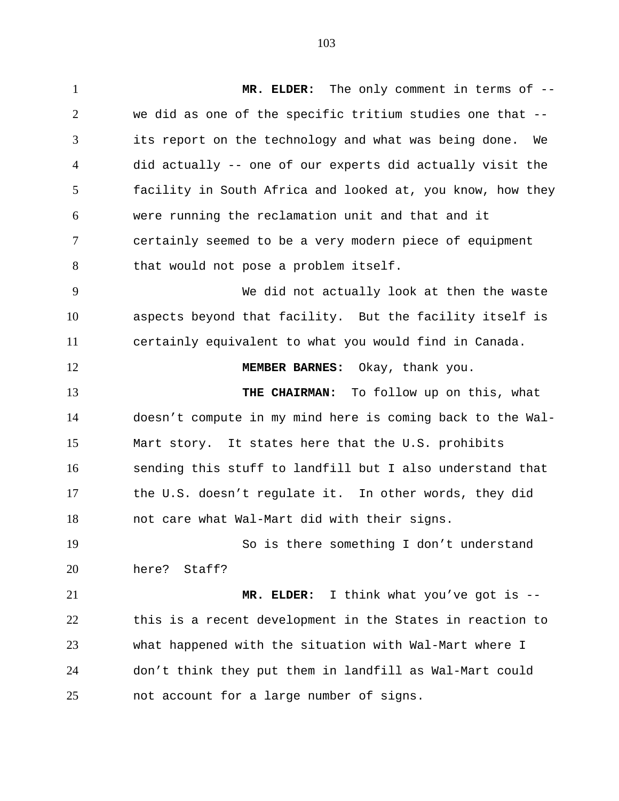**MR. ELDER:** The only comment in terms of -- we did as one of the specific tritium studies one that -- its report on the technology and what was being done. We did actually -- one of our experts did actually visit the facility in South Africa and looked at, you know, how they were running the reclamation unit and that and it certainly seemed to be a very modern piece of equipment that would not pose a problem itself. We did not actually look at then the waste aspects beyond that facility. But the facility itself is certainly equivalent to what you would find in Canada. **MEMBER BARNES:** Okay, thank you. **THE CHAIRMAN:** To follow up on this, what doesn't compute in my mind here is coming back to the Wal- Mart story. It states here that the U.S. prohibits sending this stuff to landfill but I also understand that the U.S. doesn't regulate it. In other words, they did not care what Wal-Mart did with their signs. So is there something I don't understand here? Staff? **MR. ELDER:** I think what you've got is -- this is a recent development in the States in reaction to what happened with the situation with Wal-Mart where I don't think they put them in landfill as Wal-Mart could not account for a large number of signs.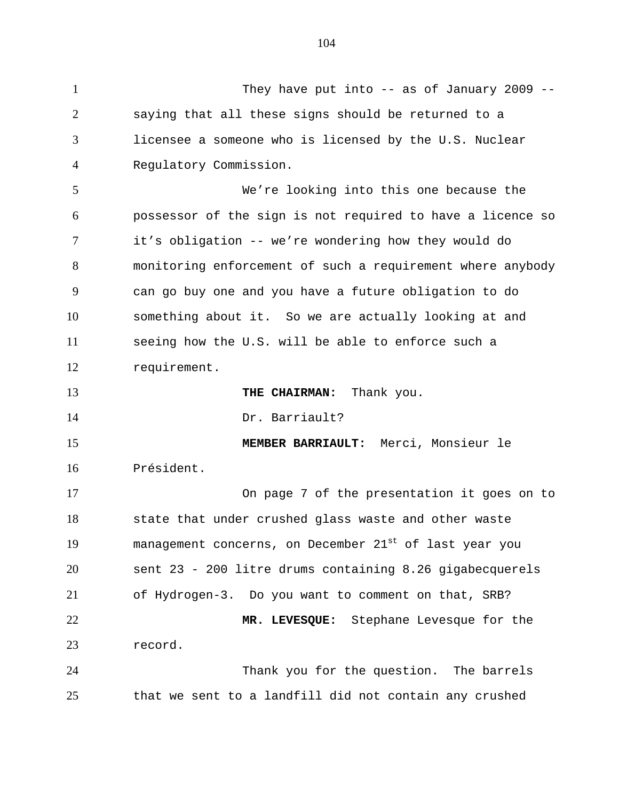They have put into -- as of January 2009 -- saying that all these signs should be returned to a licensee a someone who is licensed by the U.S. Nuclear Regulatory Commission. We're looking into this one because the possessor of the sign is not required to have a licence so it's obligation -- we're wondering how they would do monitoring enforcement of such a requirement where anybody can go buy one and you have a future obligation to do something about it. So we are actually looking at and seeing how the U.S. will be able to enforce such a requirement. **THE CHAIRMAN:** Thank you. 14 Dr. Barriault? **MEMBER BARRIAULT:** Merci, Monsieur le Président. On page 7 of the presentation it goes on to state that under crushed glass waste and other waste 19 management concerns, on December 21st of last year you sent 23 - 200 litre drums containing 8.26 gigabecquerels of Hydrogen-3. Do you want to comment on that, SRB? **MR. LEVESQUE:** Stephane Levesque for the record. Thank you for the question. The barrels that we sent to a landfill did not contain any crushed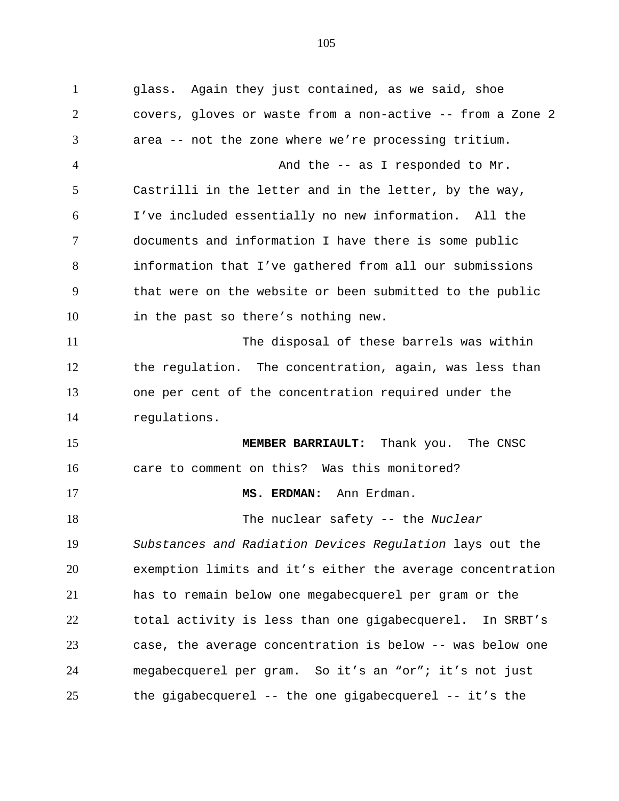glass. Again they just contained, as we said, shoe covers, gloves or waste from a non-active -- from a Zone 2 area -- not the zone where we're processing tritium. 4 And the -- as I responded to Mr. Castrilli in the letter and in the letter, by the way, I've included essentially no new information. All the documents and information I have there is some public information that I've gathered from all our submissions that were on the website or been submitted to the public in the past so there's nothing new. The disposal of these barrels was within the regulation. The concentration, again, was less than one per cent of the concentration required under the regulations. **MEMBER BARRIAULT:** Thank you. The CNSC care to comment on this? Was this monitored? **MS. ERDMAN:** Ann Erdman. The nuclear safety -- the *Nuclear Substances and Radiation Devices Regulation* lays out the exemption limits and it's either the average concentration has to remain below one megabecquerel per gram or the total activity is less than one gigabecquerel. In SRBT's case, the average concentration is below -- was below one megabecquerel per gram. So it's an "or"; it's not just the gigabecquerel -- the one gigabecquerel -- it's the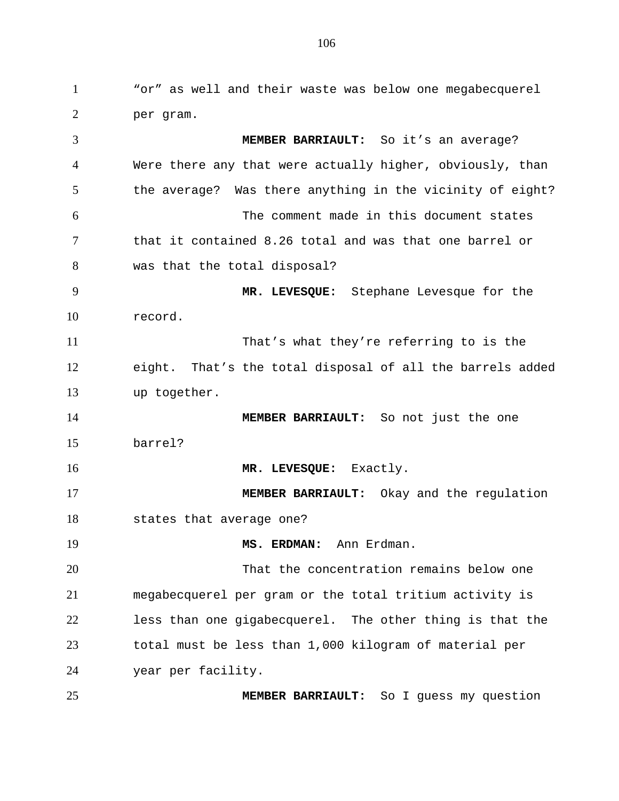"or" as well and their waste was below one megabecquerel per gram. **MEMBER BARRIAULT:** So it's an average? Were there any that were actually higher, obviously, than the average? Was there anything in the vicinity of eight? The comment made in this document states that it contained 8.26 total and was that one barrel or was that the total disposal? **MR. LEVESQUE:** Stephane Levesque for the record. That's what they're referring to is the eight. That's the total disposal of all the barrels added up together. **MEMBER BARRIAULT:** So not just the one barrel? 16 MR. LEVESQUE: Exactly. **MEMBER BARRIAULT:** Okay and the regulation states that average one? **MS. ERDMAN:** Ann Erdman. That the concentration remains below one megabecquerel per gram or the total tritium activity is less than one gigabecquerel. The other thing is that the total must be less than 1,000 kilogram of material per year per facility. **MEMBER BARRIAULT:** So I guess my question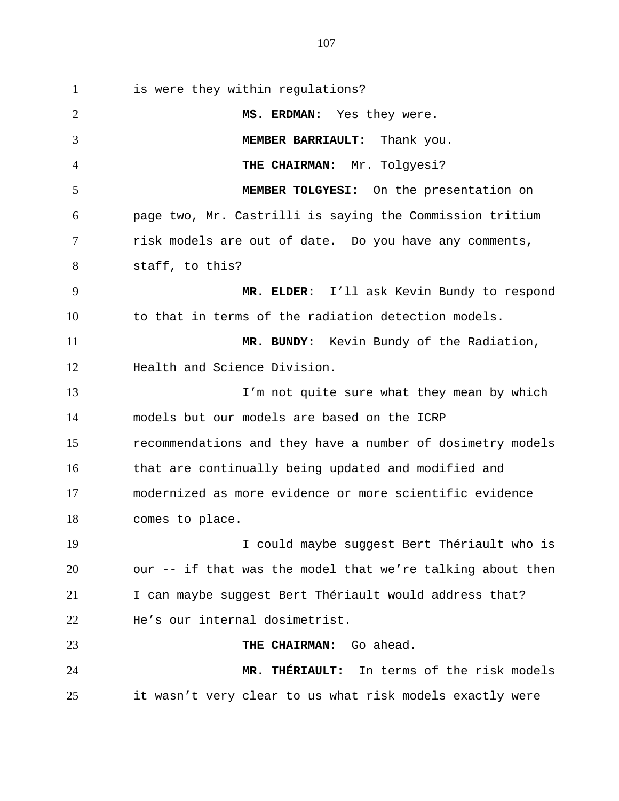is were they within regulations? **MS. ERDMAN:** Yes they were. **MEMBER BARRIAULT:** Thank you. **THE CHAIRMAN:** Mr. Tolgyesi? **MEMBER TOLGYESI:** On the presentation on page two, Mr. Castrilli is saying the Commission tritium risk models are out of date. Do you have any comments, staff, to this? **MR. ELDER:** I'll ask Kevin Bundy to respond to that in terms of the radiation detection models. **MR. BUNDY:** Kevin Bundy of the Radiation, Health and Science Division. 13 I'm not quite sure what they mean by which models but our models are based on the ICRP recommendations and they have a number of dosimetry models that are continually being updated and modified and modernized as more evidence or more scientific evidence comes to place. I could maybe suggest Bert Thériault who is our -- if that was the model that we're talking about then 21 I can maybe suggest Bert Thériault would address that? He's our internal dosimetrist. **THE CHAIRMAN:** Go ahead. **MR. THÉRIAULT:** In terms of the risk models

it wasn't very clear to us what risk models exactly were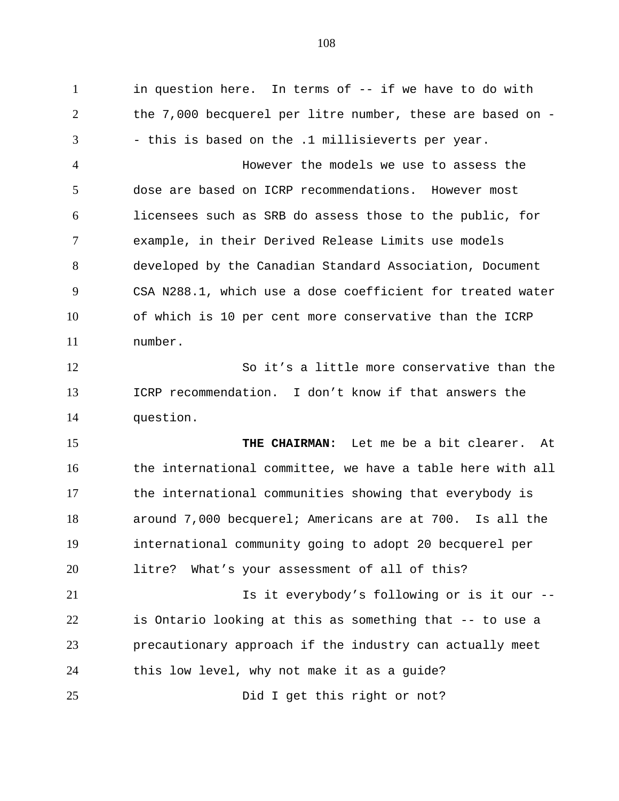in question here. In terms of -- if we have to do with the 7,000 becquerel per litre number, these are based on - - this is based on the .1 millisieverts per year. However the models we use to assess the dose are based on ICRP recommendations. However most licensees such as SRB do assess those to the public, for example, in their Derived Release Limits use models developed by the Canadian Standard Association, Document CSA N288.1, which use a dose coefficient for treated water of which is 10 per cent more conservative than the ICRP number. So it's a little more conservative than the ICRP recommendation. I don't know if that answers the question. **THE CHAIRMAN:** Let me be a bit clearer. At the international committee, we have a table here with all the international communities showing that everybody is around 7,000 becquerel; Americans are at 700. Is all the international community going to adopt 20 becquerel per litre? What's your assessment of all of this? 21 Is it everybody's following or is it our -- is Ontario looking at this as something that -- to use a precautionary approach if the industry can actually meet this low level, why not make it as a guide?

Did I get this right or not?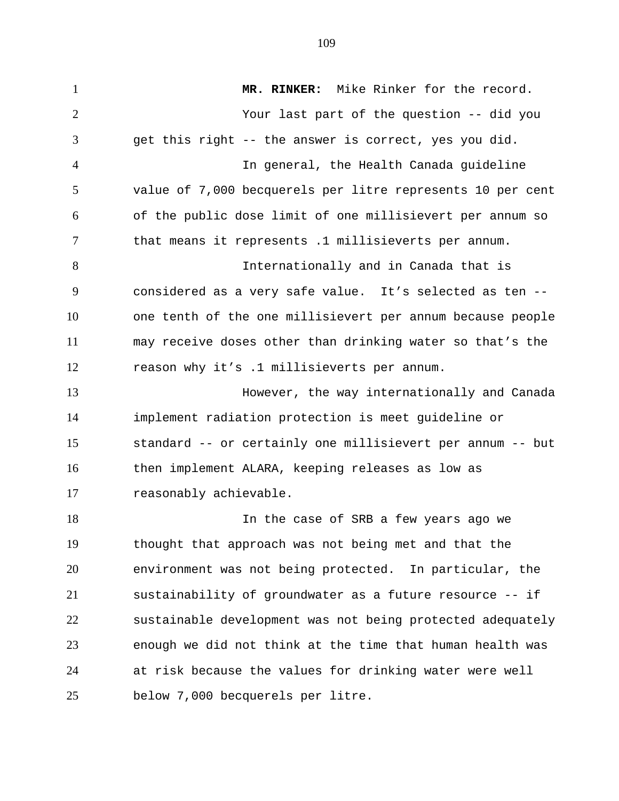**MR. RINKER:** Mike Rinker for the record. Your last part of the question -- did you get this right -- the answer is correct, yes you did. In general, the Health Canada guideline value of 7,000 becquerels per litre represents 10 per cent of the public dose limit of one millisievert per annum so that means it represents .1 millisieverts per annum. Internationally and in Canada that is considered as a very safe value. It's selected as ten -- one tenth of the one millisievert per annum because people may receive doses other than drinking water so that's the reason why it's .1 millisieverts per annum. However, the way internationally and Canada implement radiation protection is meet guideline or standard -- or certainly one millisievert per annum -- but then implement ALARA, keeping releases as low as reasonably achievable. In the case of SRB a few years ago we thought that approach was not being met and that the environment was not being protected. In particular, the sustainability of groundwater as a future resource -- if sustainable development was not being protected adequately enough we did not think at the time that human health was at risk because the values for drinking water were well

below 7,000 becquerels per litre.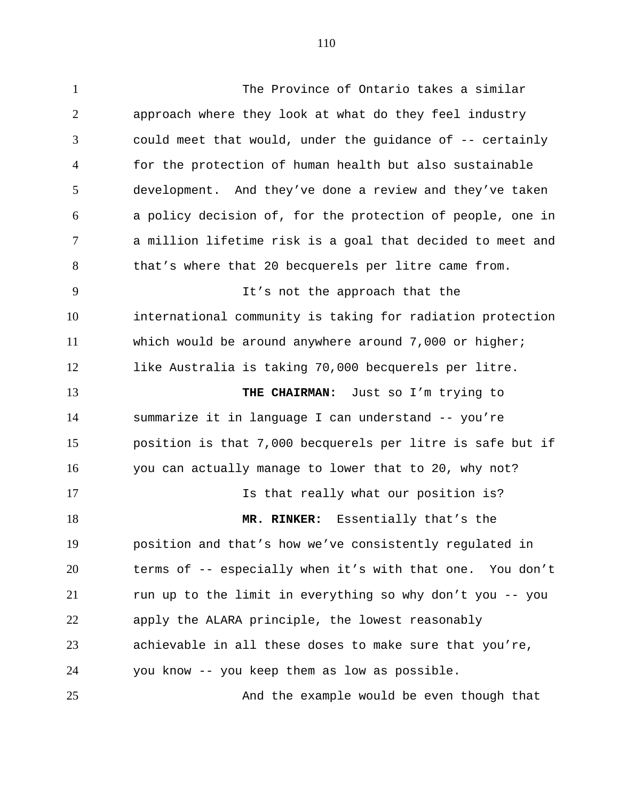The Province of Ontario takes a similar approach where they look at what do they feel industry could meet that would, under the guidance of -- certainly for the protection of human health but also sustainable development. And they've done a review and they've taken a policy decision of, for the protection of people, one in a million lifetime risk is a goal that decided to meet and 8 that's where that 20 becquerels per litre came from. It's not the approach that the international community is taking for radiation protection which would be around anywhere around 7,000 or higher; like Australia is taking 70,000 becquerels per litre. **THE CHAIRMAN:** Just so I'm trying to

 summarize it in language I can understand -- you're position is that 7,000 becquerels per litre is safe but if you can actually manage to lower that to 20, why not?

**Is that really what our position is? MR. RINKER:** Essentially that's the position and that's how we've consistently regulated in terms of -- especially when it's with that one. You don't run up to the limit in everything so why don't you -- you apply the ALARA principle, the lowest reasonably achievable in all these doses to make sure that you're, you know -- you keep them as low as possible.

And the example would be even though that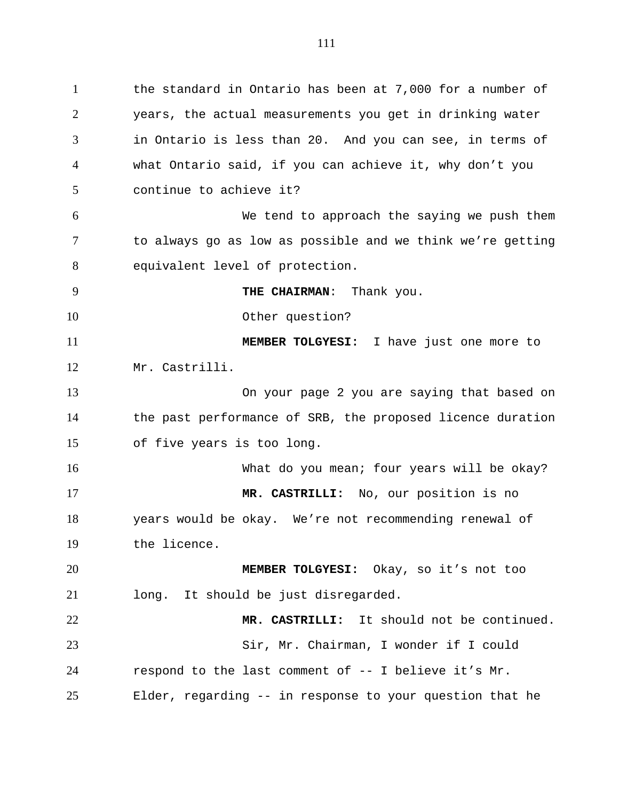the standard in Ontario has been at 7,000 for a number of years, the actual measurements you get in drinking water in Ontario is less than 20. And you can see, in terms of what Ontario said, if you can achieve it, why don't you continue to achieve it?

 We tend to approach the saying we push them to always go as low as possible and we think we're getting equivalent level of protection.

**THE CHAIRMAN**: Thank you.

10 Other question?

 **MEMBER TOLGYESI:** I have just one more to Mr. Castrilli.

 On your page 2 you are saying that based on the past performance of SRB, the proposed licence duration of five years is too long.

16 What do you mean; four years will be okay? **MR. CASTRILLI:** No, our position is no years would be okay. We're not recommending renewal of the licence.

 **MEMBER TOLGYESI:** Okay, so it's not too long. It should be just disregarded.

 **MR. CASTRILLI:** It should not be continued. Sir, Mr. Chairman, I wonder if I could respond to the last comment of -- I believe it's Mr. Elder, regarding -- in response to your question that he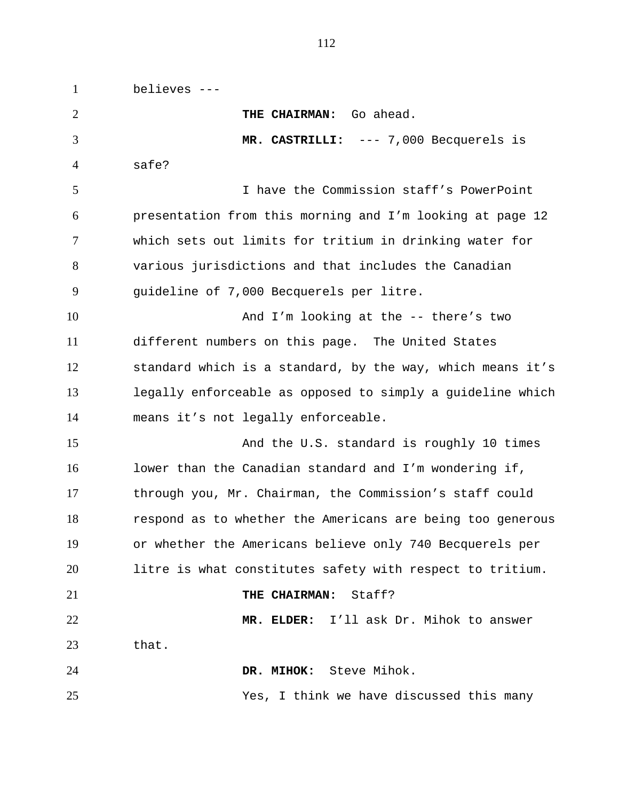believes --- **THE CHAIRMAN:** Go ahead. **MR. CASTRILLI:** --- 7,000 Becquerels is safe? I have the Commission staff's PowerPoint presentation from this morning and I'm looking at page 12 which sets out limits for tritium in drinking water for various jurisdictions and that includes the Canadian guideline of 7,000 Becquerels per litre. And I'm looking at the -- there's two different numbers on this page. The United States standard which is a standard, by the way, which means it's legally enforceable as opposed to simply a guideline which means it's not legally enforceable. 15 And the U.S. standard is roughly 10 times lower than the Canadian standard and I'm wondering if, through you, Mr. Chairman, the Commission's staff could respond as to whether the Americans are being too generous or whether the Americans believe only 740 Becquerels per litre is what constitutes safety with respect to tritium. **THE CHAIRMAN:** Staff? **MR. ELDER:** I'll ask Dr. Mihok to answer that. **DR. MIHOK:** Steve Mihok. Yes, I think we have discussed this many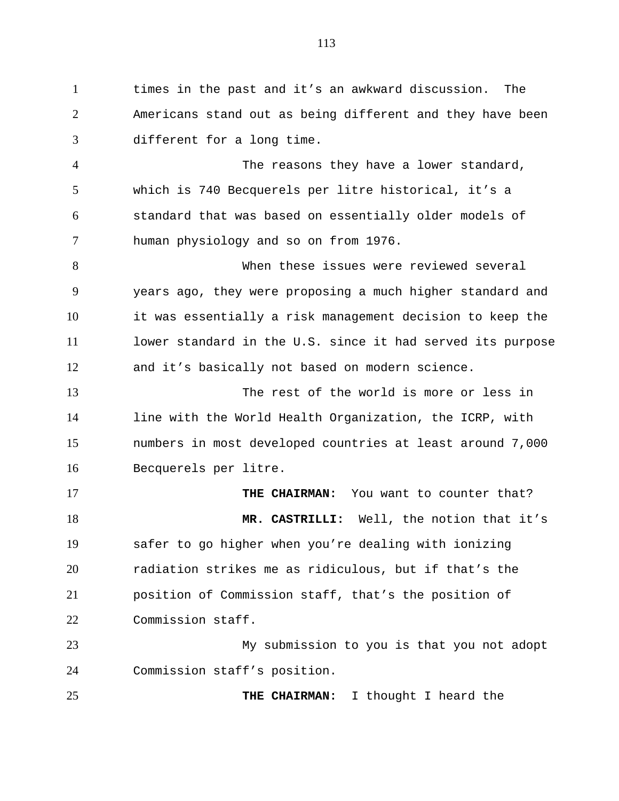times in the past and it's an awkward discussion. The Americans stand out as being different and they have been different for a long time. The reasons they have a lower standard, which is 740 Becquerels per litre historical, it's a standard that was based on essentially older models of human physiology and so on from 1976. When these issues were reviewed several years ago, they were proposing a much higher standard and it was essentially a risk management decision to keep the lower standard in the U.S. since it had served its purpose and it's basically not based on modern science. The rest of the world is more or less in line with the World Health Organization, the ICRP, with numbers in most developed countries at least around 7,000 Becquerels per litre. **THE CHAIRMAN:** You want to counter that? **MR. CASTRILLI:** Well, the notion that it's safer to go higher when you're dealing with ionizing radiation strikes me as ridiculous, but if that's the position of Commission staff, that's the position of Commission staff. My submission to you is that you not adopt Commission staff's position.

**THE CHAIRMAN:** I thought I heard the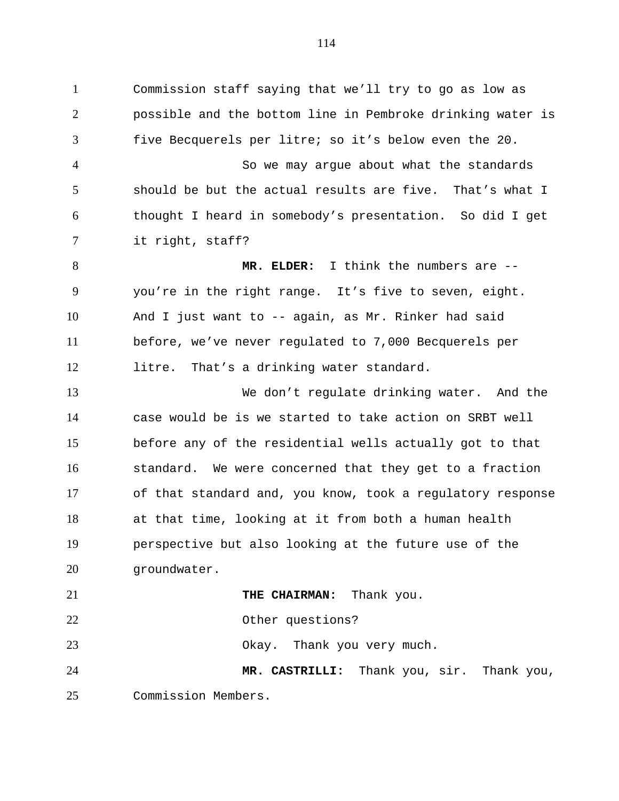Commission staff saying that we'll try to go as low as possible and the bottom line in Pembroke drinking water is five Becquerels per litre; so it's below even the 20. So we may argue about what the standards should be but the actual results are five. That's what I thought I heard in somebody's presentation. So did I get it right, staff?

 **MR. ELDER:** I think the numbers are -- you're in the right range. It's five to seven, eight. And I just want to -- again, as Mr. Rinker had said before, we've never regulated to 7,000 Becquerels per litre. That's a drinking water standard.

 We don't regulate drinking water. And the case would be is we started to take action on SRBT well before any of the residential wells actually got to that standard. We were concerned that they get to a fraction of that standard and, you know, took a regulatory response at that time, looking at it from both a human health perspective but also looking at the future use of the groundwater.

 Other questions? 23 Okay. Thank you very much. **MR. CASTRILLI:** Thank you, sir. Thank you, Commission Members.

**THE CHAIRMAN:** Thank you.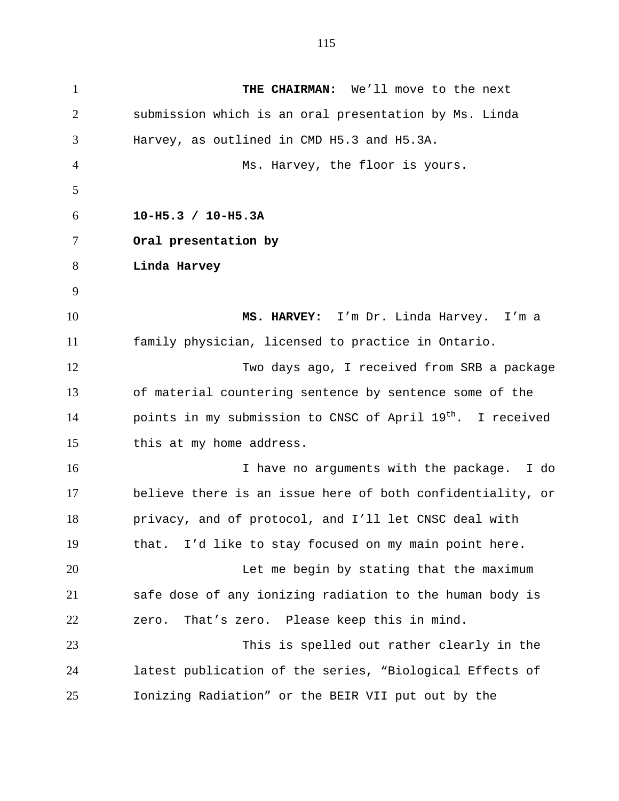**THE CHAIRMAN:** We'll move to the next submission which is an oral presentation by Ms. Linda Harvey, as outlined in CMD H5.3 and H5.3A. Ms. Harvey, the floor is yours. **10-H5.3 / 10-H5.3A Oral presentation by Linda Harvey MS. HARVEY:** I'm Dr. Linda Harvey. I'm a family physician, licensed to practice in Ontario. Two days ago, I received from SRB a package of material countering sentence by sentence some of the  $\blacksquare$  points in my submission to CNSC of April 19<sup>th</sup>. I received this at my home address. I have no arguments with the package. I do believe there is an issue here of both confidentiality, or privacy, and of protocol, and I'll let CNSC deal with that. I'd like to stay focused on my main point here. Let me begin by stating that the maximum safe dose of any ionizing radiation to the human body is zero. That's zero. Please keep this in mind. This is spelled out rather clearly in the latest publication of the series, "Biological Effects of Ionizing Radiation" or the BEIR VII put out by the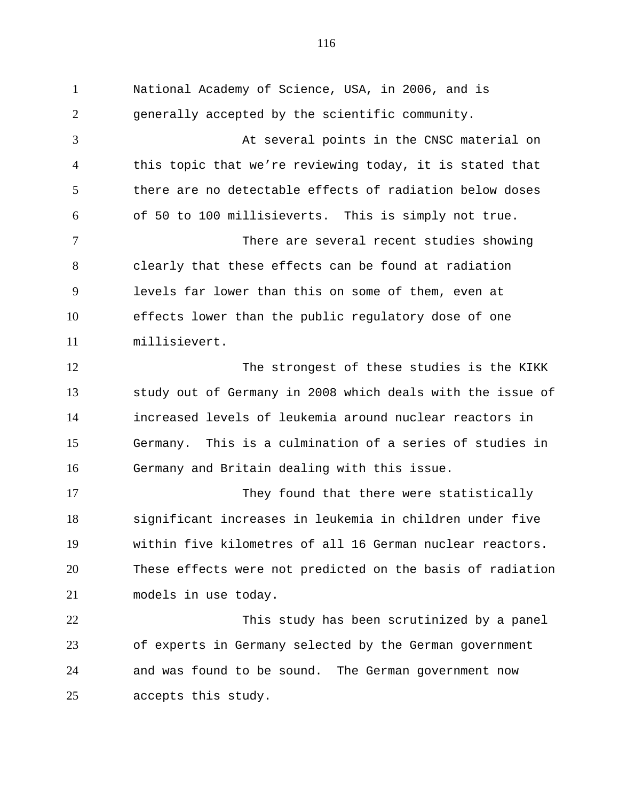National Academy of Science, USA, in 2006, and is generally accepted by the scientific community. At several points in the CNSC material on this topic that we're reviewing today, it is stated that there are no detectable effects of radiation below doses of 50 to 100 millisieverts. This is simply not true. There are several recent studies showing clearly that these effects can be found at radiation levels far lower than this on some of them, even at effects lower than the public regulatory dose of one millisievert. 12 The strongest of these studies is the KIKK study out of Germany in 2008 which deals with the issue of increased levels of leukemia around nuclear reactors in Germany. This is a culmination of a series of studies in Germany and Britain dealing with this issue. They found that there were statistically significant increases in leukemia in children under five within five kilometres of all 16 German nuclear reactors. These effects were not predicted on the basis of radiation models in use today. This study has been scrutinized by a panel of experts in Germany selected by the German government and was found to be sound. The German government now accepts this study.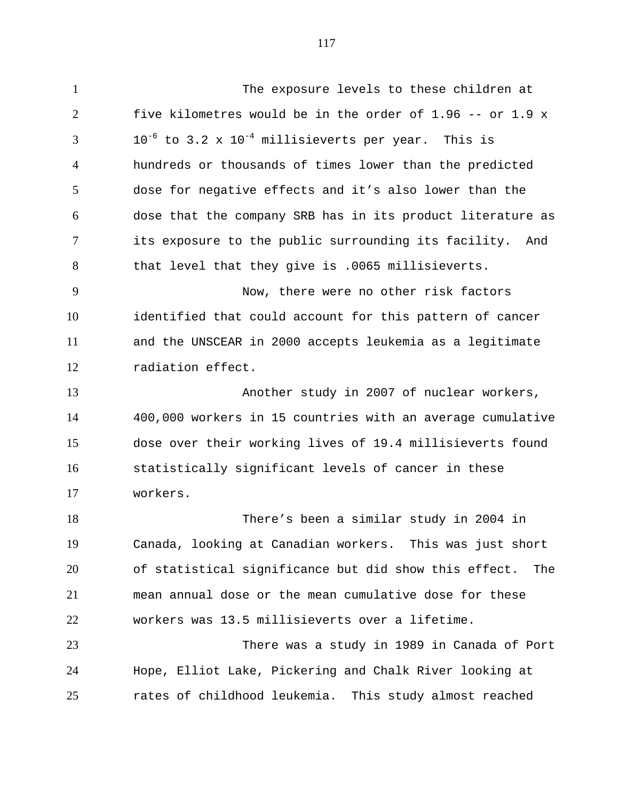The exposure levels to these children at five kilometres would be in the order of 1.96 -- or 1.9 x  $10^{-6}$  to 3.2 x  $10^{-4}$  millisieverts per year. This is hundreds or thousands of times lower than the predicted dose for negative effects and it's also lower than the dose that the company SRB has in its product literature as its exposure to the public surrounding its facility. And that level that they give is .0065 millisieverts. Now, there were no other risk factors identified that could account for this pattern of cancer and the UNSCEAR in 2000 accepts leukemia as a legitimate radiation effect. Another study in 2007 of nuclear workers, 400,000 workers in 15 countries with an average cumulative dose over their working lives of 19.4 millisieverts found statistically significant levels of cancer in these workers. There's been a similar study in 2004 in Canada, looking at Canadian workers. This was just short of statistical significance but did show this effect. The mean annual dose or the mean cumulative dose for these workers was 13.5 millisieverts over a lifetime. There was a study in 1989 in Canada of Port Hope, Elliot Lake, Pickering and Chalk River looking at rates of childhood leukemia. This study almost reached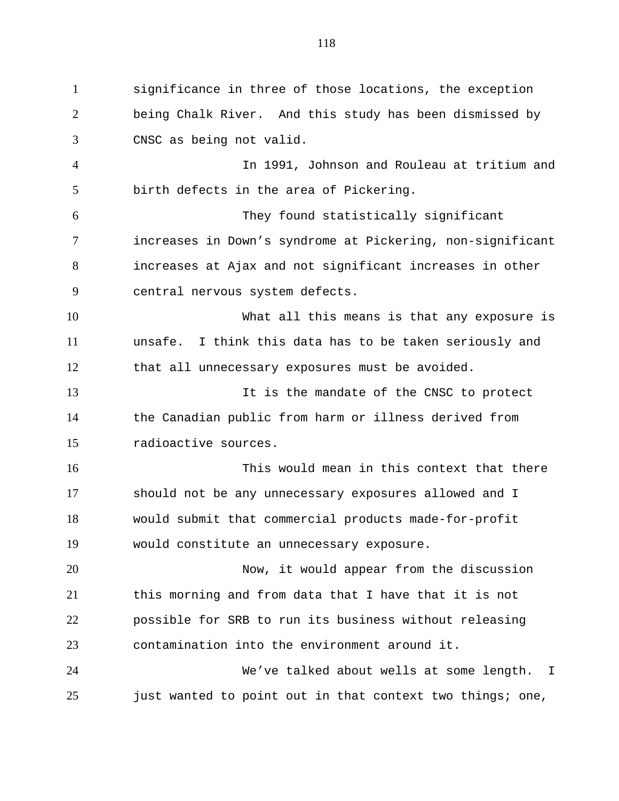significance in three of those locations, the exception being Chalk River. And this study has been dismissed by CNSC as being not valid. In 1991, Johnson and Rouleau at tritium and birth defects in the area of Pickering. They found statistically significant increases in Down's syndrome at Pickering, non-significant increases at Ajax and not significant increases in other central nervous system defects. What all this means is that any exposure is unsafe. I think this data has to be taken seriously and that all unnecessary exposures must be avoided. It is the mandate of the CNSC to protect the Canadian public from harm or illness derived from radioactive sources. This would mean in this context that there should not be any unnecessary exposures allowed and I would submit that commercial products made-for-profit would constitute an unnecessary exposure. Now, it would appear from the discussion this morning and from data that I have that it is not possible for SRB to run its business without releasing contamination into the environment around it. We've talked about wells at some length. I just wanted to point out in that context two things; one,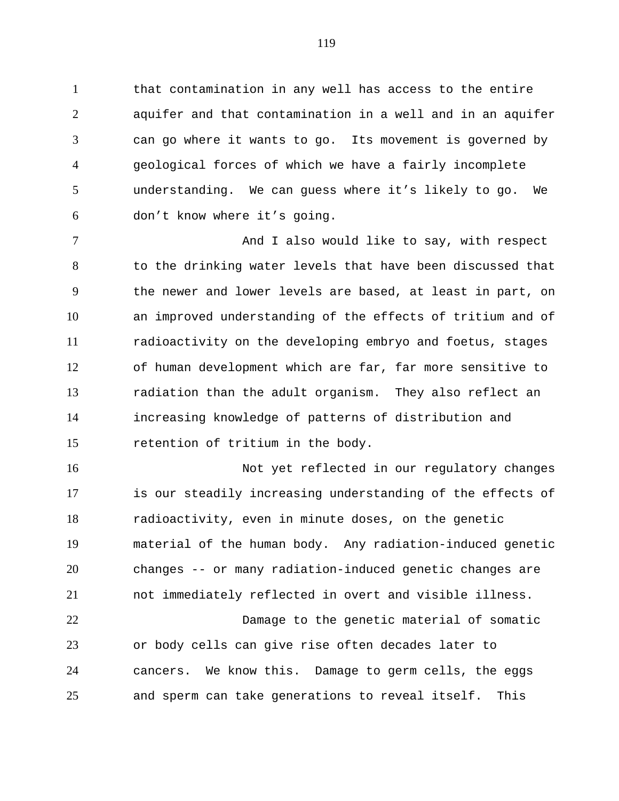that contamination in any well has access to the entire aquifer and that contamination in a well and in an aquifer can go where it wants to go. Its movement is governed by geological forces of which we have a fairly incomplete understanding. We can guess where it's likely to go. We don't know where it's going.

7 And I also would like to say, with respect to the drinking water levels that have been discussed that the newer and lower levels are based, at least in part, on an improved understanding of the effects of tritium and of radioactivity on the developing embryo and foetus, stages of human development which are far, far more sensitive to radiation than the adult organism. They also reflect an increasing knowledge of patterns of distribution and retention of tritium in the body.

16 Not yet reflected in our regulatory changes is our steadily increasing understanding of the effects of radioactivity, even in minute doses, on the genetic material of the human body. Any radiation-induced genetic changes -- or many radiation-induced genetic changes are not immediately reflected in overt and visible illness.

 Damage to the genetic material of somatic or body cells can give rise often decades later to cancers. We know this. Damage to germ cells, the eggs and sperm can take generations to reveal itself. This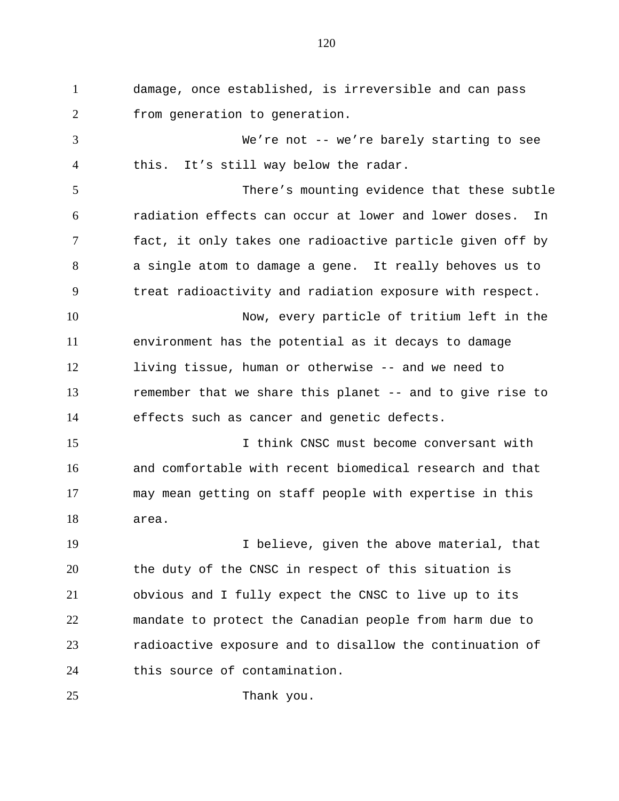damage, once established, is irreversible and can pass 2 from generation to generation. We're not -- we're barely starting to see this. It's still way below the radar. There's mounting evidence that these subtle radiation effects can occur at lower and lower doses. In fact, it only takes one radioactive particle given off by a single atom to damage a gene. It really behoves us to treat radioactivity and radiation exposure with respect. Now, every particle of tritium left in the environment has the potential as it decays to damage living tissue, human or otherwise -- and we need to remember that we share this planet -- and to give rise to effects such as cancer and genetic defects. I think CNSC must become conversant with and comfortable with recent biomedical research and that may mean getting on staff people with expertise in this area. I believe, given the above material, that the duty of the CNSC in respect of this situation is obvious and I fully expect the CNSC to live up to its mandate to protect the Canadian people from harm due to radioactive exposure and to disallow the continuation of this source of contamination.

25 Thank you.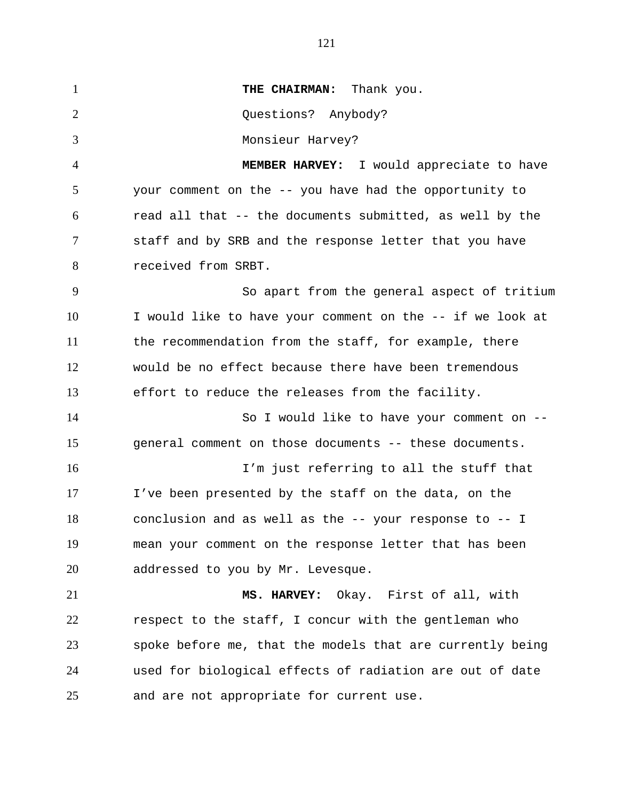**THE CHAIRMAN:** Thank you. Questions? Anybody? Monsieur Harvey? **MEMBER HARVEY:** I would appreciate to have your comment on the -- you have had the opportunity to read all that -- the documents submitted, as well by the staff and by SRB and the response letter that you have received from SRBT. So apart from the general aspect of tritium I would like to have your comment on the -- if we look at the recommendation from the staff, for example, there would be no effect because there have been tremendous effort to reduce the releases from the facility. So I would like to have your comment on -- general comment on those documents -- these documents. I'm just referring to all the stuff that I've been presented by the staff on the data, on the conclusion and as well as the -- your response to -- I mean your comment on the response letter that has been 20 addressed to you by Mr. Levesque. **MS. HARVEY:** Okay. First of all, with respect to the staff, I concur with the gentleman who spoke before me, that the models that are currently being used for biological effects of radiation are out of date and are not appropriate for current use.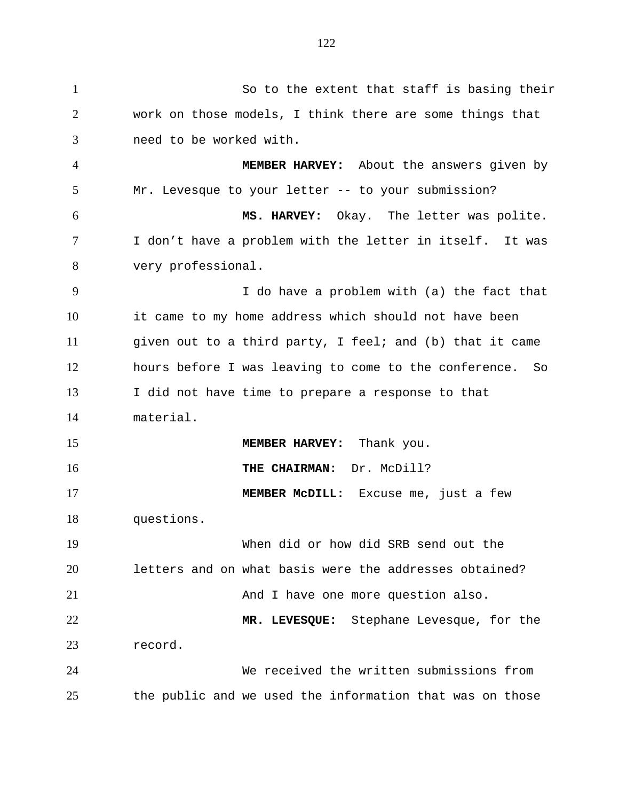So to the extent that staff is basing their work on those models, I think there are some things that need to be worked with. **MEMBER HARVEY:** About the answers given by Mr. Levesque to your letter -- to your submission? **MS. HARVEY:** Okay. The letter was polite. I don't have a problem with the letter in itself. It was very professional. I do have a problem with (a) the fact that it came to my home address which should not have been given out to a third party, I feel; and (b) that it came hours before I was leaving to come to the conference. So I did not have time to prepare a response to that material. 15 MEMBER HARVEY: Thank you. **THE CHAIRMAN:** Dr. McDill? **MEMBER McDILL:** Excuse me, just a few questions. When did or how did SRB send out the letters and on what basis were the addresses obtained? 21 And I have one more question also. **MR. LEVESQUE:** Stephane Levesque, for the record. We received the written submissions from the public and we used the information that was on those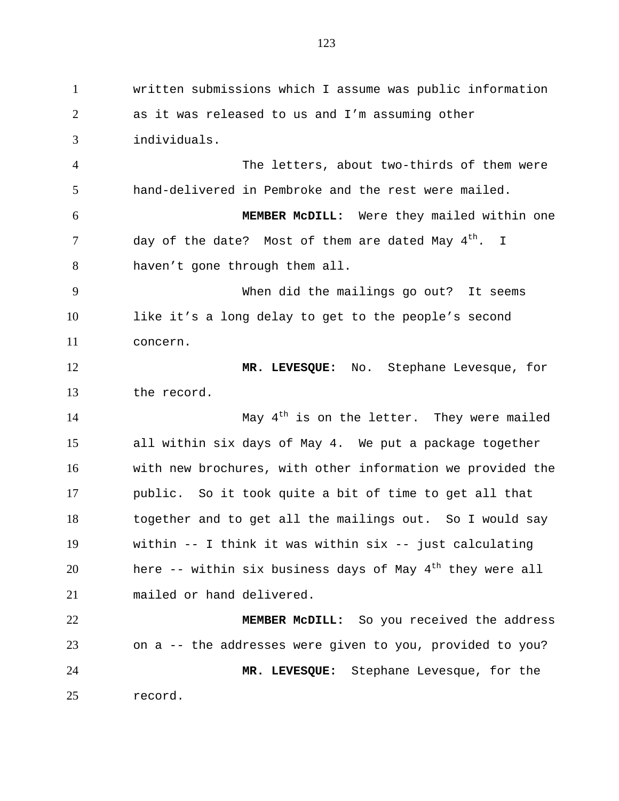written submissions which I assume was public information as it was released to us and I'm assuming other individuals. The letters, about two-thirds of them were hand-delivered in Pembroke and the rest were mailed. **MEMBER McDILL:** Were they mailed within one day of the date? Most of them are dated May  $4^{\text{th}}$ . I haven't gone through them all. When did the mailings go out? It seems like it's a long delay to get to the people's second concern. **MR. LEVESQUE:** No. Stephane Levesque, for the record. 14 May 4<sup>th</sup> is on the letter. They were mailed all within six days of May 4. We put a package together with new brochures, with other information we provided the public. So it took quite a bit of time to get all that together and to get all the mailings out. So I would say within -- I think it was within six -- just calculating 20 here  $-$ - within six business days of May  $4<sup>th</sup>$  they were all mailed or hand delivered. **MEMBER McDILL:** So you received the address on a -- the addresses were given to you, provided to you? **MR. LEVESQUE:** Stephane Levesque, for the record.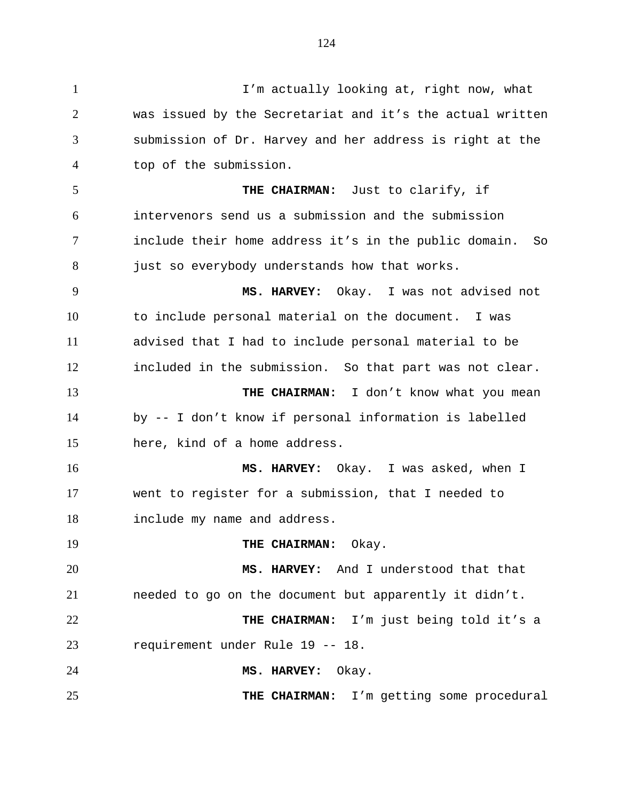I'm actually looking at, right now, what was issued by the Secretariat and it's the actual written submission of Dr. Harvey and her address is right at the top of the submission. **THE CHAIRMAN:** Just to clarify, if intervenors send us a submission and the submission include their home address it's in the public domain. So 8 just so everybody understands how that works. **MS. HARVEY:** Okay. I was not advised not to include personal material on the document. I was advised that I had to include personal material to be included in the submission. So that part was not clear. **THE CHAIRMAN:** I don't know what you mean by -- I don't know if personal information is labelled here, kind of a home address. **MS. HARVEY:** Okay. I was asked, when I went to register for a submission, that I needed to include my name and address. **THE CHAIRMAN:** Okay. **MS. HARVEY:** And I understood that that needed to go on the document but apparently it didn't. **THE CHAIRMAN:** I'm just being told it's a requirement under Rule 19 -- 18. **MS. HARVEY:** Okay. **THE CHAIRMAN:** I'm getting some procedural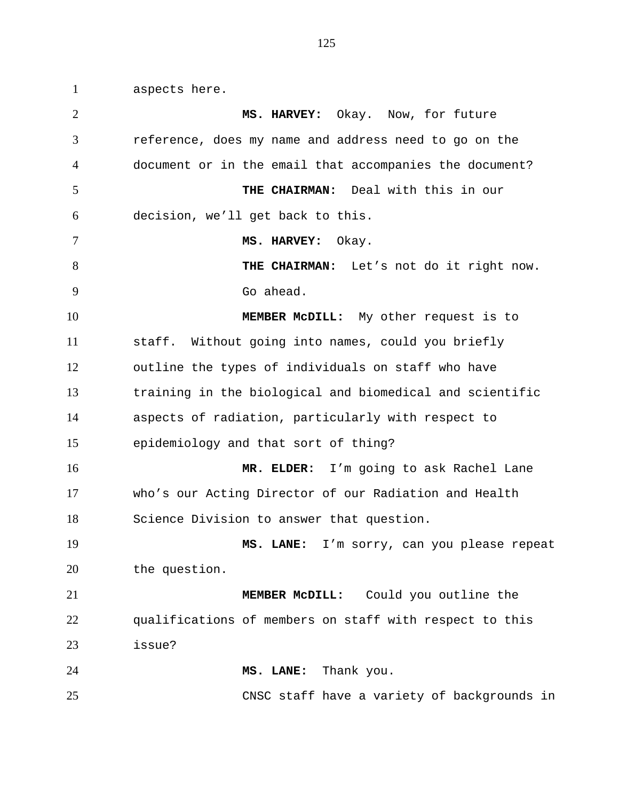aspects here.

 **MS. HARVEY:** Okay. Now, for future reference, does my name and address need to go on the document or in the email that accompanies the document? **THE CHAIRMAN:** Deal with this in our decision, we'll get back to this. **MS. HARVEY:** Okay. 8 THE CHAIRMAN: Let's not do it right now. Go ahead. **MEMBER McDILL:** My other request is to staff. Without going into names, could you briefly outline the types of individuals on staff who have training in the biological and biomedical and scientific aspects of radiation, particularly with respect to epidemiology and that sort of thing? **MR. ELDER:** I'm going to ask Rachel Lane who's our Acting Director of our Radiation and Health Science Division to answer that question. **MS. LANE:** I'm sorry, can you please repeat the question. **MEMBER McDILL:** Could you outline the qualifications of members on staff with respect to this issue? **MS. LANE:** Thank you. CNSC staff have a variety of backgrounds in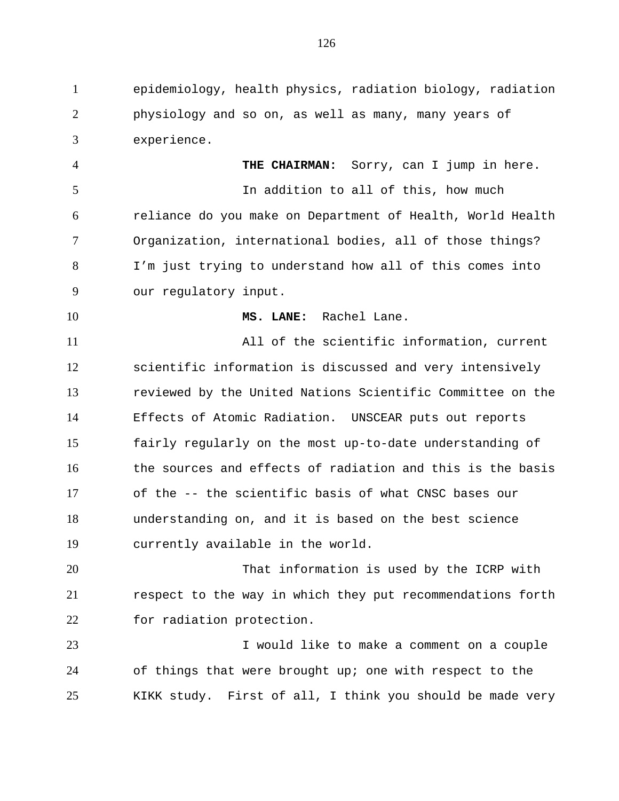epidemiology, health physics, radiation biology, radiation physiology and so on, as well as many, many years of experience.

 **THE CHAIRMAN:** Sorry, can I jump in here. In addition to all of this, how much reliance do you make on Department of Health, World Health Organization, international bodies, all of those things? I'm just trying to understand how all of this comes into our regulatory input.

**MS. LANE:** Rachel Lane.

 All of the scientific information, current scientific information is discussed and very intensively reviewed by the United Nations Scientific Committee on the Effects of Atomic Radiation. UNSCEAR puts out reports fairly regularly on the most up-to-date understanding of the sources and effects of radiation and this is the basis of the -- the scientific basis of what CNSC bases our understanding on, and it is based on the best science currently available in the world.

 That information is used by the ICRP with respect to the way in which they put recommendations forth for radiation protection.

 I would like to make a comment on a couple of things that were brought up; one with respect to the KIKK study. First of all, I think you should be made very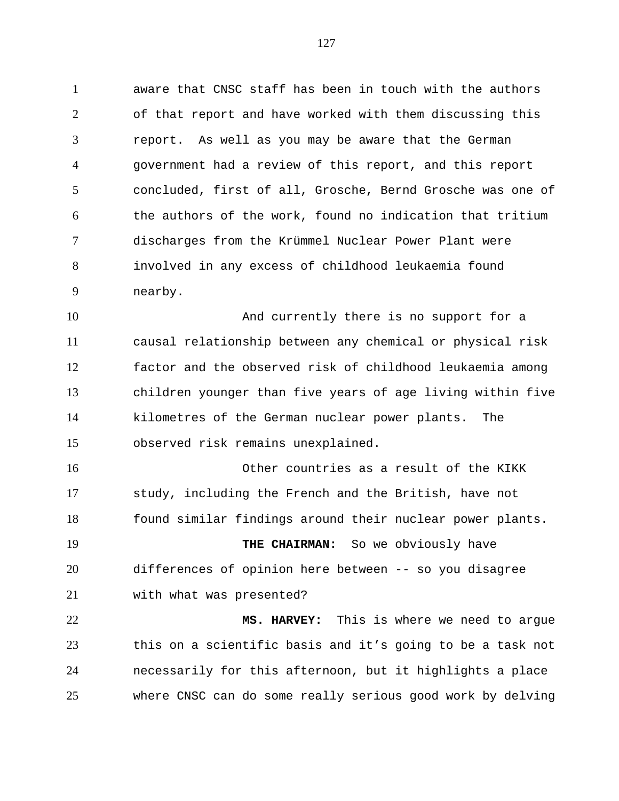aware that CNSC staff has been in touch with the authors of that report and have worked with them discussing this report. As well as you may be aware that the German government had a review of this report, and this report concluded, first of all, Grosche, Bernd Grosche was one of the authors of the work, found no indication that tritium discharges from the Krümmel Nuclear Power Plant were involved in any excess of childhood leukaemia found nearby.

 And currently there is no support for a causal relationship between any chemical or physical risk factor and the observed risk of childhood leukaemia among children younger than five years of age living within five kilometres of the German nuclear power plants. The observed risk remains unexplained.

 Other countries as a result of the KIKK study, including the French and the British, have not found similar findings around their nuclear power plants.

 **THE CHAIRMAN:** So we obviously have differences of opinion here between -- so you disagree with what was presented?

 **MS. HARVEY:** This is where we need to argue this on a scientific basis and it's going to be a task not necessarily for this afternoon, but it highlights a place where CNSC can do some really serious good work by delving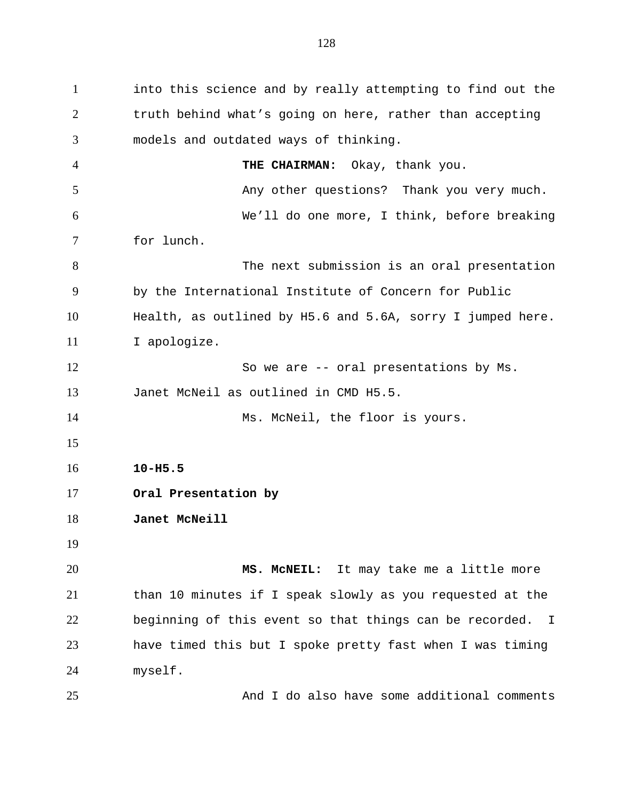into this science and by really attempting to find out the truth behind what's going on here, rather than accepting models and outdated ways of thinking. **THE CHAIRMAN:** Okay, thank you. 5 Any other questions? Thank you very much. We'll do one more, I think, before breaking for lunch. 8 The next submission is an oral presentation by the International Institute of Concern for Public Health, as outlined by H5.6 and 5.6A, sorry I jumped here. I apologize. So we are -- oral presentations by Ms. Janet McNeil as outlined in CMD H5.5. 14 Ms. McNeil, the floor is yours. **10-H5.5 Oral Presentation by Janet McNeill MS. McNEIL:** It may take me a little more than 10 minutes if I speak slowly as you requested at the beginning of this event so that things can be recorded. I have timed this but I spoke pretty fast when I was timing myself.

And I do also have some additional comments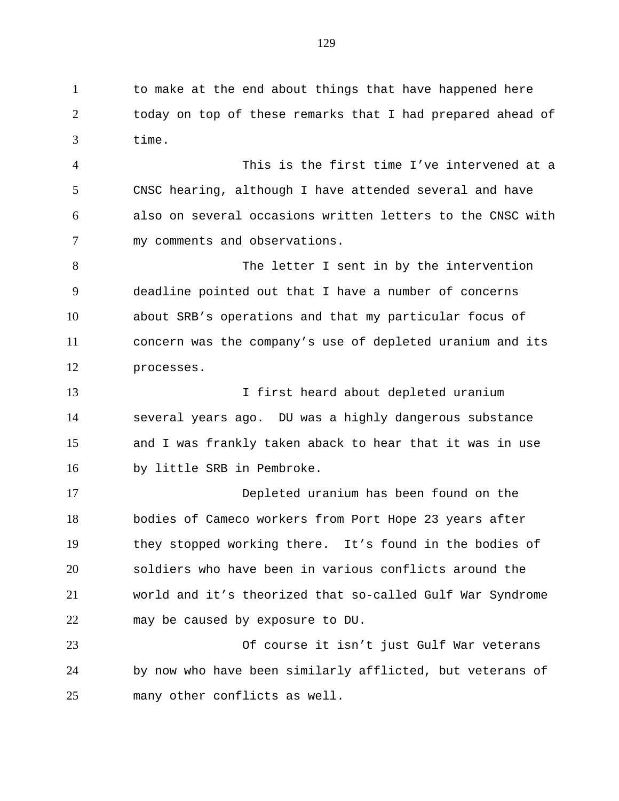1 to make at the end about things that have happened here today on top of these remarks that I had prepared ahead of time.

 This is the first time I've intervened at a CNSC hearing, although I have attended several and have also on several occasions written letters to the CNSC with my comments and observations.

8 The letter I sent in by the intervention deadline pointed out that I have a number of concerns about SRB's operations and that my particular focus of concern was the company's use of depleted uranium and its processes.

 I first heard about depleted uranium several years ago. DU was a highly dangerous substance and I was frankly taken aback to hear that it was in use by little SRB in Pembroke.

 Depleted uranium has been found on the bodies of Cameco workers from Port Hope 23 years after they stopped working there. It's found in the bodies of soldiers who have been in various conflicts around the world and it's theorized that so-called Gulf War Syndrome may be caused by exposure to DU.

 Of course it isn't just Gulf War veterans by now who have been similarly afflicted, but veterans of many other conflicts as well.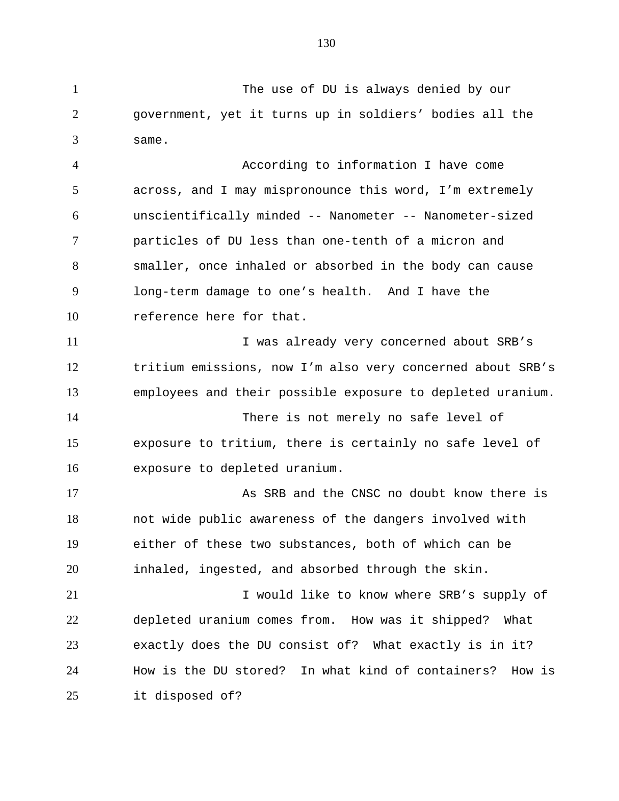The use of DU is always denied by our

 government, yet it turns up in soldiers' bodies all the same.

 According to information I have come across, and I may mispronounce this word, I'm extremely unscientifically minded -- Nanometer -- Nanometer-sized particles of DU less than one-tenth of a micron and smaller, once inhaled or absorbed in the body can cause long-term damage to one's health. And I have the 10 reference here for that.

11 I was already very concerned about SRB's tritium emissions, now I'm also very concerned about SRB's employees and their possible exposure to depleted uranium.

 There is not merely no safe level of exposure to tritium, there is certainly no safe level of exposure to depleted uranium.

17 As SRB and the CNSC no doubt know there is not wide public awareness of the dangers involved with either of these two substances, both of which can be inhaled, ingested, and absorbed through the skin.

21 I would like to know where SRB's supply of depleted uranium comes from. How was it shipped? What exactly does the DU consist of? What exactly is in it? How is the DU stored? In what kind of containers? How is it disposed of?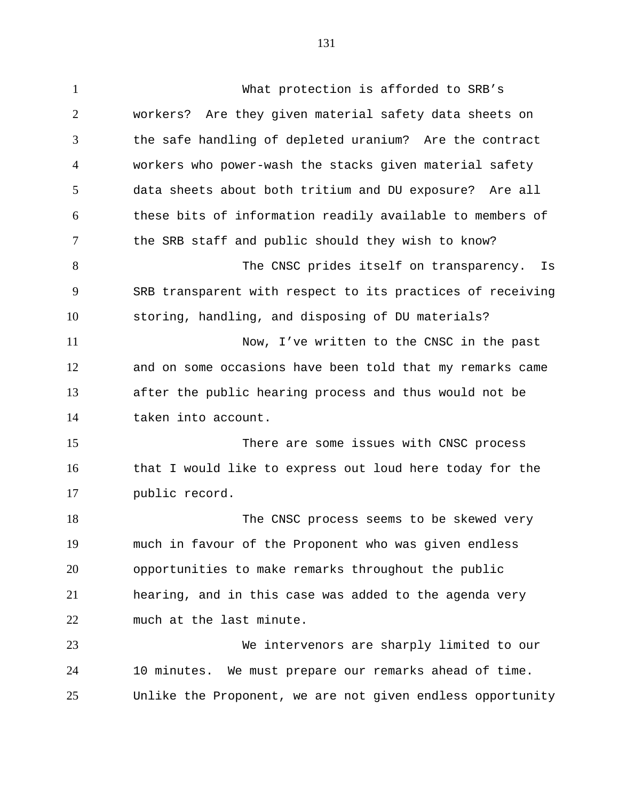What protection is afforded to SRB's workers? Are they given material safety data sheets on the safe handling of depleted uranium? Are the contract workers who power-wash the stacks given material safety data sheets about both tritium and DU exposure? Are all these bits of information readily available to members of the SRB staff and public should they wish to know? 8 The CNSC prides itself on transparency. Is SRB transparent with respect to its practices of receiving storing, handling, and disposing of DU materials? Now, I've written to the CNSC in the past and on some occasions have been told that my remarks came after the public hearing process and thus would not be taken into account. There are some issues with CNSC process that I would like to express out loud here today for the public record. 18 The CNSC process seems to be skewed very much in favour of the Proponent who was given endless opportunities to make remarks throughout the public hearing, and in this case was added to the agenda very

 much at the last minute. We intervenors are sharply limited to our

 10 minutes. We must prepare our remarks ahead of time. Unlike the Proponent, we are not given endless opportunity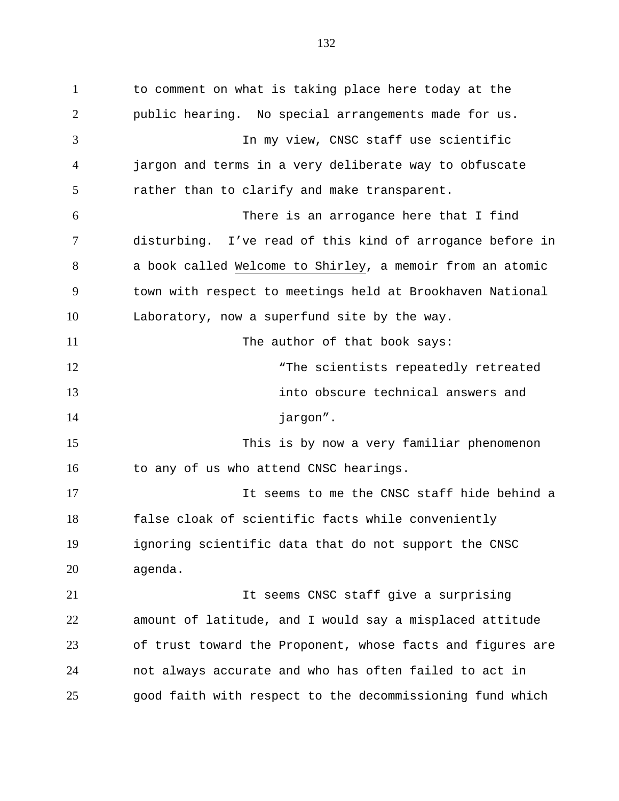to comment on what is taking place here today at the public hearing. No special arrangements made for us. In my view, CNSC staff use scientific jargon and terms in a very deliberate way to obfuscate rather than to clarify and make transparent. There is an arrogance here that I find disturbing. I've read of this kind of arrogance before in a book called Welcome to Shirley, a memoir from an atomic town with respect to meetings held at Brookhaven National Laboratory, now a superfund site by the way. 11 The author of that book says: 12 The scientists repeatedly retreated into obscure technical answers and 14 jargon". This is by now a very familiar phenomenon 16 to any of us who attend CNSC hearings. It seems to me the CNSC staff hide behind a false cloak of scientific facts while conveniently ignoring scientific data that do not support the CNSC agenda. It seems CNSC staff give a surprising amount of latitude, and I would say a misplaced attitude of trust toward the Proponent, whose facts and figures are not always accurate and who has often failed to act in good faith with respect to the decommissioning fund which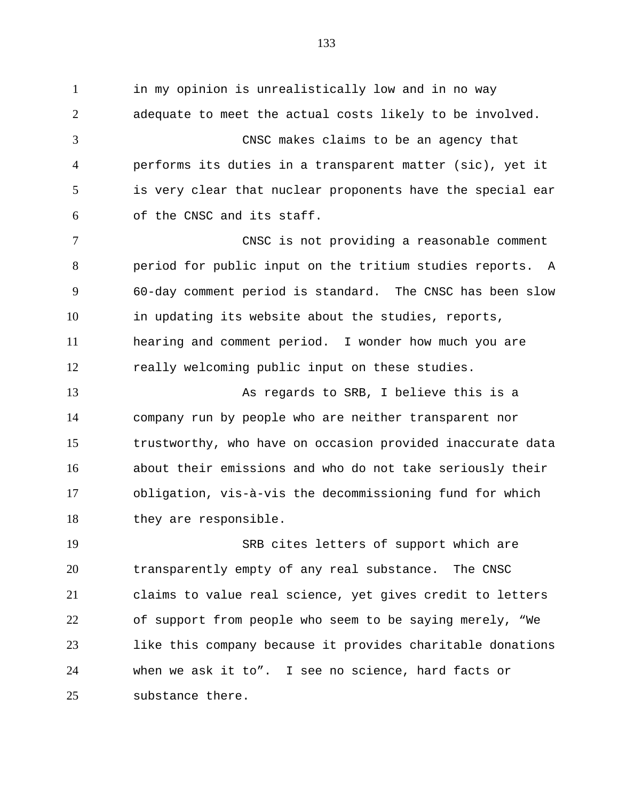in my opinion is unrealistically low and in no way adequate to meet the actual costs likely to be involved. CNSC makes claims to be an agency that performs its duties in a transparent matter (sic), yet it is very clear that nuclear proponents have the special ear of the CNSC and its staff. CNSC is not providing a reasonable comment period for public input on the tritium studies reports. A 60-day comment period is standard. The CNSC has been slow in updating its website about the studies, reports, hearing and comment period. I wonder how much you are really welcoming public input on these studies. As regards to SRB, I believe this is a company run by people who are neither transparent nor trustworthy, who have on occasion provided inaccurate data about their emissions and who do not take seriously their obligation, vis-à-vis the decommissioning fund for which

 SRB cites letters of support which are transparently empty of any real substance. The CNSC claims to value real science, yet gives credit to letters of support from people who seem to be saying merely, "We like this company because it provides charitable donations when we ask it to". I see no science, hard facts or substance there.

they are responsible.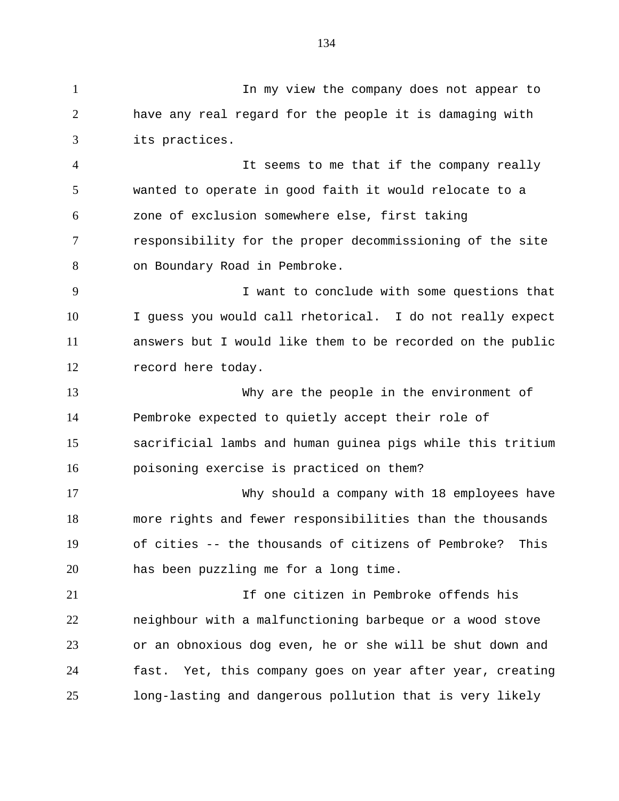In my view the company does not appear to have any real regard for the people it is damaging with its practices.

 It seems to me that if the company really wanted to operate in good faith it would relocate to a zone of exclusion somewhere else, first taking responsibility for the proper decommissioning of the site on Boundary Road in Pembroke.

 I want to conclude with some questions that I guess you would call rhetorical. I do not really expect answers but I would like them to be recorded on the public record here today.

 Why are the people in the environment of Pembroke expected to quietly accept their role of sacrificial lambs and human guinea pigs while this tritium poisoning exercise is practiced on them?

 Why should a company with 18 employees have more rights and fewer responsibilities than the thousands of cities -- the thousands of citizens of Pembroke? This has been puzzling me for a long time.

 If one citizen in Pembroke offends his neighbour with a malfunctioning barbeque or a wood stove or an obnoxious dog even, he or she will be shut down and fast. Yet, this company goes on year after year, creating long-lasting and dangerous pollution that is very likely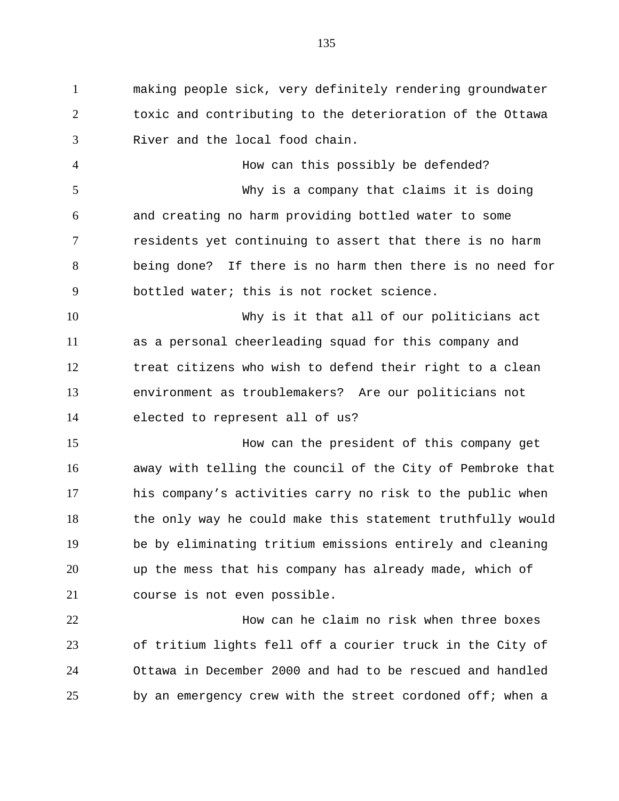making people sick, very definitely rendering groundwater toxic and contributing to the deterioration of the Ottawa River and the local food chain.

 How can this possibly be defended? Why is a company that claims it is doing and creating no harm providing bottled water to some residents yet continuing to assert that there is no harm being done? If there is no harm then there is no need for bottled water; this is not rocket science.

 Why is it that all of our politicians act as a personal cheerleading squad for this company and treat citizens who wish to defend their right to a clean environment as troublemakers? Are our politicians not elected to represent all of us?

 How can the president of this company get away with telling the council of the City of Pembroke that his company's activities carry no risk to the public when the only way he could make this statement truthfully would be by eliminating tritium emissions entirely and cleaning up the mess that his company has already made, which of course is not even possible.

 How can he claim no risk when three boxes of tritium lights fell off a courier truck in the City of Ottawa in December 2000 and had to be rescued and handled by an emergency crew with the street cordoned off; when a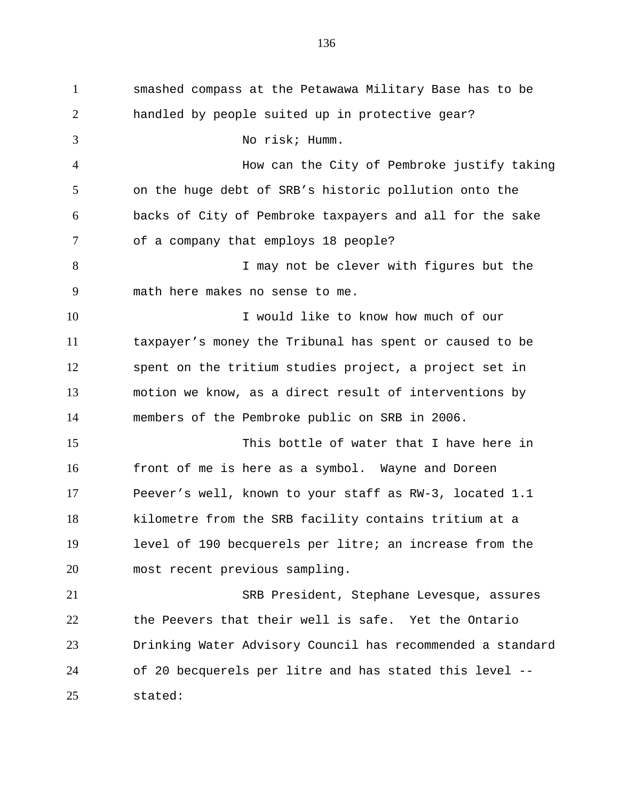smashed compass at the Petawawa Military Base has to be handled by people suited up in protective gear? No risk; Humm. How can the City of Pembroke justify taking on the huge debt of SRB's historic pollution onto the backs of City of Pembroke taxpayers and all for the sake of a company that employs 18 people? 8 I may not be clever with figures but the math here makes no sense to me. I would like to know how much of our taxpayer's money the Tribunal has spent or caused to be spent on the tritium studies project, a project set in motion we know, as a direct result of interventions by members of the Pembroke public on SRB in 2006. This bottle of water that I have here in front of me is here as a symbol. Wayne and Doreen Peever's well, known to your staff as RW-3, located 1.1 kilometre from the SRB facility contains tritium at a level of 190 becquerels per litre; an increase from the most recent previous sampling. SRB President, Stephane Levesque, assures the Peevers that their well is safe. Yet the Ontario Drinking Water Advisory Council has recommended a standard of 20 becquerels per litre and has stated this level -- stated: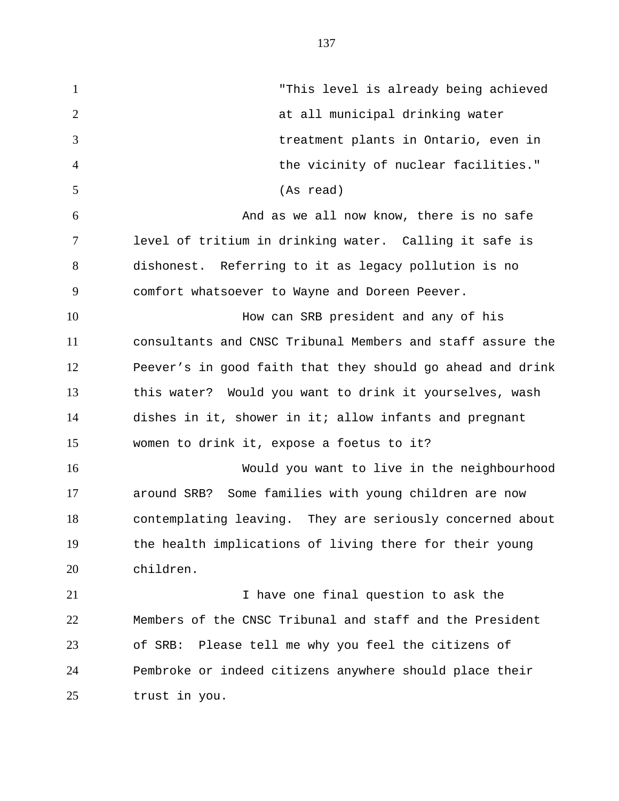"This level is already being achieved at all municipal drinking water treatment plants in Ontario, even in the vicinity of nuclear facilities." (As read) And as we all now know, there is no safe level of tritium in drinking water. Calling it safe is dishonest. Referring to it as legacy pollution is no comfort whatsoever to Wayne and Doreen Peever. How can SRB president and any of his consultants and CNSC Tribunal Members and staff assure the Peever's in good faith that they should go ahead and drink this water? Would you want to drink it yourselves, wash dishes in it, shower in it; allow infants and pregnant women to drink it, expose a foetus to it? Would you want to live in the neighbourhood around SRB? Some families with young children are now contemplating leaving. They are seriously concerned about the health implications of living there for their young children. I have one final question to ask the Members of the CNSC Tribunal and staff and the President of SRB: Please tell me why you feel the citizens of

Pembroke or indeed citizens anywhere should place their

trust in you.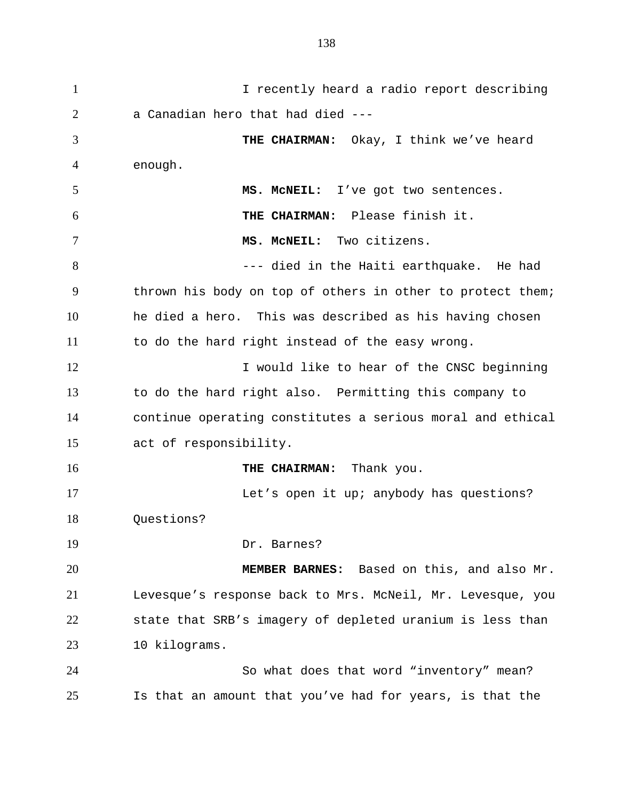I recently heard a radio report describing a Canadian hero that had died --- **THE CHAIRMAN:** Okay, I think we've heard enough. **MS. McNEIL:** I've got two sentences. **THE CHAIRMAN:** Please finish it. **MS. McNEIL:** Two citizens. --- died in the Haiti earthquake. He had thrown his body on top of others in other to protect them; he died a hero. This was described as his having chosen to do the hard right instead of the easy wrong. 12 I would like to hear of the CNSC beginning to do the hard right also. Permitting this company to continue operating constitutes a serious moral and ethical act of responsibility. **THE CHAIRMAN:** Thank you. Let's open it up; anybody has questions? Questions? Dr. Barnes? **MEMBER BARNES:** Based on this, and also Mr. Levesque's response back to Mrs. McNeil, Mr. Levesque, you state that SRB's imagery of depleted uranium is less than 10 kilograms. So what does that word "inventory" mean? Is that an amount that you've had for years, is that the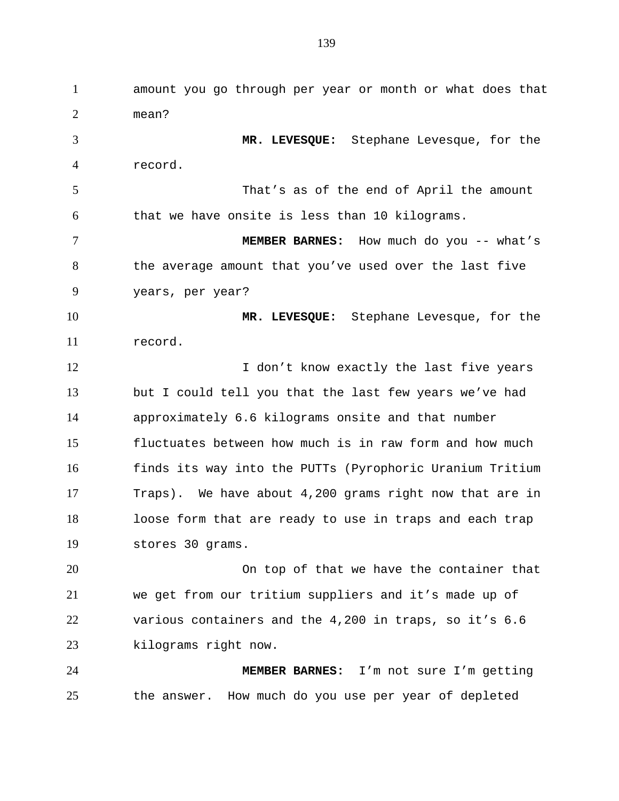amount you go through per year or month or what does that mean? **MR. LEVESQUE:** Stephane Levesque, for the record. That's as of the end of April the amount that we have onsite is less than 10 kilograms. **MEMBER BARNES:** How much do you -- what's 8 the average amount that you've used over the last five years, per year? **MR. LEVESQUE:** Stephane Levesque, for the record. 12 I don't know exactly the last five years but I could tell you that the last few years we've had approximately 6.6 kilograms onsite and that number fluctuates between how much is in raw form and how much finds its way into the PUTTs (Pyrophoric Uranium Tritium Traps). We have about 4,200 grams right now that are in loose form that are ready to use in traps and each trap stores 30 grams. On top of that we have the container that we get from our tritium suppliers and it's made up of various containers and the 4,200 in traps, so it's 6.6 kilograms right now. **MEMBER BARNES:** I'm not sure I'm getting the answer. How much do you use per year of depleted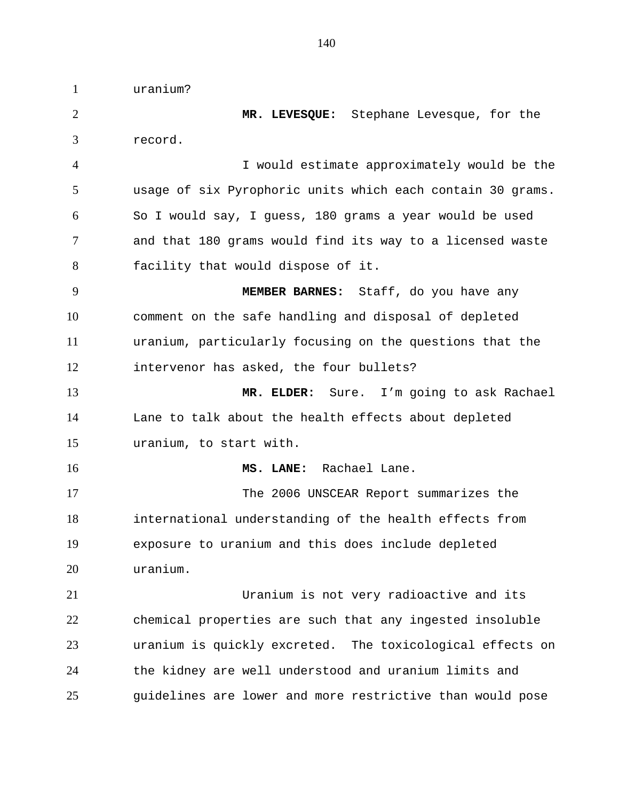uranium?

 **MR. LEVESQUE:** Stephane Levesque, for the record. I would estimate approximately would be the usage of six Pyrophoric units which each contain 30 grams. So I would say, I guess, 180 grams a year would be used and that 180 grams would find its way to a licensed waste facility that would dispose of it. **MEMBER BARNES:** Staff, do you have any comment on the safe handling and disposal of depleted uranium, particularly focusing on the questions that the intervenor has asked, the four bullets? **MR. ELDER:** Sure. I'm going to ask Rachael Lane to talk about the health effects about depleted uranium, to start with. **MS. LANE:** Rachael Lane. The 2006 UNSCEAR Report summarizes the international understanding of the health effects from exposure to uranium and this does include depleted uranium. Uranium is not very radioactive and its chemical properties are such that any ingested insoluble uranium is quickly excreted. The toxicological effects on the kidney are well understood and uranium limits and guidelines are lower and more restrictive than would pose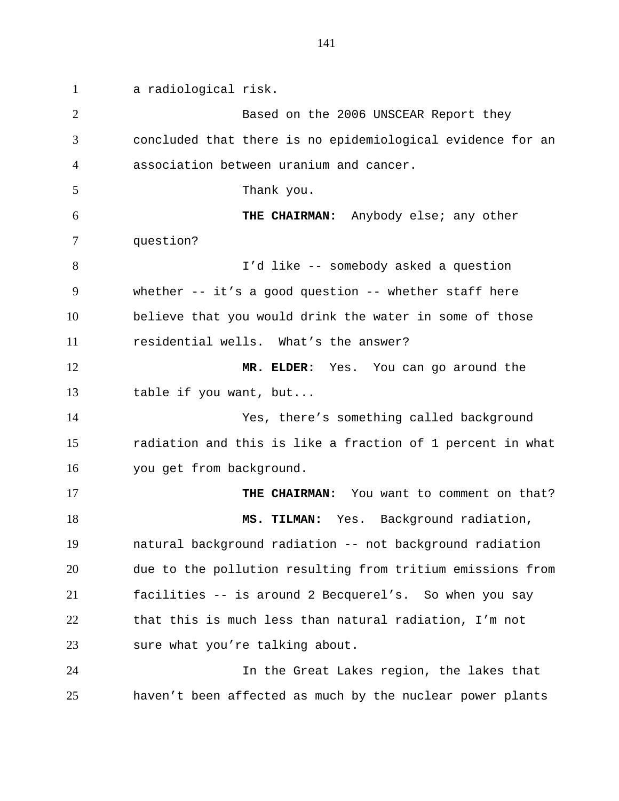a radiological risk. Based on the 2006 UNSCEAR Report they concluded that there is no epidemiological evidence for an association between uranium and cancer. Thank you. **THE CHAIRMAN:** Anybody else; any other question? I'd like -- somebody asked a question whether -- it's a good question -- whether staff here believe that you would drink the water in some of those residential wells. What's the answer? **MR. ELDER:** Yes. You can go around the table if you want, but... Yes, there's something called background radiation and this is like a fraction of 1 percent in what you get from background. **THE CHAIRMAN:** You want to comment on that? 18 MS. TILMAN: Yes. Background radiation, natural background radiation -- not background radiation due to the pollution resulting from tritium emissions from facilities -- is around 2 Becquerel's. So when you say that this is much less than natural radiation, I'm not sure what you're talking about. In the Great Lakes region, the lakes that haven't been affected as much by the nuclear power plants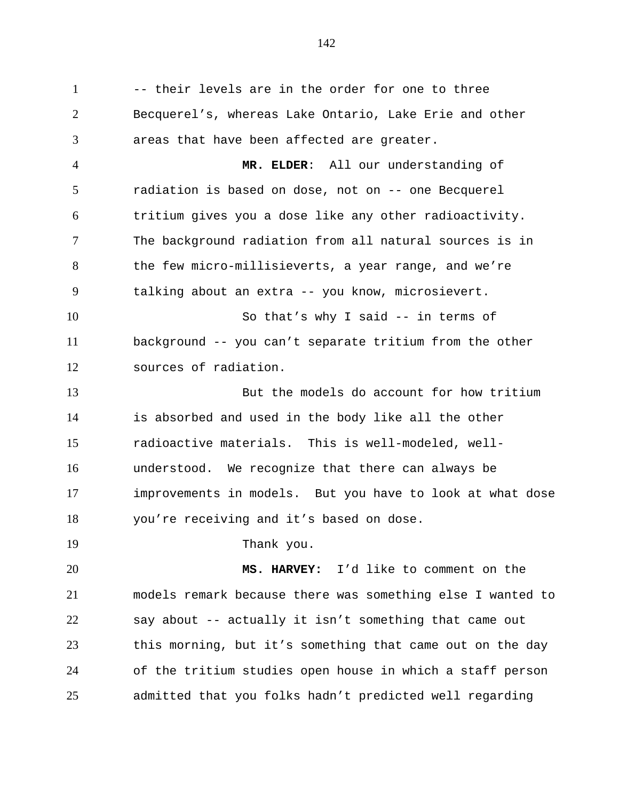1 -- their levels are in the order for one to three Becquerel's, whereas Lake Ontario, Lake Erie and other areas that have been affected are greater.

 **MR. ELDER**: All our understanding of radiation is based on dose, not on -- one Becquerel tritium gives you a dose like any other radioactivity. The background radiation from all natural sources is in the few micro-millisieverts, a year range, and we're talking about an extra -- you know, microsievert.

 So that's why I said -- in terms of background -- you can't separate tritium from the other sources of radiation.

 But the models do account for how tritium is absorbed and used in the body like all the other radioactive materials. This is well-modeled, well- understood. We recognize that there can always be improvements in models. But you have to look at what dose you're receiving and it's based on dose.

19 Thank you.

 **MS. HARVEY:** I'd like to comment on the models remark because there was something else I wanted to say about -- actually it isn't something that came out this morning, but it's something that came out on the day of the tritium studies open house in which a staff person admitted that you folks hadn't predicted well regarding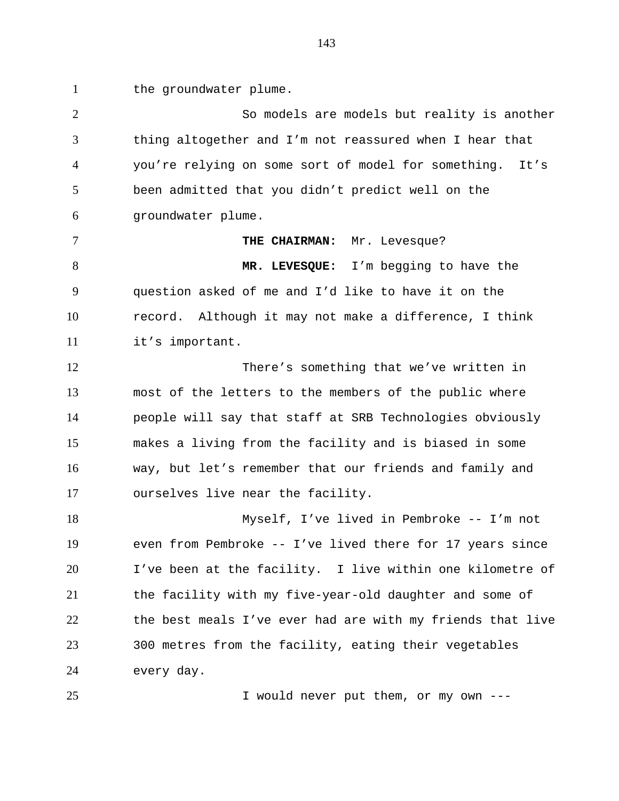1 the groundwater plume.

 So models are models but reality is another thing altogether and I'm not reassured when I hear that you're relying on some sort of model for something. It's been admitted that you didn't predict well on the groundwater plume. **THE CHAIRMAN:** Mr. Levesque? **MR. LEVESQUE:** I'm begging to have the question asked of me and I'd like to have it on the record. Although it may not make a difference, I think it's important. There's something that we've written in most of the letters to the members of the public where people will say that staff at SRB Technologies obviously makes a living from the facility and is biased in some way, but let's remember that our friends and family and ourselves live near the facility. Myself, I've lived in Pembroke -- I'm not even from Pembroke -- I've lived there for 17 years since I've been at the facility. I live within one kilometre of the facility with my five-year-old daughter and some of the best meals I've ever had are with my friends that live 300 metres from the facility, eating their vegetables

every day.

I would never put them, or my own ---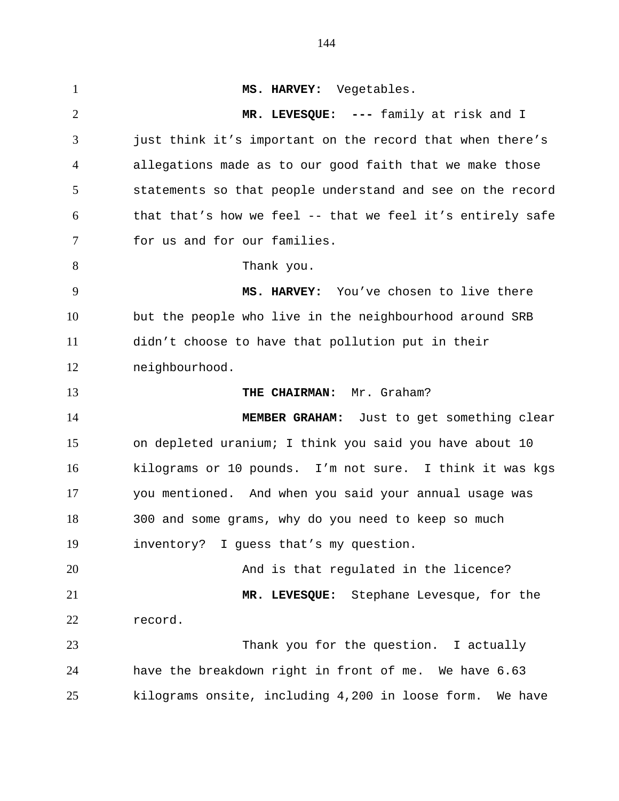**MS. HARVEY:** Vegetables. **MR. LEVESQUE: ---** family at risk and I just think it's important on the record that when there's allegations made as to our good faith that we make those statements so that people understand and see on the record that that's how we feel -- that we feel it's entirely safe for us and for our families. 8 Thank you. **MS. HARVEY:** You've chosen to live there but the people who live in the neighbourhood around SRB didn't choose to have that pollution put in their neighbourhood. **THE CHAIRMAN:** Mr. Graham? **MEMBER GRAHAM:** Just to get something clear on depleted uranium; I think you said you have about 10 kilograms or 10 pounds. I'm not sure. I think it was kgs you mentioned. And when you said your annual usage was 300 and some grams, why do you need to keep so much inventory? I guess that's my question. And is that regulated in the licence? **MR. LEVESQUE:** Stephane Levesque, for the record. Thank you for the question. I actually have the breakdown right in front of me. We have 6.63 kilograms onsite, including 4,200 in loose form. We have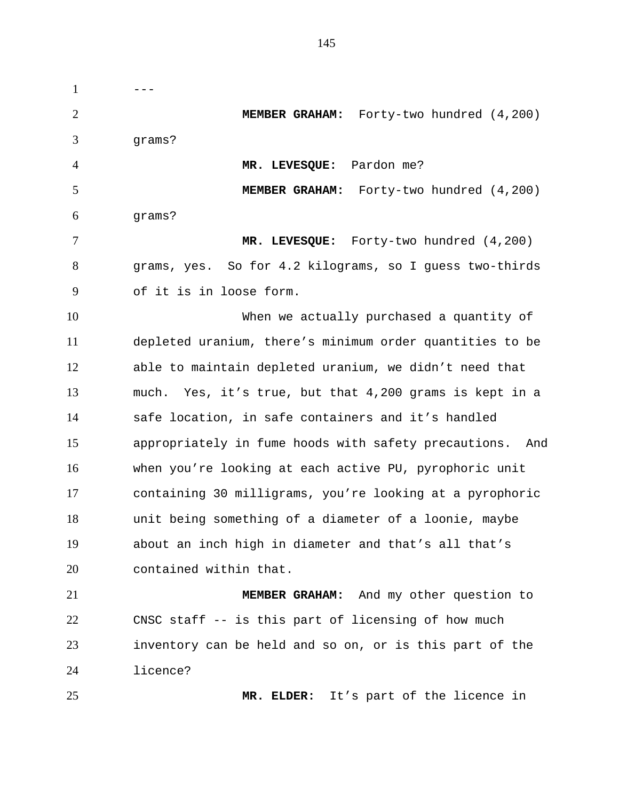$1 \qquad \qquad \qquad \text{---}$  **MEMBER GRAHAM:** Forty-two hundred (4,200) grams? **MR. LEVESQUE:** Pardon me? **MEMBER GRAHAM:** Forty-two hundred (4,200) grams? **MR. LEVESQUE:** Forty-two hundred (4,200) grams, yes. So for 4.2 kilograms, so I guess two-thirds of it is in loose form. When we actually purchased a quantity of depleted uranium, there's minimum order quantities to be able to maintain depleted uranium, we didn't need that much. Yes, it's true, but that 4,200 grams is kept in a safe location, in safe containers and it's handled appropriately in fume hoods with safety precautions. And when you're looking at each active PU, pyrophoric unit containing 30 milligrams, you're looking at a pyrophoric unit being something of a diameter of a loonie, maybe about an inch high in diameter and that's all that's contained within that. **MEMBER GRAHAM:** And my other question to CNSC staff -- is this part of licensing of how much inventory can be held and so on, or is this part of the licence? **MR. ELDER:** It's part of the licence in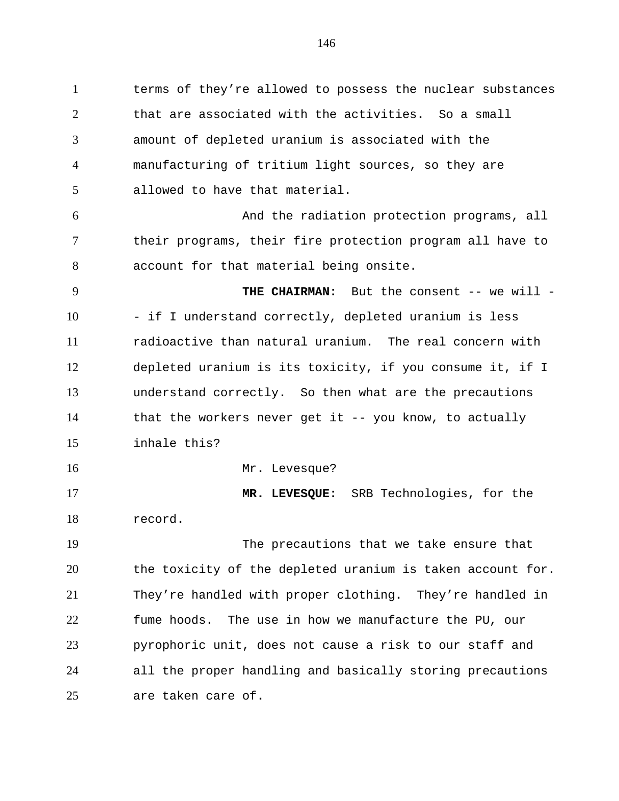terms of they're allowed to possess the nuclear substances that are associated with the activities. So a small amount of depleted uranium is associated with the manufacturing of tritium light sources, so they are allowed to have that material. And the radiation protection programs, all their programs, their fire protection program all have to account for that material being onsite. **THE CHAIRMAN:** But the consent -- we will - 10 - if I understand correctly, depleted uranium is less radioactive than natural uranium. The real concern with depleted uranium is its toxicity, if you consume it, if I understand correctly. So then what are the precautions that the workers never get it -- you know, to actually inhale this? 16 Mr. Levesque? **MR. LEVESQUE:** SRB Technologies, for the record. The precautions that we take ensure that the toxicity of the depleted uranium is taken account for. They're handled with proper clothing. They're handled in fume hoods. The use in how we manufacture the PU, our pyrophoric unit, does not cause a risk to our staff and all the proper handling and basically storing precautions are taken care of.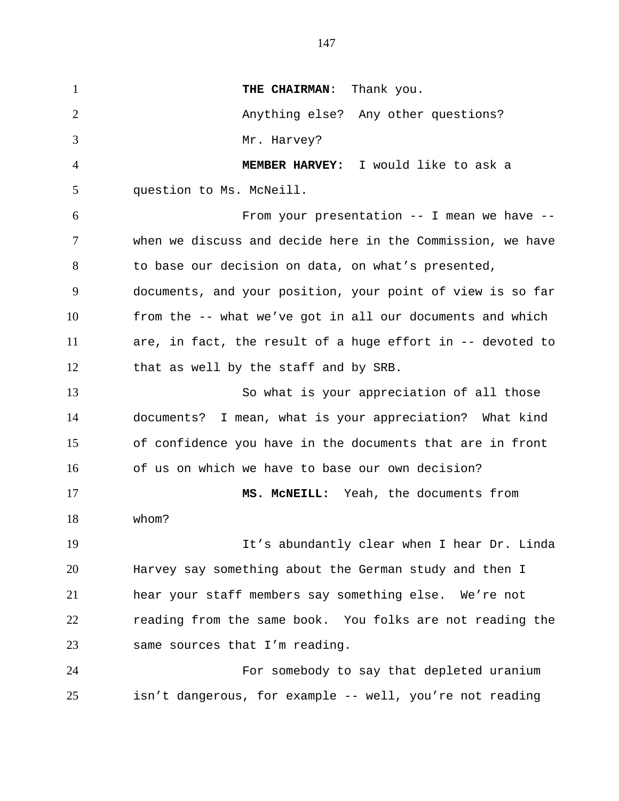**THE CHAIRMAN:** Thank you. 2 Anything else? Any other questions? Mr. Harvey? **MEMBER HARVEY:** I would like to ask a question to Ms. McNeill. From your presentation -- I mean we have -- when we discuss and decide here in the Commission, we have to base our decision on data, on what's presented, documents, and your position, your point of view is so far from the -- what we've got in all our documents and which are, in fact, the result of a huge effort in -- devoted to that as well by the staff and by SRB. So what is your appreciation of all those documents? I mean, what is your appreciation? What kind of confidence you have in the documents that are in front of us on which we have to base our own decision? **MS. McNEILL:** Yeah, the documents from whom? It's abundantly clear when I hear Dr. Linda Harvey say something about the German study and then I hear your staff members say something else. We're not reading from the same book. You folks are not reading the same sources that I'm reading. For somebody to say that depleted uranium isn't dangerous, for example -- well, you're not reading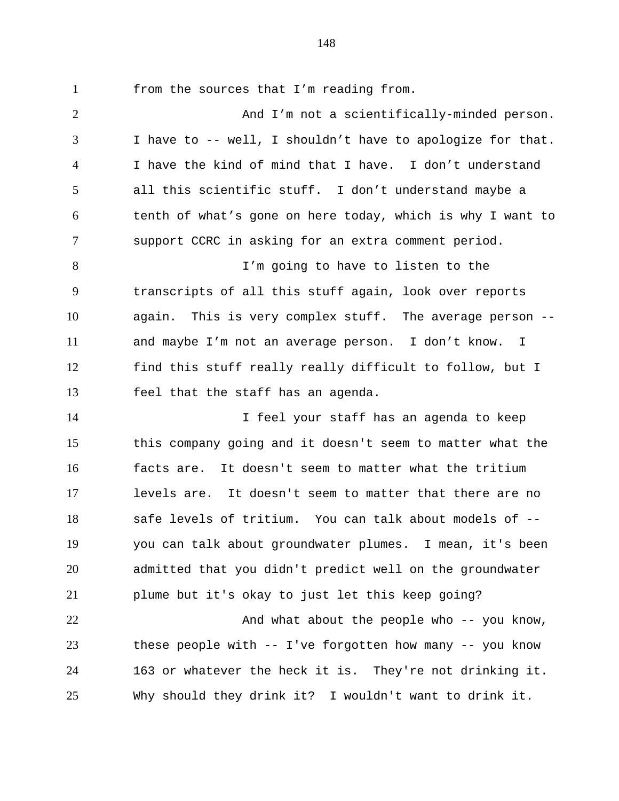from the sources that I'm reading from.

 And I'm not a scientifically-minded person. I have to -- well, I shouldn't have to apologize for that. I have the kind of mind that I have. I don't understand all this scientific stuff. I don't understand maybe a tenth of what's gone on here today, which is why I want to support CCRC in asking for an extra comment period. I'm going to have to listen to the transcripts of all this stuff again, look over reports again. This is very complex stuff. The average person -- and maybe I'm not an average person. I don't know. I find this stuff really really difficult to follow, but I feel that the staff has an agenda. I feel your staff has an agenda to keep this company going and it doesn't seem to matter what the facts are. It doesn't seem to matter what the tritium levels are. It doesn't seem to matter that there are no safe levels of tritium. You can talk about models of -- you can talk about groundwater plumes. I mean, it's been admitted that you didn't predict well on the groundwater plume but it's okay to just let this keep going? 22 And what about the people who -- you know, these people with -- I've forgotten how many -- you know 163 or whatever the heck it is. They're not drinking it. Why should they drink it? I wouldn't want to drink it.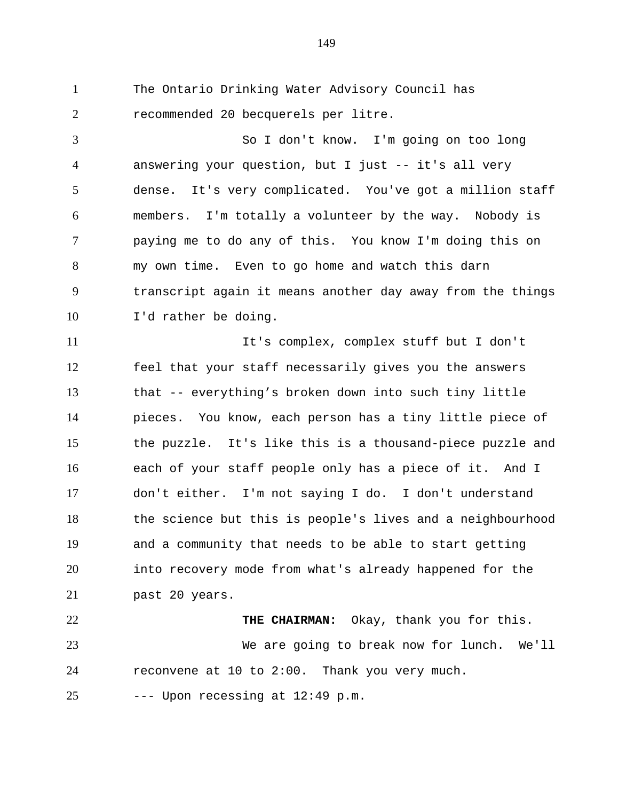The Ontario Drinking Water Advisory Council has recommended 20 becquerels per litre.

 So I don't know. I'm going on too long answering your question, but I just -- it's all very dense. It's very complicated. You've got a million staff members. I'm totally a volunteer by the way. Nobody is paying me to do any of this. You know I'm doing this on my own time. Even to go home and watch this darn transcript again it means another day away from the things I'd rather be doing.

 It's complex, complex stuff but I don't feel that your staff necessarily gives you the answers that -- everything's broken down into such tiny little pieces. You know, each person has a tiny little piece of the puzzle. It's like this is a thousand-piece puzzle and each of your staff people only has a piece of it. And I don't either. I'm not saying I do. I don't understand the science but this is people's lives and a neighbourhood and a community that needs to be able to start getting into recovery mode from what's already happened for the past 20 years.

 **THE CHAIRMAN:** Okay, thank you for this. We are going to break now for lunch. We'll reconvene at 10 to 2:00. Thank you very much.

--- Upon recessing at  $12:49$  p.m.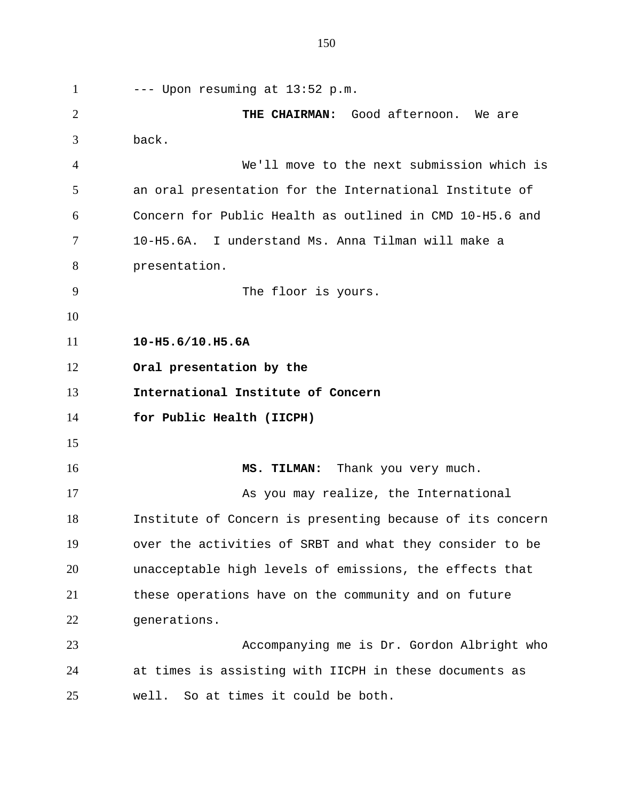--- Upon resuming at  $13:52$  p.m. **THE CHAIRMAN:** Good afternoon. We are back. We'll move to the next submission which is an oral presentation for the International Institute of Concern for Public Health as outlined in CMD 10-H5.6 and 10-H5.6A. I understand Ms. Anna Tilman will make a presentation. The floor is yours. **10-H5.6/10.H5.6A Oral presentation by the International Institute of Concern for Public Health (IICPH)** 16 MS. TILMAN: Thank you very much. 17 As you may realize, the International Institute of Concern is presenting because of its concern over the activities of SRBT and what they consider to be unacceptable high levels of emissions, the effects that these operations have on the community and on future generations. Accompanying me is Dr. Gordon Albright who at times is assisting with IICPH in these documents as well. So at times it could be both.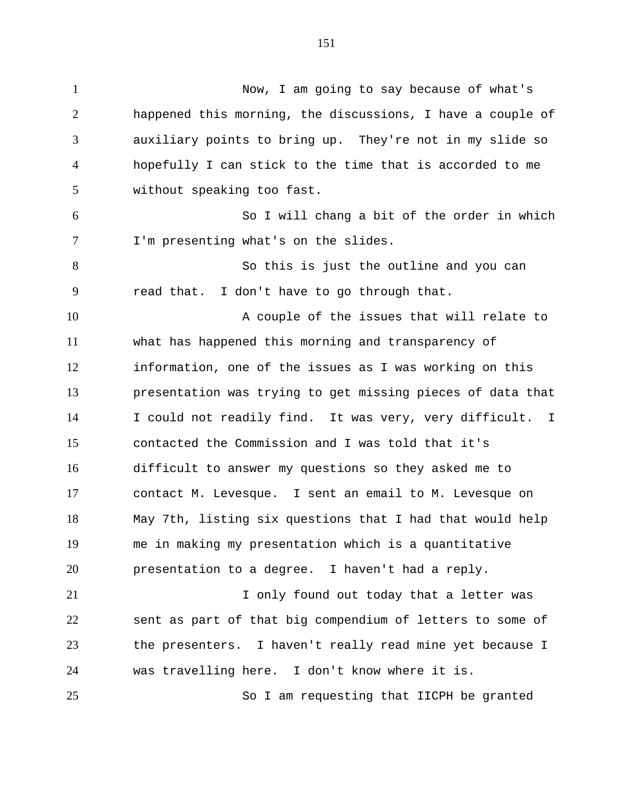Now, I am going to say because of what's happened this morning, the discussions, I have a couple of auxiliary points to bring up. They're not in my slide so hopefully I can stick to the time that is accorded to me without speaking too fast. So I will chang a bit of the order in which I'm presenting what's on the slides. So this is just the outline and you can read that. I don't have to go through that. 10 A couple of the issues that will relate to what has happened this morning and transparency of information, one of the issues as I was working on this presentation was trying to get missing pieces of data that I could not readily find. It was very, very difficult. I contacted the Commission and I was told that it's difficult to answer my questions so they asked me to contact M. Levesque. I sent an email to M. Levesque on May 7th, listing six questions that I had that would help me in making my presentation which is a quantitative presentation to a degree. I haven't had a reply. 21 1 1 Only found out today that a letter was sent as part of that big compendium of letters to some of the presenters. I haven't really read mine yet because I was travelling here. I don't know where it is. So I am requesting that IICPH be granted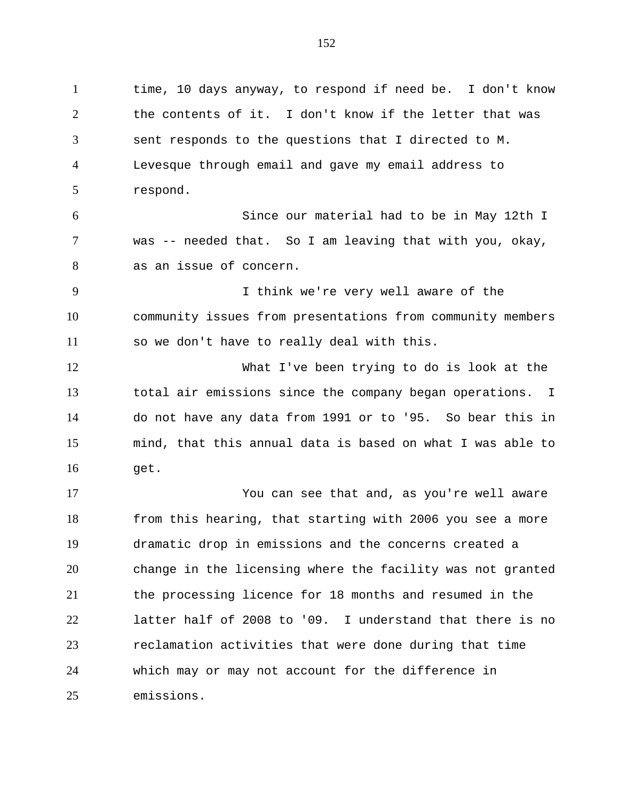time, 10 days anyway, to respond if need be. I don't know the contents of it. I don't know if the letter that was sent responds to the questions that I directed to M. Levesque through email and gave my email address to respond. Since our material had to be in May 12th I was -- needed that. So I am leaving that with you, okay, as an issue of concern. I think we're very well aware of the community issues from presentations from community members so we don't have to really deal with this. What I've been trying to do is look at the total air emissions since the company began operations. I do not have any data from 1991 or to '95. So bear this in mind, that this annual data is based on what I was able to get. You can see that and, as you're well aware from this hearing, that starting with 2006 you see a more dramatic drop in emissions and the concerns created a change in the licensing where the facility was not granted the processing licence for 18 months and resumed in the latter half of 2008 to '09. I understand that there is no reclamation activities that were done during that time which may or may not account for the difference in emissions.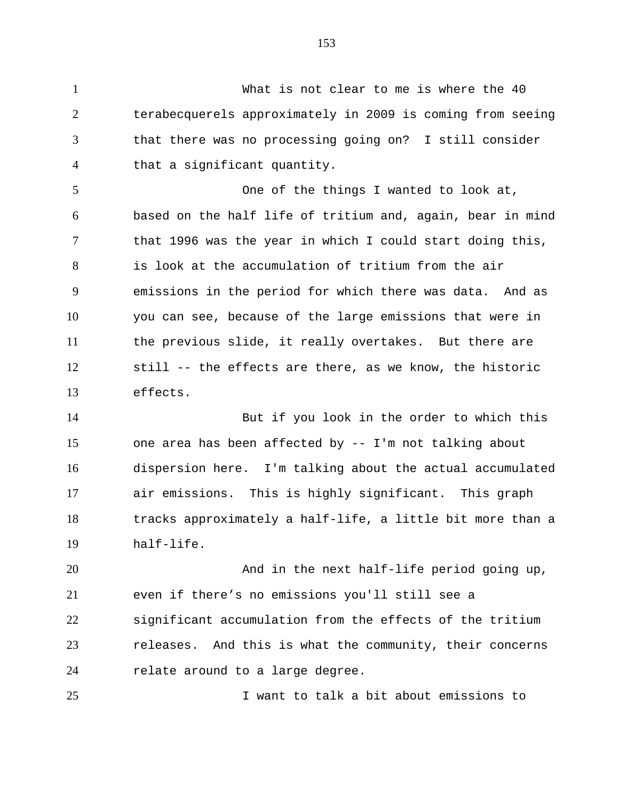What is not clear to me is where the 40 terabecquerels approximately in 2009 is coming from seeing that there was no processing going on? I still consider that a significant quantity.

 One of the things I wanted to look at, based on the half life of tritium and, again, bear in mind that 1996 was the year in which I could start doing this, is look at the accumulation of tritium from the air emissions in the period for which there was data. And as you can see, because of the large emissions that were in the previous slide, it really overtakes. But there are still -- the effects are there, as we know, the historic effects.

 But if you look in the order to which this one area has been affected by -- I'm not talking about dispersion here. I'm talking about the actual accumulated air emissions. This is highly significant. This graph tracks approximately a half-life, a little bit more than a half-life.

 And in the next half-life period going up, even if there's no emissions you'll still see a significant accumulation from the effects of the tritium releases. And this is what the community, their concerns relate around to a large degree.

I want to talk a bit about emissions to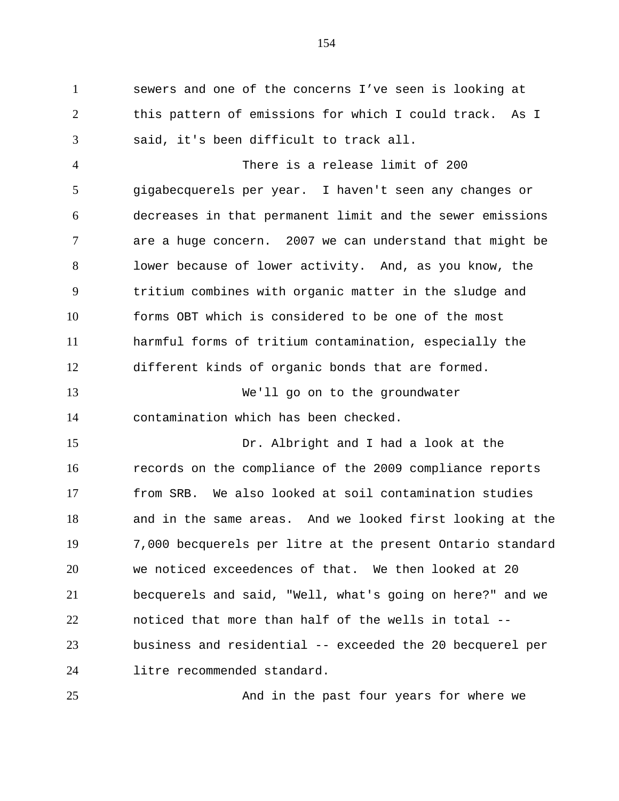sewers and one of the concerns I've seen is looking at this pattern of emissions for which I could track. As I said, it's been difficult to track all.

 There is a release limit of 200 gigabecquerels per year. I haven't seen any changes or decreases in that permanent limit and the sewer emissions are a huge concern. 2007 we can understand that might be lower because of lower activity. And, as you know, the tritium combines with organic matter in the sludge and forms OBT which is considered to be one of the most harmful forms of tritium contamination, especially the different kinds of organic bonds that are formed.

 We'll go on to the groundwater contamination which has been checked.

 Dr. Albright and I had a look at the records on the compliance of the 2009 compliance reports from SRB. We also looked at soil contamination studies and in the same areas. And we looked first looking at the 7,000 becquerels per litre at the present Ontario standard we noticed exceedences of that. We then looked at 20 becquerels and said, "Well, what's going on here?" and we noticed that more than half of the wells in total -- business and residential -- exceeded the 20 becquerel per litre recommended standard.

And in the past four years for where we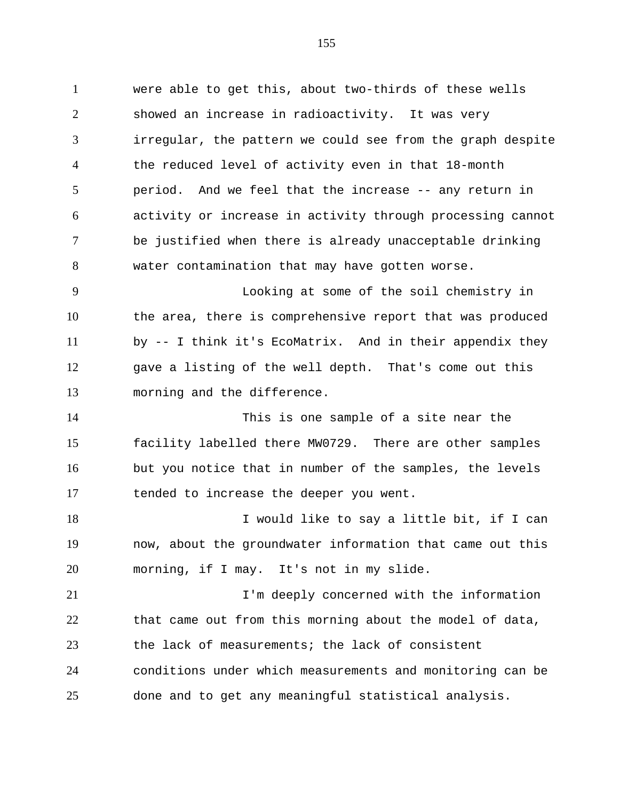were able to get this, about two-thirds of these wells showed an increase in radioactivity. It was very irregular, the pattern we could see from the graph despite the reduced level of activity even in that 18-month period. And we feel that the increase -- any return in activity or increase in activity through processing cannot be justified when there is already unacceptable drinking water contamination that may have gotten worse.

 Looking at some of the soil chemistry in the area, there is comprehensive report that was produced by -- I think it's EcoMatrix. And in their appendix they gave a listing of the well depth. That's come out this morning and the difference.

 This is one sample of a site near the facility labelled there MW0729. There are other samples but you notice that in number of the samples, the levels tended to increase the deeper you went.

18 I would like to say a little bit, if I can now, about the groundwater information that came out this morning, if I may. It's not in my slide.

**I'm deeply concerned with the information**  that came out from this morning about the model of data, the lack of measurements; the lack of consistent conditions under which measurements and monitoring can be done and to get any meaningful statistical analysis.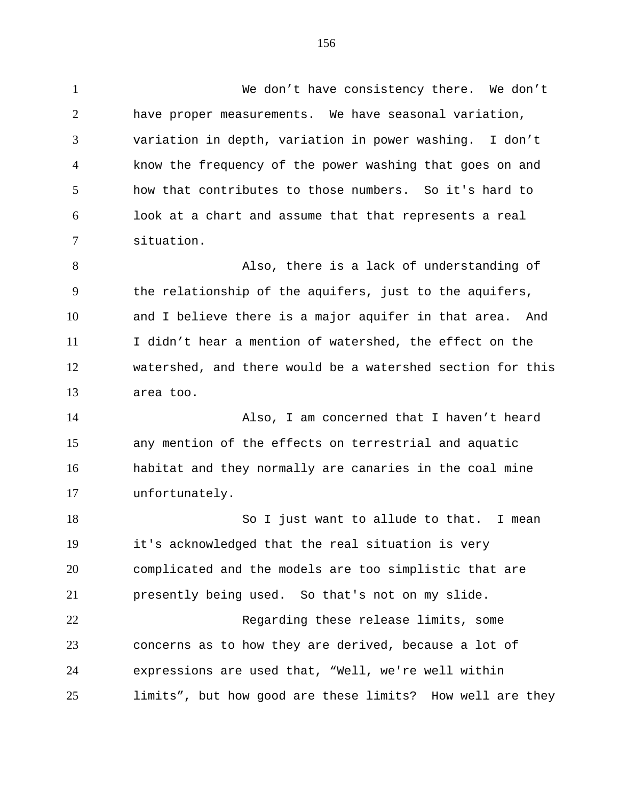We don't have consistency there. We don't have proper measurements. We have seasonal variation, variation in depth, variation in power washing. I don't know the frequency of the power washing that goes on and how that contributes to those numbers. So it's hard to look at a chart and assume that that represents a real situation. 8 Also, there is a lack of understanding of the relationship of the aquifers, just to the aquifers, and I believe there is a major aquifer in that area. And I didn't hear a mention of watershed, the effect on the watershed, and there would be a watershed section for this area too. Also, I am concerned that I haven't heard any mention of the effects on terrestrial and aquatic habitat and they normally are canaries in the coal mine unfortunately. 18 So I just want to allude to that. I mean it's acknowledged that the real situation is very complicated and the models are too simplistic that are presently being used. So that's not on my slide. Regarding these release limits, some concerns as to how they are derived, because a lot of expressions are used that, "Well, we're well within limits", but how good are these limits? How well are they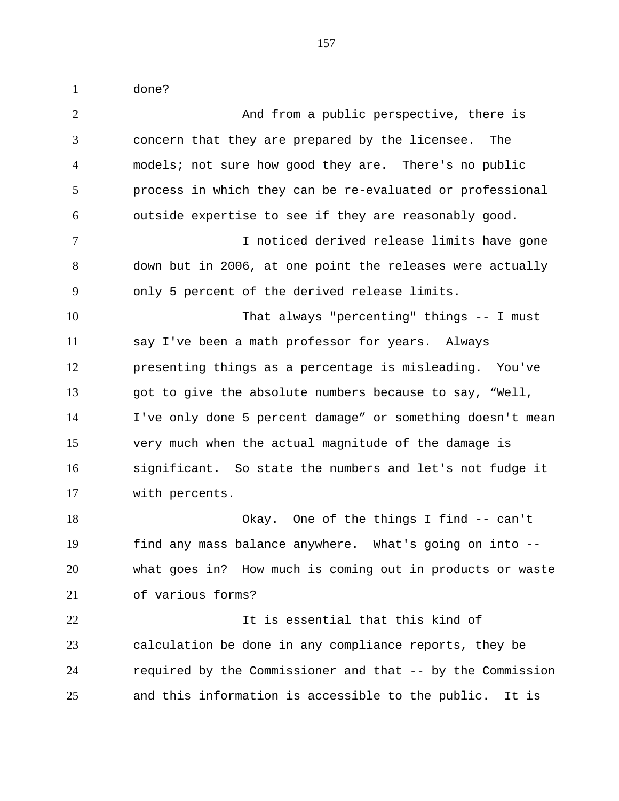done?

 And from a public perspective, there is concern that they are prepared by the licensee. The models; not sure how good they are. There's no public process in which they can be re-evaluated or professional outside expertise to see if they are reasonably good. I noticed derived release limits have gone down but in 2006, at one point the releases were actually only 5 percent of the derived release limits. That always "percenting" things -- I must say I've been a math professor for years. Always presenting things as a percentage is misleading. You've got to give the absolute numbers because to say, "Well, I've only done 5 percent damage" or something doesn't mean very much when the actual magnitude of the damage is significant. So state the numbers and let's not fudge it with percents. Okay. One of the things I find -- can't find any mass balance anywhere. What's going on into -- what goes in? How much is coming out in products or waste of various forms? It is essential that this kind of calculation be done in any compliance reports, they be required by the Commissioner and that -- by the Commission and this information is accessible to the public. It is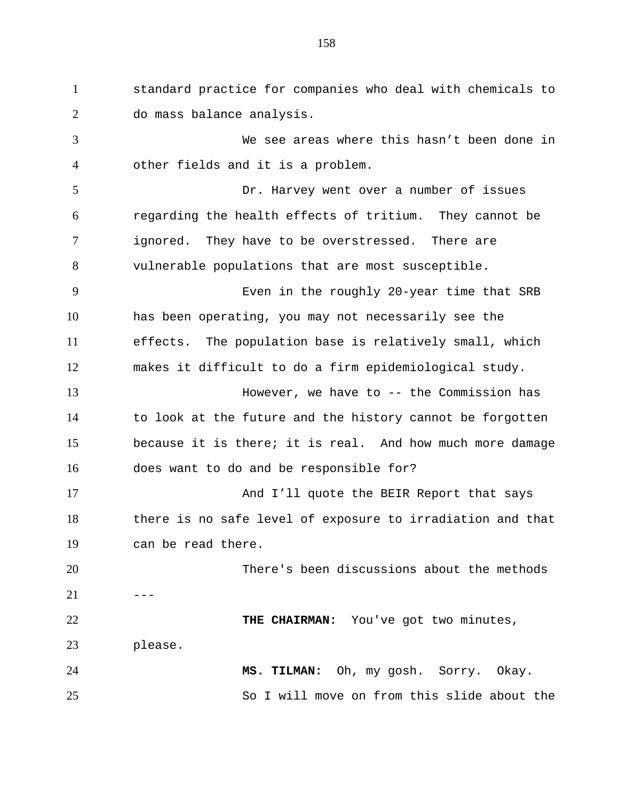standard practice for companies who deal with chemicals to do mass balance analysis. We see areas where this hasn't been done in other fields and it is a problem. Dr. Harvey went over a number of issues regarding the health effects of tritium. They cannot be ignored. They have to be overstressed. There are vulnerable populations that are most susceptible. Even in the roughly 20-year time that SRB has been operating, you may not necessarily see the effects. The population base is relatively small, which makes it difficult to do a firm epidemiological study. However, we have to -- the Commission has to look at the future and the history cannot be forgotten because it is there; it is real. And how much more damage does want to do and be responsible for? And I'll quote the BEIR Report that says there is no safe level of exposure to irradiation and that can be read there. There's been discussions about the methods  $---$  **THE CHAIRMAN:** You've got two minutes, please. **MS. TILMAN:** Oh, my gosh. Sorry. Okay. So I will move on from this slide about the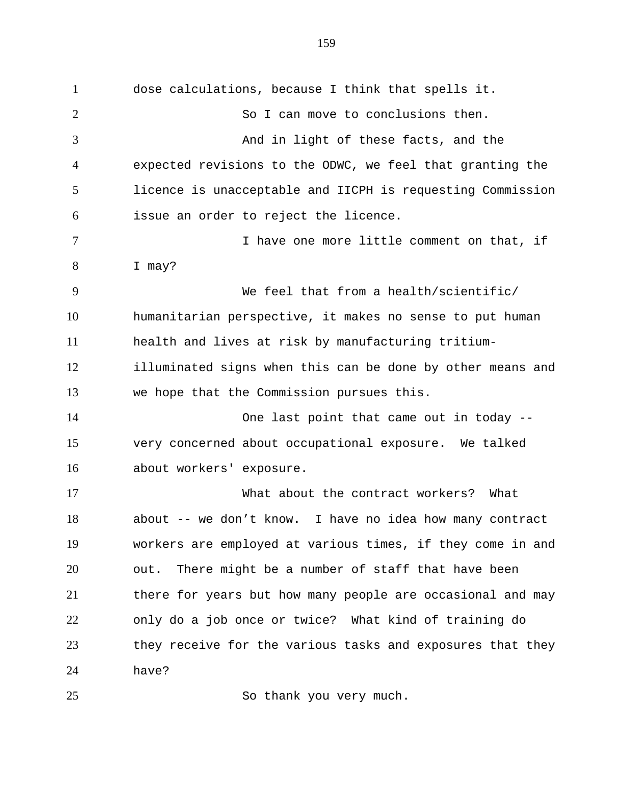dose calculations, because I think that spells it. So I can move to conclusions then. And in light of these facts, and the expected revisions to the ODWC, we feel that granting the licence is unacceptable and IICPH is requesting Commission issue an order to reject the licence. 7 1 I have one more little comment on that, if I may? We feel that from a health/scientific/ humanitarian perspective, it makes no sense to put human health and lives at risk by manufacturing tritium- illuminated signs when this can be done by other means and we hope that the Commission pursues this. One last point that came out in today -- very concerned about occupational exposure. We talked about workers' exposure. What about the contract workers? What about -- we don't know. I have no idea how many contract workers are employed at various times, if they come in and out. There might be a number of staff that have been there for years but how many people are occasional and may only do a job once or twice? What kind of training do they receive for the various tasks and exposures that they have?

25 So thank you very much.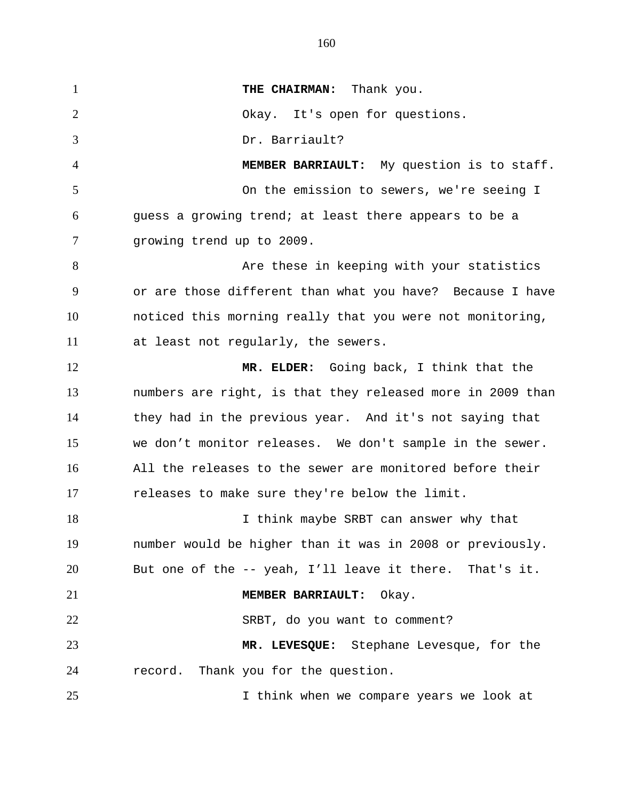**THE CHAIRMAN:** Thank you. Okay. It's open for questions. Dr. Barriault? **MEMBER BARRIAULT:** My question is to staff. On the emission to sewers, we're seeing I guess a growing trend; at least there appears to be a growing trend up to 2009. 8 Are these in keeping with your statistics or are those different than what you have? Because I have noticed this morning really that you were not monitoring, at least not regularly, the sewers. **MR. ELDER:** Going back, I think that the numbers are right, is that they released more in 2009 than they had in the previous year. And it's not saying that we don't monitor releases. We don't sample in the sewer. All the releases to the sewer are monitored before their releases to make sure they're below the limit. 18 I think maybe SRBT can answer why that number would be higher than it was in 2008 or previously. But one of the -- yeah, I'll leave it there. That's it. **MEMBER BARRIAULT:** Okay. SRBT, do you want to comment? **MR. LEVESQUE:** Stephane Levesque, for the record. Thank you for the question. I think when we compare years we look at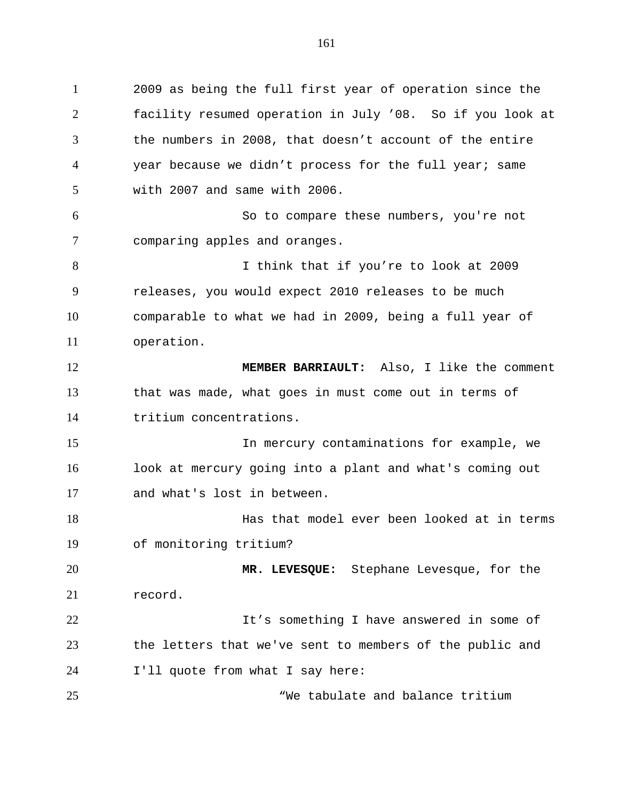2009 as being the full first year of operation since the facility resumed operation in July '08. So if you look at the numbers in 2008, that doesn't account of the entire year because we didn't process for the full year; same with 2007 and same with 2006. So to compare these numbers, you're not comparing apples and oranges. I think that if you're to look at 2009 releases, you would expect 2010 releases to be much comparable to what we had in 2009, being a full year of operation. **MEMBER BARRIAULT:** Also, I like the comment that was made, what goes in must come out in terms of tritium concentrations. In mercury contaminations for example, we look at mercury going into a plant and what's coming out and what's lost in between. Has that model ever been looked at in terms of monitoring tritium? **MR. LEVESQUE:** Stephane Levesque, for the record. 22 12 It's something I have answered in some of the letters that we've sent to members of the public and I'll quote from what I say here: "We tabulate and balance tritium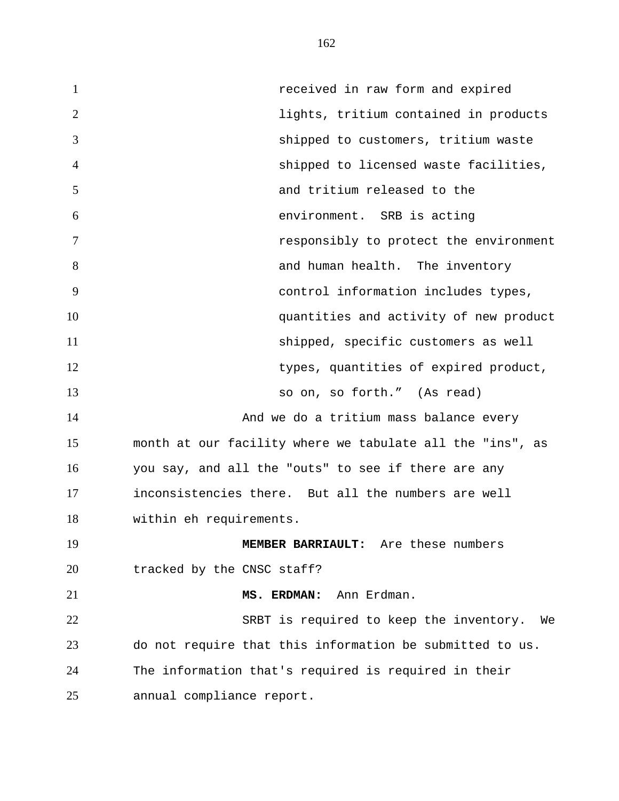**1** *received in raw form and expired*  lights, tritium contained in products shipped to customers, tritium waste shipped to licensed waste facilities, and tritium released to the environment. SRB is acting responsibly to protect the environment 8 and human health. The inventory control information includes types, quantities and activity of new product shipped, specific customers as well types, quantities of expired product, so on, so forth." (As read) **And we do a tritium mass balance every**  month at our facility where we tabulate all the "ins", as you say, and all the "outs" to see if there are any inconsistencies there. But all the numbers are well within eh requirements. **MEMBER BARRIAULT:** Are these numbers 20 tracked by the CNSC staff? **MS. ERDMAN:** Ann Erdman. SRBT is required to keep the inventory. We do not require that this information be submitted to us. The information that's required is required in their annual compliance report.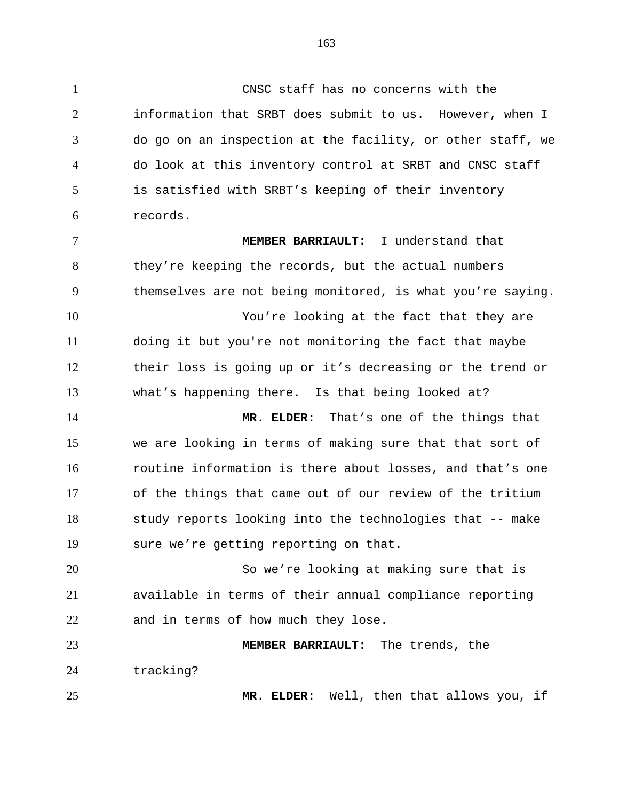CNSC staff has no concerns with the information that SRBT does submit to us. However, when I do go on an inspection at the facility, or other staff, we do look at this inventory control at SRBT and CNSC staff is satisfied with SRBT's keeping of their inventory records. **MEMBER BARRIAULT:** I understand that they're keeping the records, but the actual numbers themselves are not being monitored, is what you're saying. You're looking at the fact that they are doing it but you're not monitoring the fact that maybe their loss is going up or it's decreasing or the trend or what's happening there. Is that being looked at? **MR**. **ELDER:** That's one of the things that we are looking in terms of making sure that that sort of routine information is there about losses, and that's one of the things that came out of our review of the tritium study reports looking into the technologies that -- make sure we're getting reporting on that. So we're looking at making sure that is available in terms of their annual compliance reporting and in terms of how much they lose. **MEMBER BARRIAULT:** The trends, the tracking? **MR**. **ELDER:** Well, then that allows you, if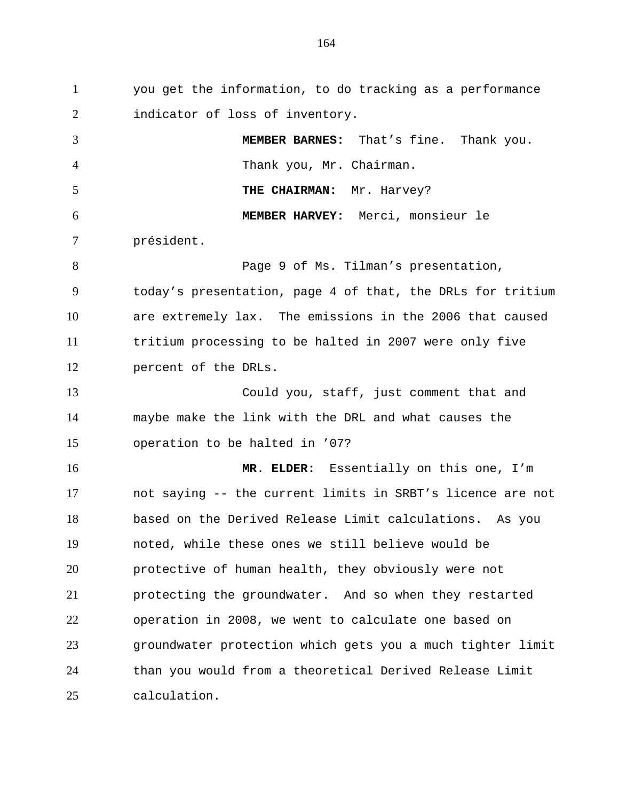you get the information, to do tracking as a performance 2 indicator of loss of inventory. **MEMBER BARNES:** That's fine. Thank you. Thank you, Mr. Chairman. 5 THE CHAIRMAN: Mr. Harvey? **MEMBER HARVEY:** Merci, monsieur le président. Page 9 of Ms. Tilman's presentation, today's presentation, page 4 of that, the DRLs for tritium are extremely lax. The emissions in the 2006 that caused tritium processing to be halted in 2007 were only five percent of the DRLs. Could you, staff, just comment that and maybe make the link with the DRL and what causes the operation to be halted in '07? **MR**. **ELDER:** Essentially on this one, I'm not saying -- the current limits in SRBT's licence are not based on the Derived Release Limit calculations. As you noted, while these ones we still believe would be protective of human health, they obviously were not protecting the groundwater. And so when they restarted operation in 2008, we went to calculate one based on groundwater protection which gets you a much tighter limit than you would from a theoretical Derived Release Limit calculation.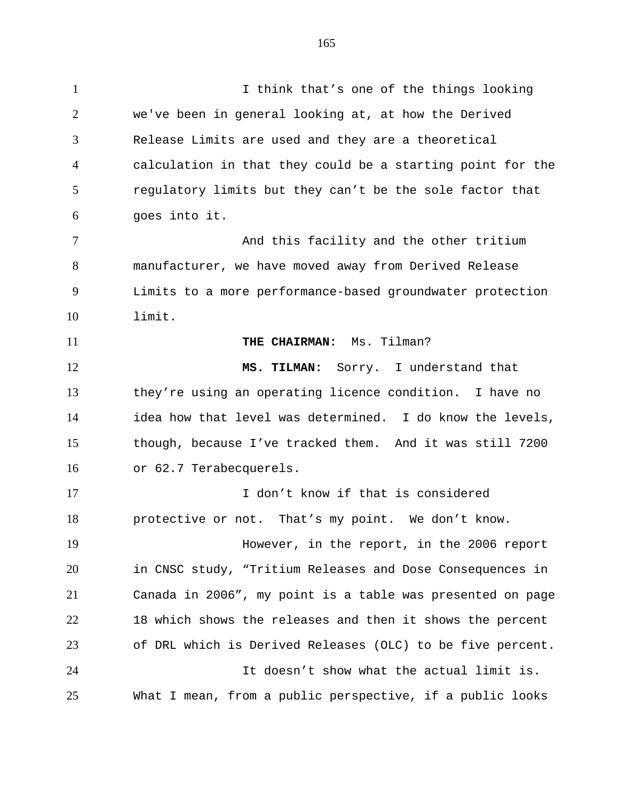I think that's one of the things looking we've been in general looking at, at how the Derived Release Limits are used and they are a theoretical calculation in that they could be a starting point for the regulatory limits but they can't be the sole factor that goes into it. 7 And this facility and the other tritium manufacturer, we have moved away from Derived Release Limits to a more performance-based groundwater protection limit. 11 THE CHAIRMAN: Ms. Tilman? **MS. TILMAN:** Sorry. I understand that they're using an operating licence condition. I have no idea how that level was determined. I do know the levels, though, because I've tracked them. And it was still 7200 or 62.7 Terabecquerels. I don't know if that is considered protective or not. That's my point. We don't know. However, in the report, in the 2006 report in CNSC study, "Tritium Releases and Dose Consequences in Canada in 2006", my point is a table was presented on page 18 which shows the releases and then it shows the percent of DRL which is Derived Releases (OLC) to be five percent. It doesn't show what the actual limit is. What I mean, from a public perspective, if a public looks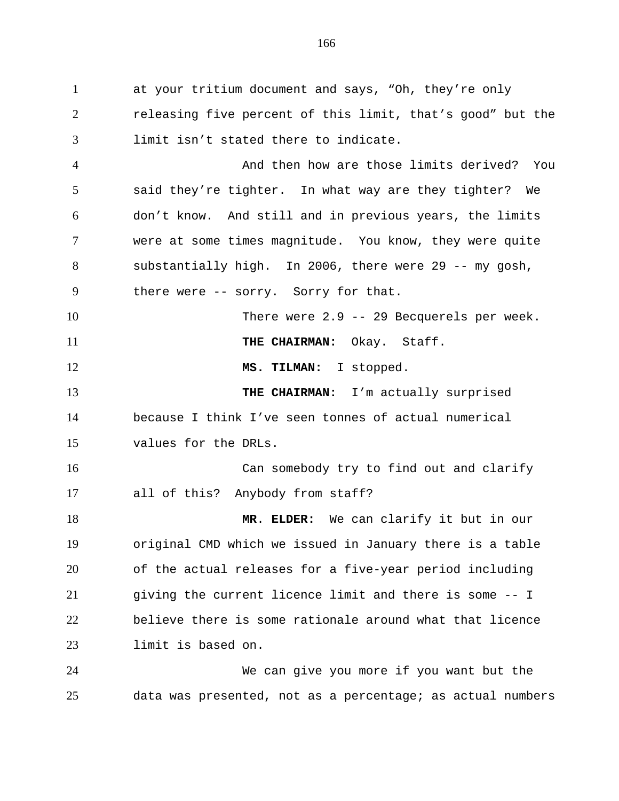at your tritium document and says, "Oh, they're only releasing five percent of this limit, that's good" but the limit isn't stated there to indicate.

 And then how are those limits derived? You said they're tighter. In what way are they tighter? We don't know. And still and in previous years, the limits were at some times magnitude. You know, they were quite substantially high. In 2006, there were 29 -- my gosh, there were -- sorry. Sorry for that.

 There were 2.9 -- 29 Becquerels per week. **THE CHAIRMAN:** Okay. Staff.

12 MS. TILMAN: I stopped.

 **THE CHAIRMAN:** I'm actually surprised because I think I've seen tonnes of actual numerical values for the DRLs.

 Can somebody try to find out and clarify all of this? Anybody from staff?

 **MR**. **ELDER:** We can clarify it but in our original CMD which we issued in January there is a table of the actual releases for a five-year period including giving the current licence limit and there is some -- I believe there is some rationale around what that licence limit is based on.

 We can give you more if you want but the data was presented, not as a percentage; as actual numbers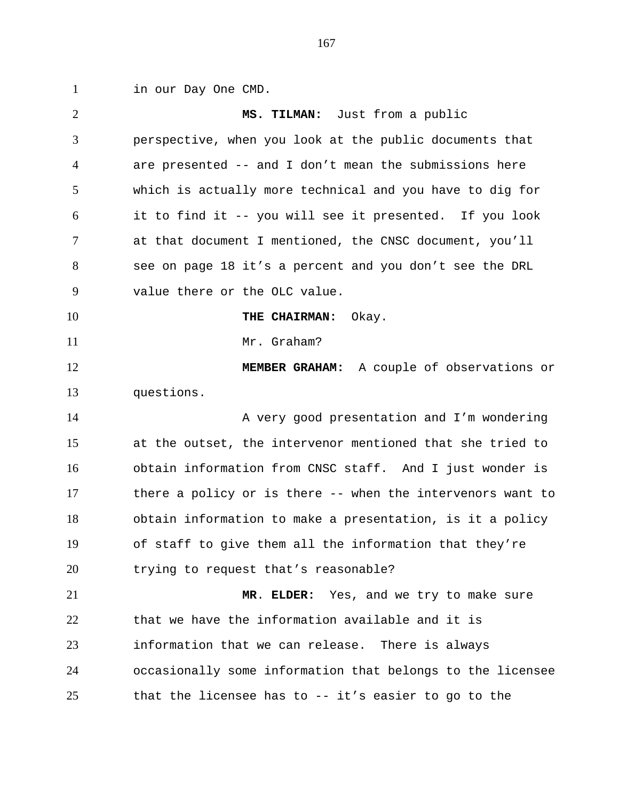in our Day One CMD.

 **MS. TILMAN:** Just from a public perspective, when you look at the public documents that are presented -- and I don't mean the submissions here which is actually more technical and you have to dig for it to find it -- you will see it presented. If you look at that document I mentioned, the CNSC document, you'll see on page 18 it's a percent and you don't see the DRL value there or the OLC value. **THE CHAIRMAN:** Okay. 11 Mr. Graham? **MEMBER GRAHAM:** A couple of observations or questions. 14 A very good presentation and I'm wondering at the outset, the intervenor mentioned that she tried to obtain information from CNSC staff. And I just wonder is there a policy or is there -- when the intervenors want to obtain information to make a presentation, is it a policy of staff to give them all the information that they're trying to request that's reasonable? **MR**. **ELDER:** Yes, and we try to make sure that we have the information available and it is information that we can release. There is always occasionally some information that belongs to the licensee that the licensee has to -- it's easier to go to the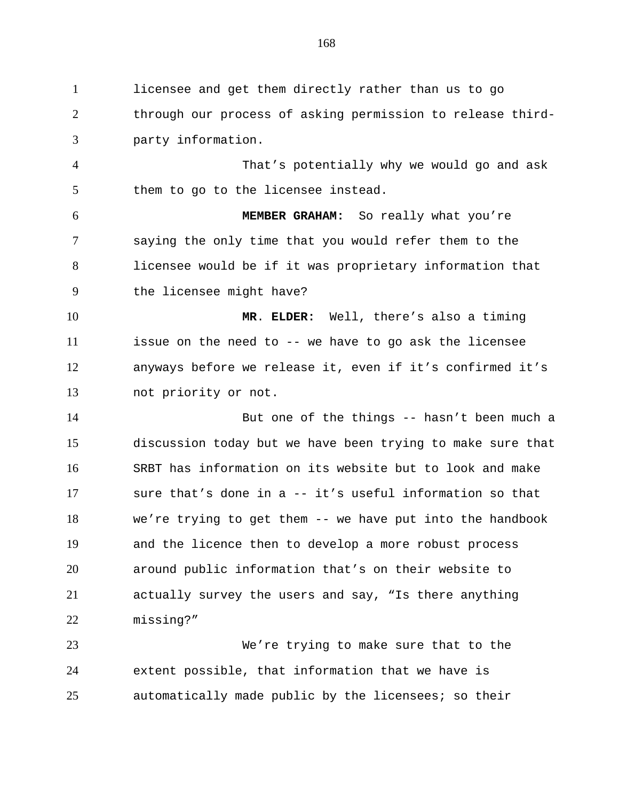licensee and get them directly rather than us to go through our process of asking permission to release third-party information.

 That's potentially why we would go and ask them to go to the licensee instead.

 **MEMBER GRAHAM:** So really what you're saying the only time that you would refer them to the licensee would be if it was proprietary information that the licensee might have?

 **MR**. **ELDER:** Well, there's also a timing issue on the need to -- we have to go ask the licensee anyways before we release it, even if it's confirmed it's not priority or not.

 But one of the things -- hasn't been much a discussion today but we have been trying to make sure that SRBT has information on its website but to look and make sure that's done in a -- it's useful information so that we're trying to get them -- we have put into the handbook and the licence then to develop a more robust process around public information that's on their website to actually survey the users and say, "Is there anything missing?"

 We're trying to make sure that to the extent possible, that information that we have is automatically made public by the licensees; so their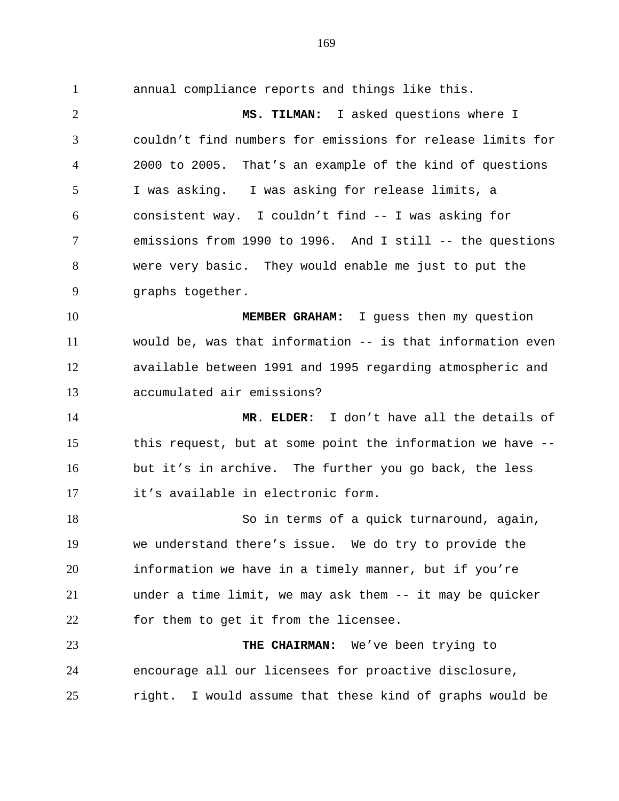annual compliance reports and things like this. **MS. TILMAN:** I asked questions where I couldn't find numbers for emissions for release limits for 2000 to 2005. That's an example of the kind of questions I was asking. I was asking for release limits, a consistent way. I couldn't find -- I was asking for emissions from 1990 to 1996. And I still -- the questions were very basic. They would enable me just to put the graphs together. **MEMBER GRAHAM:** I guess then my question would be, was that information -- is that information even available between 1991 and 1995 regarding atmospheric and accumulated air emissions? **MR**. **ELDER:** I don't have all the details of this request, but at some point the information we have -- but it's in archive. The further you go back, the less it's available in electronic form. 18 So in terms of a quick turnaround, again, we understand there's issue. We do try to provide the information we have in a timely manner, but if you're

 under a time limit, we may ask them -- it may be quicker for them to get it from the licensee.

 **THE CHAIRMAN:** We've been trying to encourage all our licensees for proactive disclosure, right. I would assume that these kind of graphs would be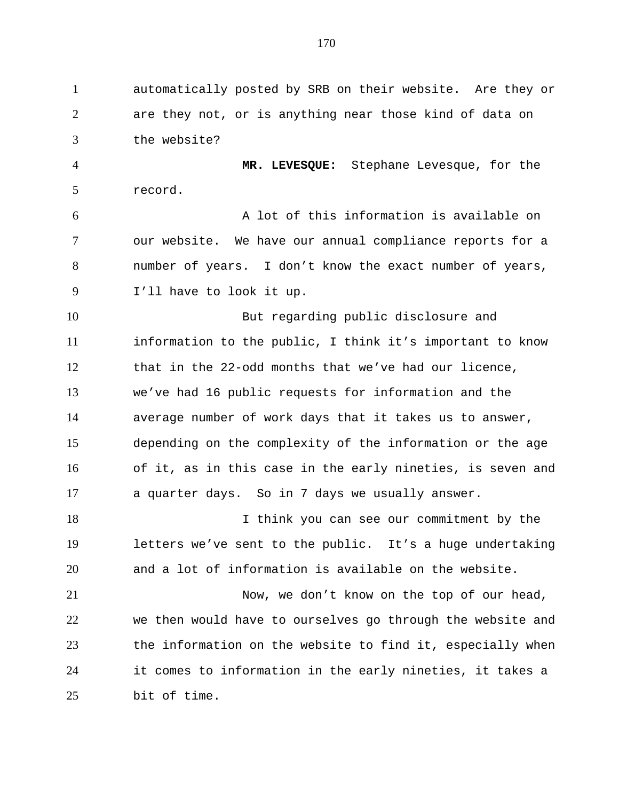automatically posted by SRB on their website. Are they or are they not, or is anything near those kind of data on the website?

 **MR. LEVESQUE:** Stephane Levesque, for the record.

 A lot of this information is available on our website. We have our annual compliance reports for a number of years. I don't know the exact number of years, I'll have to look it up.

 But regarding public disclosure and information to the public, I think it's important to know that in the 22-odd months that we've had our licence, we've had 16 public requests for information and the average number of work days that it takes us to answer, depending on the complexity of the information or the age of it, as in this case in the early nineties, is seven and a quarter days. So in 7 days we usually answer.

 I think you can see our commitment by the letters we've sent to the public. It's a huge undertaking and a lot of information is available on the website.

 Now, we don't know on the top of our head, we then would have to ourselves go through the website and the information on the website to find it, especially when it comes to information in the early nineties, it takes a bit of time.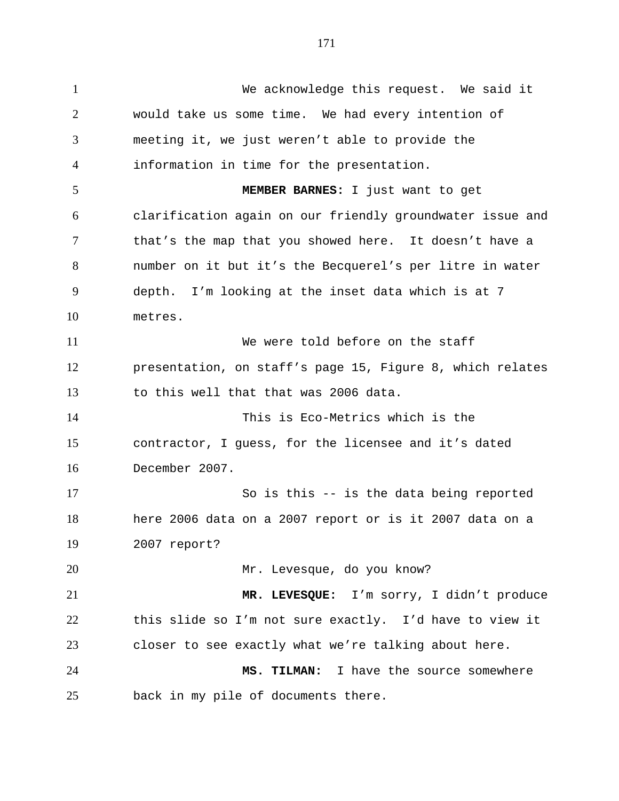We acknowledge this request. We said it would take us some time. We had every intention of meeting it, we just weren't able to provide the information in time for the presentation. **MEMBER BARNES:** I just want to get clarification again on our friendly groundwater issue and 7 that's the map that you showed here. It doesn't have a number on it but it's the Becquerel's per litre in water depth. I'm looking at the inset data which is at 7 metres. We were told before on the staff presentation, on staff's page 15, Figure 8, which relates to this well that that was 2006 data. This is Eco-Metrics which is the contractor, I guess, for the licensee and it's dated December 2007. So is this -- is the data being reported here 2006 data on a 2007 report or is it 2007 data on a 2007 report? Mr. Levesque, do you know? **MR. LEVESQUE:** I'm sorry, I didn't produce this slide so I'm not sure exactly. I'd have to view it closer to see exactly what we're talking about here. **MS. TILMAN:** I have the source somewhere back in my pile of documents there.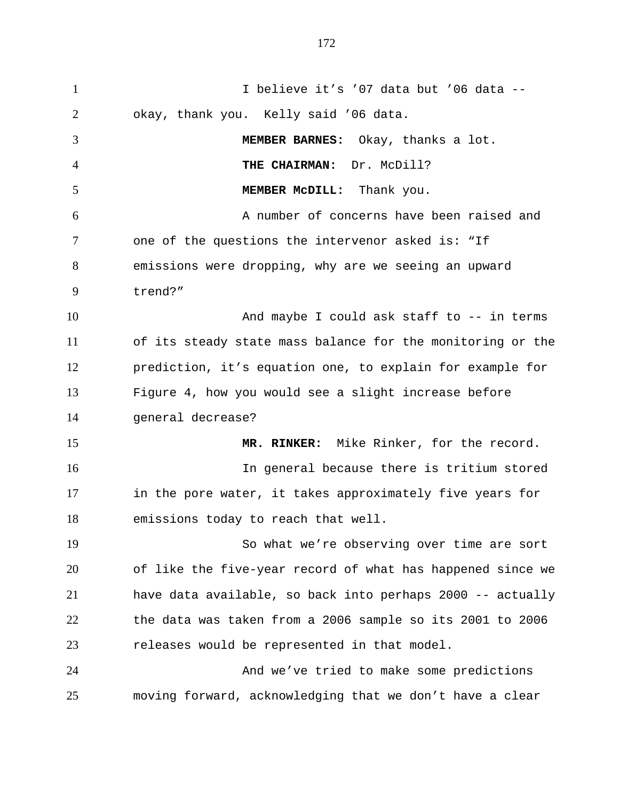I believe it's '07 data but '06 data -- okay, thank you. Kelly said '06 data. **MEMBER BARNES:** Okay, thanks a lot. **THE CHAIRMAN:** Dr. McDill? **MEMBER McDILL:** Thank you. A number of concerns have been raised and one of the questions the intervenor asked is: "If emissions were dropping, why are we seeing an upward trend?" 10 And maybe I could ask staff to -- in terms of its steady state mass balance for the monitoring or the prediction, it's equation one, to explain for example for Figure 4, how you would see a slight increase before general decrease? **MR. RINKER:** Mike Rinker, for the record. In general because there is tritium stored in the pore water, it takes approximately five years for emissions today to reach that well. So what we're observing over time are sort of like the five-year record of what has happened since we have data available, so back into perhaps 2000 -- actually the data was taken from a 2006 sample so its 2001 to 2006 releases would be represented in that model. And we've tried to make some predictions moving forward, acknowledging that we don't have a clear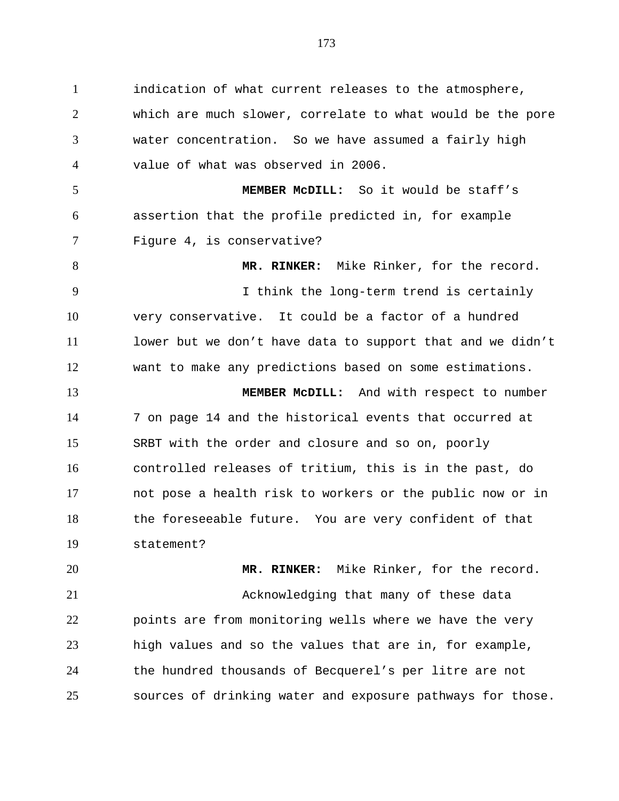indication of what current releases to the atmosphere, which are much slower, correlate to what would be the pore water concentration. So we have assumed a fairly high value of what was observed in 2006. **MEMBER McDILL:** So it would be staff's assertion that the profile predicted in, for example Figure 4, is conservative? 8 MR. RINKER: Mike Rinker, for the record. I think the long-term trend is certainly very conservative. It could be a factor of a hundred 11 lower but we don't have data to support that and we didn't want to make any predictions based on some estimations. **MEMBER McDILL:** And with respect to number 7 on page 14 and the historical events that occurred at SRBT with the order and closure and so on, poorly controlled releases of tritium, this is in the past, do not pose a health risk to workers or the public now or in the foreseeable future. You are very confident of that statement? **MR. RINKER:** Mike Rinker, for the record.

 Acknowledging that many of these data points are from monitoring wells where we have the very high values and so the values that are in, for example, the hundred thousands of Becquerel's per litre are not sources of drinking water and exposure pathways for those.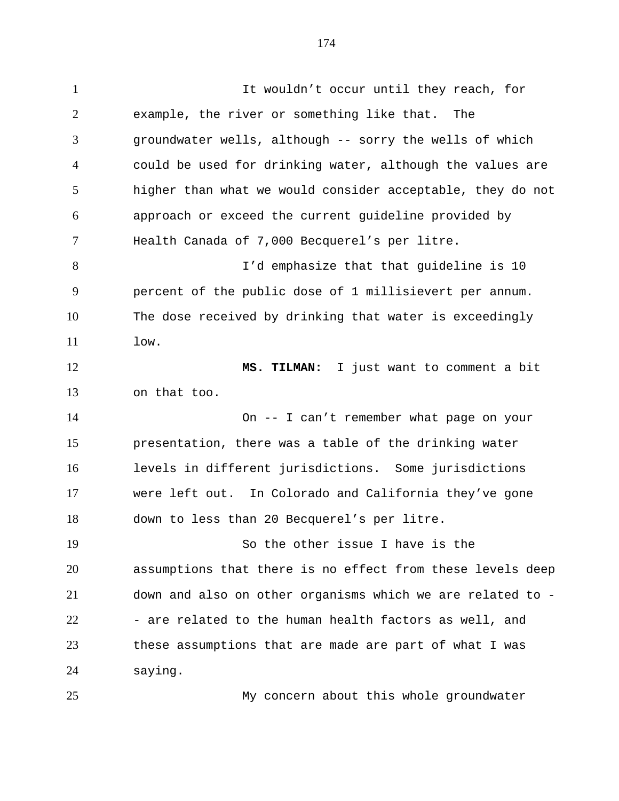It wouldn't occur until they reach, for example, the river or something like that. The groundwater wells, although -- sorry the wells of which could be used for drinking water, although the values are higher than what we would consider acceptable, they do not approach or exceed the current guideline provided by Health Canada of 7,000 Becquerel's per litre. I'd emphasize that that guideline is 10 percent of the public dose of 1 millisievert per annum. The dose received by drinking that water is exceedingly low. **MS. TILMAN:** I just want to comment a bit on that too. On -- I can't remember what page on your presentation, there was a table of the drinking water levels in different jurisdictions. Some jurisdictions were left out. In Colorado and California they've gone down to less than 20 Becquerel's per litre. So the other issue I have is the assumptions that there is no effect from these levels deep down and also on other organisms which we are related to - 22 - are related to the human health factors as well, and these assumptions that are made are part of what I was saying.

My concern about this whole groundwater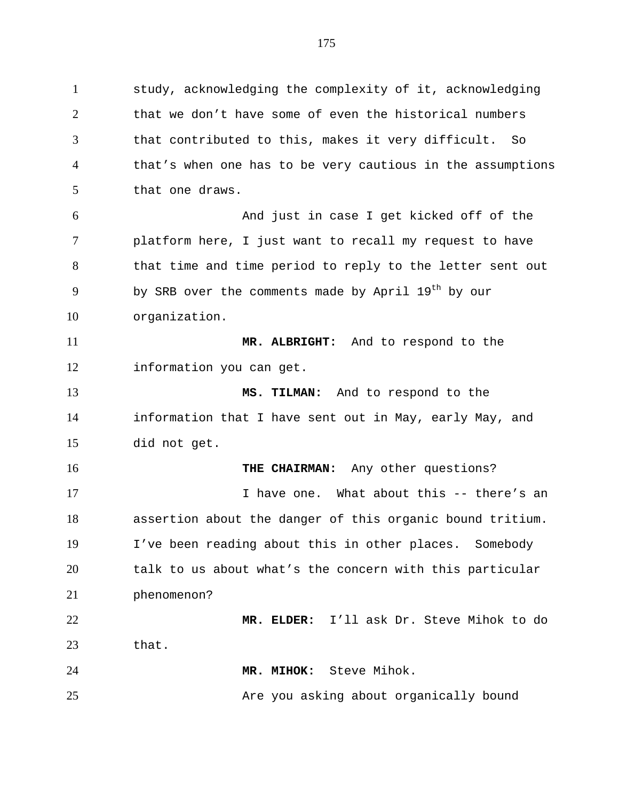study, acknowledging the complexity of it, acknowledging that we don't have some of even the historical numbers that contributed to this, makes it very difficult. So that's when one has to be very cautious in the assumptions that one draws. And just in case I get kicked off of the platform here, I just want to recall my request to have 8 that time and time period to reply to the letter sent out 9 by SRB over the comments made by April  $19<sup>th</sup>$  by our organization. **MR. ALBRIGHT:** And to respond to the information you can get. **MS. TILMAN:** And to respond to the information that I have sent out in May, early May, and did not get.

**THE CHAIRMAN:** Any other questions? 17 17 I have one. What about this -- there's an assertion about the danger of this organic bound tritium. I've been reading about this in other places. Somebody talk to us about what's the concern with this particular phenomenon? **MR. ELDER:** I'll ask Dr. Steve Mihok to do that.

**MR. MIHOK:** Steve Mihok.

25 Are you asking about organically bound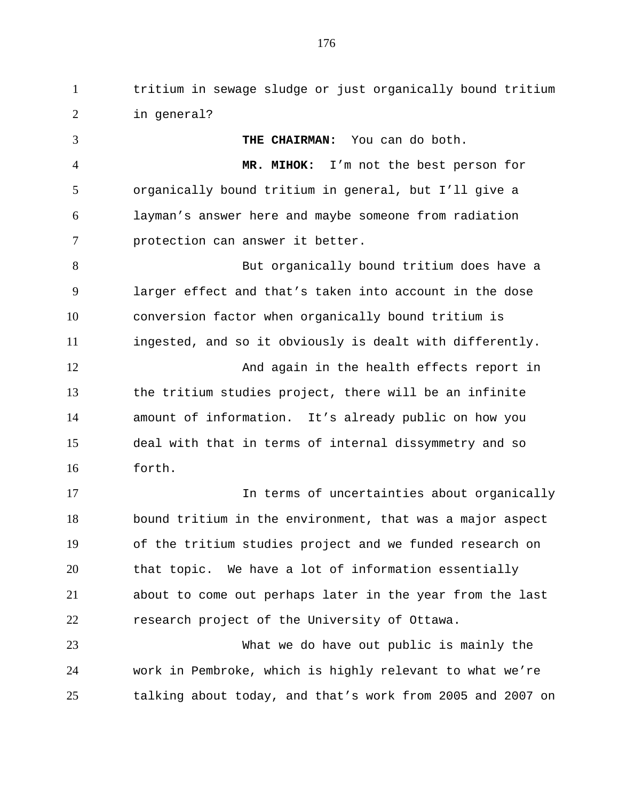tritium in sewage sludge or just organically bound tritium in general?

 **THE CHAIRMAN:** You can do both. **MR. MIHOK:** I'm not the best person for organically bound tritium in general, but I'll give a layman's answer here and maybe someone from radiation protection can answer it better. But organically bound tritium does have a larger effect and that's taken into account in the dose conversion factor when organically bound tritium is ingested, and so it obviously is dealt with differently. 12 And again in the health effects report in the tritium studies project, there will be an infinite amount of information. It's already public on how you deal with that in terms of internal dissymmetry and so forth. 17 17 In terms of uncertainties about organically bound tritium in the environment, that was a major aspect of the tritium studies project and we funded research on that topic. We have a lot of information essentially about to come out perhaps later in the year from the last research project of the University of Ottawa.

 What we do have out public is mainly the work in Pembroke, which is highly relevant to what we're talking about today, and that's work from 2005 and 2007 on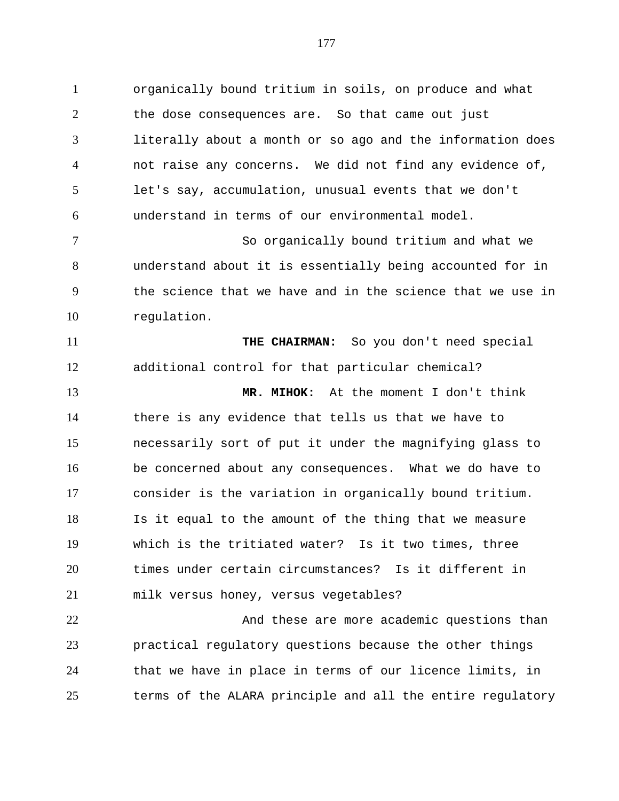organically bound tritium in soils, on produce and what the dose consequences are. So that came out just literally about a month or so ago and the information does not raise any concerns. We did not find any evidence of, let's say, accumulation, unusual events that we don't understand in terms of our environmental model.

 So organically bound tritium and what we understand about it is essentially being accounted for in the science that we have and in the science that we use in regulation.

 **THE CHAIRMAN:** So you don't need special additional control for that particular chemical? **MR. MIHOK:** At the moment I don't think there is any evidence that tells us that we have to necessarily sort of put it under the magnifying glass to be concerned about any consequences. What we do have to consider is the variation in organically bound tritium. Is it equal to the amount of the thing that we measure which is the tritiated water? Is it two times, three times under certain circumstances? Is it different in milk versus honey, versus vegetables?

22 And these are more academic questions than practical regulatory questions because the other things that we have in place in terms of our licence limits, in terms of the ALARA principle and all the entire regulatory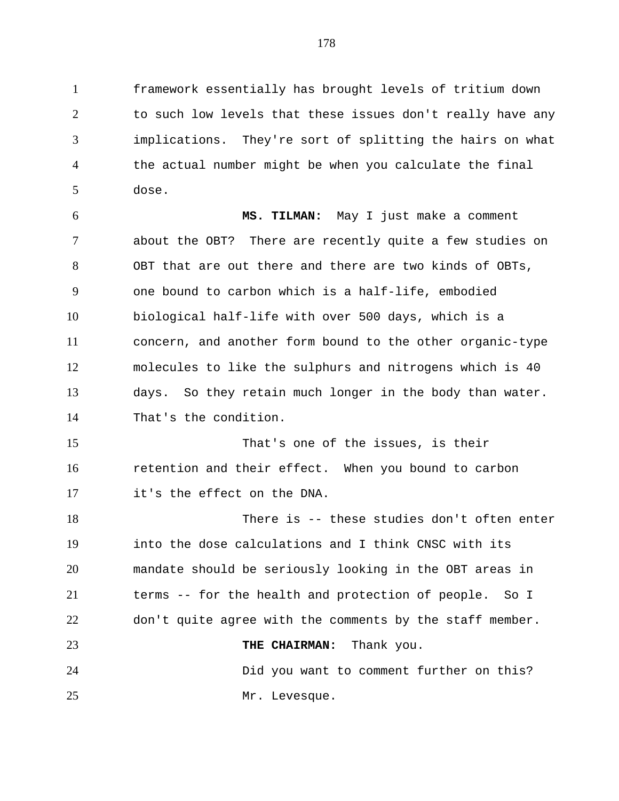framework essentially has brought levels of tritium down to such low levels that these issues don't really have any implications. They're sort of splitting the hairs on what the actual number might be when you calculate the final dose.

 **MS. TILMAN:** May I just make a comment about the OBT? There are recently quite a few studies on OBT that are out there and there are two kinds of OBTs, one bound to carbon which is a half-life, embodied biological half-life with over 500 days, which is a concern, and another form bound to the other organic-type molecules to like the sulphurs and nitrogens which is 40 days. So they retain much longer in the body than water. That's the condition.

 That's one of the issues, is their retention and their effect. When you bound to carbon it's the effect on the DNA.

 There is -- these studies don't often enter into the dose calculations and I think CNSC with its mandate should be seriously looking in the OBT areas in terms -- for the health and protection of people. So I don't quite agree with the comments by the staff member. **THE CHAIRMAN:** Thank you. Did you want to comment further on this? 25 Mr. Levesque.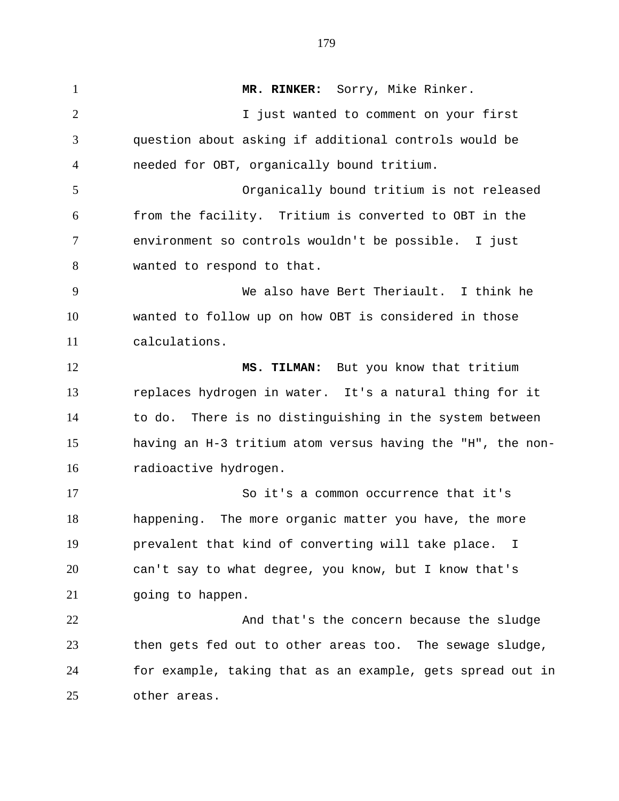**MR. RINKER:** Sorry, Mike Rinker. I just wanted to comment on your first question about asking if additional controls would be needed for OBT, organically bound tritium. Organically bound tritium is not released from the facility. Tritium is converted to OBT in the environment so controls wouldn't be possible. I just wanted to respond to that. We also have Bert Theriault. I think he wanted to follow up on how OBT is considered in those calculations. **MS. TILMAN:** But you know that tritium replaces hydrogen in water. It's a natural thing for it to do. There is no distinguishing in the system between having an H-3 tritium atom versus having the "H", the non- radioactive hydrogen. So it's a common occurrence that it's happening. The more organic matter you have, the more prevalent that kind of converting will take place. I can't say to what degree, you know, but I know that's going to happen. 22 And that's the concern because the sludge then gets fed out to other areas too. The sewage sludge, for example, taking that as an example, gets spread out in other areas.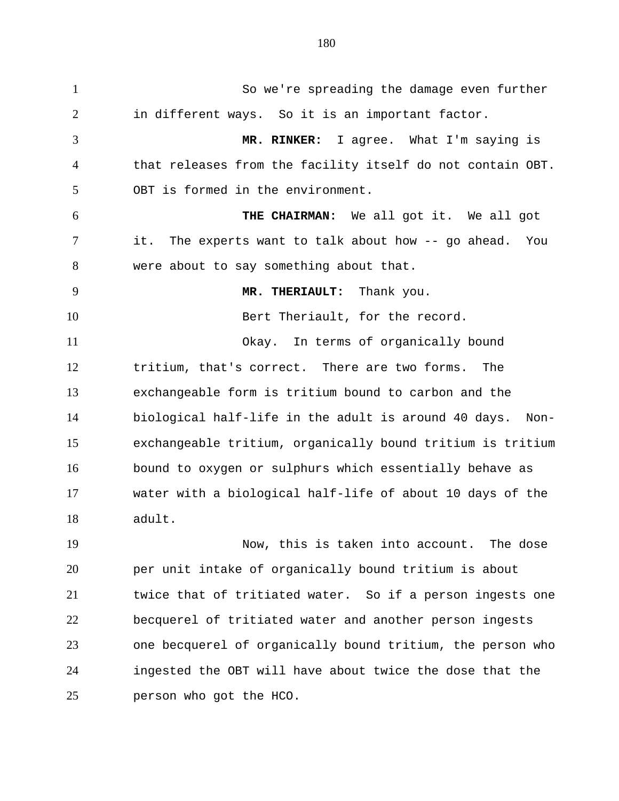So we're spreading the damage even further in different ways. So it is an important factor. **MR. RINKER:** I agree. What I'm saying is that releases from the facility itself do not contain OBT. OBT is formed in the environment. **THE CHAIRMAN:** We all got it. We all got it. The experts want to talk about how -- go ahead. You were about to say something about that. **MR. THERIAULT:** Thank you. 10 Bert Theriault, for the record. Okay. In terms of organically bound tritium, that's correct. There are two forms. The exchangeable form is tritium bound to carbon and the biological half-life in the adult is around 40 days. Non- exchangeable tritium, organically bound tritium is tritium bound to oxygen or sulphurs which essentially behave as water with a biological half-life of about 10 days of the adult. Now, this is taken into account. The dose

 per unit intake of organically bound tritium is about twice that of tritiated water. So if a person ingests one becquerel of tritiated water and another person ingests one becquerel of organically bound tritium, the person who ingested the OBT will have about twice the dose that the person who got the HCO.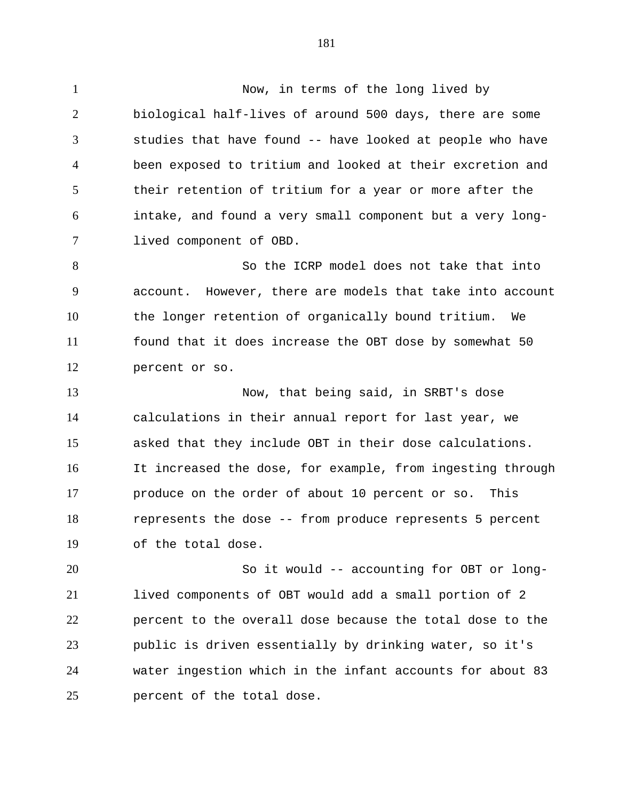Now, in terms of the long lived by biological half-lives of around 500 days, there are some studies that have found -- have looked at people who have been exposed to tritium and looked at their excretion and their retention of tritium for a year or more after the intake, and found a very small component but a very long-lived component of OBD.

 So the ICRP model does not take that into account. However, there are models that take into account the longer retention of organically bound tritium. We found that it does increase the OBT dose by somewhat 50 percent or so.

 Now, that being said, in SRBT's dose calculations in their annual report for last year, we asked that they include OBT in their dose calculations. It increased the dose, for example, from ingesting through produce on the order of about 10 percent or so. This represents the dose -- from produce represents 5 percent of the total dose.

 So it would -- accounting for OBT or long- lived components of OBT would add a small portion of 2 percent to the overall dose because the total dose to the public is driven essentially by drinking water, so it's water ingestion which in the infant accounts for about 83 percent of the total dose.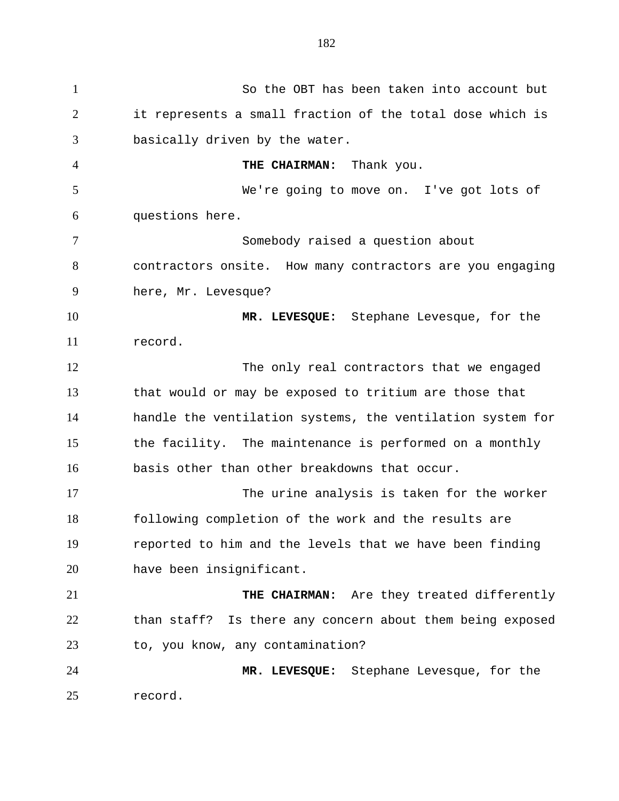So the OBT has been taken into account but it represents a small fraction of the total dose which is basically driven by the water. **THE CHAIRMAN:** Thank you. We're going to move on. I've got lots of questions here. Somebody raised a question about contractors onsite. How many contractors are you engaging here, Mr. Levesque? **MR. LEVESQUE:** Stephane Levesque, for the record. The only real contractors that we engaged that would or may be exposed to tritium are those that handle the ventilation systems, the ventilation system for the facility. The maintenance is performed on a monthly basis other than other breakdowns that occur. The urine analysis is taken for the worker following completion of the work and the results are reported to him and the levels that we have been finding have been insignificant. **THE CHAIRMAN:** Are they treated differently than staff? Is there any concern about them being exposed to, you know, any contamination? **MR. LEVESQUE:** Stephane Levesque, for the record.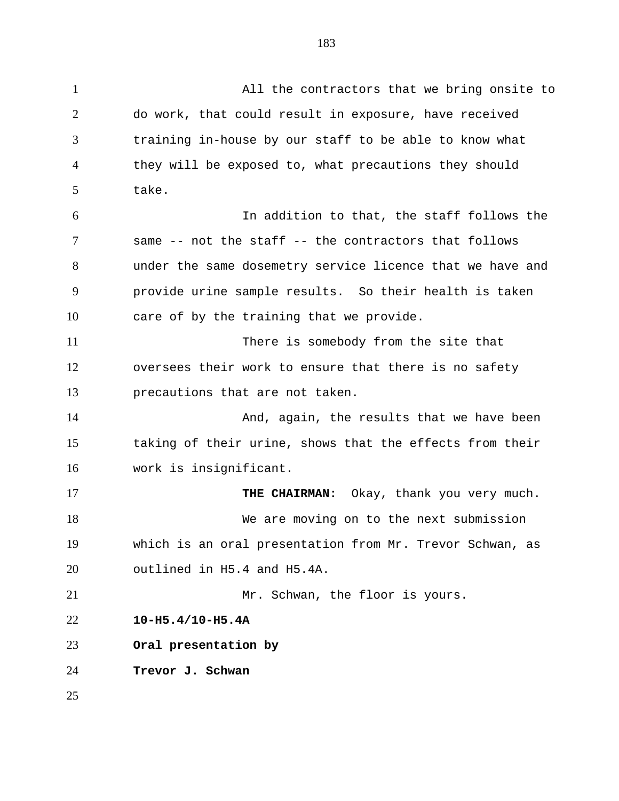All the contractors that we bring onsite to do work, that could result in exposure, have received training in-house by our staff to be able to know what they will be exposed to, what precautions they should take. In addition to that, the staff follows the same -- not the staff -- the contractors that follows under the same dosemetry service licence that we have and provide urine sample results. So their health is taken care of by the training that we provide. There is somebody from the site that oversees their work to ensure that there is no safety precautions that are not taken. 14 And, again, the results that we have been taking of their urine, shows that the effects from their work is insignificant. **THE CHAIRMAN:** Okay, thank you very much. We are moving on to the next submission which is an oral presentation from Mr. Trevor Schwan, as outlined in H5.4 and H5.4A. Mr. Schwan, the floor is yours. **10-H5.4/10-H5.4A Oral presentation by**

**Trevor J. Schwan**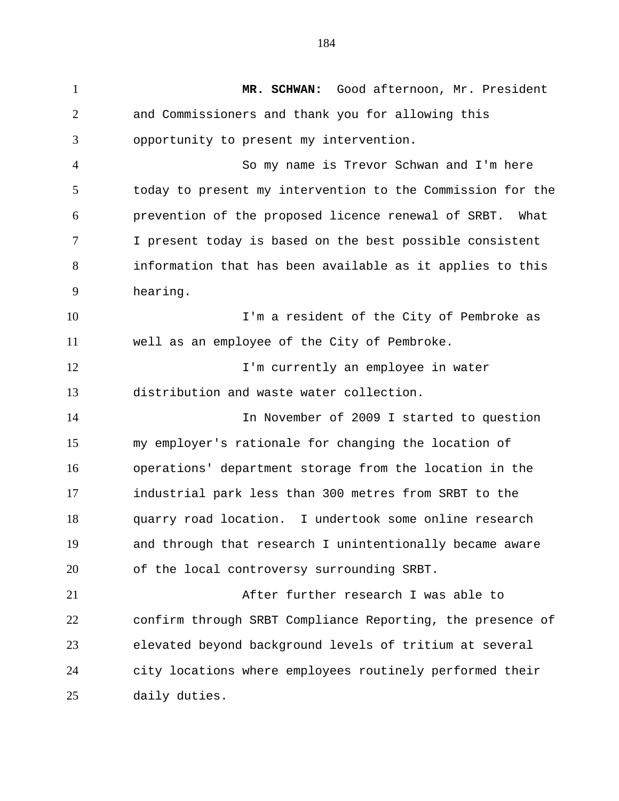**MR. SCHWAN:** Good afternoon, Mr. President and Commissioners and thank you for allowing this opportunity to present my intervention. So my name is Trevor Schwan and I'm here today to present my intervention to the Commission for the prevention of the proposed licence renewal of SRBT. What I present today is based on the best possible consistent information that has been available as it applies to this hearing. **I'm a resident of the City of Pembroke as**  well as an employee of the City of Pembroke. 12 I'm currently an employee in water distribution and waste water collection. In November of 2009 I started to question my employer's rationale for changing the location of operations' department storage from the location in the industrial park less than 300 metres from SRBT to the quarry road location. I undertook some online research and through that research I unintentionally became aware of the local controversy surrounding SRBT. After further research I was able to confirm through SRBT Compliance Reporting, the presence of elevated beyond background levels of tritium at several city locations where employees routinely performed their daily duties.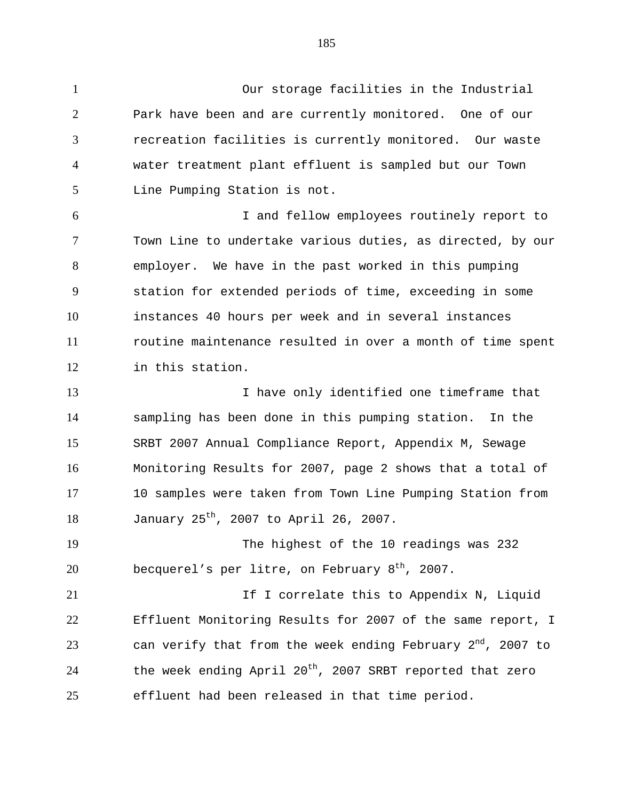Our storage facilities in the Industrial Park have been and are currently monitored. One of our recreation facilities is currently monitored. Our waste water treatment plant effluent is sampled but our Town Line Pumping Station is not.

 I and fellow employees routinely report to Town Line to undertake various duties, as directed, by our employer. We have in the past worked in this pumping station for extended periods of time, exceeding in some instances 40 hours per week and in several instances routine maintenance resulted in over a month of time spent in this station.

 I have only identified one timeframe that sampling has been done in this pumping station. In the SRBT 2007 Annual Compliance Report, Appendix M, Sewage Monitoring Results for 2007, page 2 shows that a total of 10 samples were taken from Town Line Pumping Station from 18 January  $25^{th}$ , 2007 to April 26, 2007.

 The highest of the 10 readings was 232 20 becquerel's per litre, on February  $8<sup>th</sup>$ , 2007.

21 1 1 correlate this to Appendix N, Liquid Effluent Monitoring Results for 2007 of the same report, I  $\mu$  can verify that from the week ending February 2<sup>nd</sup>, 2007 to  $-$  the week ending April 20<sup>th</sup>, 2007 SRBT reported that zero effluent had been released in that time period.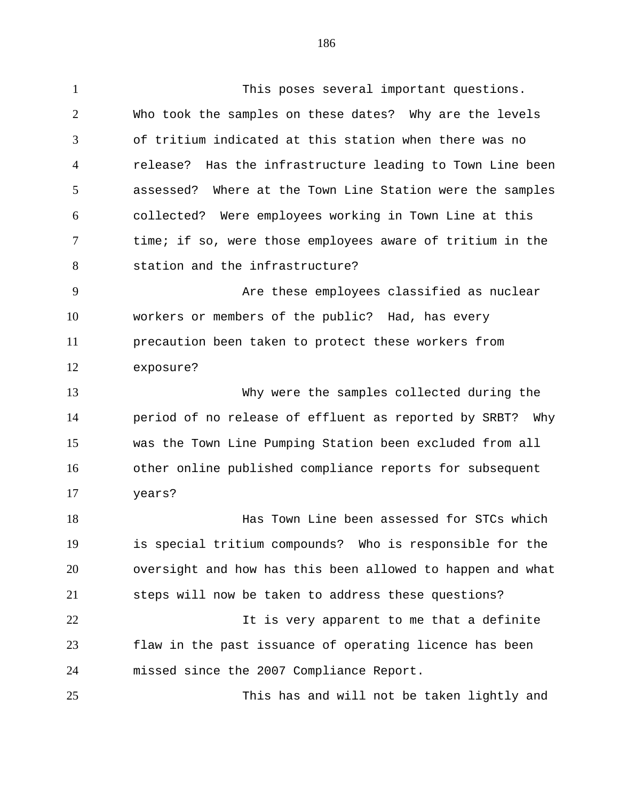This poses several important questions. Who took the samples on these dates? Why are the levels of tritium indicated at this station when there was no release? Has the infrastructure leading to Town Line been assessed? Where at the Town Line Station were the samples collected? Were employees working in Town Line at this time; if so, were those employees aware of tritium in the station and the infrastructure? Are these employees classified as nuclear workers or members of the public? Had, has every precaution been taken to protect these workers from exposure? Why were the samples collected during the period of no release of effluent as reported by SRBT? Why was the Town Line Pumping Station been excluded from all other online published compliance reports for subsequent years?

 Has Town Line been assessed for STCs which is special tritium compounds? Who is responsible for the oversight and how has this been allowed to happen and what steps will now be taken to address these questions? 22 11 It is very apparent to me that a definite flaw in the past issuance of operating licence has been

missed since the 2007 Compliance Report.

This has and will not be taken lightly and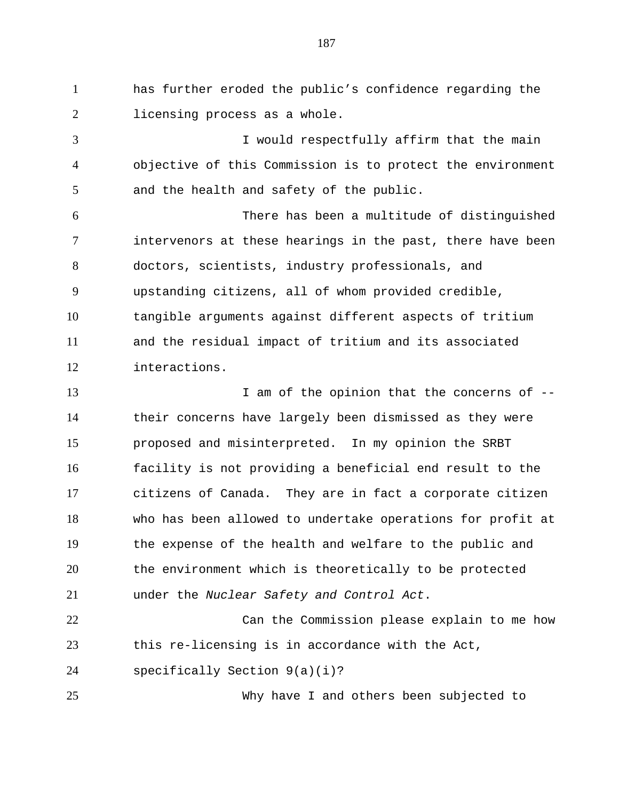has further eroded the public's confidence regarding the licensing process as a whole.

 I would respectfully affirm that the main objective of this Commission is to protect the environment and the health and safety of the public.

 There has been a multitude of distinguished intervenors at these hearings in the past, there have been doctors, scientists, industry professionals, and upstanding citizens, all of whom provided credible, tangible arguments against different aspects of tritium and the residual impact of tritium and its associated interactions.

13 I am of the opinion that the concerns of  $-$  their concerns have largely been dismissed as they were proposed and misinterpreted. In my opinion the SRBT facility is not providing a beneficial end result to the citizens of Canada. They are in fact a corporate citizen who has been allowed to undertake operations for profit at the expense of the health and welfare to the public and the environment which is theoretically to be protected under the *Nuclear Safety and Control Act*.

 Can the Commission please explain to me how this re-licensing is in accordance with the Act, specifically Section 9(a)(i)?

Why have I and others been subjected to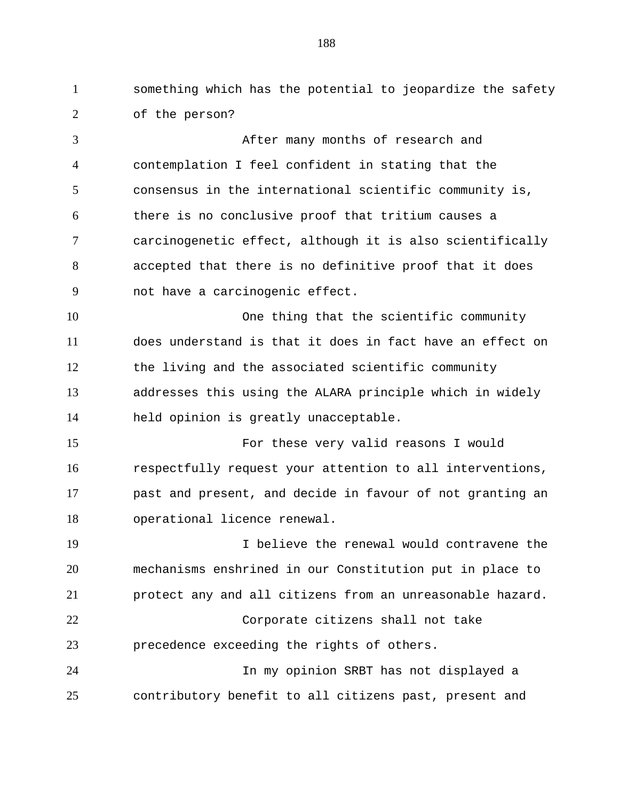something which has the potential to jeopardize the safety of the person?

 After many months of research and contemplation I feel confident in stating that the consensus in the international scientific community is, there is no conclusive proof that tritium causes a carcinogenetic effect, although it is also scientifically accepted that there is no definitive proof that it does not have a carcinogenic effect. 10 One thing that the scientific community does understand is that it does in fact have an effect on the living and the associated scientific community addresses this using the ALARA principle which in widely held opinion is greatly unacceptable.

 For these very valid reasons I would respectfully request your attention to all interventions, past and present, and decide in favour of not granting an operational licence renewal.

 I believe the renewal would contravene the mechanisms enshrined in our Constitution put in place to protect any and all citizens from an unreasonable hazard. Corporate citizens shall not take precedence exceeding the rights of others. In my opinion SRBT has not displayed a contributory benefit to all citizens past, present and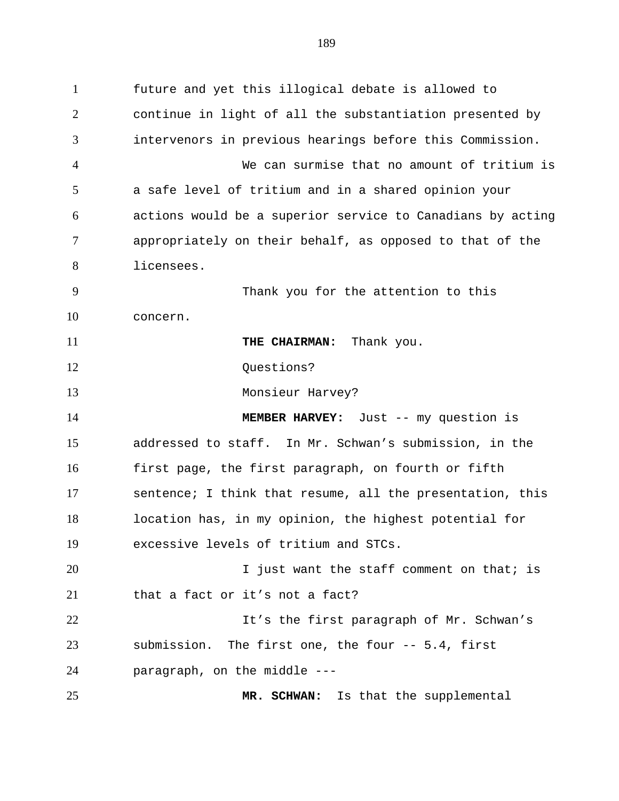future and yet this illogical debate is allowed to continue in light of all the substantiation presented by intervenors in previous hearings before this Commission. We can surmise that no amount of tritium is a safe level of tritium and in a shared opinion your actions would be a superior service to Canadians by acting appropriately on their behalf, as opposed to that of the licensees. Thank you for the attention to this concern. **THE CHAIRMAN:** Thank you. 12 Ouestions? Monsieur Harvey? **MEMBER HARVEY:** Just -- my question is addressed to staff. In Mr. Schwan's submission, in the first page, the first paragraph, on fourth or fifth sentence; I think that resume, all the presentation, this location has, in my opinion, the highest potential for excessive levels of tritium and STCs. 20 1 Just want the staff comment on that; is that a fact or it's not a fact? It's the first paragraph of Mr. Schwan's submission. The first one, the four -- 5.4, first paragraph, on the middle --- **MR. SCHWAN:** Is that the supplemental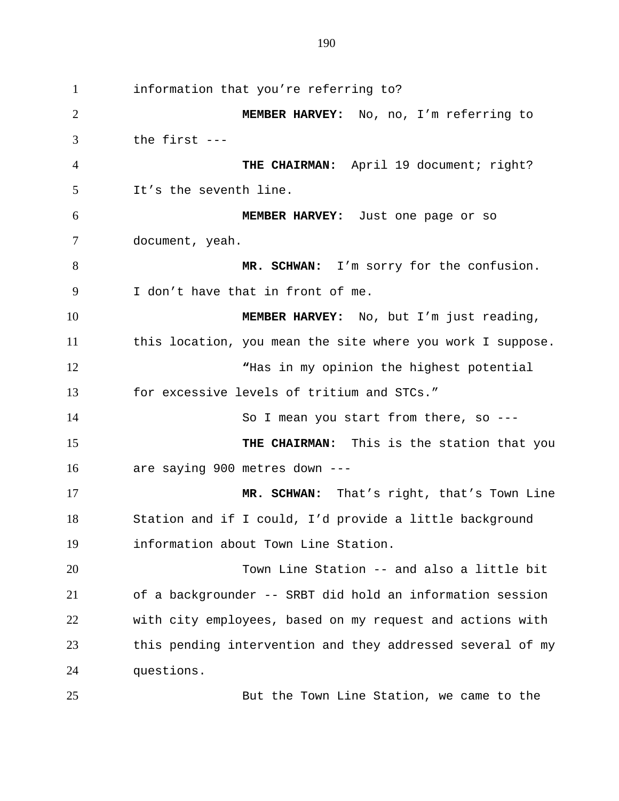information that you're referring to? **MEMBER HARVEY:** No, no, I'm referring to the first --- **THE CHAIRMAN:** April 19 document; right? It's the seventh line. **MEMBER HARVEY:** Just one page or so document, yeah. **MR. SCHWAN:** I'm sorry for the confusion. I don't have that in front of me. **MEMBER HARVEY:** No, but I'm just reading, this location, you mean the site where you work I suppose. **"**Has in my opinion the highest potential for excessive levels of tritium and STCs." So I mean you start from there, so --- **THE CHAIRMAN:** This is the station that you are saying 900 metres down --- **MR. SCHWAN:** That's right, that's Town Line Station and if I could, I'd provide a little background information about Town Line Station. Town Line Station -- and also a little bit of a backgrounder -- SRBT did hold an information session with city employees, based on my request and actions with this pending intervention and they addressed several of my questions.

But the Town Line Station, we came to the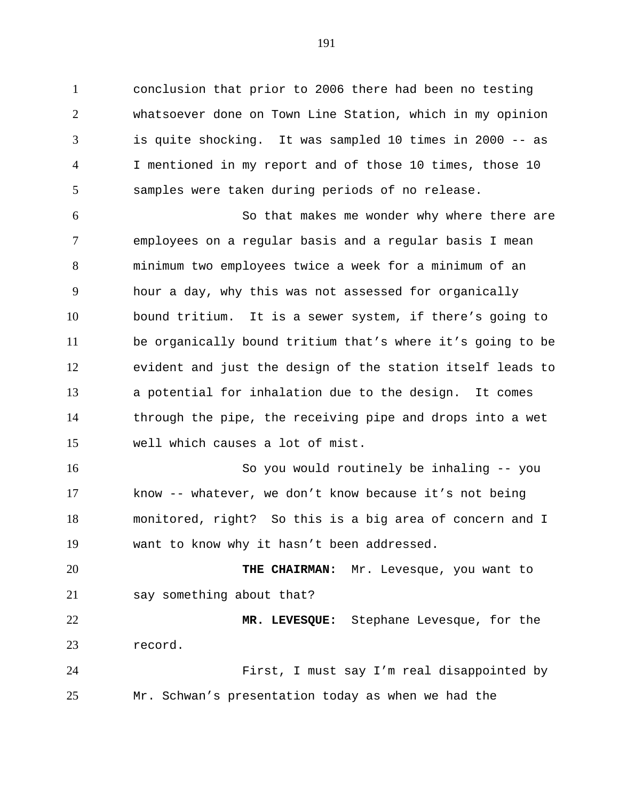conclusion that prior to 2006 there had been no testing whatsoever done on Town Line Station, which in my opinion is quite shocking. It was sampled 10 times in 2000 -- as I mentioned in my report and of those 10 times, those 10 samples were taken during periods of no release.

 So that makes me wonder why where there are employees on a regular basis and a regular basis I mean minimum two employees twice a week for a minimum of an hour a day, why this was not assessed for organically bound tritium. It is a sewer system, if there's going to be organically bound tritium that's where it's going to be evident and just the design of the station itself leads to a potential for inhalation due to the design. It comes through the pipe, the receiving pipe and drops into a wet well which causes a lot of mist.

 So you would routinely be inhaling -- you know -- whatever, we don't know because it's not being monitored, right? So this is a big area of concern and I want to know why it hasn't been addressed.

 **THE CHAIRMAN:** Mr. Levesque, you want to 21 say something about that?

 **MR. LEVESQUE:** Stephane Levesque, for the record.

 First, I must say I'm real disappointed by Mr. Schwan's presentation today as when we had the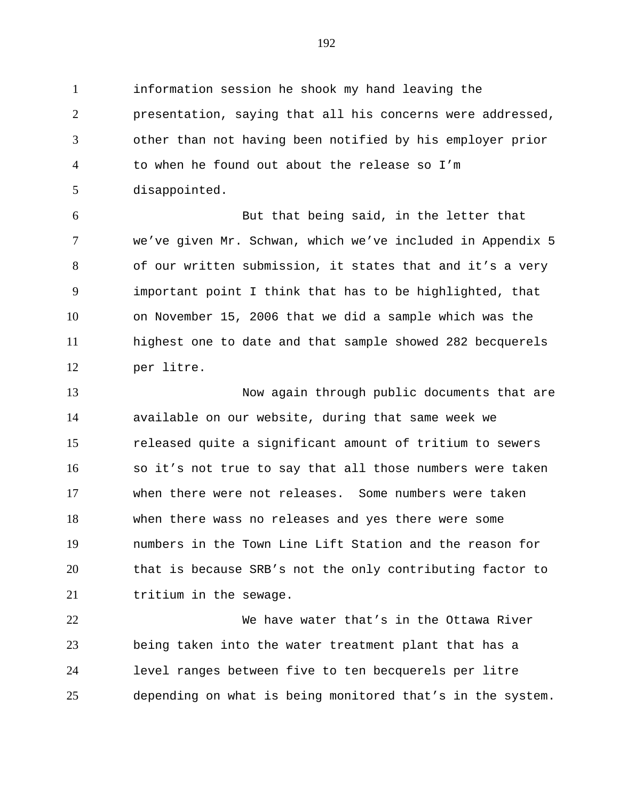information session he shook my hand leaving the presentation, saying that all his concerns were addressed, other than not having been notified by his employer prior to when he found out about the release so I'm disappointed.

 But that being said, in the letter that we've given Mr. Schwan, which we've included in Appendix 5 of our written submission, it states that and it's a very important point I think that has to be highlighted, that on November 15, 2006 that we did a sample which was the highest one to date and that sample showed 282 becquerels per litre.

 Now again through public documents that are available on our website, during that same week we released quite a significant amount of tritium to sewers so it's not true to say that all those numbers were taken when there were not releases. Some numbers were taken when there wass no releases and yes there were some numbers in the Town Line Lift Station and the reason for that is because SRB's not the only contributing factor to 21 tritium in the sewage.

 We have water that's in the Ottawa River being taken into the water treatment plant that has a level ranges between five to ten becquerels per litre depending on what is being monitored that's in the system.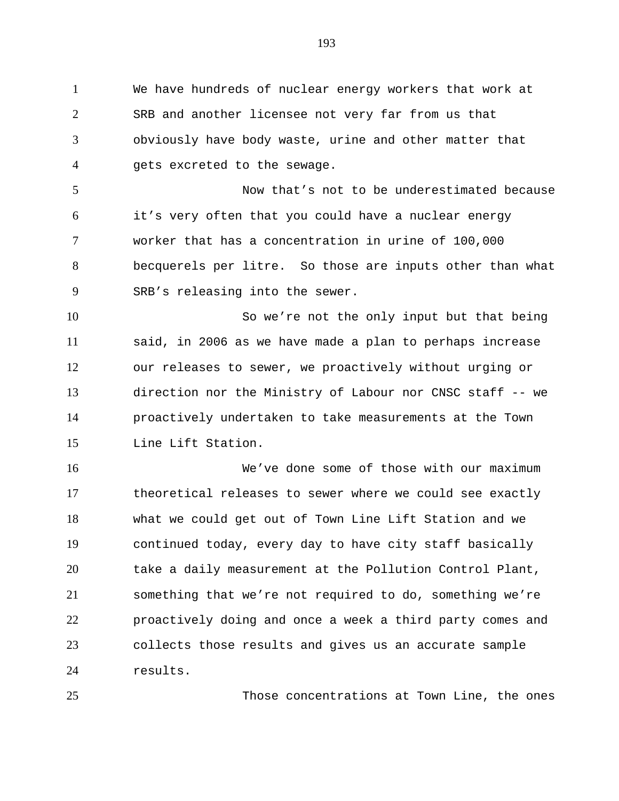We have hundreds of nuclear energy workers that work at SRB and another licensee not very far from us that obviously have body waste, urine and other matter that gets excreted to the sewage.

 Now that's not to be underestimated because it's very often that you could have a nuclear energy worker that has a concentration in urine of 100,000 becquerels per litre. So those are inputs other than what SRB's releasing into the sewer.

 So we're not the only input but that being said, in 2006 as we have made a plan to perhaps increase our releases to sewer, we proactively without urging or direction nor the Ministry of Labour nor CNSC staff -- we proactively undertaken to take measurements at the Town Line Lift Station.

 We've done some of those with our maximum theoretical releases to sewer where we could see exactly what we could get out of Town Line Lift Station and we continued today, every day to have city staff basically take a daily measurement at the Pollution Control Plant, something that we're not required to do, something we're proactively doing and once a week a third party comes and collects those results and gives us an accurate sample results.

Those concentrations at Town Line, the ones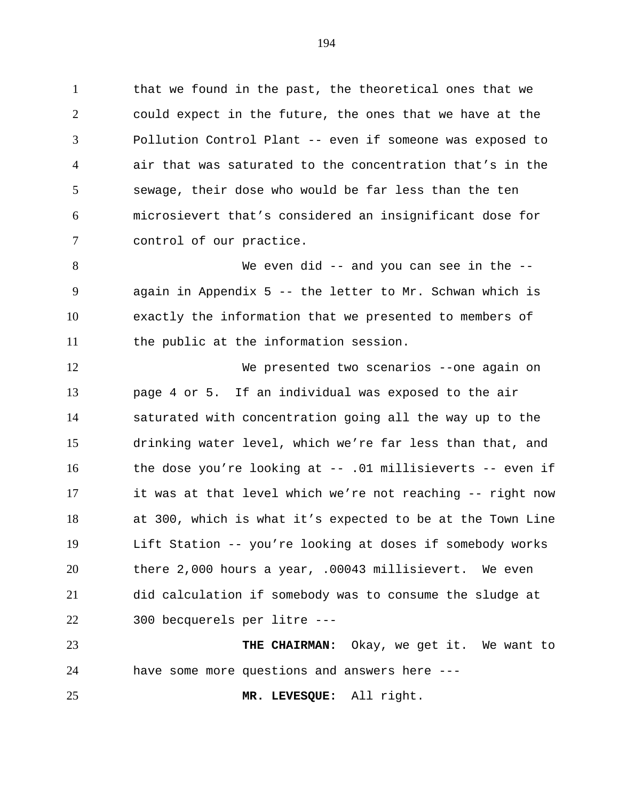that we found in the past, the theoretical ones that we could expect in the future, the ones that we have at the Pollution Control Plant -- even if someone was exposed to air that was saturated to the concentration that's in the sewage, their dose who would be far less than the ten microsievert that's considered an insignificant dose for control of our practice.

 We even did -- and you can see in the -- again in Appendix 5 -- the letter to Mr. Schwan which is exactly the information that we presented to members of the public at the information session.

 We presented two scenarios --one again on page 4 or 5. If an individual was exposed to the air saturated with concentration going all the way up to the drinking water level, which we're far less than that, and the dose you're looking at -- .01 millisieverts -- even if it was at that level which we're not reaching -- right now at 300, which is what it's expected to be at the Town Line Lift Station -- you're looking at doses if somebody works there 2,000 hours a year, .00043 millisievert. We even did calculation if somebody was to consume the sludge at 300 becquerels per litre ---

 **THE CHAIRMAN:** Okay, we get it. We want to have some more questions and answers here ---

**MR. LEVESQUE:** All right.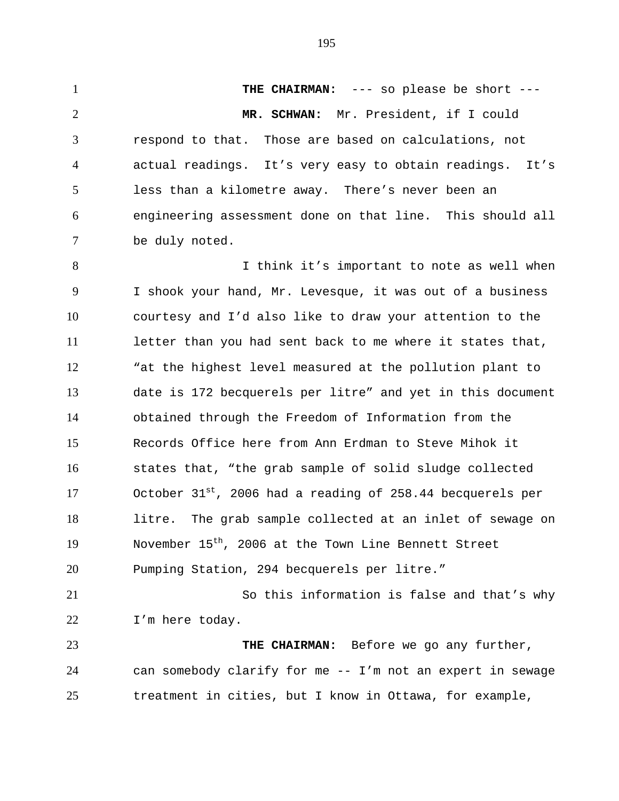**THE CHAIRMAN:** --- so please be short --- **MR. SCHWAN:** Mr. President, if I could respond to that. Those are based on calculations, not actual readings. It's very easy to obtain readings. It's less than a kilometre away. There's never been an engineering assessment done on that line. This should all be duly noted. 8 I think it's important to note as well when

 I shook your hand, Mr. Levesque, it was out of a business courtesy and I'd also like to draw your attention to the 11 letter than you had sent back to me where it states that, "at the highest level measured at the pollution plant to date is 172 becquerels per litre" and yet in this document obtained through the Freedom of Information from the Records Office here from Ann Erdman to Steve Mihok it states that, "the grab sample of solid sludge collected 17 0ctober  $31^{st}$ , 2006 had a reading of 258.44 becquerels per litre. The grab sample collected at an inlet of sewage on 19 November  $15<sup>th</sup>$ , 2006 at the Town Line Bennett Street Pumping Station, 294 becquerels per litre."

 So this information is false and that's why I'm here today.

 **THE CHAIRMAN:** Before we go any further, can somebody clarify for me -- I'm not an expert in sewage treatment in cities, but I know in Ottawa, for example,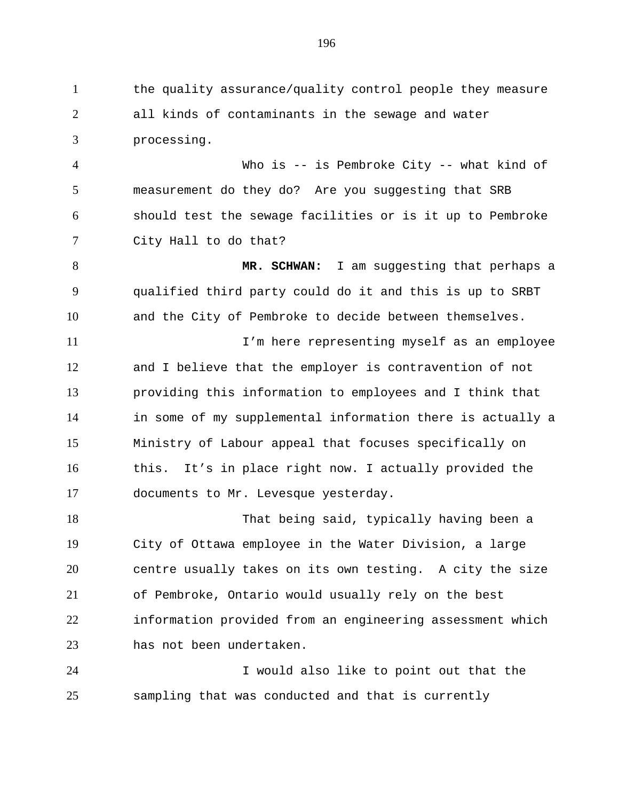the quality assurance/quality control people they measure all kinds of contaminants in the sewage and water processing.

 Who is -- is Pembroke City -- what kind of measurement do they do? Are you suggesting that SRB should test the sewage facilities or is it up to Pembroke City Hall to do that?

 **MR. SCHWAN:** I am suggesting that perhaps a qualified third party could do it and this is up to SRBT and the City of Pembroke to decide between themselves.

 I'm here representing myself as an employee and I believe that the employer is contravention of not providing this information to employees and I think that in some of my supplemental information there is actually a Ministry of Labour appeal that focuses specifically on this. It's in place right now. I actually provided the documents to Mr. Levesque yesterday.

 That being said, typically having been a City of Ottawa employee in the Water Division, a large centre usually takes on its own testing. A city the size of Pembroke, Ontario would usually rely on the best information provided from an engineering assessment which has not been undertaken.

 I would also like to point out that the sampling that was conducted and that is currently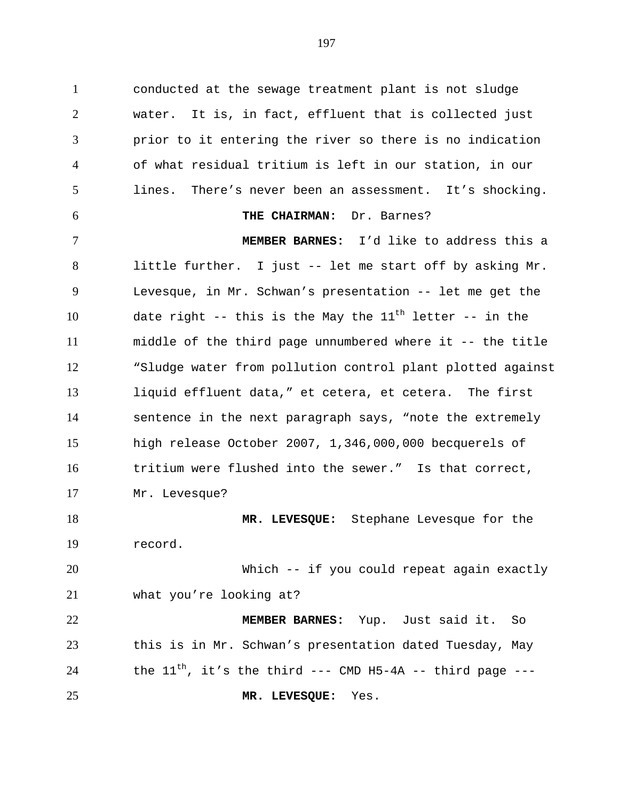conducted at the sewage treatment plant is not sludge water. It is, in fact, effluent that is collected just prior to it entering the river so there is no indication of what residual tritium is left in our station, in our lines. There's never been an assessment. It's shocking. **THE CHAIRMAN:** Dr. Barnes? **MEMBER BARNES:**I'd like to address this a little further. I just -- let me start off by asking Mr. Levesque, in Mr. Schwan's presentation -- let me get the 10 date right -- this is the May the  $11<sup>th</sup>$  letter -- in the middle of the third page unnumbered where it -- the title "Sludge water from pollution control plant plotted against liquid effluent data," et cetera, et cetera. The first sentence in the next paragraph says, "note the extremely high release October 2007, 1,346,000,000 becquerels of tritium were flushed into the sewer." Is that correct, Mr. Levesque? **MR. LEVESQUE:** Stephane Levesque for the record. Which -- if you could repeat again exactly what you're looking at? **MEMBER BARNES:** Yup. Just said it. So this is in Mr. Schwan's presentation dated Tuesday, May 24 the  $11^{th}$ , it's the third --- CMD H5-4A -- third page ---

**MR. LEVESQUE:** Yes.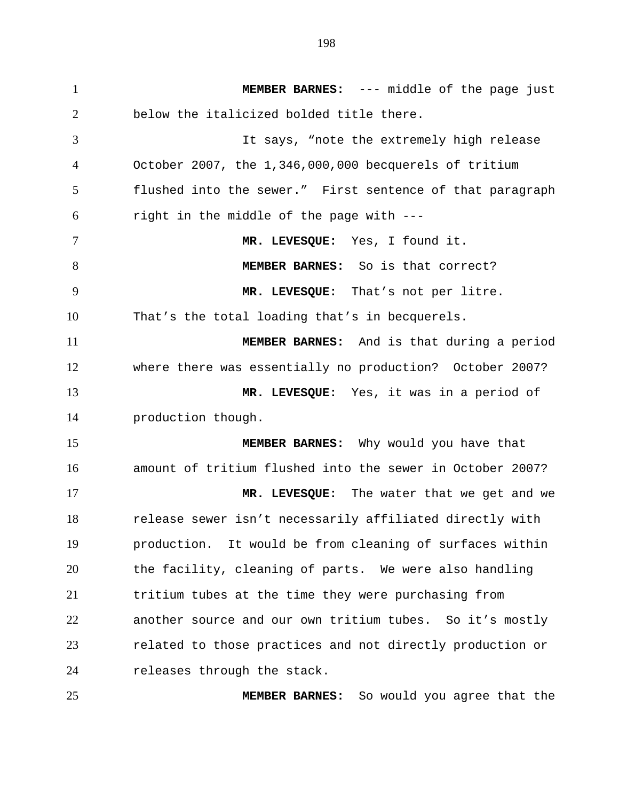**MEMBER BARNES:** --- middle of the page just below the italicized bolded title there. It says, "note the extremely high release October 2007, the 1,346,000,000 becquerels of tritium flushed into the sewer." First sentence of that paragraph right in the middle of the page with --- **MR. LEVESQUE:** Yes, I found it. **MEMBER BARNES:** So is that correct? **MR. LEVESQUE:** That's not per litre. That's the total loading that's in becquerels. **MEMBER BARNES:** And is that during a period where there was essentially no production? October 2007? **MR. LEVESQUE:** Yes, it was in a period of production though. **MEMBER BARNES:** Why would you have that amount of tritium flushed into the sewer in October 2007? **MR. LEVESQUE:** The water that we get and we release sewer isn't necessarily affiliated directly with production. It would be from cleaning of surfaces within the facility, cleaning of parts. We were also handling tritium tubes at the time they were purchasing from another source and our own tritium tubes. So it's mostly related to those practices and not directly production or 24 releases through the stack.

**MEMBER BARNES:** So would you agree that the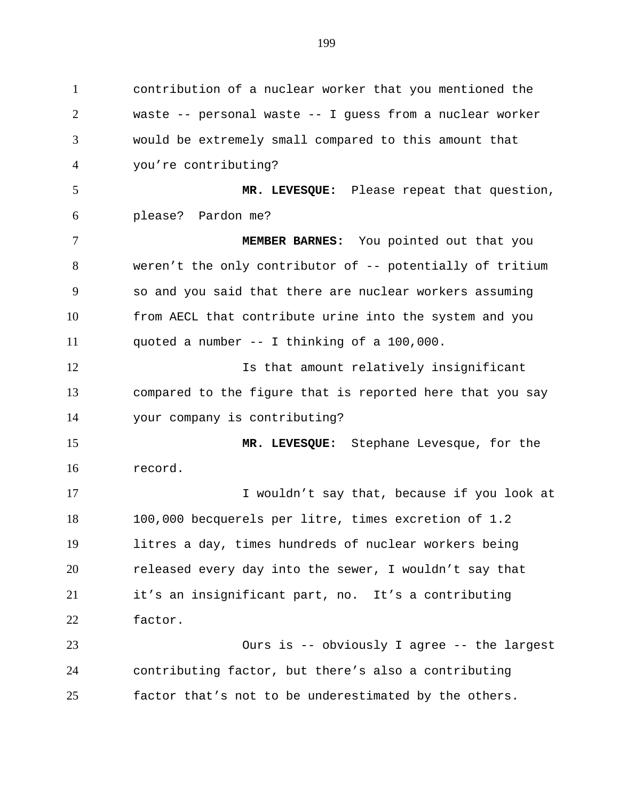contribution of a nuclear worker that you mentioned the waste -- personal waste -- I guess from a nuclear worker would be extremely small compared to this amount that you're contributing? **MR. LEVESQUE:** Please repeat that question, please? Pardon me? **MEMBER BARNES:** You pointed out that you weren't the only contributor of -- potentially of tritium so and you said that there are nuclear workers assuming from AECL that contribute urine into the system and you quoted a number -- I thinking of a 100,000. **Is that amount relatively insignificant**  compared to the figure that is reported here that you say your company is contributing? **MR. LEVESQUE:** Stephane Levesque, for the record. **I** wouldn't say that, because if you look at 100,000 becquerels per litre, times excretion of 1.2 litres a day, times hundreds of nuclear workers being released every day into the sewer, I wouldn't say that it's an insignificant part, no. It's a contributing factor. Ours is -- obviously I agree -- the largest contributing factor, but there's also a contributing factor that's not to be underestimated by the others.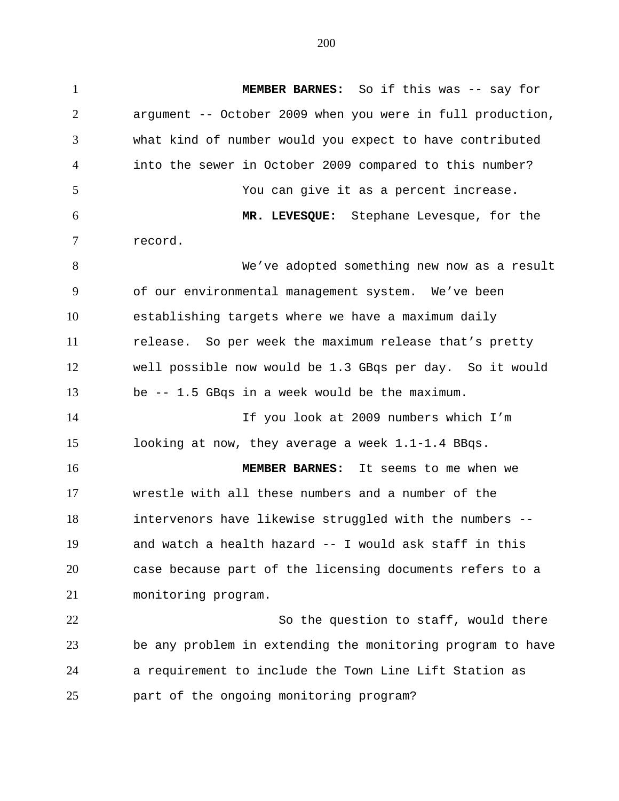**MEMBER BARNES:** So if this was -- say for argument -- October 2009 when you were in full production, what kind of number would you expect to have contributed into the sewer in October 2009 compared to this number? You can give it as a percent increase. **MR. LEVESQUE:** Stephane Levesque, for the record. We've adopted something new now as a result of our environmental management system. We've been establishing targets where we have a maximum daily release. So per week the maximum release that's pretty well possible now would be 1.3 GBqs per day. So it would be -- 1.5 GBqs in a week would be the maximum. If you look at 2009 numbers which I'm looking at now, they average a week 1.1-1.4 BBqs. **MEMBER BARNES:** It seems to me when we wrestle with all these numbers and a number of the intervenors have likewise struggled with the numbers -- and watch a health hazard -- I would ask staff in this case because part of the licensing documents refers to a monitoring program. So the question to staff, would there be any problem in extending the monitoring program to have a requirement to include the Town Line Lift Station as

part of the ongoing monitoring program?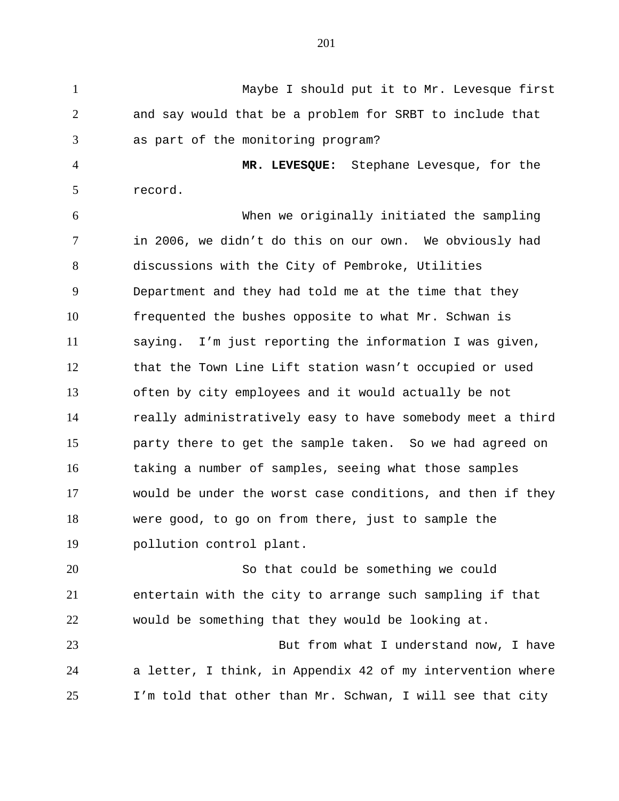Maybe I should put it to Mr. Levesque first and say would that be a problem for SRBT to include that as part of the monitoring program?

 **MR. LEVESQUE:** Stephane Levesque, for the record.

 When we originally initiated the sampling in 2006, we didn't do this on our own. We obviously had discussions with the City of Pembroke, Utilities Department and they had told me at the time that they frequented the bushes opposite to what Mr. Schwan is saying. I'm just reporting the information I was given, that the Town Line Lift station wasn't occupied or used often by city employees and it would actually be not really administratively easy to have somebody meet a third party there to get the sample taken. So we had agreed on taking a number of samples, seeing what those samples would be under the worst case conditions, and then if they were good, to go on from there, just to sample the pollution control plant.

 So that could be something we could entertain with the city to arrange such sampling if that would be something that they would be looking at.

 But from what I understand now, I have a letter, I think, in Appendix 42 of my intervention where I'm told that other than Mr. Schwan, I will see that city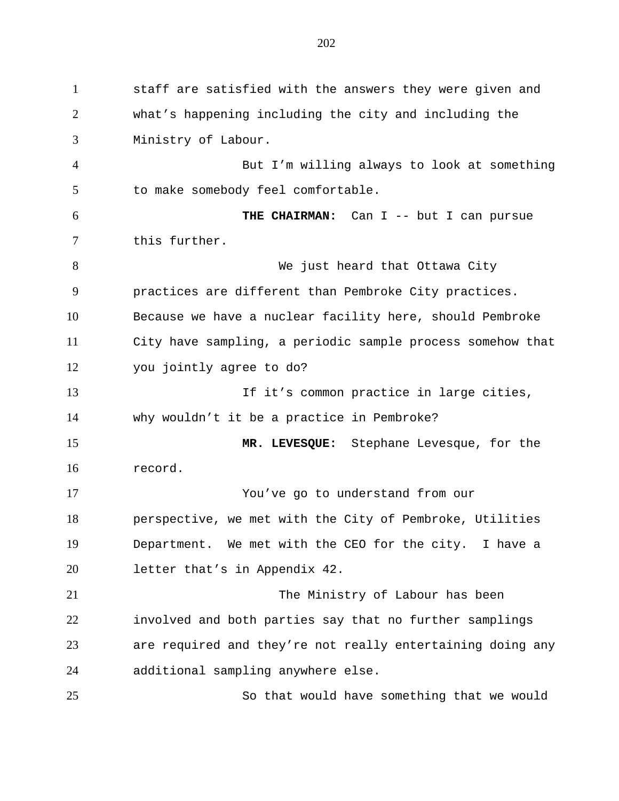staff are satisfied with the answers they were given and what's happening including the city and including the Ministry of Labour. But I'm willing always to look at something to make somebody feel comfortable. **THE CHAIRMAN:** Can I -- but I can pursue this further. 8 We just heard that Ottawa City practices are different than Pembroke City practices. Because we have a nuclear facility here, should Pembroke City have sampling, a periodic sample process somehow that you jointly agree to do? If it's common practice in large cities, why wouldn't it be a practice in Pembroke? **MR. LEVESQUE:** Stephane Levesque, for the record. You've go to understand from our perspective, we met with the City of Pembroke, Utilities Department. We met with the CEO for the city. I have a letter that's in Appendix 42. The Ministry of Labour has been involved and both parties say that no further samplings are required and they're not really entertaining doing any additional sampling anywhere else. So that would have something that we would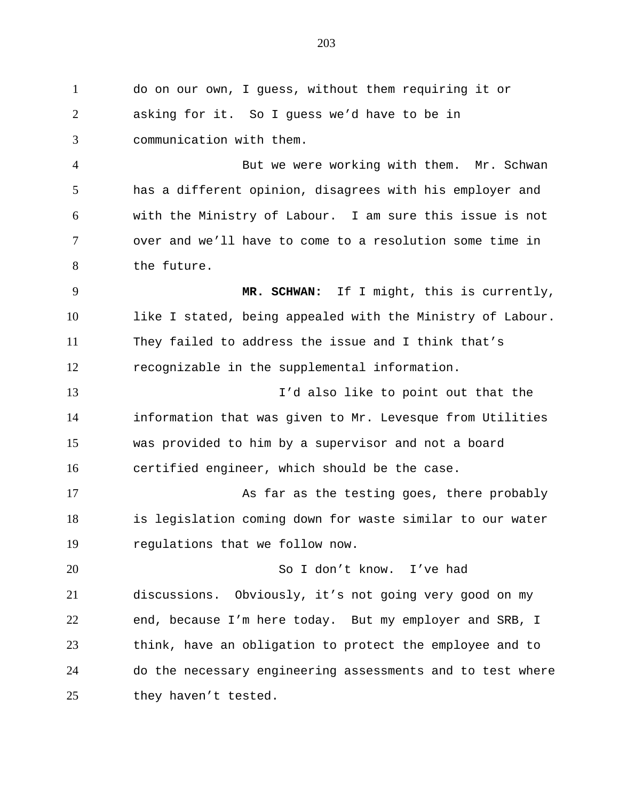do on our own, I guess, without them requiring it or asking for it. So I guess we'd have to be in communication with them. But we were working with them. Mr. Schwan has a different opinion, disagrees with his employer and with the Ministry of Labour. I am sure this issue is not over and we'll have to come to a resolution some time in the future. **MR. SCHWAN:** If I might, this is currently, like I stated, being appealed with the Ministry of Labour. They failed to address the issue and I think that's recognizable in the supplemental information. I'd also like to point out that the information that was given to Mr. Levesque from Utilities was provided to him by a supervisor and not a board certified engineer, which should be the case. 17 As far as the testing goes, there probably is legislation coming down for waste similar to our water regulations that we follow now. So I don't know. I've had discussions. Obviously, it's not going very good on my end, because I'm here today. But my employer and SRB, I think, have an obligation to protect the employee and to do the necessary engineering assessments and to test where 25 they haven't tested.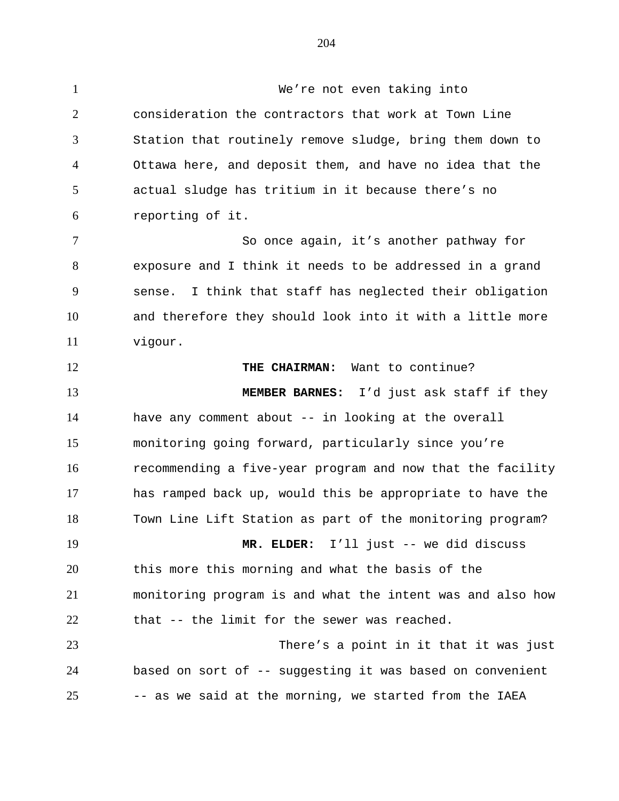We're not even taking into consideration the contractors that work at Town Line Station that routinely remove sludge, bring them down to Ottawa here, and deposit them, and have no idea that the actual sludge has tritium in it because there's no reporting of it. So once again, it's another pathway for exposure and I think it needs to be addressed in a grand sense. I think that staff has neglected their obligation and therefore they should look into it with a little more vigour. **THE CHAIRMAN:** Want to continue? **MEMBER BARNES:** I'd just ask staff if they have any comment about -- in looking at the overall monitoring going forward, particularly since you're recommending a five-year program and now that the facility has ramped back up, would this be appropriate to have the Town Line Lift Station as part of the monitoring program? **MR. ELDER:** I'll just -- we did discuss this more this morning and what the basis of the monitoring program is and what the intent was and also how that -- the limit for the sewer was reached. There's a point in it that it was just based on sort of -- suggesting it was based on convenient -- as we said at the morning, we started from the IAEA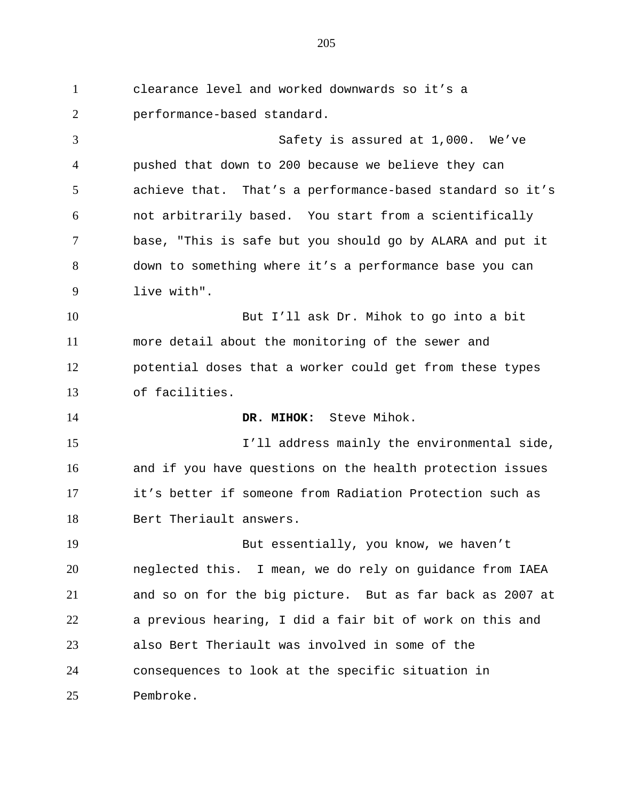clearance level and worked downwards so it's a performance-based standard. Safety is assured at 1,000. We've pushed that down to 200 because we believe they can achieve that. That's a performance-based standard so it's not arbitrarily based. You start from a scientifically base, "This is safe but you should go by ALARA and put it down to something where it's a performance base you can live with". But I'll ask Dr. Mihok to go into a bit more detail about the monitoring of the sewer and potential doses that a worker could get from these types of facilities. **DR. MIHOK:** Steve Mihok. 15 I'll address mainly the environmental side, and if you have questions on the health protection issues it's better if someone from Radiation Protection such as Bert Theriault answers. But essentially, you know, we haven't neglected this. I mean, we do rely on guidance from IAEA and so on for the big picture. But as far back as 2007 at a previous hearing, I did a fair bit of work on this and also Bert Theriault was involved in some of the consequences to look at the specific situation in Pembroke.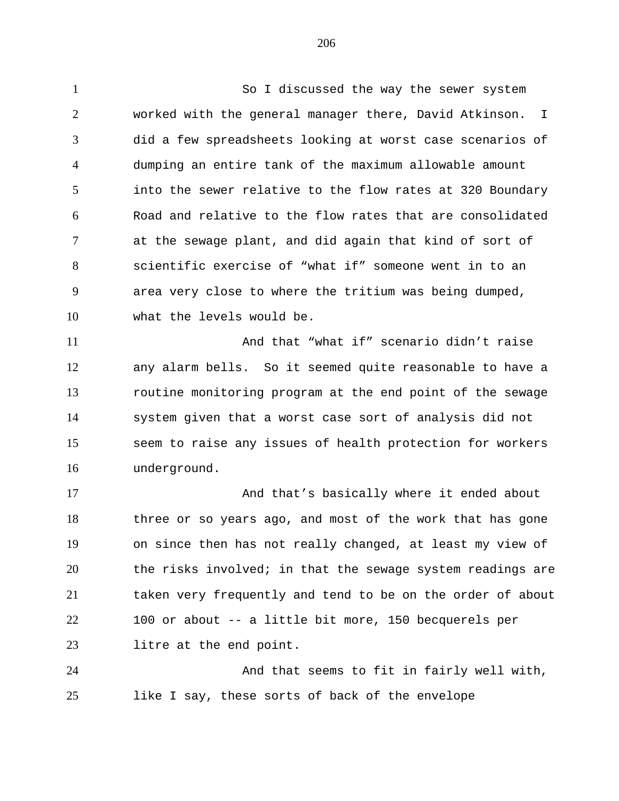So I discussed the way the sewer system worked with the general manager there, David Atkinson. I did a few spreadsheets looking at worst case scenarios of dumping an entire tank of the maximum allowable amount into the sewer relative to the flow rates at 320 Boundary Road and relative to the flow rates that are consolidated at the sewage plant, and did again that kind of sort of scientific exercise of "what if" someone went in to an area very close to where the tritium was being dumped, what the levels would be.

 And that "what if" scenario didn't raise any alarm bells. So it seemed quite reasonable to have a routine monitoring program at the end point of the sewage system given that a worst case sort of analysis did not seem to raise any issues of health protection for workers underground.

17 And that's basically where it ended about three or so years ago, and most of the work that has gone on since then has not really changed, at least my view of the risks involved; in that the sewage system readings are taken very frequently and tend to be on the order of about 100 or about -- a little bit more, 150 becquerels per litre at the end point.

 And that seems to fit in fairly well with, like I say, these sorts of back of the envelope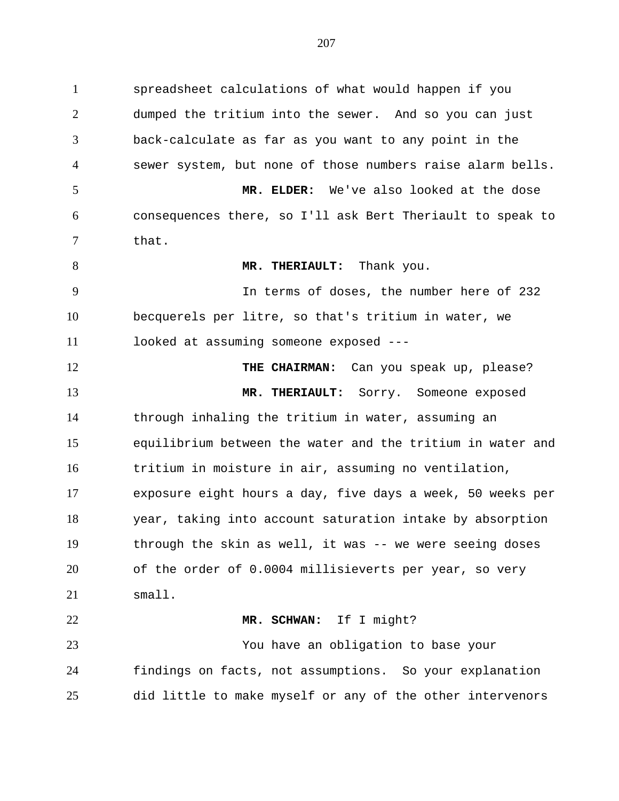dumped the tritium into the sewer. And so you can just back-calculate as far as you want to any point in the sewer system, but none of those numbers raise alarm bells. **MR. ELDER:** We've also looked at the dose consequences there, so I'll ask Bert Theriault to speak to that. **MR. THERIAULT:** Thank you. In terms of doses, the number here of 232

spreadsheet calculations of what would happen if you

 becquerels per litre, so that's tritium in water, we looked at assuming someone exposed ---

**THE CHAIRMAN:** Can you speak up, please? **MR. THERIAULT:** Sorry. Someone exposed through inhaling the tritium in water, assuming an equilibrium between the water and the tritium in water and tritium in moisture in air, assuming no ventilation, exposure eight hours a day, five days a week, 50 weeks per year, taking into account saturation intake by absorption through the skin as well, it was -- we were seeing doses of the order of 0.0004 millisieverts per year, so very small. **MR. SCHWAN:** If I might?

 You have an obligation to base your findings on facts, not assumptions. So your explanation did little to make myself or any of the other intervenors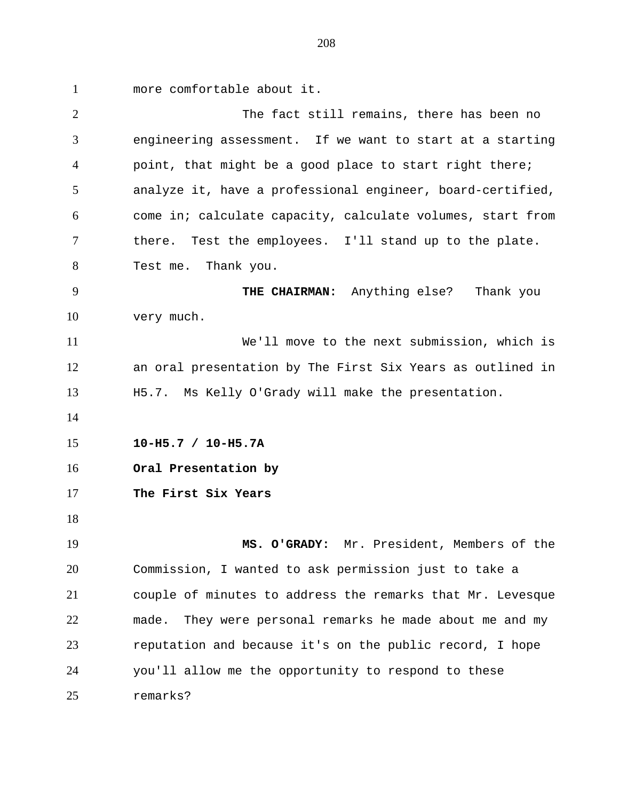more comfortable about it.

| $\overline{2}$ | The fact still remains, there has been no                   |
|----------------|-------------------------------------------------------------|
| 3              | engineering assessment. If we want to start at a starting   |
| $\overline{4}$ | point, that might be a good place to start right there;     |
| 5              | analyze it, have a professional engineer, board-certified,  |
| 6              | come in; calculate capacity, calculate volumes, start from  |
| 7              | there. Test the employees. I'll stand up to the plate.      |
| 8              | Test me. Thank you.                                         |
| 9              | THE CHAIRMAN: Anything else? Thank you                      |
| 10             | very much.                                                  |
| 11             | We'll move to the next submission, which is                 |
| 12             | an oral presentation by The First Six Years as outlined in  |
| 13             | H5.7. Ms Kelly O'Grady will make the presentation.          |
| 14             |                                                             |
| 15             | $10-H5.7 / 10-H5.7A$                                        |
| 16             | Oral Presentation by                                        |
| 17             | The First Six Years                                         |
| 18             |                                                             |
| 19             | Mr. President, Members of the<br>MS. O'GRADY:               |
| 20             | Commission, I wanted to ask permission just to take a       |
| 21             | couple of minutes to address the remarks that Mr. Levesque  |
| 22             | They were personal remarks he made about me and my<br>made. |
|                |                                                             |
| 23             | reputation and because it's on the public record, I hope    |
| 24             | you'll allow me the opportunity to respond to these         |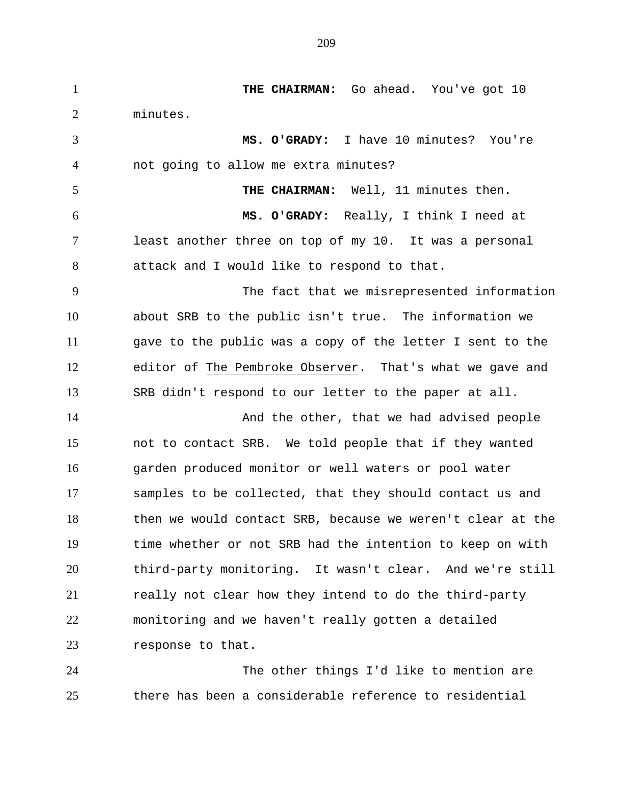**THE CHAIRMAN:** Go ahead. You've got 10 minutes. **MS. O'GRADY:** I have 10 minutes? You're not going to allow me extra minutes? **THE CHAIRMAN:** Well, 11 minutes then. **MS. O'GRADY:** Really, I think I need at least another three on top of my 10. It was a personal attack and I would like to respond to that. The fact that we misrepresented information about SRB to the public isn't true. The information we gave to the public was a copy of the letter I sent to the editor of The Pembroke Observer. That's what we gave and SRB didn't respond to our letter to the paper at all. 14 And the other, that we had advised people not to contact SRB. We told people that if they wanted garden produced monitor or well waters or pool water samples to be collected, that they should contact us and then we would contact SRB, because we weren't clear at the time whether or not SRB had the intention to keep on with third-party monitoring. It wasn't clear. And we're still really not clear how they intend to do the third-party monitoring and we haven't really gotten a detailed response to that.

 The other things I'd like to mention are there has been a considerable reference to residential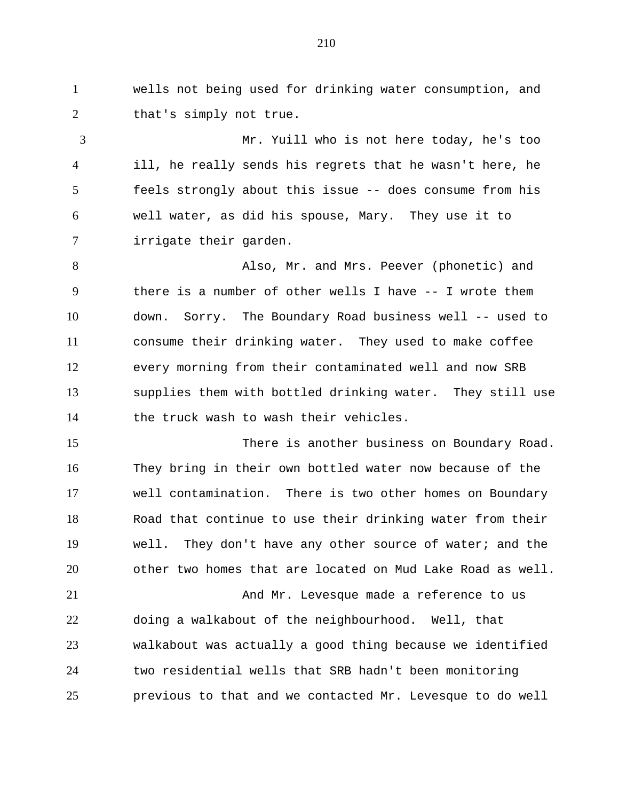wells not being used for drinking water consumption, and 2 that's simply not true.

Mr. Yuill who is not here today, he's too ill, he really sends his regrets that he wasn't here, he feels strongly about this issue -- does consume from his well water, as did his spouse, Mary. They use it to irrigate their garden.

Also, Mr. and Mrs. Peever (phonetic) and there is a number of other wells I have -- I wrote them down. Sorry. The Boundary Road business well -- used to consume their drinking water. They used to make coffee every morning from their contaminated well and now SRB supplies them with bottled drinking water. They still use 14 the truck wash to wash their vehicles.

There is another business on Boundary Road. They bring in their own bottled water now because of the well contamination. There is two other homes on Boundary Road that continue to use their drinking water from their well. They don't have any other source of water; and the other two homes that are located on Mud Lake Road as well.

And Mr. Levesque made a reference to us doing a walkabout of the neighbourhood. Well, that walkabout was actually a good thing because we identified two residential wells that SRB hadn't been monitoring previous to that and we contacted Mr. Levesque to do well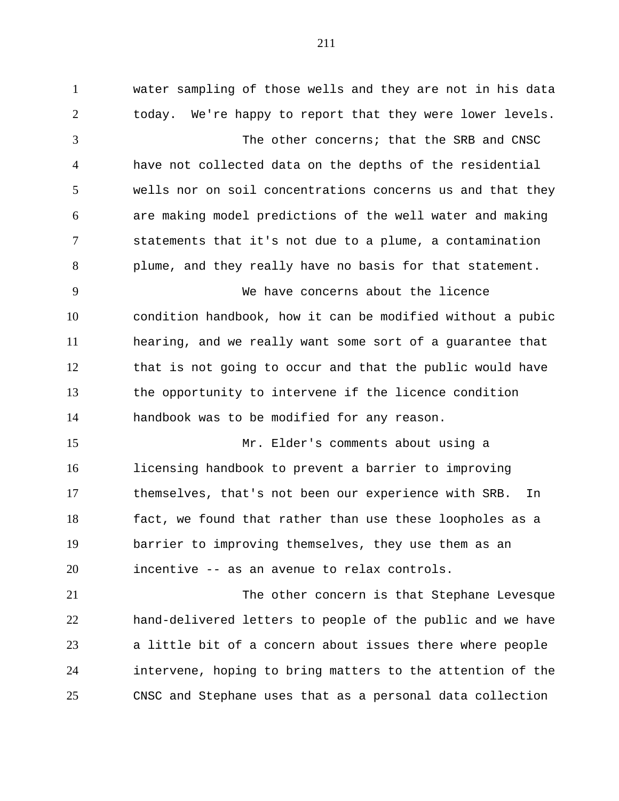water sampling of those wells and they are not in his data today. We're happy to report that they were lower levels. The other concerns; that the SRB and CNSC have not collected data on the depths of the residential wells nor on soil concentrations concerns us and that they are making model predictions of the well water and making statements that it's not due to a plume, a contamination plume, and they really have no basis for that statement. We have concerns about the licence condition handbook, how it can be modified without a pubic hearing, and we really want some sort of a guarantee that that is not going to occur and that the public would have the opportunity to intervene if the licence condition handbook was to be modified for any reason. Mr. Elder's comments about using a licensing handbook to prevent a barrier to improving themselves, that's not been our experience with SRB. In fact, we found that rather than use these loopholes as a barrier to improving themselves, they use them as an incentive -- as an avenue to relax controls. The other concern is that Stephane Levesque hand-delivered letters to people of the public and we have a little bit of a concern about issues there where people intervene, hoping to bring matters to the attention of the

CNSC and Stephane uses that as a personal data collection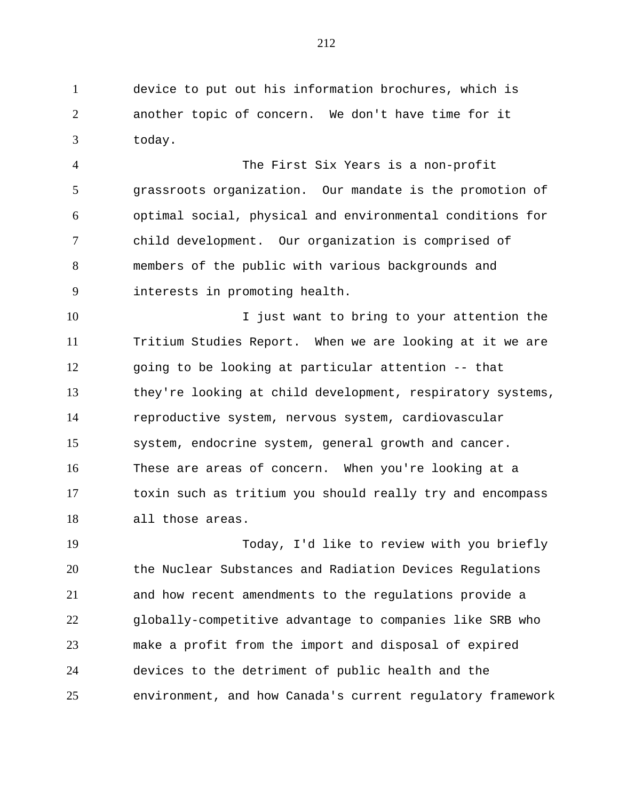device to put out his information brochures, which is another topic of concern. We don't have time for it today.

 The First Six Years is a non-profit grassroots organization. Our mandate is the promotion of optimal social, physical and environmental conditions for child development. Our organization is comprised of members of the public with various backgrounds and interests in promoting health.

10 10 I just want to bring to your attention the Tritium Studies Report. When we are looking at it we are going to be looking at particular attention -- that they're looking at child development, respiratory systems, reproductive system, nervous system, cardiovascular system, endocrine system, general growth and cancer. These are areas of concern. When you're looking at a toxin such as tritium you should really try and encompass all those areas.

 Today, I'd like to review with you briefly the Nuclear Substances and Radiation Devices Regulations and how recent amendments to the regulations provide a globally-competitive advantage to companies like SRB who make a profit from the import and disposal of expired devices to the detriment of public health and the environment, and how Canada's current regulatory framework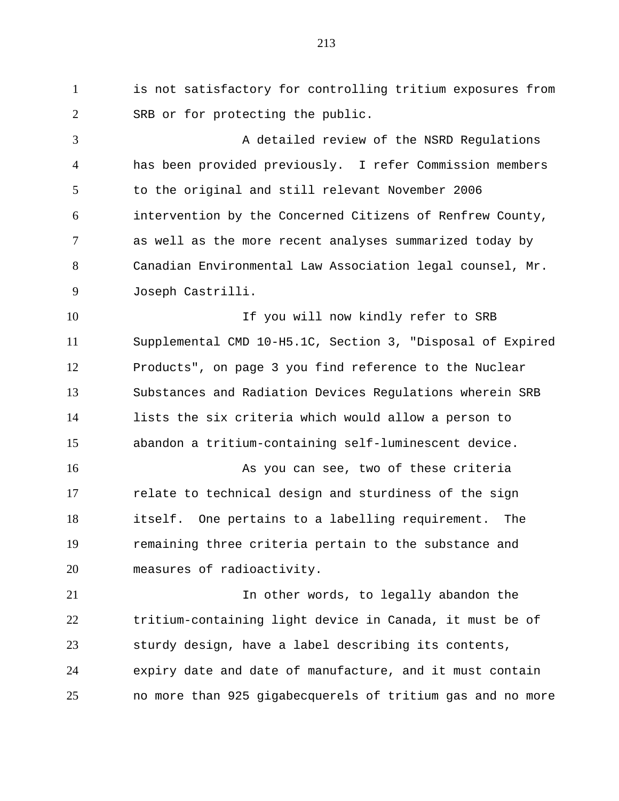is not satisfactory for controlling tritium exposures from SRB or for protecting the public.

 A detailed review of the NSRD Regulations has been provided previously. I refer Commission members to the original and still relevant November 2006 intervention by the Concerned Citizens of Renfrew County, as well as the more recent analyses summarized today by Canadian Environmental Law Association legal counsel, Mr. Joseph Castrilli.

10 10 If you will now kindly refer to SRB Supplemental CMD 10-H5.1C, Section 3, "Disposal of Expired Products", on page 3 you find reference to the Nuclear Substances and Radiation Devices Regulations wherein SRB lists the six criteria which would allow a person to abandon a tritium-containing self-luminescent device.

 As you can see, two of these criteria relate to technical design and sturdiness of the sign itself. One pertains to a labelling requirement. The remaining three criteria pertain to the substance and measures of radioactivity.

 In other words, to legally abandon the tritium-containing light device in Canada, it must be of sturdy design, have a label describing its contents, expiry date and date of manufacture, and it must contain no more than 925 gigabecquerels of tritium gas and no more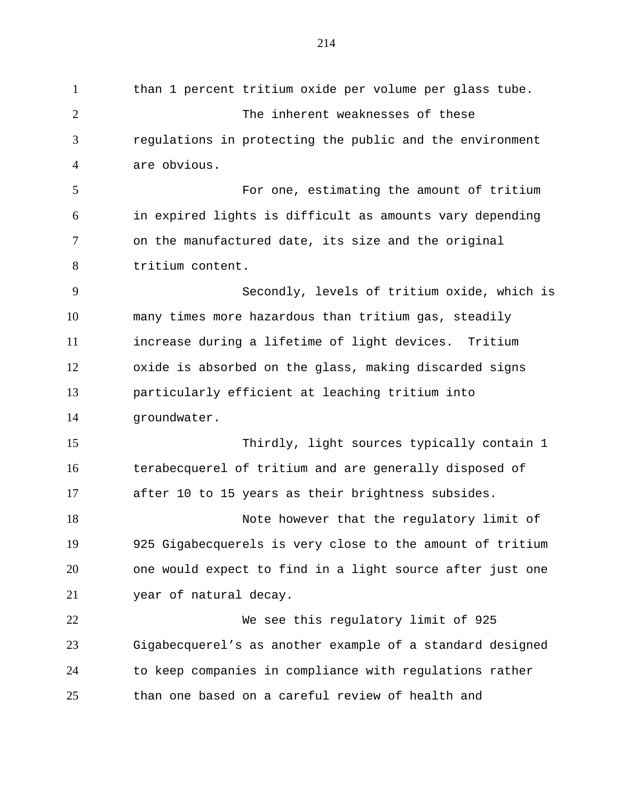than 1 percent tritium oxide per volume per glass tube. The inherent weaknesses of these regulations in protecting the public and the environment are obvious. For one, estimating the amount of tritium in expired lights is difficult as amounts vary depending on the manufactured date, its size and the original tritium content. Secondly, levels of tritium oxide, which is many times more hazardous than tritium gas, steadily increase during a lifetime of light devices. Tritium oxide is absorbed on the glass, making discarded signs particularly efficient at leaching tritium into groundwater. Thirdly, light sources typically contain 1 terabecquerel of tritium and are generally disposed of after 10 to 15 years as their brightness subsides. 18 Note however that the regulatory limit of 925 Gigabecquerels is very close to the amount of tritium one would expect to find in a light source after just one year of natural decay. We see this regulatory limit of 925 Gigabecquerel's as another example of a standard designed to keep companies in compliance with regulations rather than one based on a careful review of health and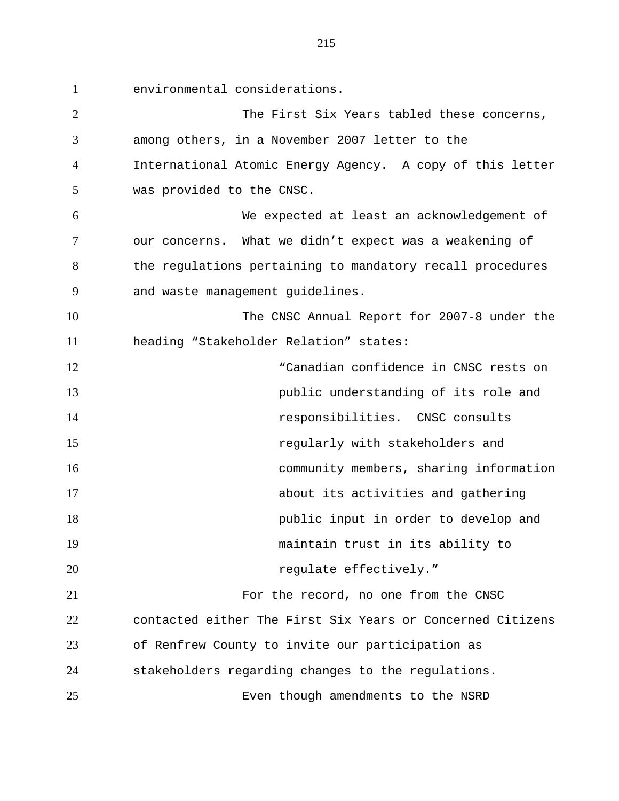environmental considerations.

 The First Six Years tabled these concerns, among others, in a November 2007 letter to the International Atomic Energy Agency. A copy of this letter was provided to the CNSC. We expected at least an acknowledgement of our concerns. What we didn't expect was a weakening of 8 the regulations pertaining to mandatory recall procedures and waste management guidelines. The CNSC Annual Report for 2007-8 under the heading "Stakeholder Relation" states: "Canadian confidence in CNSC rests on public understanding of its role and responsibilities. CNSC consults regularly with stakeholders and community members, sharing information about its activities and gathering public input in order to develop and maintain trust in its ability to *regulate effectively.*  For the record, no one from the CNSC contacted either The First Six Years or Concerned Citizens of Renfrew County to invite our participation as stakeholders regarding changes to the regulations. Even though amendments to the NSRD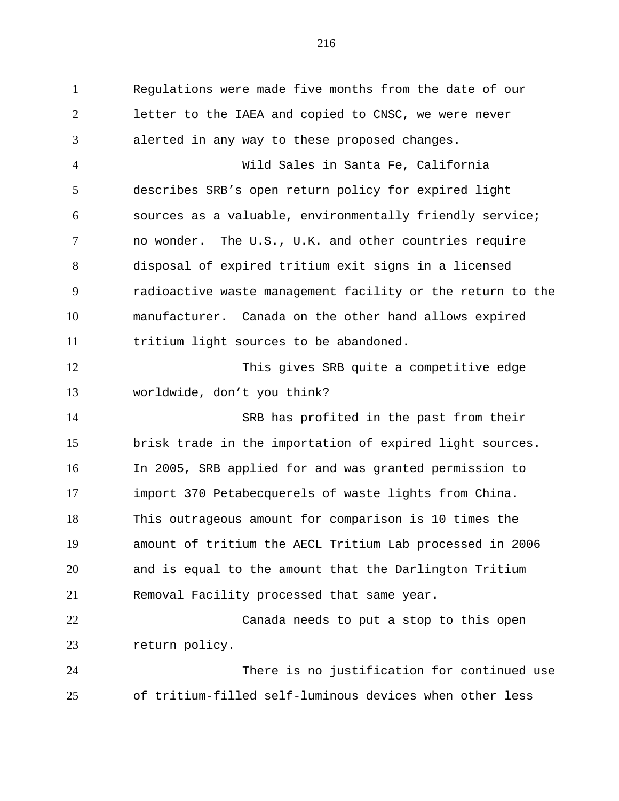Regulations were made five months from the date of our letter to the IAEA and copied to CNSC, we were never alerted in any way to these proposed changes.

 Wild Sales in Santa Fe, California describes SRB's open return policy for expired light sources as a valuable, environmentally friendly service; no wonder. The U.S., U.K. and other countries require disposal of expired tritium exit signs in a licensed radioactive waste management facility or the return to the manufacturer. Canada on the other hand allows expired tritium light sources to be abandoned.

 This gives SRB quite a competitive edge worldwide, don't you think?

 SRB has profited in the past from their brisk trade in the importation of expired light sources. In 2005, SRB applied for and was granted permission to import 370 Petabecquerels of waste lights from China. This outrageous amount for comparison is 10 times the amount of tritium the AECL Tritium Lab processed in 2006 and is equal to the amount that the Darlington Tritium Removal Facility processed that same year.

 Canada needs to put a stop to this open return policy.

 There is no justification for continued use of tritium-filled self-luminous devices when other less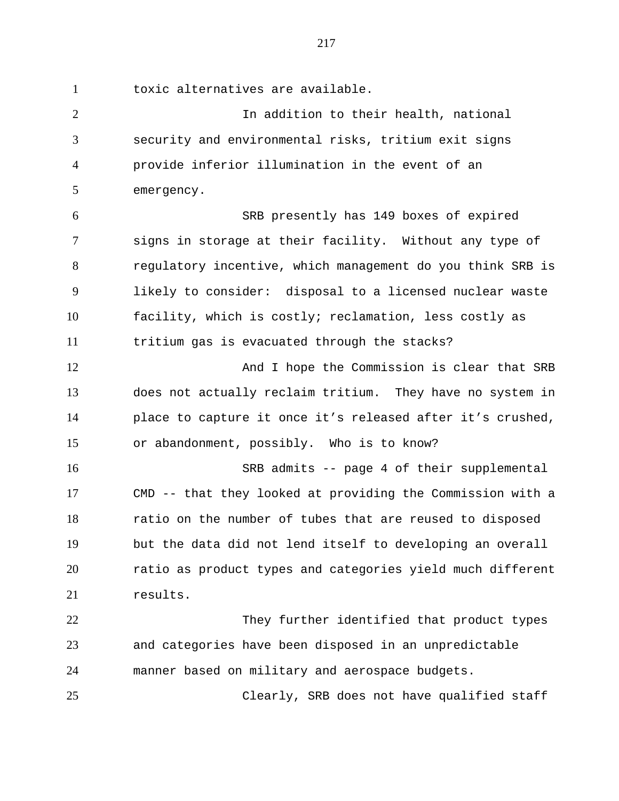toxic alternatives are available.

 In addition to their health, national security and environmental risks, tritium exit signs provide inferior illumination in the event of an emergency.

 SRB presently has 149 boxes of expired signs in storage at their facility. Without any type of regulatory incentive, which management do you think SRB is likely to consider: disposal to a licensed nuclear waste facility, which is costly; reclamation, less costly as tritium gas is evacuated through the stacks?

12 And I hope the Commission is clear that SRB does not actually reclaim tritium. They have no system in place to capture it once it's released after it's crushed, or abandonment, possibly. Who is to know?

 SRB admits -- page 4 of their supplemental CMD -- that they looked at providing the Commission with a 18 ratio on the number of tubes that are reused to disposed but the data did not lend itself to developing an overall ratio as product types and categories yield much different 21 results.

22 They further identified that product types and categories have been disposed in an unpredictable manner based on military and aerospace budgets.

Clearly, SRB does not have qualified staff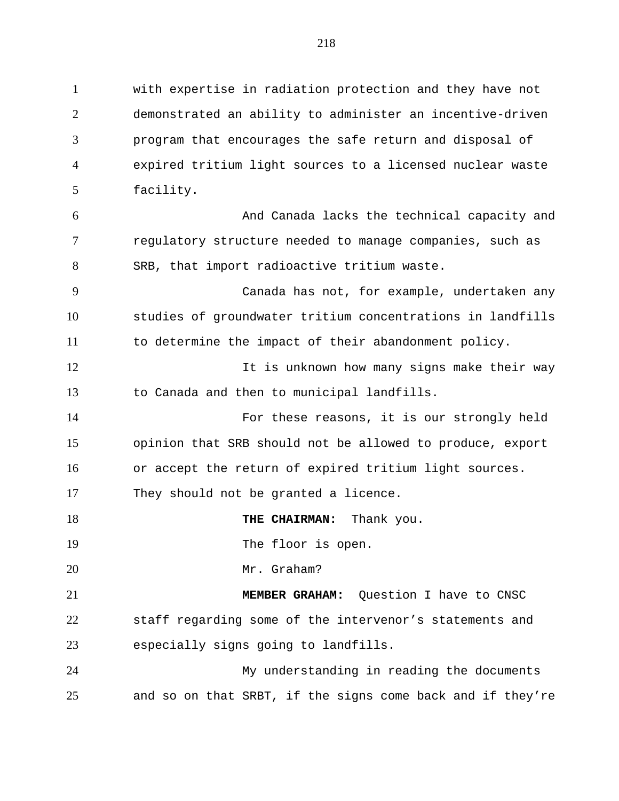with expertise in radiation protection and they have not demonstrated an ability to administer an incentive-driven program that encourages the safe return and disposal of expired tritium light sources to a licensed nuclear waste facility. And Canada lacks the technical capacity and regulatory structure needed to manage companies, such as SRB, that import radioactive tritium waste. Canada has not, for example, undertaken any studies of groundwater tritium concentrations in landfills to determine the impact of their abandonment policy. 12 It is unknown how many signs make their way to Canada and then to municipal landfills. For these reasons, it is our strongly held opinion that SRB should not be allowed to produce, export or accept the return of expired tritium light sources. They should not be granted a licence. **THE CHAIRMAN:** Thank you. 19 The floor is open. Mr. Graham? **MEMBER GRAHAM:** Question I have to CNSC staff regarding some of the intervenor's statements and especially signs going to landfills. My understanding in reading the documents and so on that SRBT, if the signs come back and if they're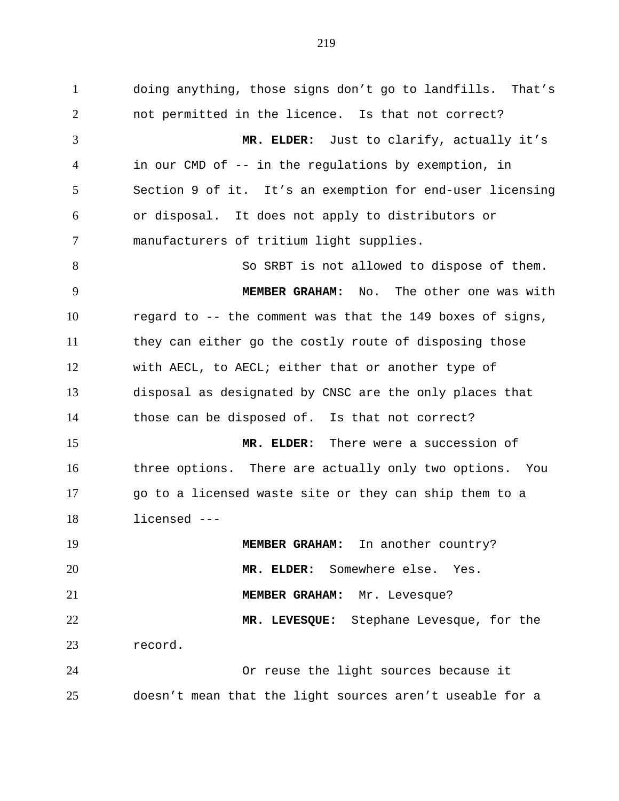doing anything, those signs don't go to landfills. That's not permitted in the licence. Is that not correct? **MR. ELDER:** Just to clarify, actually it's in our CMD of -- in the regulations by exemption, in Section 9 of it. It's an exemption for end-user licensing or disposal. It does not apply to distributors or manufacturers of tritium light supplies. 8 So SRBT is not allowed to dispose of them. **MEMBER GRAHAM:** No. The other one was with regard to -- the comment was that the 149 boxes of signs, they can either go the costly route of disposing those with AECL, to AECL; either that or another type of disposal as designated by CNSC are the only places that those can be disposed of. Is that not correct? **MR. ELDER:** There were a succession of three options. There are actually only two options. You go to a licensed waste site or they can ship them to a licensed --- **MEMBER GRAHAM:** In another country? **MR. ELDER:** Somewhere else. Yes. **MEMBER GRAHAM:** Mr. Levesque? **MR. LEVESQUE:** Stephane Levesque, for the record. Or reuse the light sources because it doesn't mean that the light sources aren't useable for a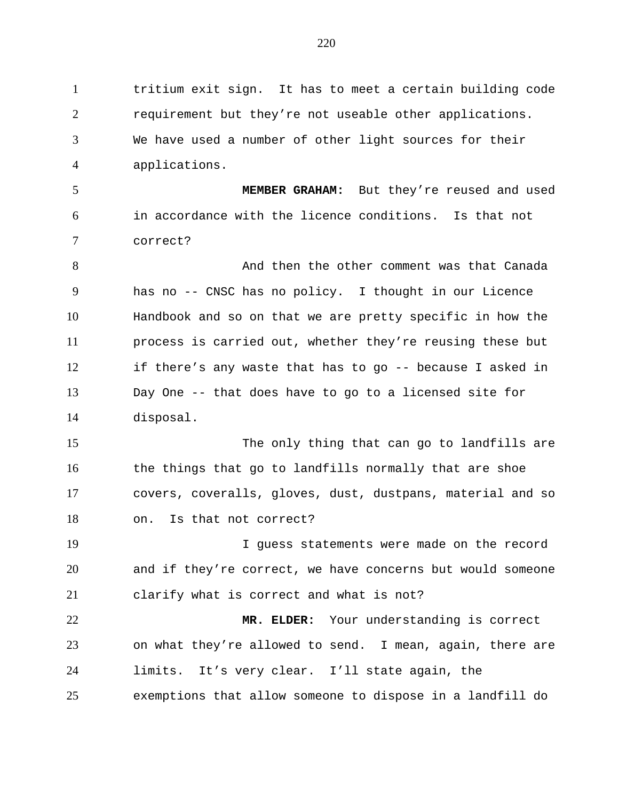tritium exit sign. It has to meet a certain building code requirement but they're not useable other applications. We have used a number of other light sources for their applications.

 **MEMBER GRAHAM:** But they're reused and used in accordance with the licence conditions. Is that not correct?

8 and then the other comment was that Canada has no -- CNSC has no policy. I thought in our Licence Handbook and so on that we are pretty specific in how the process is carried out, whether they're reusing these but if there's any waste that has to go -- because I asked in Day One -- that does have to go to a licensed site for disposal.

15 The only thing that can go to landfills are the things that go to landfills normally that are shoe covers, coveralls, gloves, dust, dustpans, material and so on. Is that not correct?

 I guess statements were made on the record and if they're correct, we have concerns but would someone clarify what is correct and what is not?

 **MR. ELDER:** Your understanding is correct on what they're allowed to send. I mean, again, there are limits. It's very clear. I'll state again, the exemptions that allow someone to dispose in a landfill do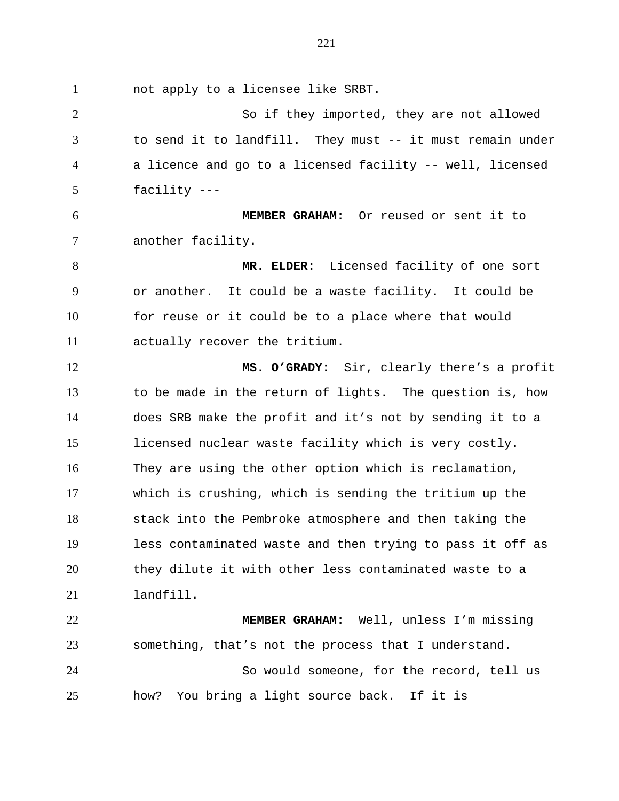not apply to a licensee like SRBT.

 So if they imported, they are not allowed to send it to landfill. They must -- it must remain under a licence and go to a licensed facility -- well, licensed facility --- **MEMBER GRAHAM:** Or reused or sent it to another facility. **MR. ELDER:** Licensed facility of one sort or another. It could be a waste facility. It could be for reuse or it could be to a place where that would actually recover the tritium. **MS. O'GRADY:** Sir, clearly there's a profit to be made in the return of lights. The question is, how does SRB make the profit and it's not by sending it to a licensed nuclear waste facility which is very costly. They are using the other option which is reclamation, which is crushing, which is sending the tritium up the stack into the Pembroke atmosphere and then taking the less contaminated waste and then trying to pass it off as they dilute it with other less contaminated waste to a landfill. **MEMBER GRAHAM:** Well, unless I'm missing something, that's not the process that I understand. So would someone, for the record, tell us how? You bring a light source back. If it is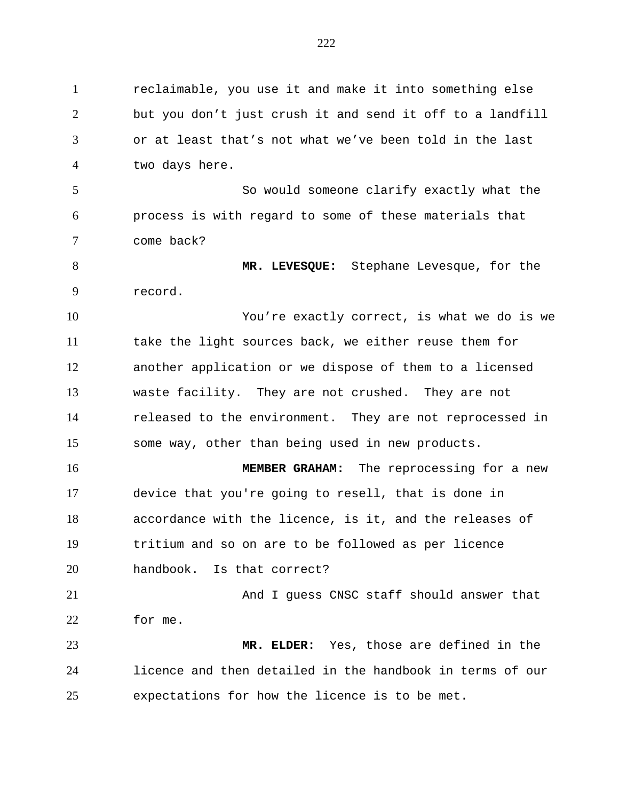reclaimable, you use it and make it into something else but you don't just crush it and send it off to a landfill or at least that's not what we've been told in the last two days here. So would someone clarify exactly what the process is with regard to some of these materials that come back? **MR. LEVESQUE:** Stephane Levesque, for the record. You're exactly correct, is what we do is we take the light sources back, we either reuse them for another application or we dispose of them to a licensed waste facility. They are not crushed. They are not released to the environment. They are not reprocessed in some way, other than being used in new products. **MEMBER GRAHAM:** The reprocessing for a new device that you're going to resell, that is done in accordance with the licence, is it, and the releases of tritium and so on are to be followed as per licence handbook. Is that correct? And I guess CNSC staff should answer that for me. **MR. ELDER:** Yes, those are defined in the licence and then detailed in the handbook in terms of our expectations for how the licence is to be met.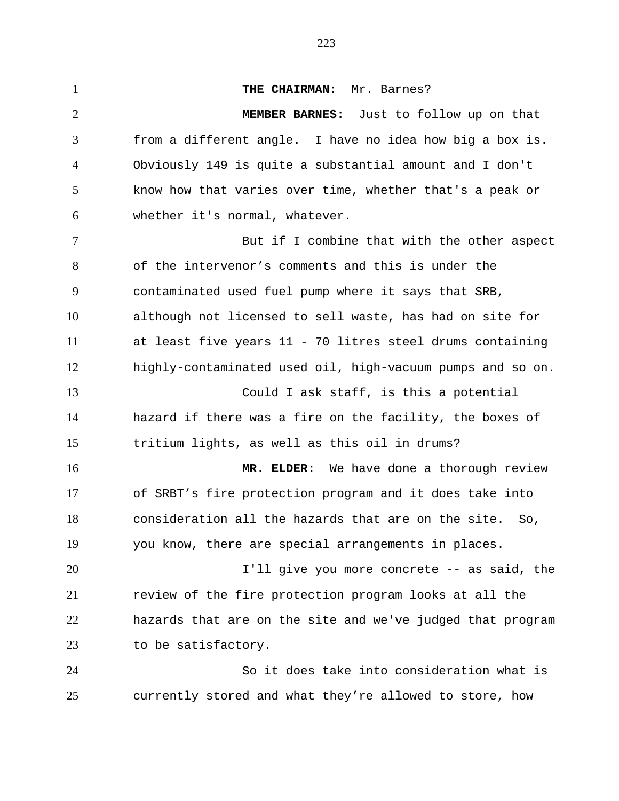**THE CHAIRMAN:** Mr. Barnes? **MEMBER BARNES:** Just to follow up on that from a different angle. I have no idea how big a box is. Obviously 149 is quite a substantial amount and I don't know how that varies over time, whether that's a peak or whether it's normal, whatever. But if I combine that with the other aspect of the intervenor's comments and this is under the contaminated used fuel pump where it says that SRB, although not licensed to sell waste, has had on site for at least five years 11 - 70 litres steel drums containing highly-contaminated used oil, high-vacuum pumps and so on. Could I ask staff, is this a potential hazard if there was a fire on the facility, the boxes of tritium lights, as well as this oil in drums? **MR. ELDER:** We have done a thorough review of SRBT's fire protection program and it does take into consideration all the hazards that are on the site. So, you know, there are special arrangements in places. I'll give you more concrete -- as said, the review of the fire protection program looks at all the hazards that are on the site and we've judged that program to be satisfactory. So it does take into consideration what is currently stored and what they're allowed to store, how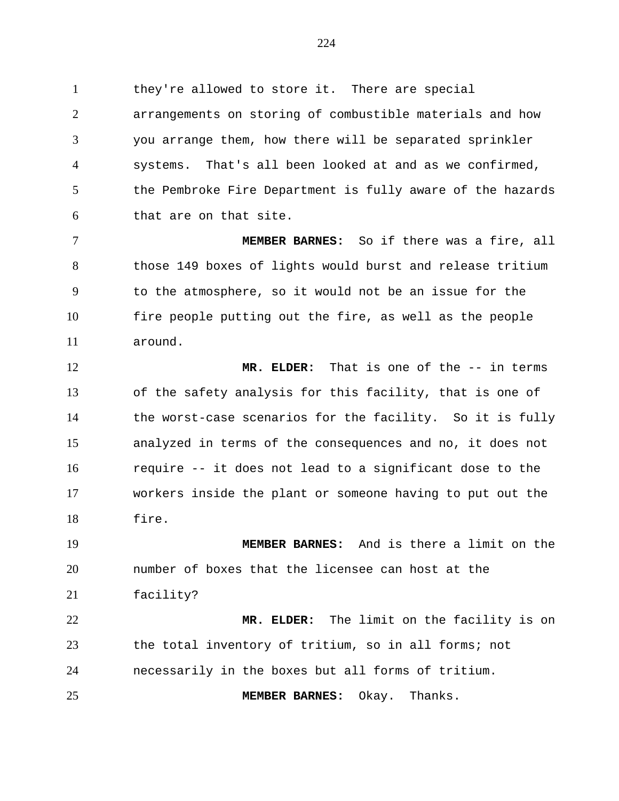they're allowed to store it. There are special arrangements on storing of combustible materials and how you arrange them, how there will be separated sprinkler systems. That's all been looked at and as we confirmed, the Pembroke Fire Department is fully aware of the hazards that are on that site.

 **MEMBER BARNES:** So if there was a fire, all 8 those 149 boxes of lights would burst and release tritium to the atmosphere, so it would not be an issue for the fire people putting out the fire, as well as the people around.

 **MR. ELDER:** That is one of the -- in terms of the safety analysis for this facility, that is one of the worst-case scenarios for the facility. So it is fully analyzed in terms of the consequences and no, it does not require -- it does not lead to a significant dose to the workers inside the plant or someone having to put out the fire.

 **MEMBER BARNES:** And is there a limit on the number of boxes that the licensee can host at the facility?

 **MR. ELDER:** The limit on the facility is on the total inventory of tritium, so in all forms; not necessarily in the boxes but all forms of tritium.

**MEMBER BARNES:** Okay. Thanks.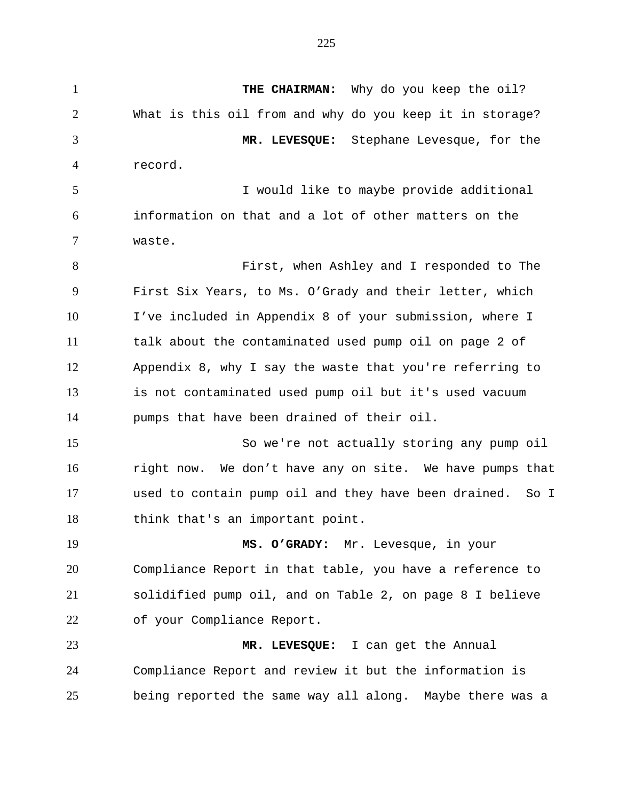**THE CHAIRMAN:** Why do you keep the oil? What is this oil from and why do you keep it in storage? **MR. LEVESQUE:** Stephane Levesque, for the record. I would like to maybe provide additional information on that and a lot of other matters on the waste. First, when Ashley and I responded to The First Six Years, to Ms. O'Grady and their letter, which I've included in Appendix 8 of your submission, where I talk about the contaminated used pump oil on page 2 of Appendix 8, why I say the waste that you're referring to is not contaminated used pump oil but it's used vacuum pumps that have been drained of their oil. So we're not actually storing any pump oil right now. We don't have any on site. We have pumps that used to contain pump oil and they have been drained. So I think that's an important point. **MS. O'GRADY:** Mr. Levesque, in your Compliance Report in that table, you have a reference to solidified pump oil, and on Table 2, on page 8 I believe of your Compliance Report. **MR. LEVESQUE:** I can get the Annual Compliance Report and review it but the information is being reported the same way all along. Maybe there was a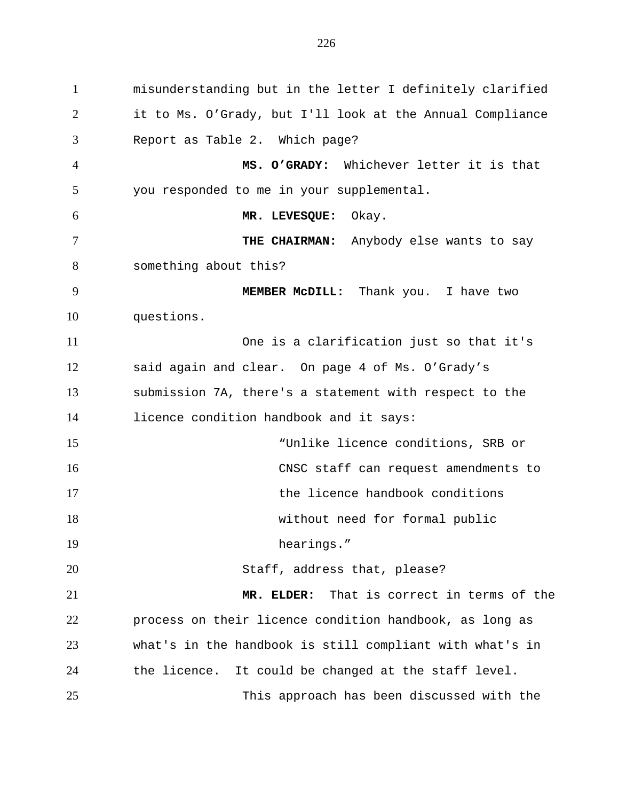misunderstanding but in the letter I definitely clarified it to Ms. O'Grady, but I'll look at the Annual Compliance Report as Table 2. Which page? **MS. O'GRADY:** Whichever letter it is that you responded to me in your supplemental. **MR. LEVESQUE:** Okay. **THE CHAIRMAN:** Anybody else wants to say something about this? **MEMBER McDILL:** Thank you. I have two questions. One is a clarification just so that it's said again and clear. On page 4 of Ms. O'Grady's submission 7A, there's a statement with respect to the licence condition handbook and it says: "Unlike licence conditions, SRB or CNSC staff can request amendments to the licence handbook conditions without need for formal public 19 hearings." 20 Staff, address that, please? **MR. ELDER:** That is correct in terms of the process on their licence condition handbook, as long as what's in the handbook is still compliant with what's in the licence. It could be changed at the staff level. This approach has been discussed with the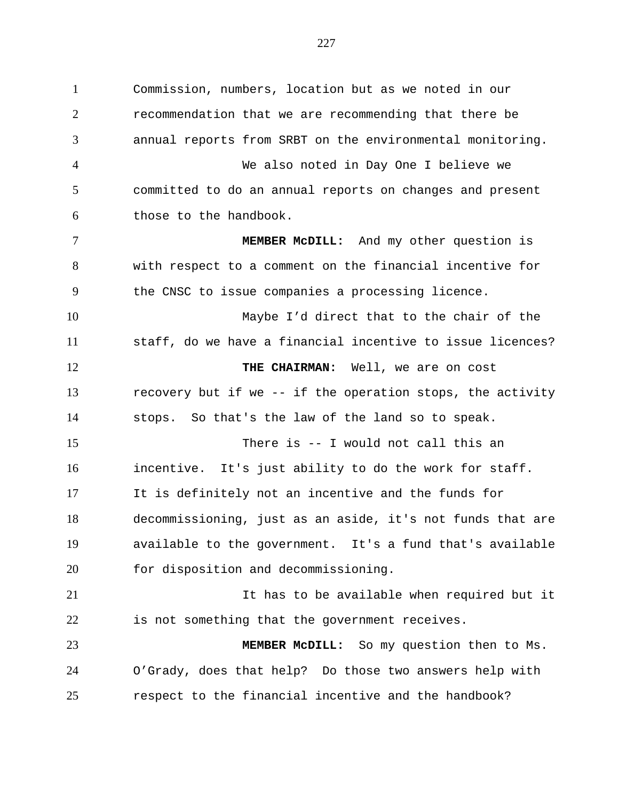Commission, numbers, location but as we noted in our recommendation that we are recommending that there be annual reports from SRBT on the environmental monitoring. We also noted in Day One I believe we committed to do an annual reports on changes and present those to the handbook. **MEMBER McDILL:** And my other question is with respect to a comment on the financial incentive for the CNSC to issue companies a processing licence. Maybe I'd direct that to the chair of the staff, do we have a financial incentive to issue licences? **THE CHAIRMAN:** Well, we are on cost recovery but if we -- if the operation stops, the activity stops. So that's the law of the land so to speak. There is -- I would not call this an incentive. It's just ability to do the work for staff. It is definitely not an incentive and the funds for decommissioning, just as an aside, it's not funds that are available to the government. It's a fund that's available for disposition and decommissioning.

 It has to be available when required but it is not something that the government receives.

 **MEMBER McDILL:** So my question then to Ms. O'Grady, does that help? Do those two answers help with respect to the financial incentive and the handbook?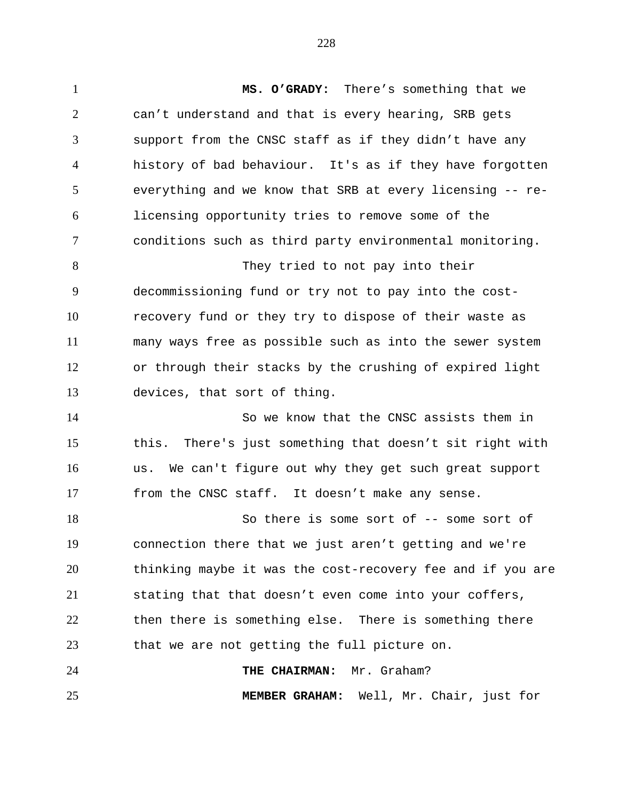**MS. O'GRADY:** There's something that we can't understand and that is every hearing, SRB gets support from the CNSC staff as if they didn't have any history of bad behaviour. It's as if they have forgotten everything and we know that SRB at every licensing -- re- licensing opportunity tries to remove some of the conditions such as third party environmental monitoring. They tried to not pay into their decommissioning fund or try not to pay into the cost- recovery fund or they try to dispose of their waste as many ways free as possible such as into the sewer system or through their stacks by the crushing of expired light devices, that sort of thing. So we know that the CNSC assists them in this. There's just something that doesn't sit right with us. We can't figure out why they get such great support from the CNSC staff. It doesn't make any sense. 18 So there is some sort of -- some sort of connection there that we just aren't getting and we're thinking maybe it was the cost-recovery fee and if you are stating that that doesn't even come into your coffers, then there is something else. There is something there that we are not getting the full picture on. **THE CHAIRMAN:** Mr. Graham? **MEMBER GRAHAM:** Well, Mr. Chair, just for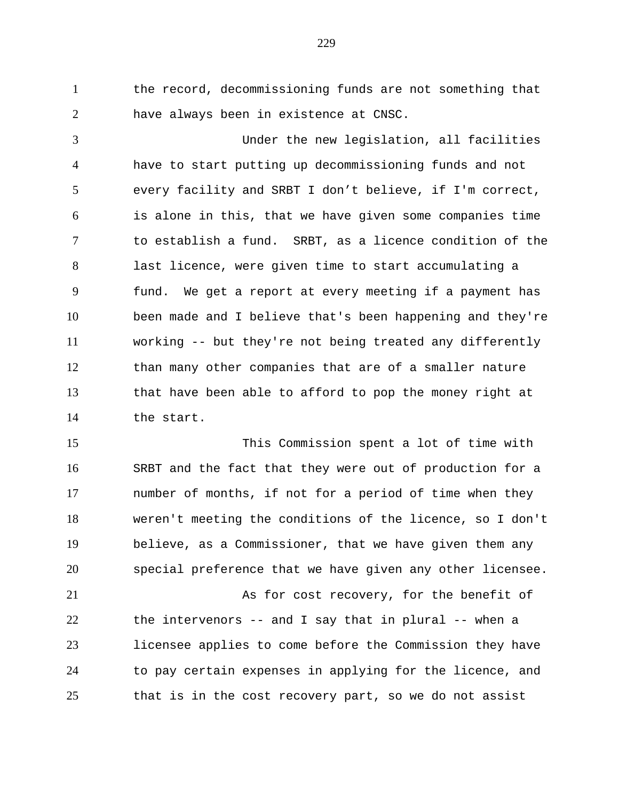the record, decommissioning funds are not something that have always been in existence at CNSC.

 Under the new legislation, all facilities have to start putting up decommissioning funds and not every facility and SRBT I don't believe, if I'm correct, is alone in this, that we have given some companies time to establish a fund. SRBT, as a licence condition of the last licence, were given time to start accumulating a fund. We get a report at every meeting if a payment has been made and I believe that's been happening and they're working -- but they're not being treated any differently than many other companies that are of a smaller nature that have been able to afford to pop the money right at the start.

 This Commission spent a lot of time with SRBT and the fact that they were out of production for a number of months, if not for a period of time when they weren't meeting the conditions of the licence, so I don't believe, as a Commissioner, that we have given them any special preference that we have given any other licensee.

 As for cost recovery, for the benefit of the intervenors -- and I say that in plural -- when a licensee applies to come before the Commission they have to pay certain expenses in applying for the licence, and that is in the cost recovery part, so we do not assist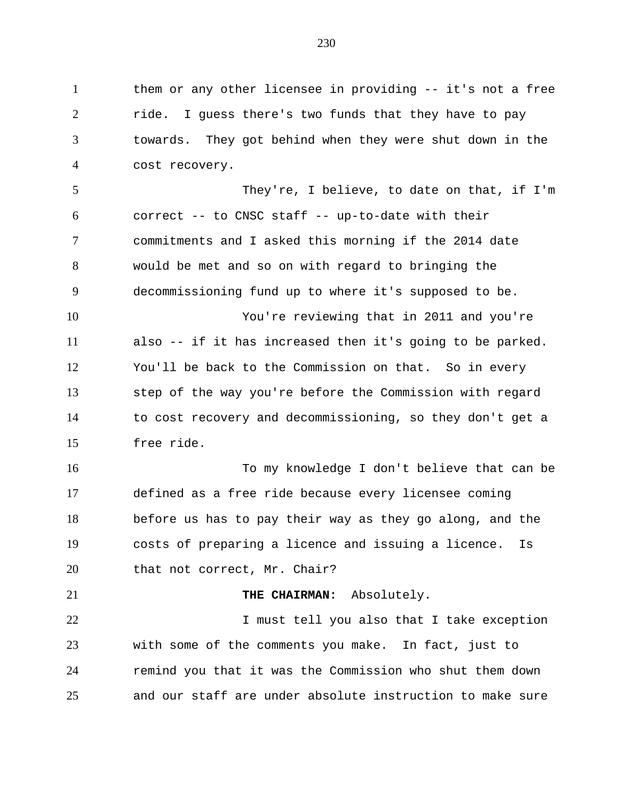1 them or any other licensee in providing -- it's not a free 2 ride. I guess there's two funds that they have to pay towards. They got behind when they were shut down in the cost recovery. They're, I believe, to date on that, if I'm correct -- to CNSC staff -- up-to-date with their commitments and I asked this morning if the 2014 date would be met and so on with regard to bringing the decommissioning fund up to where it's supposed to be. You're reviewing that in 2011 and you're also -- if it has increased then it's going to be parked. You'll be back to the Commission on that. So in every step of the way you're before the Commission with regard to cost recovery and decommissioning, so they don't get a free ride. To my knowledge I don't believe that can be defined as a free ride because every licensee coming before us has to pay their way as they go along, and the costs of preparing a licence and issuing a licence. Is 20 that not correct, Mr. Chair? **THE CHAIRMAN:** Absolutely. 22 1 I must tell you also that I take exception with some of the comments you make. In fact, just to remind you that it was the Commission who shut them down and our staff are under absolute instruction to make sure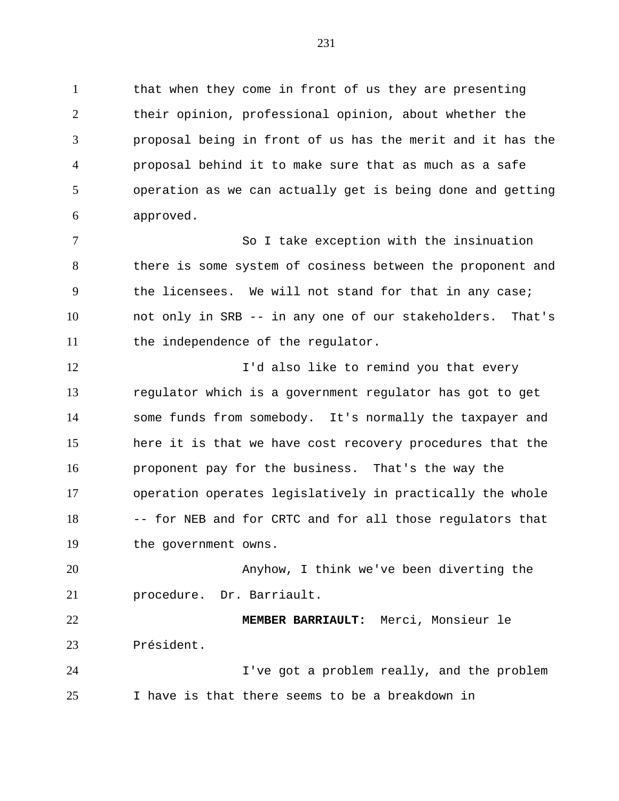1 that when they come in front of us they are presenting their opinion, professional opinion, about whether the proposal being in front of us has the merit and it has the proposal behind it to make sure that as much as a safe operation as we can actually get is being done and getting approved.

 So I take exception with the insinuation there is some system of cosiness between the proponent and the licensees. We will not stand for that in any case; not only in SRB -- in any one of our stakeholders. That's 11 the independence of the regulator.

**I'd also like to remind you that every**  regulator which is a government regulator has got to get some funds from somebody. It's normally the taxpayer and here it is that we have cost recovery procedures that the proponent pay for the business. That's the way the operation operates legislatively in practically the whole -- for NEB and for CRTC and for all those regulators that the government owns.

 Anyhow, I think we've been diverting the procedure. Dr. Barriault.

 **MEMBER BARRIAULT:** Merci, Monsieur le Président.

 I've got a problem really, and the problem I have is that there seems to be a breakdown in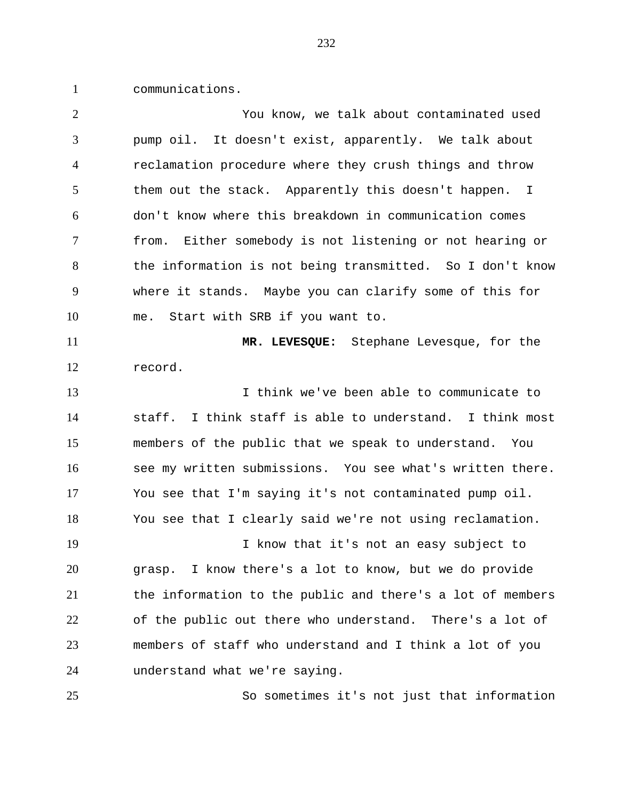communications.

| $\overline{2}$ | You know, we talk about contaminated used                   |
|----------------|-------------------------------------------------------------|
| 3              | pump oil. It doesn't exist, apparently. We talk about       |
| $\overline{4}$ | reclamation procedure where they crush things and throw     |
| 5              | them out the stack. Apparently this doesn't happen. I       |
| 6              | don't know where this breakdown in communication comes      |
| 7              | Either somebody is not listening or not hearing or<br>from. |
| 8              | the information is not being transmitted. So I don't know   |
| 9              | where it stands. Maybe you can clarify some of this for     |
| 10             | Start with SRB if you want to.<br>me.                       |
| 11             | MR. LEVESQUE: Stephane Levesque, for the                    |
| 12             | record.                                                     |
| 13             | I think we've been able to communicate to                   |
| 14             | staff. I think staff is able to understand. I think most    |
| 15             | members of the public that we speak to understand. You      |
| 16             | see my written submissions. You see what's written there.   |
| 17             | You see that I'm saying it's not contaminated pump oil.     |
| 18             | You see that I clearly said we're not using reclamation.    |
| 19             | I know that it's not an easy subject to                     |
| 20             | grasp. I know there's a lot to know, but we do provide      |
| 21             | the information to the public and there's a lot of members  |
| 22             | of the public out there who understand. There's a lot of    |
| 23             | members of staff who understand and I think a lot of you    |
| 24             | understand what we're saying.                               |
| 25             | So sometimes it's not just that information                 |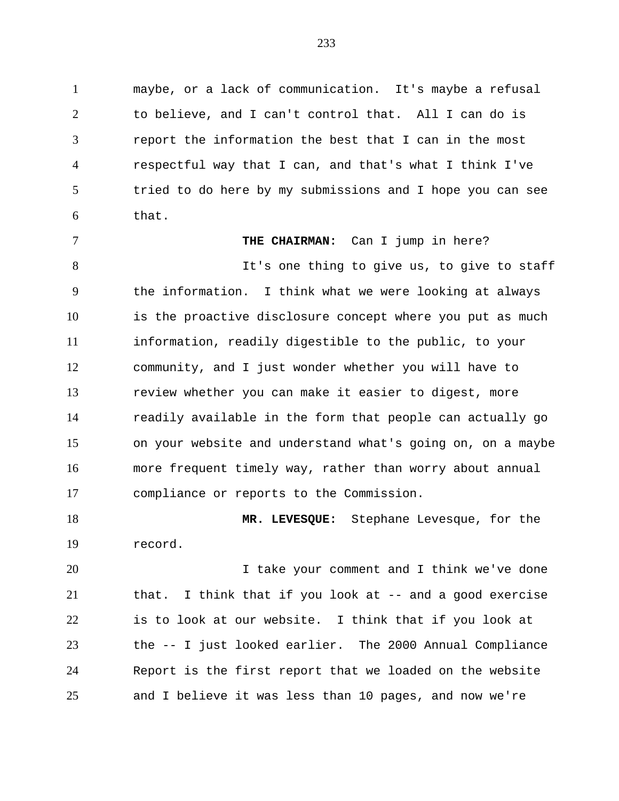maybe, or a lack of communication. It's maybe a refusal to believe, and I can't control that. All I can do is report the information the best that I can in the most respectful way that I can, and that's what I think I've tried to do here by my submissions and I hope you can see that.

**THE CHAIRMAN:** Can I jump in here?

8 It's one thing to give us, to give to staff the information. I think what we were looking at always is the proactive disclosure concept where you put as much information, readily digestible to the public, to your community, and I just wonder whether you will have to review whether you can make it easier to digest, more readily available in the form that people can actually go on your website and understand what's going on, on a maybe more frequent timely way, rather than worry about annual compliance or reports to the Commission.

 **MR. LEVESQUE:** Stephane Levesque, for the record.

 I take your comment and I think we've done that. I think that if you look at -- and a good exercise is to look at our website. I think that if you look at the -- I just looked earlier. The 2000 Annual Compliance Report is the first report that we loaded on the website and I believe it was less than 10 pages, and now we're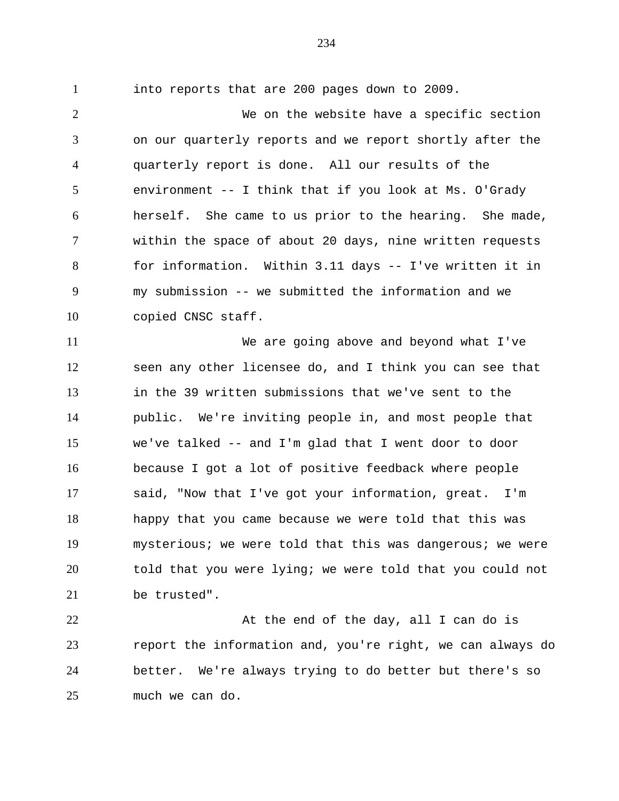into reports that are 200 pages down to 2009.

 We on the website have a specific section on our quarterly reports and we report shortly after the quarterly report is done. All our results of the environment -- I think that if you look at Ms. O'Grady herself. She came to us prior to the hearing. She made, within the space of about 20 days, nine written requests for information. Within 3.11 days -- I've written it in my submission -- we submitted the information and we copied CNSC staff.

 We are going above and beyond what I've seen any other licensee do, and I think you can see that in the 39 written submissions that we've sent to the public. We're inviting people in, and most people that we've talked -- and I'm glad that I went door to door because I got a lot of positive feedback where people said, "Now that I've got your information, great. I'm happy that you came because we were told that this was mysterious; we were told that this was dangerous; we were told that you were lying; we were told that you could not be trusted".

22 At the end of the day, all I can do is report the information and, you're right, we can always do better. We're always trying to do better but there's so much we can do.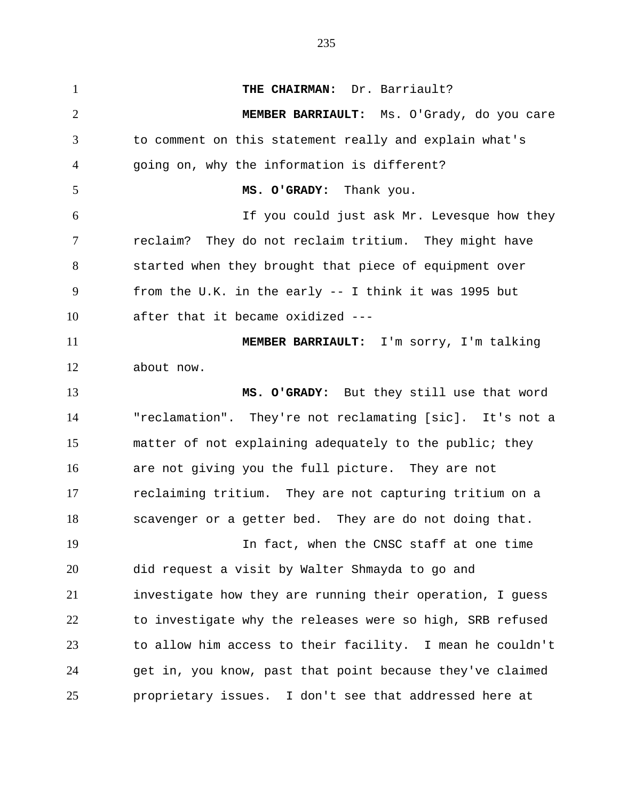**THE CHAIRMAN:** Dr. Barriault? **MEMBER BARRIAULT:** Ms. O'Grady, do you care to comment on this statement really and explain what's going on, why the information is different? **MS. O'GRADY:** Thank you. If you could just ask Mr. Levesque how they reclaim? They do not reclaim tritium. They might have started when they brought that piece of equipment over from the U.K. in the early -- I think it was 1995 but after that it became oxidized --- **MEMBER BARRIAULT:** I'm sorry, I'm talking about now. **MS. O'GRADY:** But they still use that word "reclamation". They're not reclamating [sic]. It's not a matter of not explaining adequately to the public; they are not giving you the full picture. They are not reclaiming tritium. They are not capturing tritium on a scavenger or a getter bed. They are do not doing that. In fact, when the CNSC staff at one time did request a visit by Walter Shmayda to go and investigate how they are running their operation, I guess to investigate why the releases were so high, SRB refused to allow him access to their facility. I mean he couldn't get in, you know, past that point because they've claimed proprietary issues. I don't see that addressed here at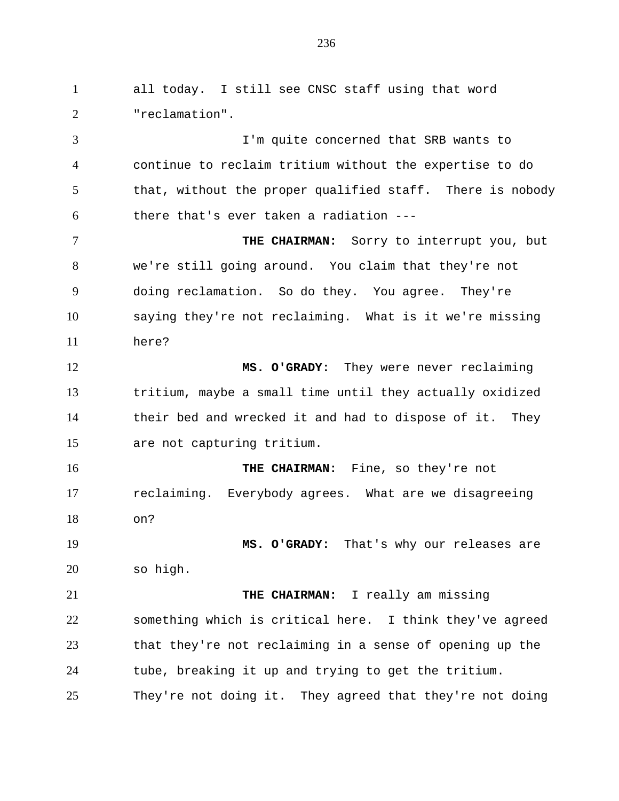all today. I still see CNSC staff using that word "reclamation". I'm quite concerned that SRB wants to continue to reclaim tritium without the expertise to do that, without the proper qualified staff. There is nobody there that's ever taken a radiation --- **THE CHAIRMAN:** Sorry to interrupt you, but we're still going around. You claim that they're not doing reclamation. So do they. You agree. They're saying they're not reclaiming. What is it we're missing here? **MS. O'GRADY:** They were never reclaiming tritium, maybe a small time until they actually oxidized their bed and wrecked it and had to dispose of it. They are not capturing tritium. **THE CHAIRMAN:** Fine, so they're not reclaiming. Everybody agrees. What are we disagreeing on? **MS. O'GRADY:** That's why our releases are so high. **THE CHAIRMAN:** I really am missing something which is critical here. I think they've agreed that they're not reclaiming in a sense of opening up the tube, breaking it up and trying to get the tritium. They're not doing it. They agreed that they're not doing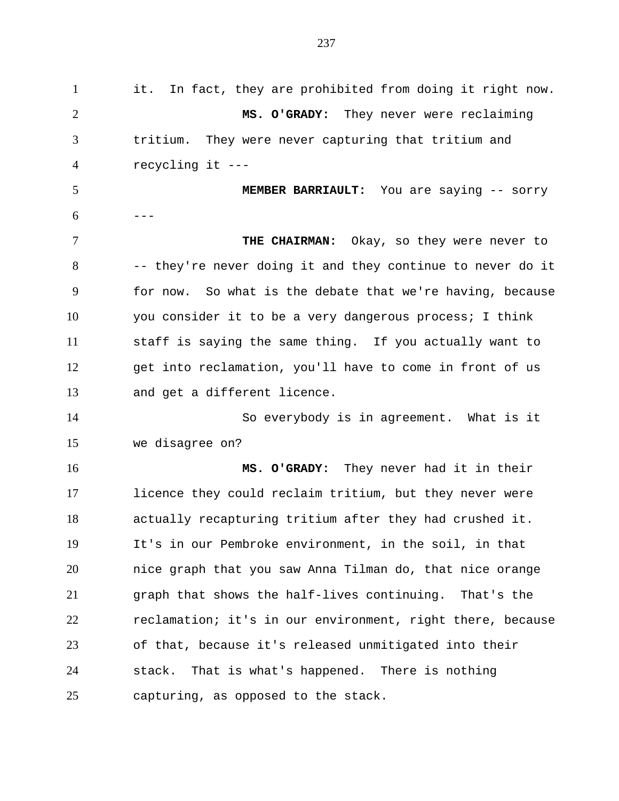it. In fact, they are prohibited from doing it right now. **MS. O'GRADY:** They never were reclaiming tritium. They were never capturing that tritium and recycling it --- **MEMBER BARRIAULT:** You are saying -- sorry  $6 - -$  **THE CHAIRMAN:** Okay, so they were never to -- they're never doing it and they continue to never do it for now. So what is the debate that we're having, because you consider it to be a very dangerous process; I think staff is saying the same thing. If you actually want to get into reclamation, you'll have to come in front of us and get a different licence. So everybody is in agreement. What is it we disagree on? **MS. O'GRADY:** They never had it in their licence they could reclaim tritium, but they never were actually recapturing tritium after they had crushed it. It's in our Pembroke environment, in the soil, in that nice graph that you saw Anna Tilman do, that nice orange graph that shows the half-lives continuing. That's the reclamation; it's in our environment, right there, because of that, because it's released unmitigated into their stack. That is what's happened. There is nothing capturing, as opposed to the stack.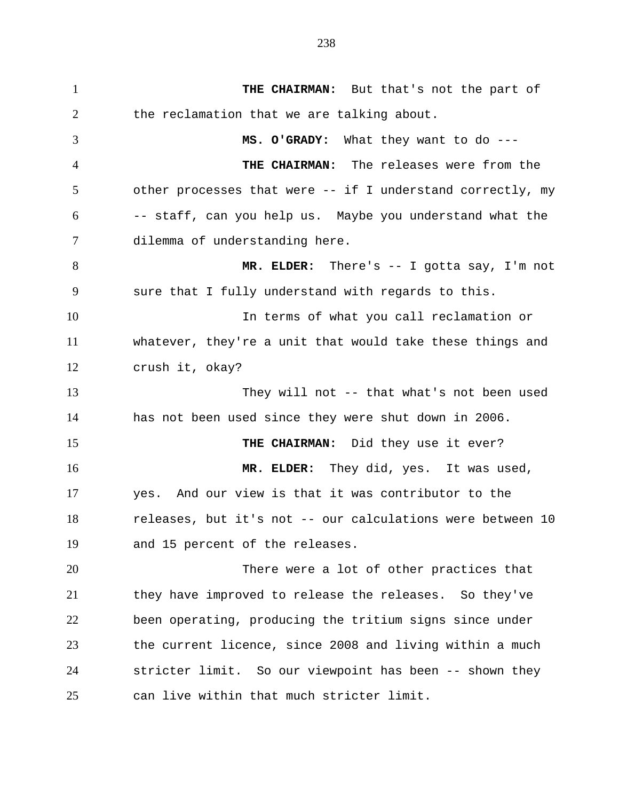**THE CHAIRMAN:** But that's not the part of 2 the reclamation that we are talking about. **MS. O'GRADY:** What they want to do --- **THE CHAIRMAN:** The releases were from the other processes that were -- if I understand correctly, my -- staff, can you help us. Maybe you understand what the dilemma of understanding here. 8 MR. ELDER: There's -- I gotta say, I'm not sure that I fully understand with regards to this. In terms of what you call reclamation or whatever, they're a unit that would take these things and crush it, okay? They will not -- that what's not been used has not been used since they were shut down in 2006. **THE CHAIRMAN:** Did they use it ever? **MR. ELDER:** They did, yes. It was used, yes. And our view is that it was contributor to the releases, but it's not -- our calculations were between 10 and 15 percent of the releases. There were a lot of other practices that they have improved to release the releases. So they've been operating, producing the tritium signs since under the current licence, since 2008 and living within a much stricter limit. So our viewpoint has been -- shown they can live within that much stricter limit.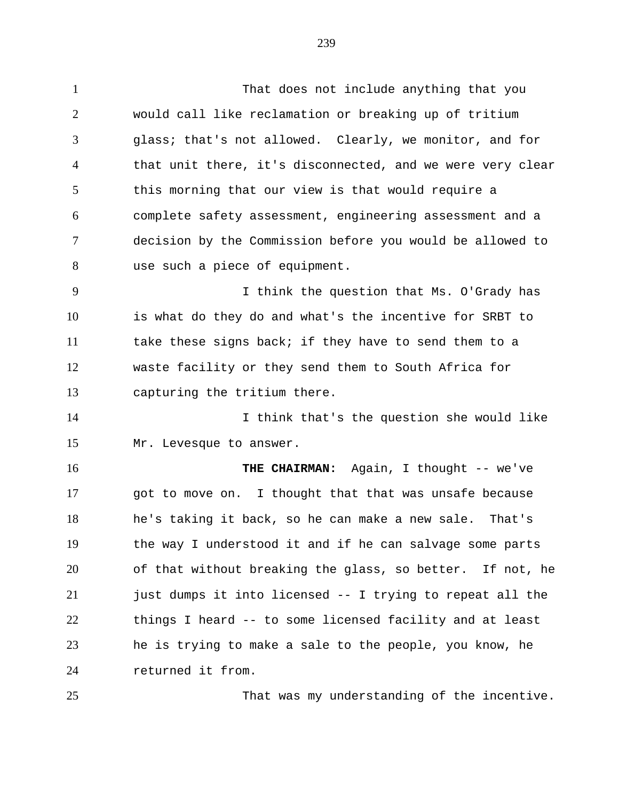That does not include anything that you would call like reclamation or breaking up of tritium glass; that's not allowed. Clearly, we monitor, and for that unit there, it's disconnected, and we were very clear this morning that our view is that would require a complete safety assessment, engineering assessment and a decision by the Commission before you would be allowed to use such a piece of equipment. I think the question that Ms. O'Grady has is what do they do and what's the incentive for SRBT to take these signs back; if they have to send them to a waste facility or they send them to South Africa for

capturing the tritium there.

 I think that's the question she would like Mr. Levesque to answer.

16 THE CHAIRMAN: Again, I thought -- we've got to move on. I thought that that was unsafe because he's taking it back, so he can make a new sale. That's the way I understood it and if he can salvage some parts of that without breaking the glass, so better. If not, he just dumps it into licensed -- I trying to repeat all the things I heard -- to some licensed facility and at least he is trying to make a sale to the people, you know, he returned it from.

That was my understanding of the incentive.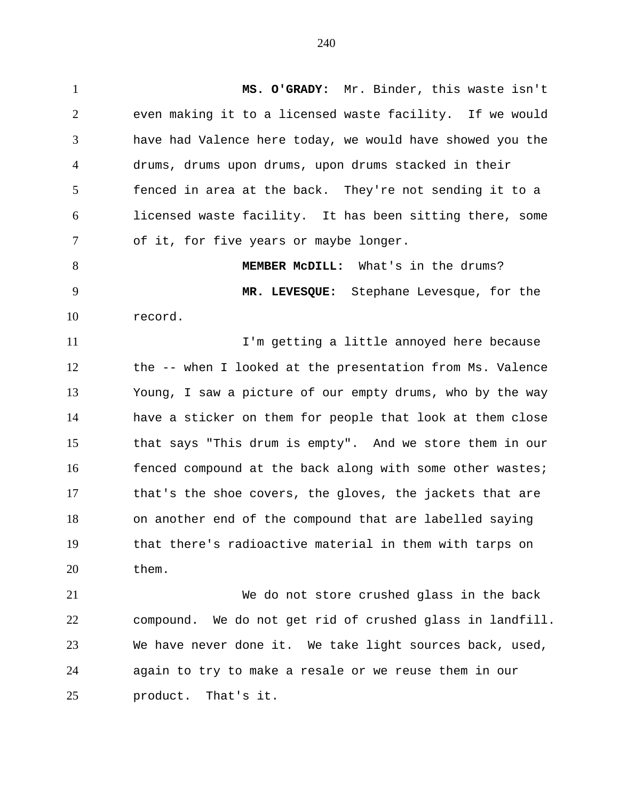**MS. O'GRADY:** Mr. Binder, this waste isn't even making it to a licensed waste facility. If we would have had Valence here today, we would have showed you the drums, drums upon drums, upon drums stacked in their fenced in area at the back. They're not sending it to a licensed waste facility. It has been sitting there, some of it, for five years or maybe longer.

 **MEMBER McDILL:** What's in the drums? **MR. LEVESQUE:** Stephane Levesque, for the record.

 I'm getting a little annoyed here because the -- when I looked at the presentation from Ms. Valence Young, I saw a picture of our empty drums, who by the way have a sticker on them for people that look at them close that says "This drum is empty". And we store them in our 16 fenced compound at the back along with some other wastes; that's the shoe covers, the gloves, the jackets that are on another end of the compound that are labelled saying that there's radioactive material in them with tarps on them.

 We do not store crushed glass in the back compound. We do not get rid of crushed glass in landfill. We have never done it. We take light sources back, used, again to try to make a resale or we reuse them in our product. That's it.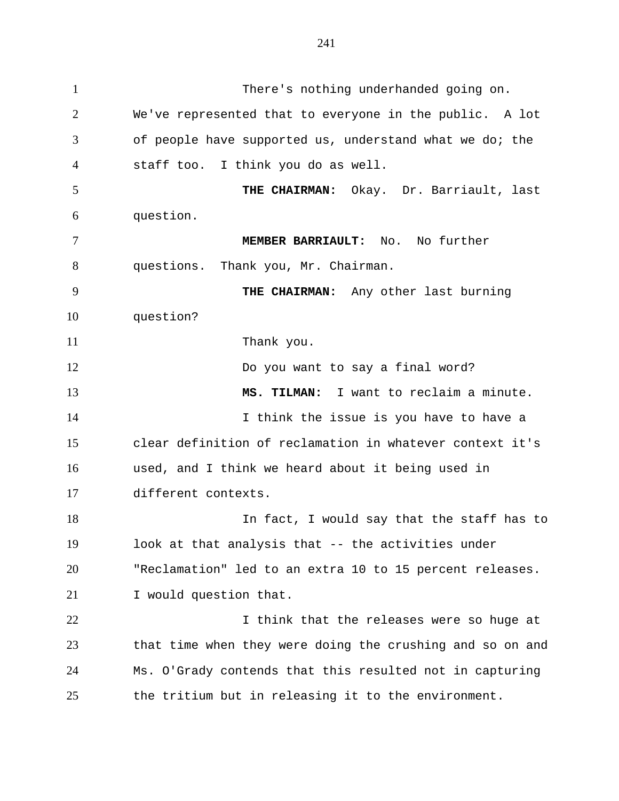There's nothing underhanded going on. We've represented that to everyone in the public. A lot of people have supported us, understand what we do; the staff too. I think you do as well. **THE CHAIRMAN:** Okay. Dr. Barriault, last question. **MEMBER BARRIAULT:** No. No further questions. Thank you, Mr. Chairman. **THE CHAIRMAN:** Any other last burning question? 11 Thank you. Do you want to say a final word? **MS. TILMAN:** I want to reclaim a minute. 14 14 I think the issue is you have to have a clear definition of reclamation in whatever context it's used, and I think we heard about it being used in different contexts. 18 In fact, I would say that the staff has to look at that analysis that -- the activities under "Reclamation" led to an extra 10 to 15 percent releases. I would question that. **I** think that the releases were so huge at that time when they were doing the crushing and so on and Ms. O'Grady contends that this resulted not in capturing the tritium but in releasing it to the environment.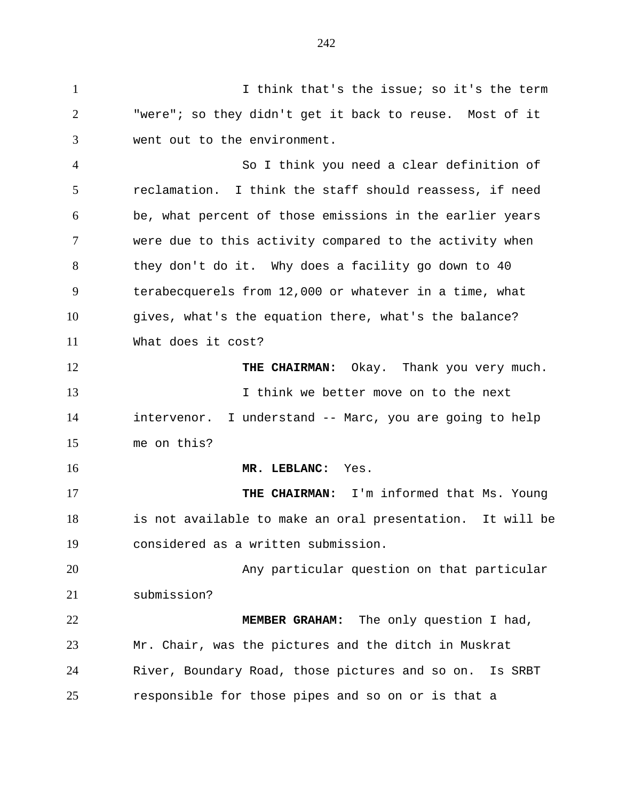1 1 I think that's the issue; so it's the term "were"; so they didn't get it back to reuse. Most of it went out to the environment.

 So I think you need a clear definition of reclamation. I think the staff should reassess, if need be, what percent of those emissions in the earlier years were due to this activity compared to the activity when they don't do it. Why does a facility go down to 40 terabecquerels from 12,000 or whatever in a time, what gives, what's the equation there, what's the balance? What does it cost?

**THE CHAIRMAN:** Okay. Thank you very much. I think we better move on to the next intervenor. I understand -- Marc, you are going to help me on this?

**MR. LEBLANC:** Yes.

**THE CHAIRMAN:** I'm informed that Ms. Young is not available to make an oral presentation. It will be considered as a written submission.

 Any particular question on that particular submission?

 **MEMBER GRAHAM:** The only question I had, Mr. Chair, was the pictures and the ditch in Muskrat River, Boundary Road, those pictures and so on. Is SRBT responsible for those pipes and so on or is that a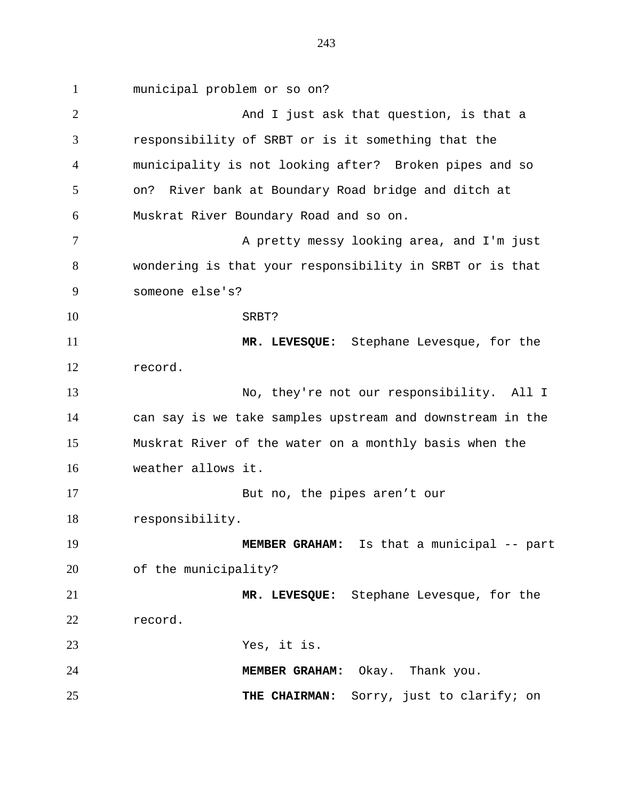municipal problem or so on? 2 And I just ask that question, is that a responsibility of SRBT or is it something that the municipality is not looking after? Broken pipes and so on? River bank at Boundary Road bridge and ditch at Muskrat River Boundary Road and so on. 7 A pretty messy looking area, and I'm just wondering is that your responsibility in SRBT or is that someone else's? SRBT? **MR. LEVESQUE:** Stephane Levesque, for the record. No, they're not our responsibility. All I can say is we take samples upstream and downstream in the Muskrat River of the water on a monthly basis when the weather allows it. But no, the pipes aren't our responsibility. **MEMBER GRAHAM:** Is that a municipal -- part of the municipality? **MR. LEVESQUE:** Stephane Levesque, for the record. Yes, it is. **MEMBER GRAHAM:** Okay. Thank you. **THE CHAIRMAN:** Sorry, just to clarify; on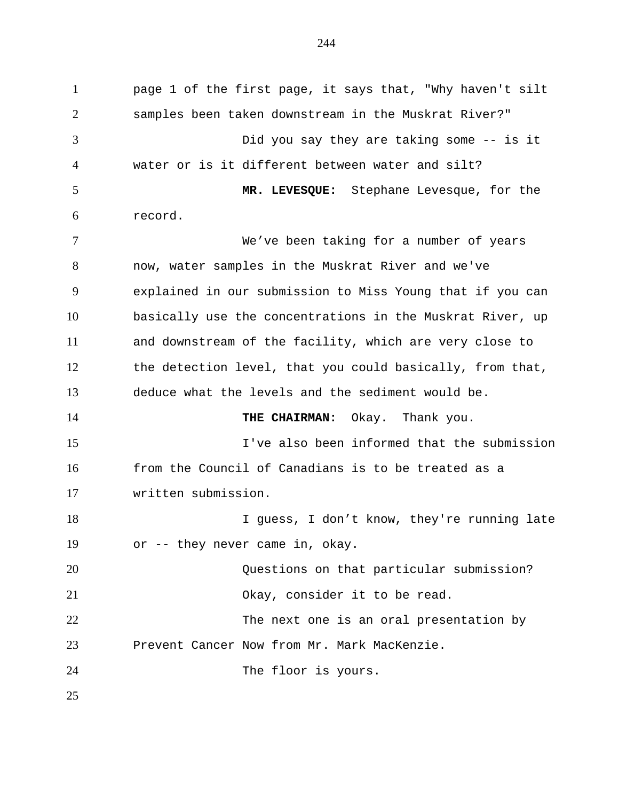page 1 of the first page, it says that, "Why haven't silt samples been taken downstream in the Muskrat River?" Did you say they are taking some -- is it water or is it different between water and silt? **MR. LEVESQUE:** Stephane Levesque, for the record. We've been taking for a number of years now, water samples in the Muskrat River and we've explained in our submission to Miss Young that if you can basically use the concentrations in the Muskrat River, up and downstream of the facility, which are very close to the detection level, that you could basically, from that, deduce what the levels and the sediment would be. **THE CHAIRMAN:** Okay. Thank you. I've also been informed that the submission from the Council of Canadians is to be treated as a written submission. 18 I guess, I don't know, they're running late or -- they never came in, okay. Questions on that particular submission? Okay, consider it to be read. 22 The next one is an oral presentation by Prevent Cancer Now from Mr. Mark MacKenzie. The floor is yours.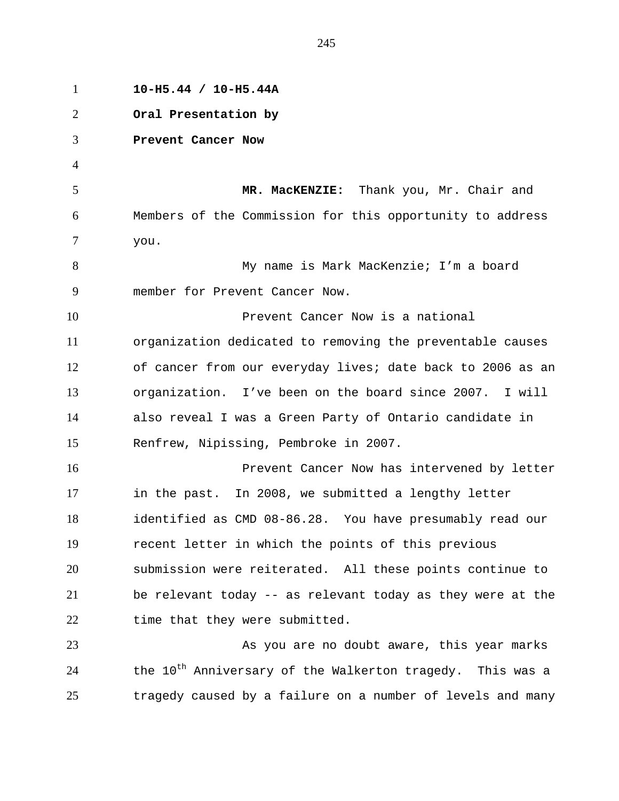| $\mathbf{1}$   | $10-H5.44 / 10-H5.44A$                                                |
|----------------|-----------------------------------------------------------------------|
| $\overline{2}$ | Oral Presentation by                                                  |
| 3              | Prevent Cancer Now                                                    |
| $\overline{4}$ |                                                                       |
| 5              | MR. MacKENZIE: Thank you, Mr. Chair and                               |
| 6              | Members of the Commission for this opportunity to address             |
| 7              | you.                                                                  |
| 8              | My name is Mark MacKenzie; I'm a board                                |
| 9              | member for Prevent Cancer Now.                                        |
| 10             | Prevent Cancer Now is a national                                      |
| 11             | organization dedicated to removing the preventable causes             |
| 12             | of cancer from our everyday lives; date back to 2006 as an            |
| 13             | organization. I've been on the board since 2007. I will               |
| 14             | also reveal I was a Green Party of Ontario candidate in               |
| 15             | Renfrew, Nipissing, Pembroke in 2007.                                 |
| 16             | Prevent Cancer Now has intervened by letter                           |
| 17             | in the past. In 2008, we submitted a lengthy letter                   |
| 18             | identified as CMD 08-86.28. You have presumably read our              |
| 19             | recent letter in which the points of this previous                    |
| 20             | submission were reiterated. All these points continue to              |
| 21             | be relevant today -- as relevant today as they were at the            |
| 22             | time that they were submitted.                                        |
| 23             | As you are no doubt aware, this year marks                            |
| 24             | the 10 <sup>th</sup> Anniversary of the Walkerton tragedy. This was a |
| 25             | tragedy caused by a failure on a number of levels and many            |
|                |                                                                       |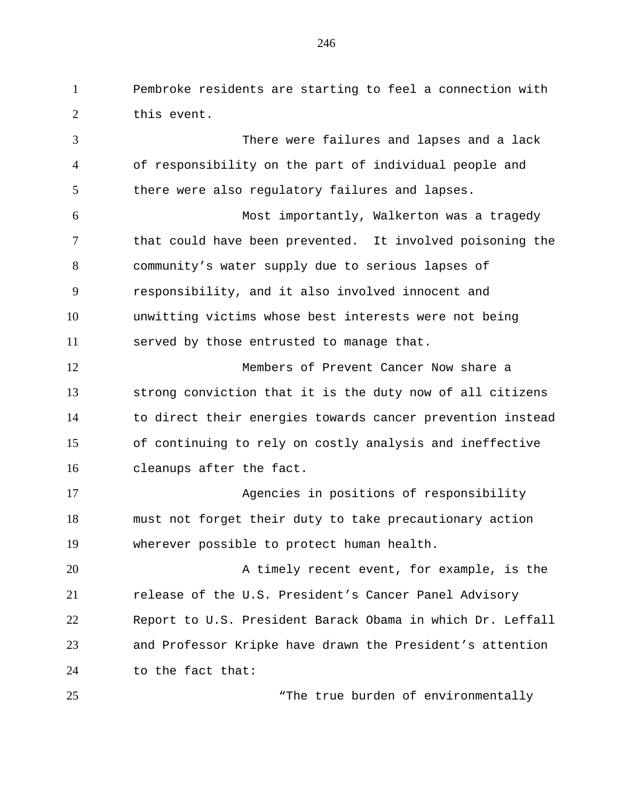Pembroke residents are starting to feel a connection with this event.

 There were failures and lapses and a lack of responsibility on the part of individual people and there were also regulatory failures and lapses. Most importantly, Walkerton was a tragedy that could have been prevented. It involved poisoning the community's water supply due to serious lapses of responsibility, and it also involved innocent and unwitting victims whose best interests were not being served by those entrusted to manage that. Members of Prevent Cancer Now share a strong conviction that it is the duty now of all citizens to direct their energies towards cancer prevention instead of continuing to rely on costly analysis and ineffective cleanups after the fact. Agencies in positions of responsibility must not forget their duty to take precautionary action wherever possible to protect human health. A timely recent event, for example, is the release of the U.S. President's Cancer Panel Advisory Report to U.S. President Barack Obama in which Dr. Leffall and Professor Kripke have drawn the President's attention to the fact that:

25 The true burden of environmentally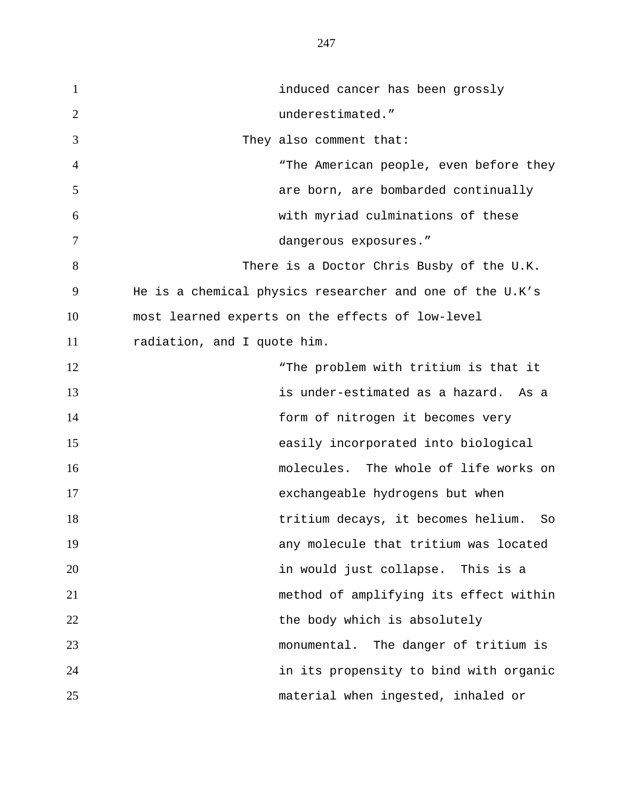induced cancer has been grossly 2 underestimated." They also comment that: "The American people, even before they are born, are bombarded continually with myriad culminations of these dangerous exposures." There is a Doctor Chris Busby of the U.K. He is a chemical physics researcher and one of the U.K's most learned experts on the effects of low-level radiation, and I quote him. 12 The problem with tritium is that it is under-estimated as a hazard. As a form of nitrogen it becomes very easily incorporated into biological molecules. The whole of life works on exchangeable hydrogens but when tritium decays, it becomes helium. So any molecule that tritium was located in would just collapse. This is a method of amplifying its effect within 22 the body which is absolutely monumental. The danger of tritium is in its propensity to bind with organic material when ingested, inhaled or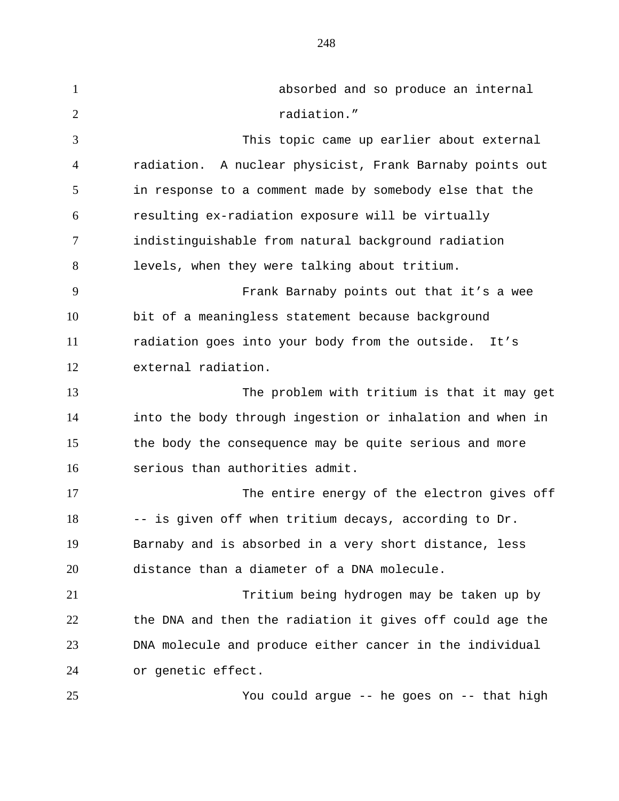absorbed and so produce an internal 2 radiation." This topic came up earlier about external radiation. A nuclear physicist, Frank Barnaby points out in response to a comment made by somebody else that the resulting ex-radiation exposure will be virtually indistinguishable from natural background radiation levels, when they were talking about tritium. Frank Barnaby points out that it's a wee bit of a meaningless statement because background radiation goes into your body from the outside. It's external radiation. The problem with tritium is that it may get into the body through ingestion or inhalation and when in the body the consequence may be quite serious and more serious than authorities admit. The entire energy of the electron gives off -- is given off when tritium decays, according to Dr. Barnaby and is absorbed in a very short distance, less distance than a diameter of a DNA molecule. Tritium being hydrogen may be taken up by the DNA and then the radiation it gives off could age the DNA molecule and produce either cancer in the individual or genetic effect. You could argue -- he goes on -- that high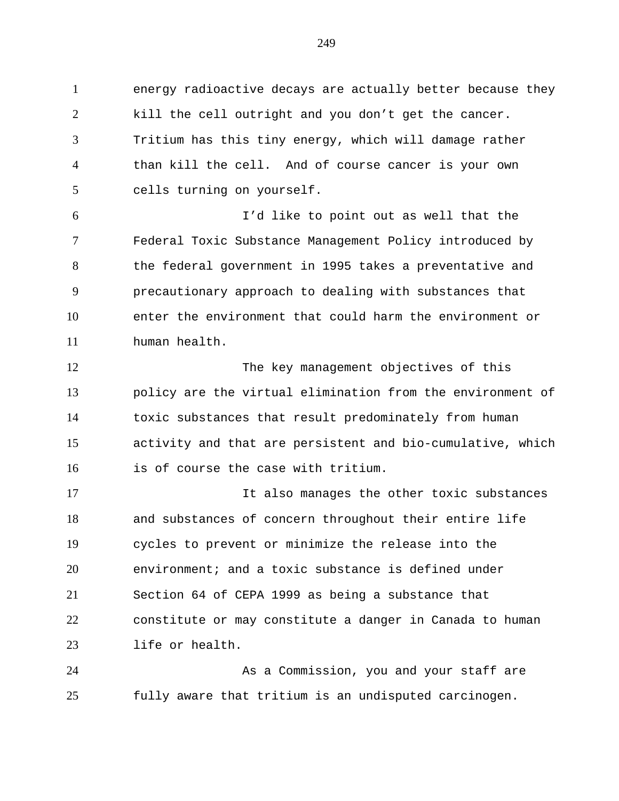energy radioactive decays are actually better because they kill the cell outright and you don't get the cancer. Tritium has this tiny energy, which will damage rather than kill the cell. And of course cancer is your own cells turning on yourself.

 I'd like to point out as well that the Federal Toxic Substance Management Policy introduced by 8 the federal government in 1995 takes a preventative and precautionary approach to dealing with substances that enter the environment that could harm the environment or human health.

 The key management objectives of this policy are the virtual elimination from the environment of toxic substances that result predominately from human activity and that are persistent and bio-cumulative, which is of course the case with tritium.

 It also manages the other toxic substances and substances of concern throughout their entire life cycles to prevent or minimize the release into the environment; and a toxic substance is defined under Section 64 of CEPA 1999 as being a substance that constitute or may constitute a danger in Canada to human life or health.

 As a Commission, you and your staff are fully aware that tritium is an undisputed carcinogen.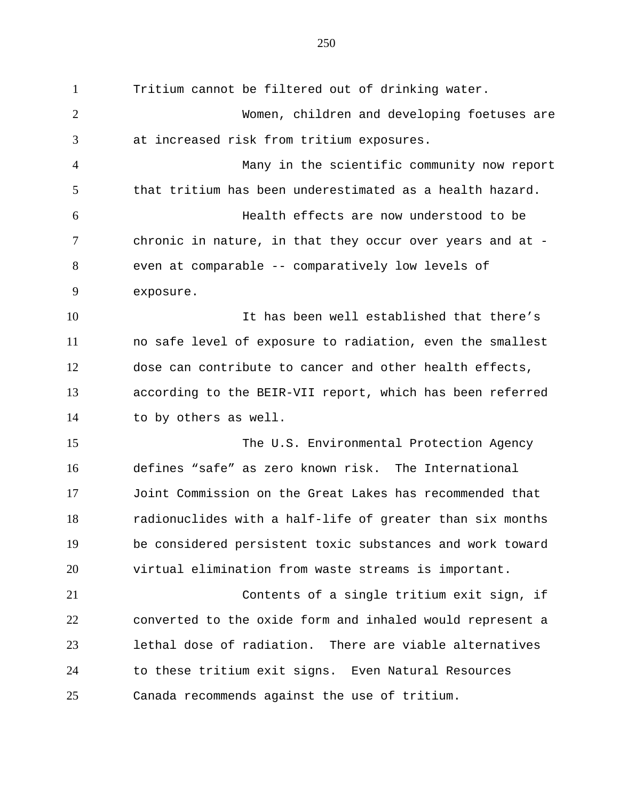Tritium cannot be filtered out of drinking water. Women, children and developing foetuses are at increased risk from tritium exposures. Many in the scientific community now report that tritium has been underestimated as a health hazard. Health effects are now understood to be chronic in nature, in that they occur over years and at - even at comparable -- comparatively low levels of exposure. 10 10 It has been well established that there's no safe level of exposure to radiation, even the smallest dose can contribute to cancer and other health effects, according to the BEIR-VII report, which has been referred to by others as well. The U.S. Environmental Protection Agency defines "safe" as zero known risk. The International Joint Commission on the Great Lakes has recommended that radionuclides with a half-life of greater than six months be considered persistent toxic substances and work toward virtual elimination from waste streams is important. Contents of a single tritium exit sign, if converted to the oxide form and inhaled would represent a lethal dose of radiation. There are viable alternatives to these tritium exit signs. Even Natural Resources Canada recommends against the use of tritium.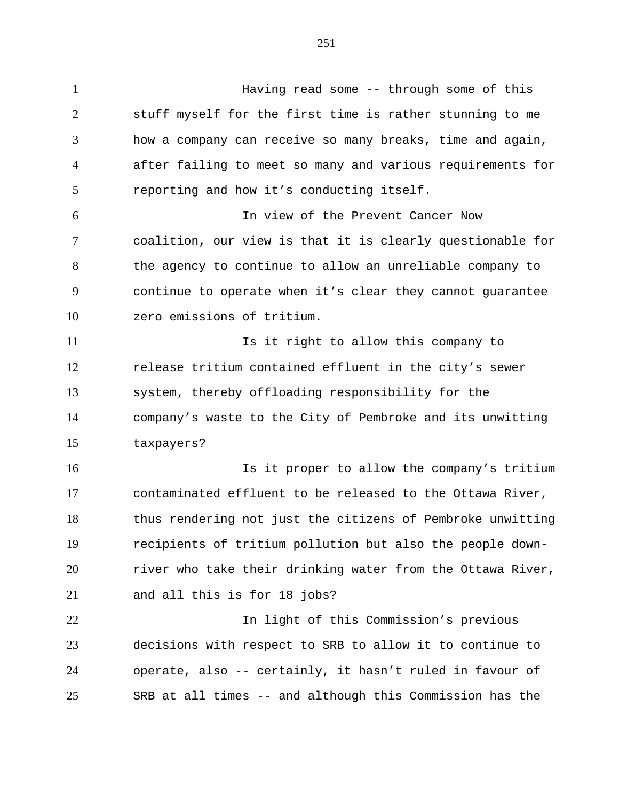Having read some -- through some of this stuff myself for the first time is rather stunning to me how a company can receive so many breaks, time and again, after failing to meet so many and various requirements for reporting and how it's conducting itself. In view of the Prevent Cancer Now coalition, our view is that it is clearly questionable for

 the agency to continue to allow an unreliable company to continue to operate when it's clear they cannot guarantee zero emissions of tritium.

**Is it right to allow this company to**  release tritium contained effluent in the city's sewer system, thereby offloading responsibility for the company's waste to the City of Pembroke and its unwitting taxpayers?

 Is it proper to allow the company's tritium contaminated effluent to be released to the Ottawa River, thus rendering not just the citizens of Pembroke unwitting recipients of tritium pollution but also the people down- river who take their drinking water from the Ottawa River, and all this is for 18 jobs?

 In light of this Commission's previous decisions with respect to SRB to allow it to continue to operate, also -- certainly, it hasn't ruled in favour of SRB at all times -- and although this Commission has the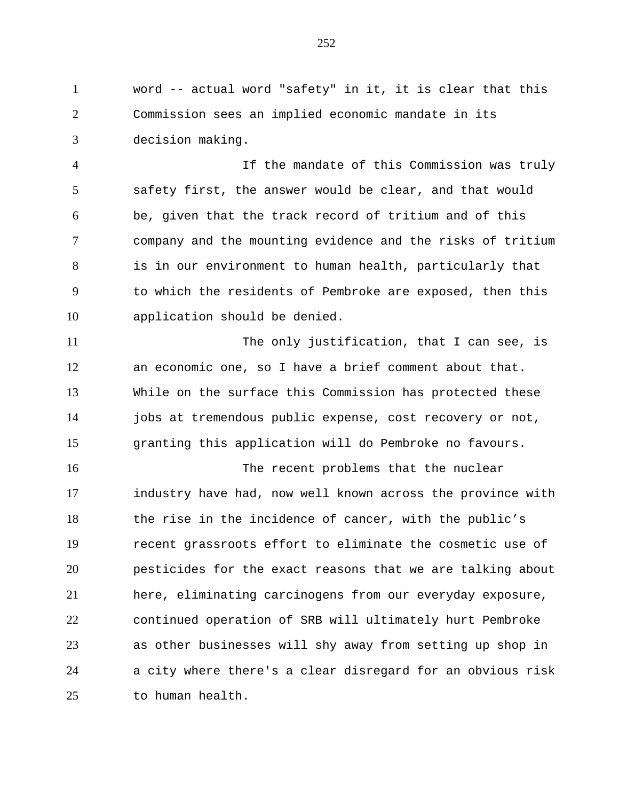word -- actual word "safety" in it, it is clear that this Commission sees an implied economic mandate in its decision making.

 If the mandate of this Commission was truly safety first, the answer would be clear, and that would be, given that the track record of tritium and of this company and the mounting evidence and the risks of tritium is in our environment to human health, particularly that to which the residents of Pembroke are exposed, then this application should be denied.

 The only justification, that I can see, is an economic one, so I have a brief comment about that. While on the surface this Commission has protected these jobs at tremendous public expense, cost recovery or not, granting this application will do Pembroke no favours.

 The recent problems that the nuclear industry have had, now well known across the province with the rise in the incidence of cancer, with the public's recent grassroots effort to eliminate the cosmetic use of pesticides for the exact reasons that we are talking about here, eliminating carcinogens from our everyday exposure, continued operation of SRB will ultimately hurt Pembroke as other businesses will shy away from setting up shop in a city where there's a clear disregard for an obvious risk to human health.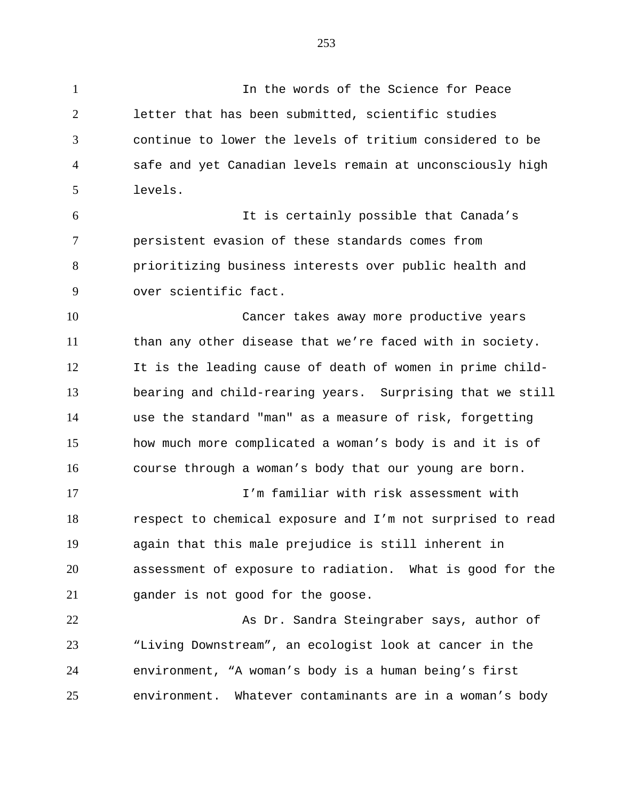In the words of the Science for Peace letter that has been submitted, scientific studies

 continue to lower the levels of tritium considered to be safe and yet Canadian levels remain at unconsciously high levels.

 It is certainly possible that Canada's persistent evasion of these standards comes from prioritizing business interests over public health and over scientific fact.

 Cancer takes away more productive years than any other disease that we're faced with in society. It is the leading cause of death of women in prime child- bearing and child-rearing years. Surprising that we still use the standard "man" as a measure of risk, forgetting how much more complicated a woman's body is and it is of course through a woman's body that our young are born.

 I'm familiar with risk assessment with respect to chemical exposure and I'm not surprised to read again that this male prejudice is still inherent in assessment of exposure to radiation. What is good for the gander is not good for the goose.

22 As Dr. Sandra Steingraber says, author of "Living Downstream", an ecologist look at cancer in the environment, "A woman's body is a human being's first environment. Whatever contaminants are in a woman's body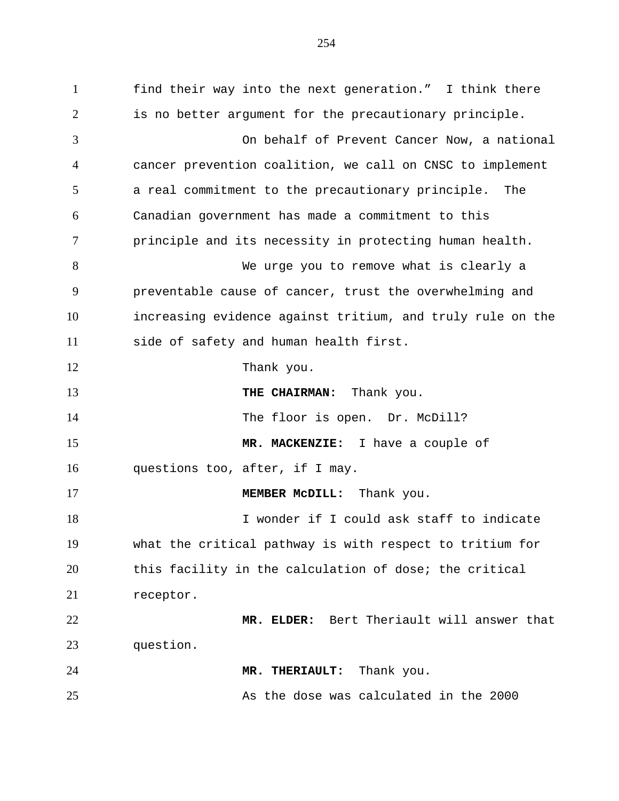find their way into the next generation." I think there is no better argument for the precautionary principle. On behalf of Prevent Cancer Now, a national cancer prevention coalition, we call on CNSC to implement a real commitment to the precautionary principle. The Canadian government has made a commitment to this principle and its necessity in protecting human health. We urge you to remove what is clearly a preventable cause of cancer, trust the overwhelming and increasing evidence against tritium, and truly rule on the side of safety and human health first. 12 Thank you. **THE CHAIRMAN:** Thank you. The floor is open. Dr. McDill? **MR. MACKENZIE:** I have a couple of questions too, after, if I may. **MEMBER MCDILL:** Thank you. I wonder if I could ask staff to indicate what the critical pathway is with respect to tritium for this facility in the calculation of dose; the critical receptor. **MR. ELDER:** Bert Theriault will answer that question. **MR. THERIAULT:** Thank you. As the dose was calculated in the 2000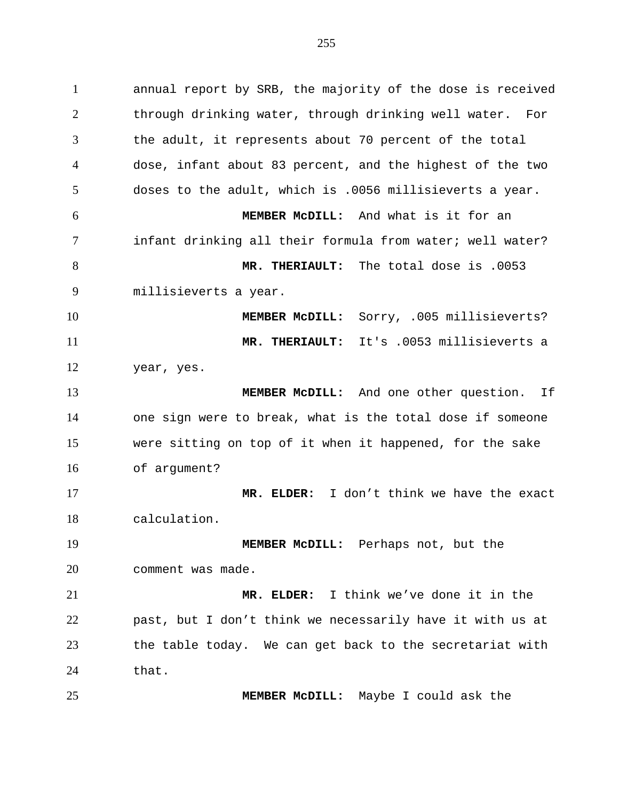annual report by SRB, the majority of the dose is received through drinking water, through drinking well water. For the adult, it represents about 70 percent of the total dose, infant about 83 percent, and the highest of the two doses to the adult, which is .0056 millisieverts a year. **MEMBER McDILL:** And what is it for an infant drinking all their formula from water; well water? **MR. THERIAULT:** The total dose is .0053 millisieverts a year. **MEMBER McDILL:** Sorry, .005 millisieverts? **MR. THERIAULT:** It's .0053 millisieverts a year, yes. **MEMBER McDILL:** And one other question. If one sign were to break, what is the total dose if someone were sitting on top of it when it happened, for the sake of argument? **MR. ELDER:** I don't think we have the exact calculation. **MEMBER McDILL:** Perhaps not, but the comment was made. **MR. ELDER:** I think we've done it in the past, but I don't think we necessarily have it with us at the table today. We can get back to the secretariat with 24 that. **MEMBER McDILL:** Maybe I could ask the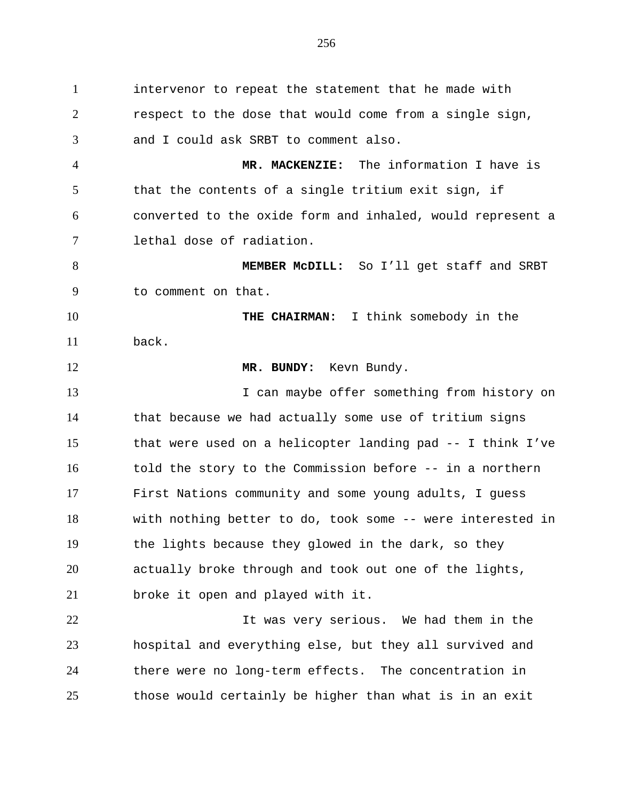intervenor to repeat the statement that he made with respect to the dose that would come from a single sign, and I could ask SRBT to comment also. **MR. MACKENZIE:** The information I have is that the contents of a single tritium exit sign, if converted to the oxide form and inhaled, would represent a lethal dose of radiation. **MEMBER McDILL:** So I'll get staff and SRBT to comment on that. **THE CHAIRMAN:** I think somebody in the back. **MR. BUNDY:** Kevn Bundy. 13 I can maybe offer something from history on that because we had actually some use of tritium signs that were used on a helicopter landing pad -- I think I've 16 told the story to the Commission before -- in a northern First Nations community and some young adults, I guess with nothing better to do, took some -- were interested in the lights because they glowed in the dark, so they actually broke through and took out one of the lights, broke it open and played with it. It was very serious. We had them in the hospital and everything else, but they all survived and there were no long-term effects. The concentration in

those would certainly be higher than what is in an exit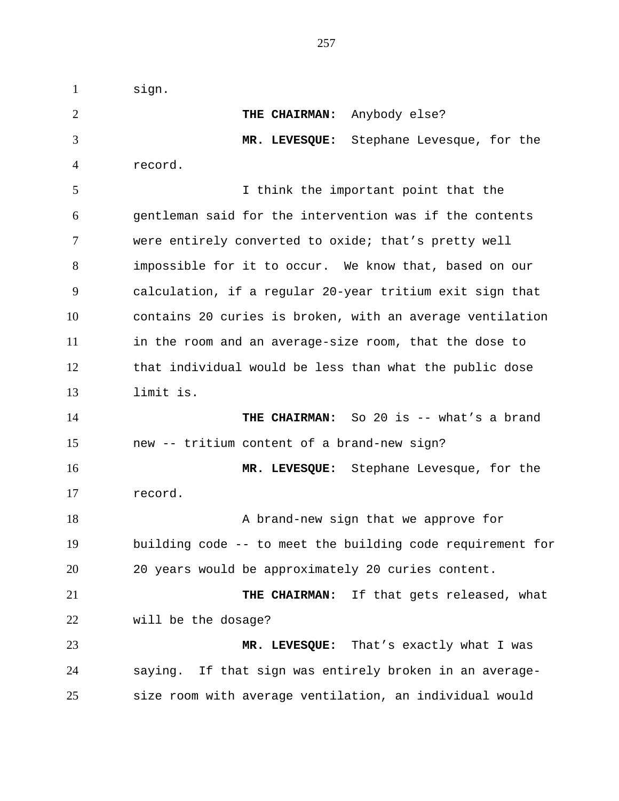sign. **THE CHAIRMAN:** Anybody else? **MR. LEVESQUE:** Stephane Levesque, for the record. I think the important point that the gentleman said for the intervention was if the contents were entirely converted to oxide; that's pretty well impossible for it to occur. We know that, based on our calculation, if a regular 20-year tritium exit sign that contains 20 curies is broken, with an average ventilation in the room and an average-size room, that the dose to that individual would be less than what the public dose limit is. **THE CHAIRMAN:** So 20 is -- what's a brand new -- tritium content of a brand-new sign? **MR. LEVESQUE:** Stephane Levesque, for the record. 18 A brand-new sign that we approve for building code -- to meet the building code requirement for 20 years would be approximately 20 curies content. **THE CHAIRMAN:** If that gets released, what will be the dosage? **MR. LEVESQUE:** That's exactly what I was saying. If that sign was entirely broken in an average-size room with average ventilation, an individual would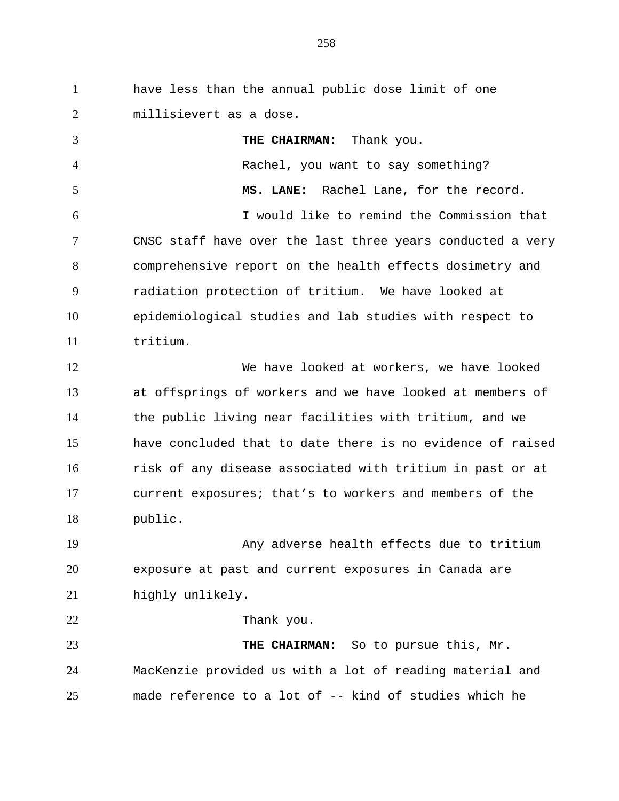have less than the annual public dose limit of one millisievert as a dose.

 **THE CHAIRMAN:** Thank you. Rachel, you want to say something? **MS. LANE:** Rachel Lane, for the record. I would like to remind the Commission that CNSC staff have over the last three years conducted a very comprehensive report on the health effects dosimetry and radiation protection of tritium. We have looked at epidemiological studies and lab studies with respect to tritium. We have looked at workers, we have looked at offsprings of workers and we have looked at members of the public living near facilities with tritium, and we have concluded that to date there is no evidence of raised risk of any disease associated with tritium in past or at current exposures; that's to workers and members of the public. Any adverse health effects due to tritium exposure at past and current exposures in Canada are highly unlikely. 22 Thank you. **THE CHAIRMAN:** So to pursue this, Mr. MacKenzie provided us with a lot of reading material and made reference to a lot of -- kind of studies which he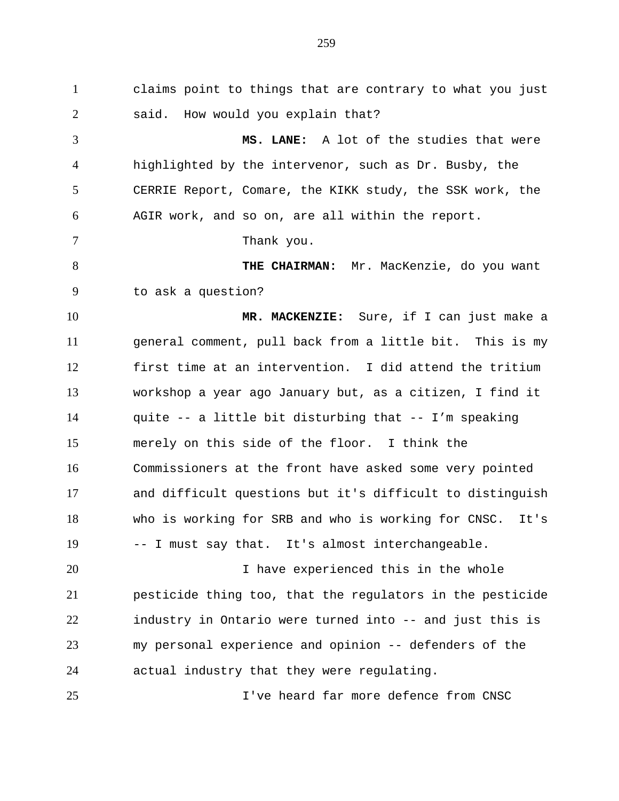claims point to things that are contrary to what you just said. How would you explain that? **MS. LANE:** A lot of the studies that were highlighted by the intervenor, such as Dr. Busby, the CERRIE Report, Comare, the KIKK study, the SSK work, the AGIR work, and so on, are all within the report. 7 Thank you. **THE CHAIRMAN:** Mr. MacKenzie, do you want to ask a question? **MR. MACKENZIE:** Sure, if I can just make a general comment, pull back from a little bit. This is my first time at an intervention. I did attend the tritium workshop a year ago January but, as a citizen, I find it quite -- a little bit disturbing that -- I'm speaking merely on this side of the floor. I think the Commissioners at the front have asked some very pointed and difficult questions but it's difficult to distinguish who is working for SRB and who is working for CNSC. It's -- I must say that. It's almost interchangeable. I have experienced this in the whole pesticide thing too, that the regulators in the pesticide industry in Ontario were turned into -- and just this is my personal experience and opinion -- defenders of the actual industry that they were regulating.

I've heard far more defence from CNSC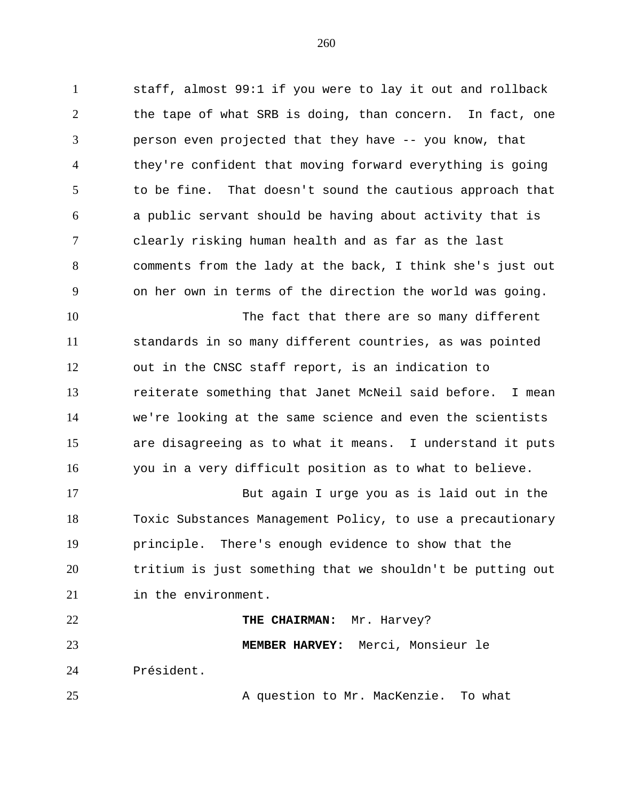staff, almost 99:1 if you were to lay it out and rollback the tape of what SRB is doing, than concern. In fact, one person even projected that they have -- you know, that they're confident that moving forward everything is going to be fine. That doesn't sound the cautious approach that a public servant should be having about activity that is clearly risking human health and as far as the last comments from the lady at the back, I think she's just out on her own in terms of the direction the world was going. The fact that there are so many different

 standards in so many different countries, as was pointed out in the CNSC staff report, is an indication to reiterate something that Janet McNeil said before. I mean we're looking at the same science and even the scientists are disagreeing as to what it means. I understand it puts you in a very difficult position as to what to believe.

 But again I urge you as is laid out in the Toxic Substances Management Policy, to use a precautionary principle. There's enough evidence to show that the tritium is just something that we shouldn't be putting out in the environment.

 **THE CHAIRMAN:** Mr. Harvey? **MEMBER HARVEY:** Merci, Monsieur le Président.

25 A question to Mr. MacKenzie. To what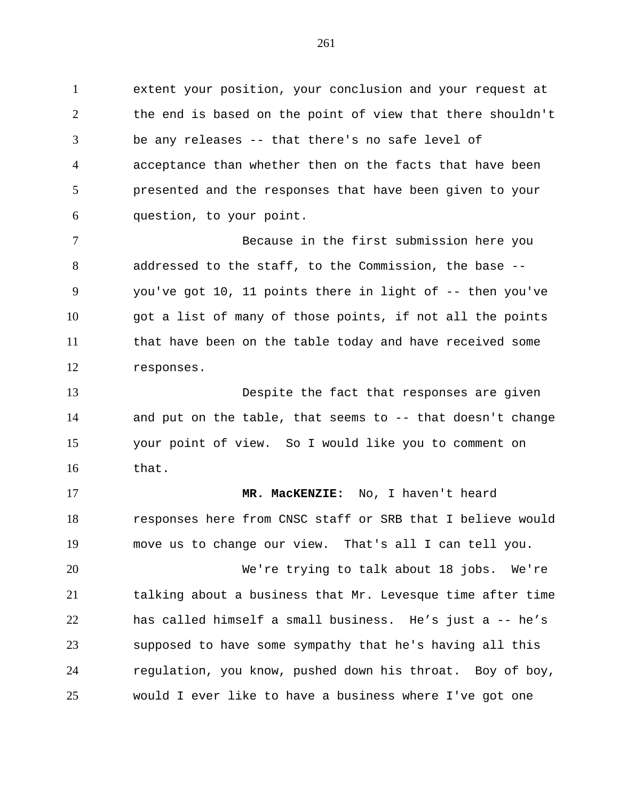extent your position, your conclusion and your request at the end is based on the point of view that there shouldn't be any releases -- that there's no safe level of acceptance than whether then on the facts that have been presented and the responses that have been given to your question, to your point.

 Because in the first submission here you addressed to the staff, to the Commission, the base -- you've got 10, 11 points there in light of -- then you've got a list of many of those points, if not all the points that have been on the table today and have received some responses.

 Despite the fact that responses are given and put on the table, that seems to -- that doesn't change your point of view. So I would like you to comment on that.

 **MR. MacKENZIE:** No, I haven't heard responses here from CNSC staff or SRB that I believe would move us to change our view. That's all I can tell you.

 We're trying to talk about 18 jobs. We're talking about a business that Mr. Levesque time after time has called himself a small business. He's just a -- he's supposed to have some sympathy that he's having all this regulation, you know, pushed down his throat. Boy of boy, would I ever like to have a business where I've got one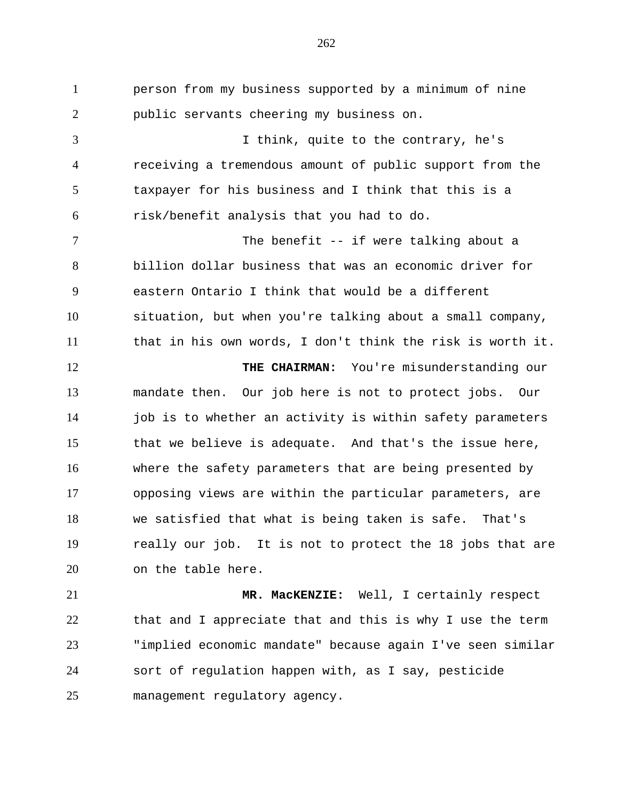person from my business supported by a minimum of nine public servants cheering my business on. I think, quite to the contrary, he's receiving a tremendous amount of public support from the taxpayer for his business and I think that this is a risk/benefit analysis that you had to do. 7 The benefit -- if were talking about a billion dollar business that was an economic driver for eastern Ontario I think that would be a different situation, but when you're talking about a small company, that in his own words, I don't think the risk is worth it. 12 THE CHAIRMAN: You're misunderstanding our mandate then. Our job here is not to protect jobs. Our 14 job is to whether an activity is within safety parameters that we believe is adequate. And that's the issue here, where the safety parameters that are being presented by opposing views are within the particular parameters, are we satisfied that what is being taken is safe. That's really our job. It is not to protect the 18 jobs that are on the table here. **MR. MacKENZIE:** Well, I certainly respect

 that and I appreciate that and this is why I use the term "implied economic mandate" because again I've seen similar sort of regulation happen with, as I say, pesticide management regulatory agency.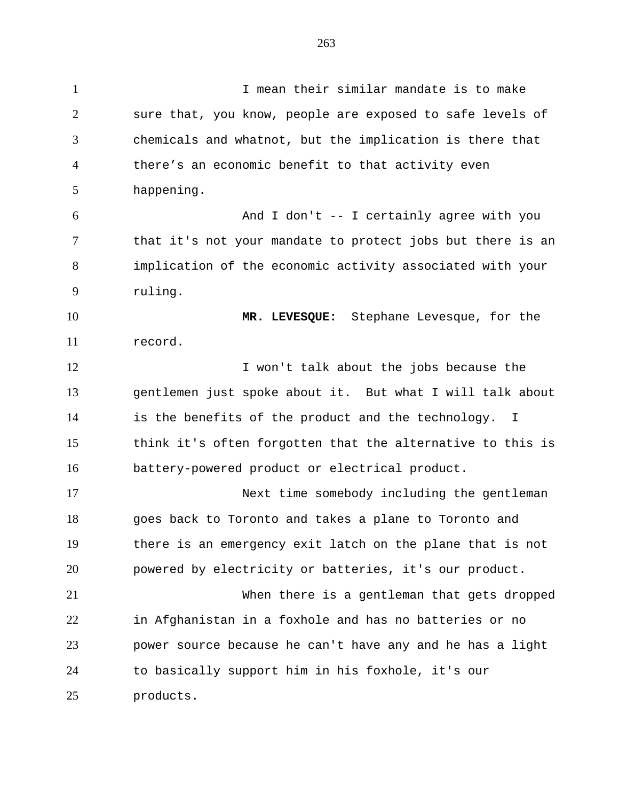I mean their similar mandate is to make sure that, you know, people are exposed to safe levels of chemicals and whatnot, but the implication is there that there's an economic benefit to that activity even happening. And I don't -- I certainly agree with you 7 that it's not your mandate to protect jobs but there is an implication of the economic activity associated with your ruling. **MR. LEVESQUE:** Stephane Levesque, for the record. 12 I won't talk about the jobs because the gentlemen just spoke about it. But what I will talk about is the benefits of the product and the technology. I think it's often forgotten that the alternative to this is battery-powered product or electrical product. Next time somebody including the gentleman goes back to Toronto and takes a plane to Toronto and there is an emergency exit latch on the plane that is not powered by electricity or batteries, it's our product. When there is a gentleman that gets dropped in Afghanistan in a foxhole and has no batteries or no power source because he can't have any and he has a light to basically support him in his foxhole, it's our products.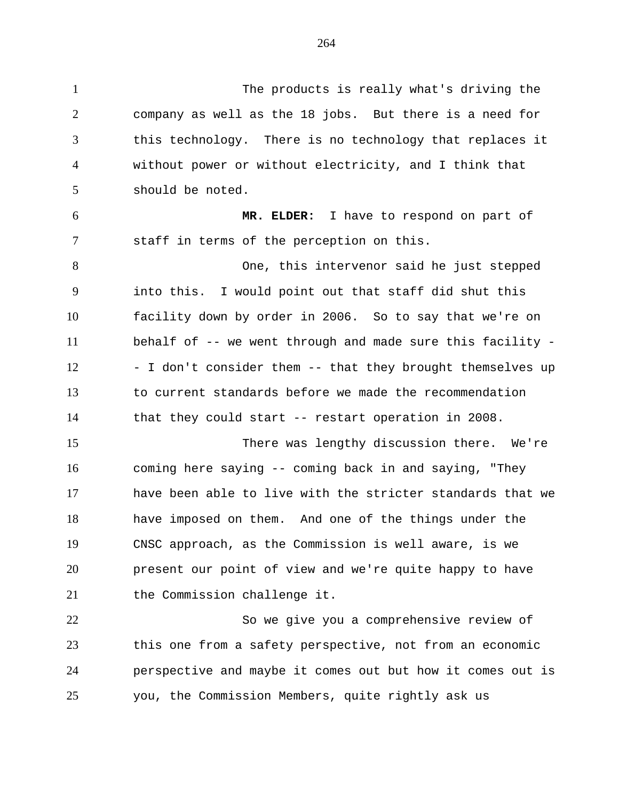The products is really what's driving the company as well as the 18 jobs. But there is a need for this technology. There is no technology that replaces it without power or without electricity, and I think that should be noted. **MR. ELDER:** I have to respond on part of staff in terms of the perception on this. One, this intervenor said he just stepped into this. I would point out that staff did shut this facility down by order in 2006. So to say that we're on behalf of -- we went through and made sure this facility - 12 - I don't consider them -- that they brought themselves up to current standards before we made the recommendation that they could start -- restart operation in 2008. There was lengthy discussion there. We're coming here saying -- coming back in and saying, "They 17 have been able to live with the stricter standards that we have imposed on them. And one of the things under the CNSC approach, as the Commission is well aware, is we present our point of view and we're quite happy to have 21 the Commission challenge it. So we give you a comprehensive review of this one from a safety perspective, not from an economic perspective and maybe it comes out but how it comes out is you, the Commission Members, quite rightly ask us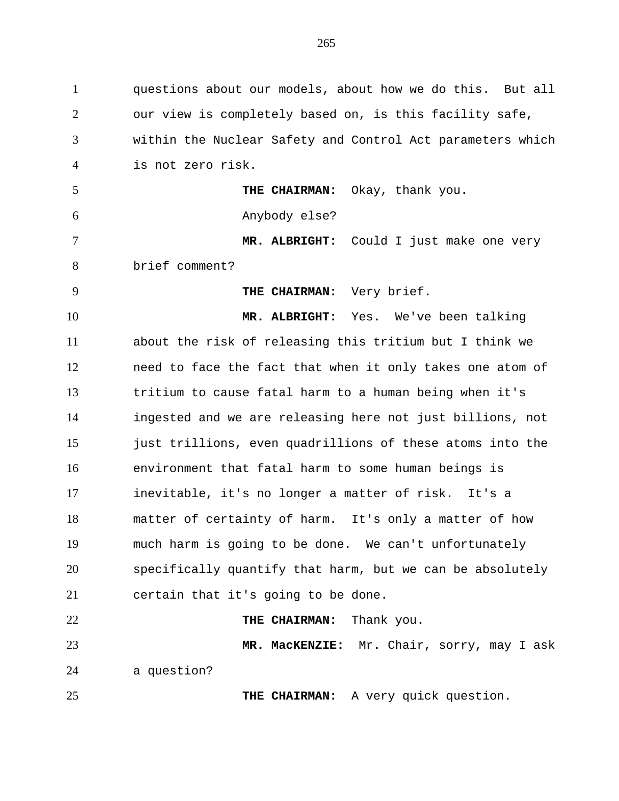questions about our models, about how we do this. But all our view is completely based on, is this facility safe, within the Nuclear Safety and Control Act parameters which is not zero risk. **THE CHAIRMAN:** Okay, thank you. Anybody else? **MR. ALBRIGHT:** Could I just make one very brief comment? **THE CHAIRMAN:** Very brief. **MR. ALBRIGHT:** Yes. We've been talking about the risk of releasing this tritium but I think we need to face the fact that when it only takes one atom of tritium to cause fatal harm to a human being when it's ingested and we are releasing here not just billions, not just trillions, even quadrillions of these atoms into the environment that fatal harm to some human beings is inevitable, it's no longer a matter of risk. It's a matter of certainty of harm. It's only a matter of how much harm is going to be done. We can't unfortunately specifically quantify that harm, but we can be absolutely certain that it's going to be done. **THE CHAIRMAN:** Thank you. **MR. MacKENZIE:** Mr. Chair, sorry, may I ask a question? **THE CHAIRMAN:** A very quick question.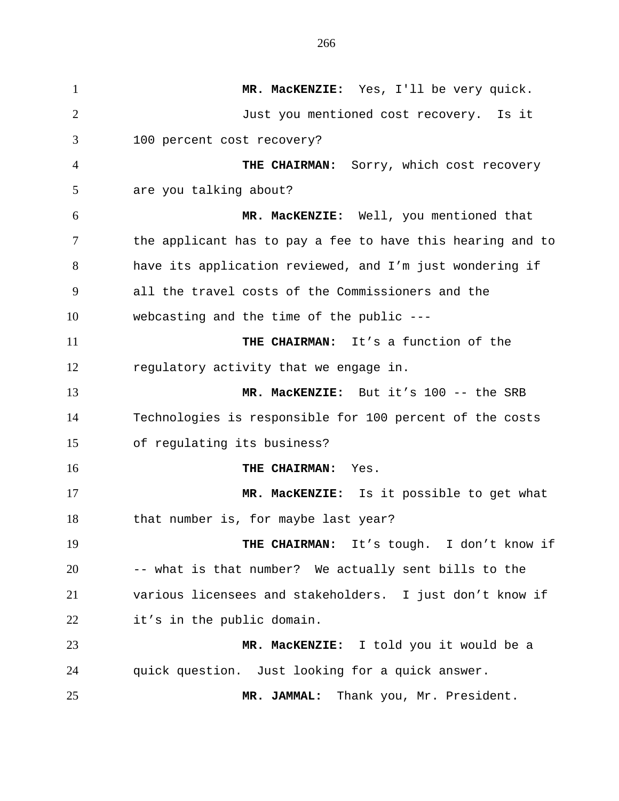**MR. MacKENZIE:** Yes, I'll be very quick. Just you mentioned cost recovery. Is it 100 percent cost recovery? **THE CHAIRMAN:** Sorry, which cost recovery are you talking about? **MR. MacKENZIE:** Well, you mentioned that the applicant has to pay a fee to have this hearing and to have its application reviewed, and I'm just wondering if all the travel costs of the Commissioners and the webcasting and the time of the public --- **THE CHAIRMAN:** It's a function of the regulatory activity that we engage in. **MR. MacKENZIE:** But it's 100 -- the SRB Technologies is responsible for 100 percent of the costs of regulating its business? **THE CHAIRMAN:** Yes. **MR. MacKENZIE:** Is it possible to get what 18 that number is, for maybe last year? 19 THE CHAIRMAN: It's tough. I don't know if -- what is that number? We actually sent bills to the various licensees and stakeholders. I just don't know if it's in the public domain. **MR. MacKENZIE:** I told you it would be a quick question. Just looking for a quick answer. **MR. JAMMAL:** Thank you, Mr. President.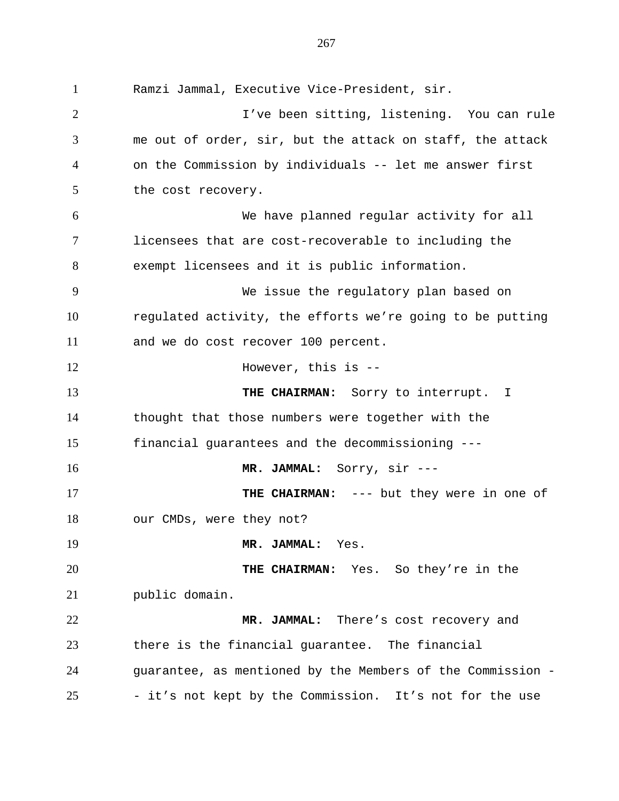Ramzi Jammal, Executive Vice-President, sir. I've been sitting, listening. You can rule me out of order, sir, but the attack on staff, the attack on the Commission by individuals -- let me answer first the cost recovery. We have planned regular activity for all licensees that are cost-recoverable to including the exempt licensees and it is public information. We issue the regulatory plan based on regulated activity, the efforts we're going to be putting and we do cost recover 100 percent. 12 However, this is -- **THE CHAIRMAN:** Sorry to interrupt. I thought that those numbers were together with the financial guarantees and the decommissioning --- **MR. JAMMAL:** Sorry, sir --- **THE CHAIRMAN:** --- but they were in one of our CMDs, were they not? **MR. JAMMAL:** Yes. **THE CHAIRMAN:** Yes. So they're in the public domain. **MR. JAMMAL:** There's cost recovery and there is the financial guarantee. The financial guarantee, as mentioned by the Members of the Commission - - it's not kept by the Commission. It's not for the use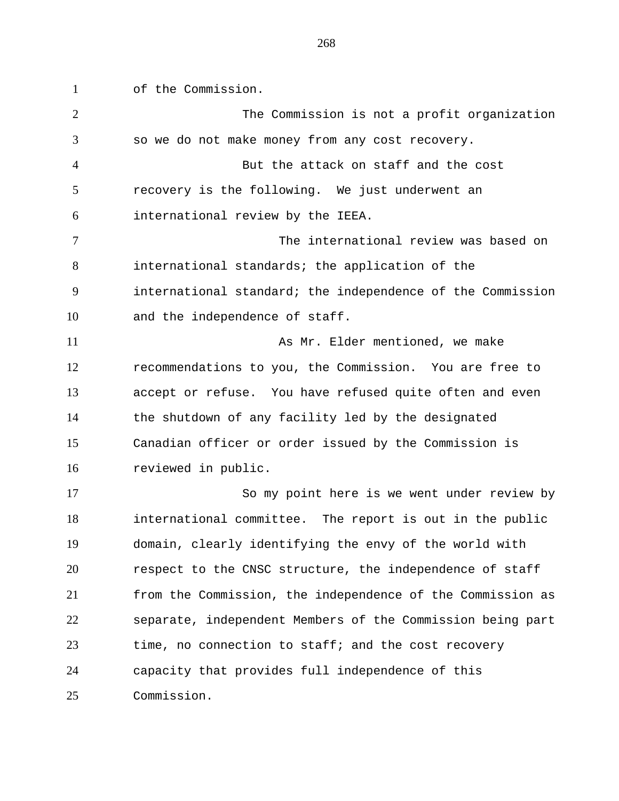of the Commission.

| $\overline{2}$ | The Commission is not a profit organization                |
|----------------|------------------------------------------------------------|
| 3              | so we do not make money from any cost recovery.            |
| 4              | But the attack on staff and the cost                       |
| 5              | recovery is the following. We just underwent an            |
| 6              | international review by the IEEA.                          |
| 7              | The international review was based on                      |
| 8              | international standards; the application of the            |
| 9              | international standard; the independence of the Commission |
| 10             | and the independence of staff.                             |
| 11             | As Mr. Elder mentioned, we make                            |
| 12             | recommendations to you, the Commission. You are free to    |
| 13             | accept or refuse. You have refused quite often and even    |
| 14             | the shutdown of any facility led by the designated         |
| 15             | Canadian officer or order issued by the Commission is      |
| 16             | reviewed in public.                                        |
| 17             | So my point here is we went under review by                |
| 18             | international committee. The report is out in the public   |
| 19             | domain, clearly identifying the envy of the world with     |
| 20             | respect to the CNSC structure, the independence of staff   |
| 21             | from the Commission, the independence of the Commission as |
| 22             | separate, independent Members of the Commission being part |
| 23             | time, no connection to staff; and the cost recovery        |
| 24             | capacity that provides full independence of this           |
| 25             | Commission.                                                |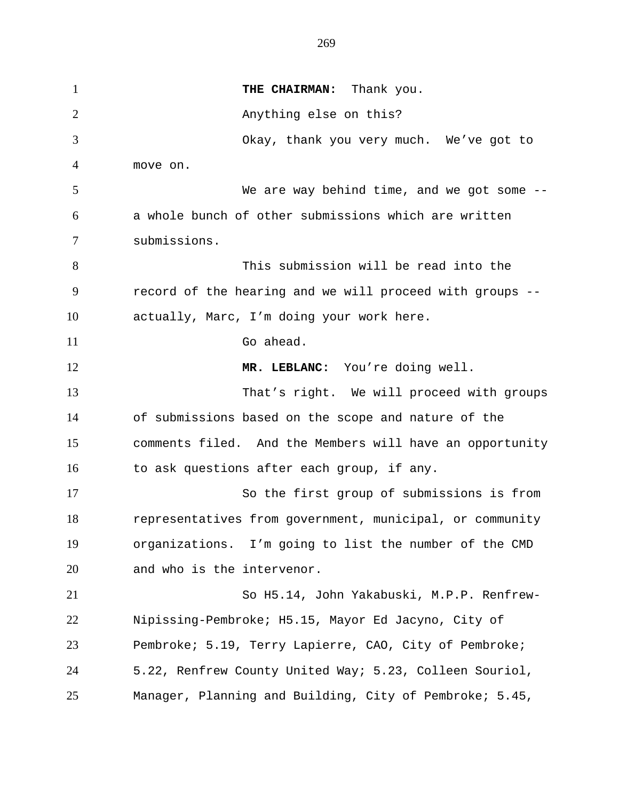**THE CHAIRMAN:** Thank you. Anything else on this? Okay, thank you very much. We've got to move on. We are way behind time, and we got some -- a whole bunch of other submissions which are written submissions. This submission will be read into the record of the hearing and we will proceed with groups -- actually, Marc, I'm doing your work here. Go ahead. 12 MR. LEBLANC: You're doing well. That's right. We will proceed with groups of submissions based on the scope and nature of the comments filed. And the Members will have an opportunity 16 to ask questions after each group, if any. So the first group of submissions is from representatives from government, municipal, or community organizations. I'm going to list the number of the CMD and who is the intervenor. So H5.14, John Yakabuski, M.P.P. Renfrew- Nipissing-Pembroke; H5.15, Mayor Ed Jacyno, City of Pembroke; 5.19, Terry Lapierre, CAO, City of Pembroke; 5.22, Renfrew County United Way; 5.23, Colleen Souriol, Manager, Planning and Building, City of Pembroke; 5.45,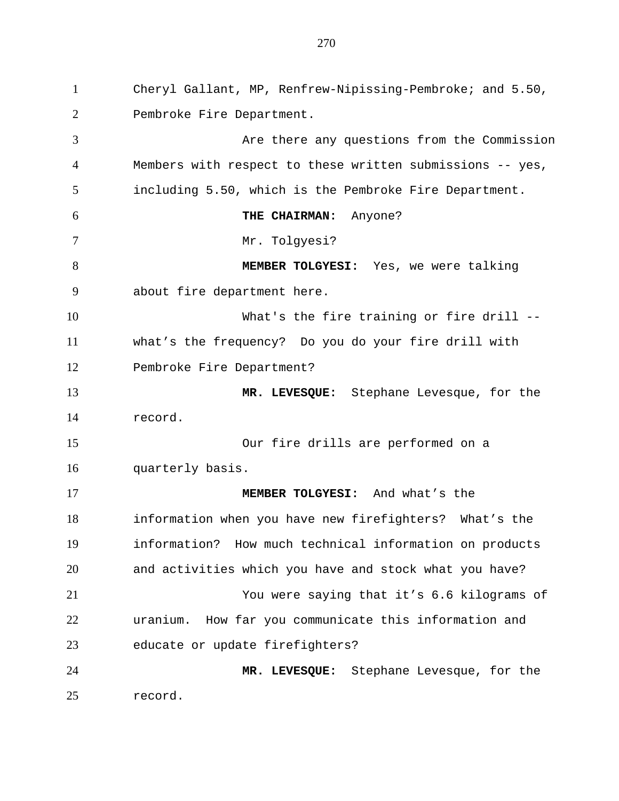Cheryl Gallant, MP, Renfrew-Nipissing-Pembroke; and 5.50, Pembroke Fire Department. Are there any questions from the Commission Members with respect to these written submissions -- yes, including 5.50, which is the Pembroke Fire Department. **THE CHAIRMAN:** Anyone? Mr. Tolgyesi? **MEMBER TOLGYESI:** Yes, we were talking about fire department here. What's the fire training or fire drill -- what's the frequency? Do you do your fire drill with 12 Pembroke Fire Department? **MR. LEVESQUE:** Stephane Levesque, for the record. Our fire drills are performed on a quarterly basis. **MEMBER TOLGYESI:** And what's the information when you have new firefighters? What's the information? How much technical information on products and activities which you have and stock what you have? You were saying that it's 6.6 kilograms of uranium. How far you communicate this information and educate or update firefighters? **MR. LEVESQUE:** Stephane Levesque, for the record.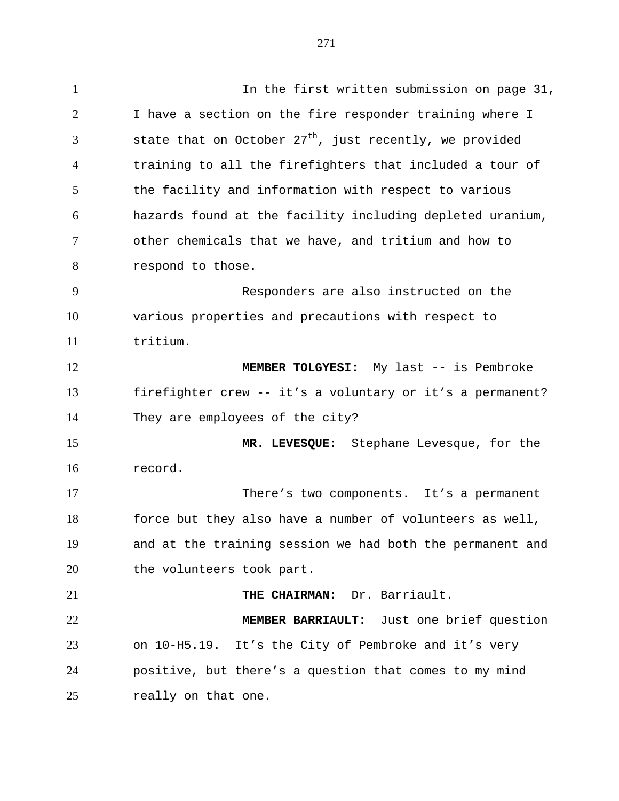1 1 In the first written submission on page 31, I have a section on the fire responder training where I 3 state that on October  $27<sup>th</sup>$ , just recently, we provided training to all the firefighters that included a tour of 5 the facility and information with respect to various hazards found at the facility including depleted uranium, other chemicals that we have, and tritium and how to respond to those. Responders are also instructed on the various properties and precautions with respect to tritium. **MEMBER TOLGYESI:** My last -- is Pembroke firefighter crew -- it's a voluntary or it's a permanent? They are employees of the city? **MR. LEVESQUE:** Stephane Levesque, for the record. There's two components. It's a permanent force but they also have a number of volunteers as well, and at the training session we had both the permanent and 20 the volunteers took part. **THE CHAIRMAN:** Dr. Barriault. **MEMBER BARRIAULT:** Just one brief question on 10-H5.19. It's the City of Pembroke and it's very positive, but there's a question that comes to my mind really on that one.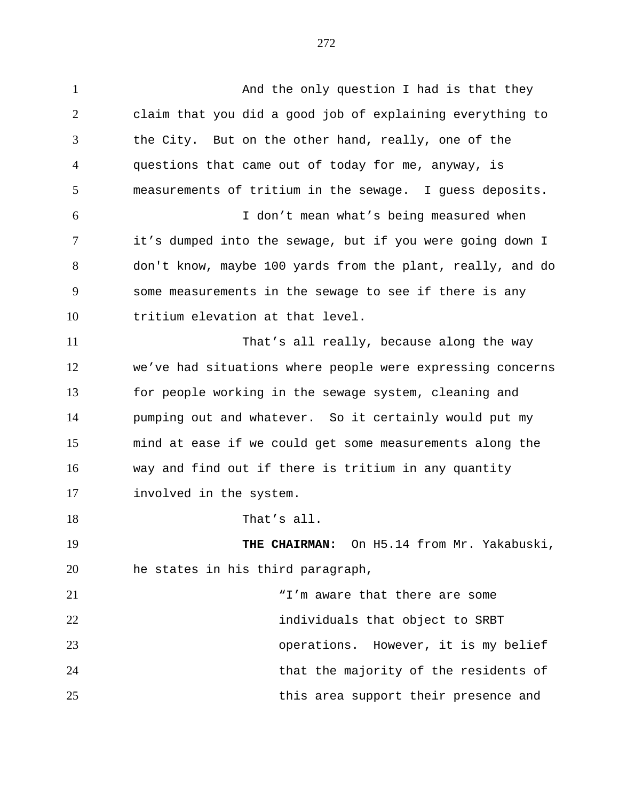1 And the only question I had is that they claim that you did a good job of explaining everything to the City. But on the other hand, really, one of the questions that came out of today for me, anyway, is measurements of tritium in the sewage. I guess deposits. I don't mean what's being measured when it's dumped into the sewage, but if you were going down I don't know, maybe 100 yards from the plant, really, and do some measurements in the sewage to see if there is any tritium elevation at that level. That's all really, because along the way we've had situations where people were expressing concerns for people working in the sewage system, cleaning and pumping out and whatever. So it certainly would put my mind at ease if we could get some measurements along the way and find out if there is tritium in any quantity involved in the system. 18 That's all. **THE CHAIRMAN:** On H5.14 from Mr. Yakabuski, he states in his third paragraph, 21 T'm aware that there are some individuals that object to SRBT operations. However, it is my belief that the majority of the residents of

this area support their presence and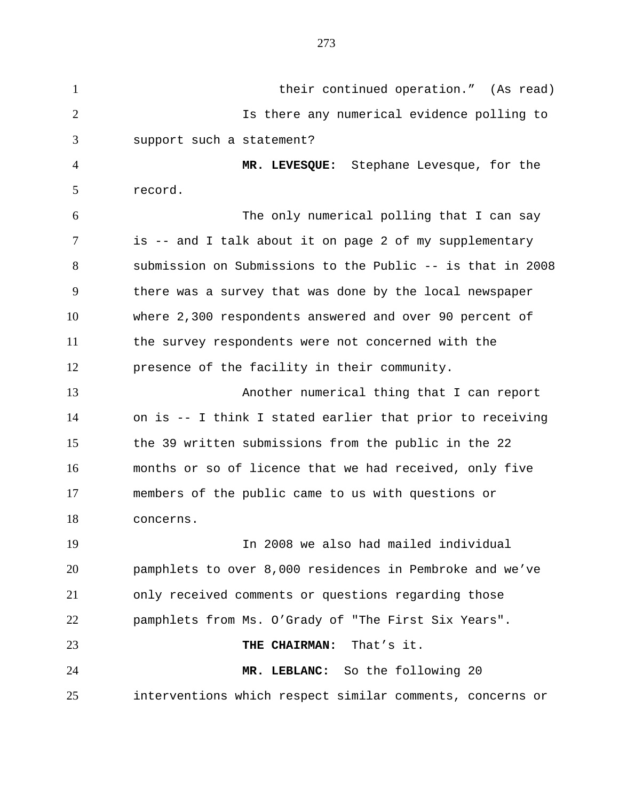their continued operation." (As read) Is there any numerical evidence polling to support such a statement? **MR. LEVESQUE:** Stephane Levesque, for the record. The only numerical polling that I can say is -- and I talk about it on page 2 of my supplementary submission on Submissions to the Public -- is that in 2008 there was a survey that was done by the local newspaper where 2,300 respondents answered and over 90 percent of the survey respondents were not concerned with the presence of the facility in their community. Another numerical thing that I can report on is -- I think I stated earlier that prior to receiving the 39 written submissions from the public in the 22 months or so of licence that we had received, only five members of the public came to us with questions or concerns. In 2008 we also had mailed individual pamphlets to over 8,000 residences in Pembroke and we've only received comments or questions regarding those pamphlets from Ms. O'Grady of "The First Six Years". **THE CHAIRMAN:** That's it. **MR. LEBLANC:** So the following 20 interventions which respect similar comments, concerns or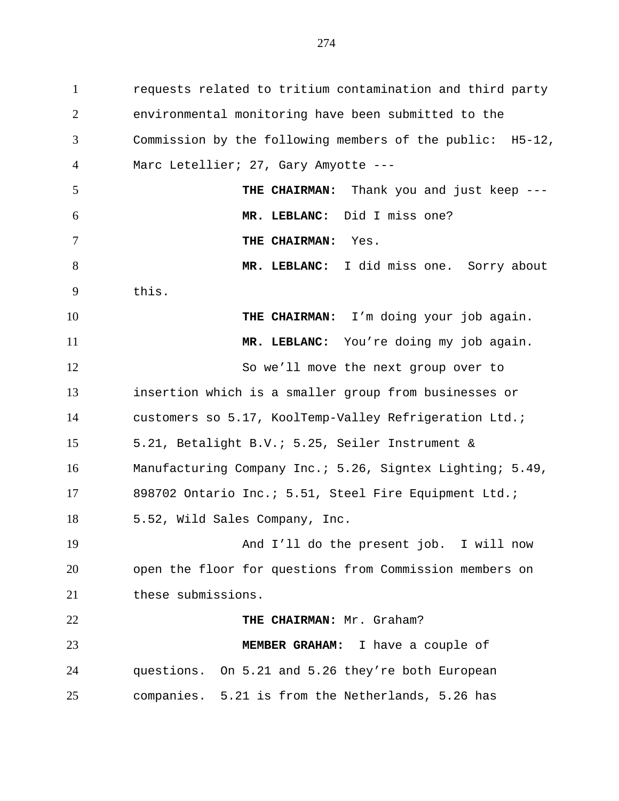requests related to tritium contamination and third party environmental monitoring have been submitted to the Commission by the following members of the public: H5-12, Marc Letellier; 27, Gary Amyotte --- **THE CHAIRMAN:** Thank you and just keep --- **MR. LEBLANC:** Did I miss one? **THE CHAIRMAN:** Yes. **MR. LEBLANC:** I did miss one. Sorry about this. **THE CHAIRMAN:** I'm doing your job again. **MR. LEBLANC:** You're doing my job again. So we'll move the next group over to insertion which is a smaller group from businesses or customers so 5.17, KoolTemp-Valley Refrigeration Ltd.; 5.21, Betalight B.V.; 5.25, Seiler Instrument & Manufacturing Company Inc.; 5.26, Signtex Lighting; 5.49, 898702 Ontario Inc.; 5.51, Steel Fire Equipment Ltd.; 5.52, Wild Sales Company, Inc. And I'll do the present job. I will now open the floor for questions from Commission members on these submissions. **THE CHAIRMAN:** Mr. Graham? **MEMBER GRAHAM:** I have a couple of questions. On 5.21 and 5.26 they're both European companies. 5.21 is from the Netherlands, 5.26 has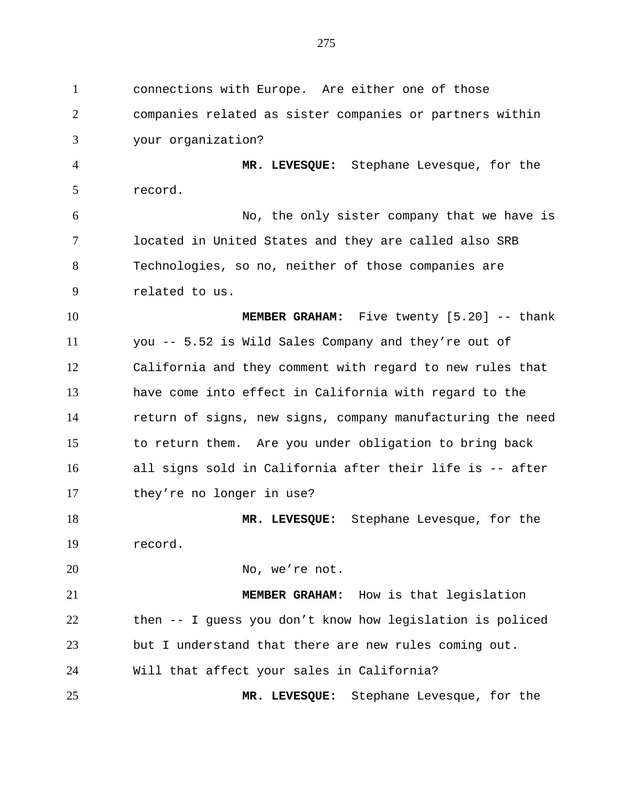connections with Europe. Are either one of those companies related as sister companies or partners within your organization? **MR. LEVESQUE:** Stephane Levesque, for the record. No, the only sister company that we have is located in United States and they are called also SRB Technologies, so no, neither of those companies are related to us. **MEMBER GRAHAM:** Five twenty [5.20] -- thank you -- 5.52 is Wild Sales Company and they're out of California and they comment with regard to new rules that have come into effect in California with regard to the return of signs, new signs, company manufacturing the need to return them. Are you under obligation to bring back all signs sold in California after their life is -- after they're no longer in use? **MR. LEVESQUE:** Stephane Levesque, for the record. 20 No, we're not. **MEMBER GRAHAM:** How is that legislation then -- I guess you don't know how legislation is policed but I understand that there are new rules coming out. Will that affect your sales in California? **MR. LEVESQUE:** Stephane Levesque, for the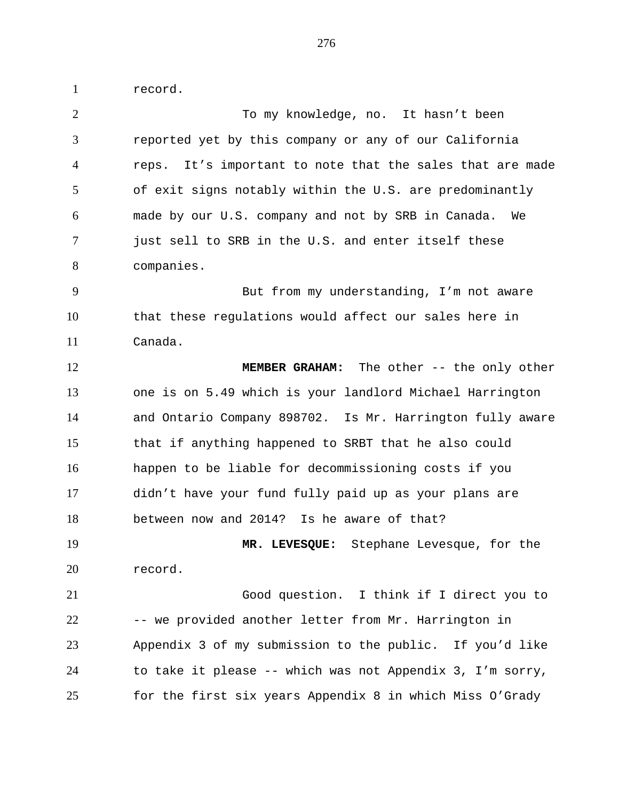record.

2 To my knowledge, no. It hasn't been reported yet by this company or any of our California reps. It's important to note that the sales that are made of exit signs notably within the U.S. are predominantly made by our U.S. company and not by SRB in Canada. We just sell to SRB in the U.S. and enter itself these companies. But from my understanding, I'm not aware that these regulations would affect our sales here in Canada. **MEMBER GRAHAM:** The other -- the only other one is on 5.49 which is your landlord Michael Harrington and Ontario Company 898702. Is Mr. Harrington fully aware that if anything happened to SRBT that he also could happen to be liable for decommissioning costs if you didn't have your fund fully paid up as your plans are between now and 2014? Is he aware of that? **MR. LEVESQUE:** Stephane Levesque, for the record. Good question. I think if I direct you to -- we provided another letter from Mr. Harrington in Appendix 3 of my submission to the public. If you'd like to take it please -- which was not Appendix 3, I'm sorry, for the first six years Appendix 8 in which Miss O'Grady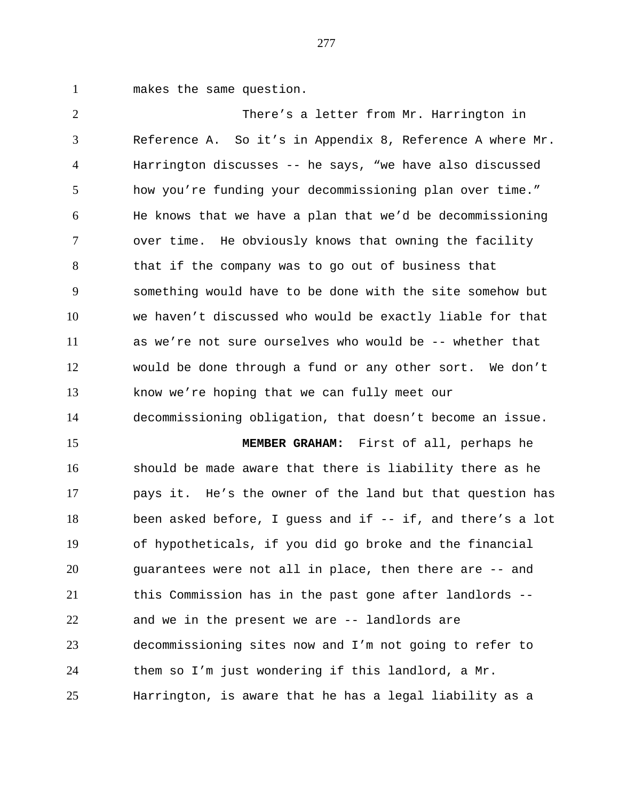makes the same question.

 There's a letter from Mr. Harrington in Reference A. So it's in Appendix 8, Reference A where Mr. Harrington discusses -- he says, "we have also discussed how you're funding your decommissioning plan over time." He knows that we have a plan that we'd be decommissioning over time. He obviously knows that owning the facility that if the company was to go out of business that something would have to be done with the site somehow but we haven't discussed who would be exactly liable for that as we're not sure ourselves who would be -- whether that would be done through a fund or any other sort. We don't know we're hoping that we can fully meet our decommissioning obligation, that doesn't become an issue. **MEMBER GRAHAM:** First of all, perhaps he should be made aware that there is liability there as he pays it. He's the owner of the land but that question has been asked before, I guess and if -- if, and there's a lot of hypotheticals, if you did go broke and the financial guarantees were not all in place, then there are -- and this Commission has in the past gone after landlords -- and we in the present we are -- landlords are decommissioning sites now and I'm not going to refer to them so I'm just wondering if this landlord, a Mr. Harrington, is aware that he has a legal liability as a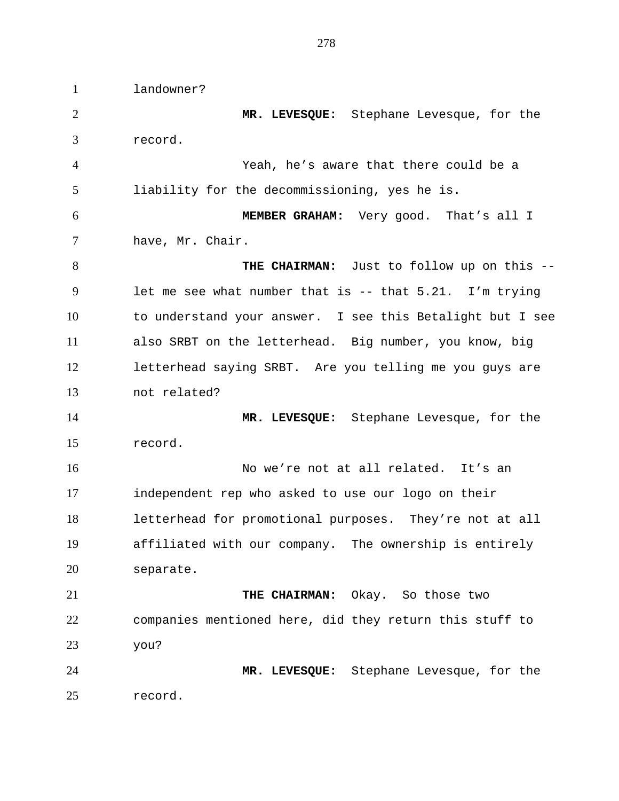landowner? **MR. LEVESQUE:** Stephane Levesque, for the record. Yeah, he's aware that there could be a liability for the decommissioning, yes he is. **MEMBER GRAHAM:** Very good. That's all I have, Mr. Chair. **THE CHAIRMAN:** Just to follow up on this -- let me see what number that is -- that 5.21. I'm trying to understand your answer. I see this Betalight but I see also SRBT on the letterhead. Big number, you know, big letterhead saying SRBT. Are you telling me you guys are not related? **MR. LEVESQUE:** Stephane Levesque, for the record. No we're not at all related. It's an independent rep who asked to use our logo on their letterhead for promotional purposes. They're not at all affiliated with our company. The ownership is entirely separate. **THE CHAIRMAN:** Okay. So those two companies mentioned here, did they return this stuff to you? **MR. LEVESQUE:** Stephane Levesque, for the record.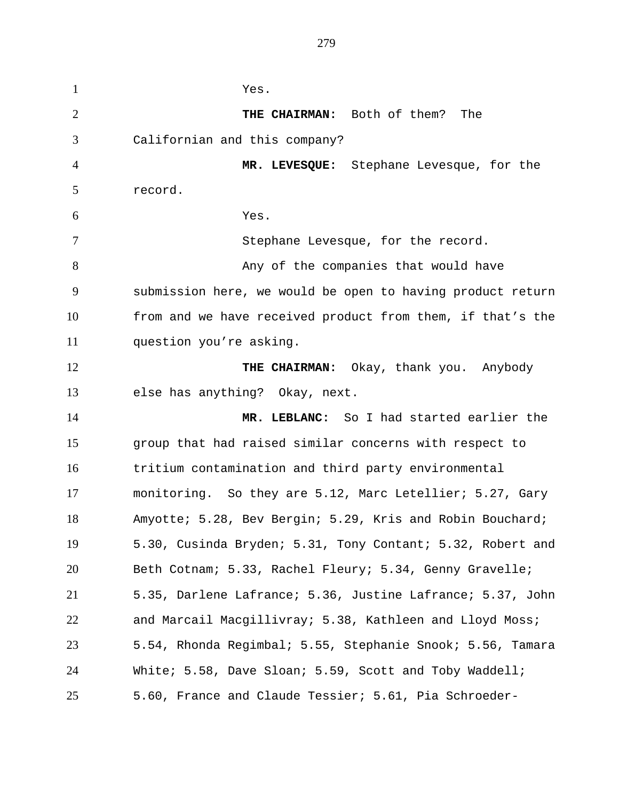Yes. **THE CHAIRMAN:** Both of them? The Californian and this company? **MR. LEVESQUE:** Stephane Levesque, for the record. Yes. Stephane Levesque, for the record. 8 Any of the companies that would have submission here, we would be open to having product return from and we have received product from them, if that's the question you're asking. **THE CHAIRMAN:** Okay, thank you. Anybody else has anything? Okay, next. **MR. LEBLANC:** So I had started earlier the group that had raised similar concerns with respect to tritium contamination and third party environmental monitoring. So they are 5.12, Marc Letellier; 5.27, Gary Amyotte; 5.28, Bev Bergin; 5.29, Kris and Robin Bouchard; 5.30, Cusinda Bryden; 5.31, Tony Contant; 5.32, Robert and Beth Cotnam; 5.33, Rachel Fleury; 5.34, Genny Gravelle; 5.35, Darlene Lafrance; 5.36, Justine Lafrance; 5.37, John and Marcail Macgillivray; 5.38, Kathleen and Lloyd Moss; 5.54, Rhonda Regimbal; 5.55, Stephanie Snook; 5.56, Tamara White; 5.58, Dave Sloan; 5.59, Scott and Toby Waddell; 5.60, France and Claude Tessier; 5.61, Pia Schroeder-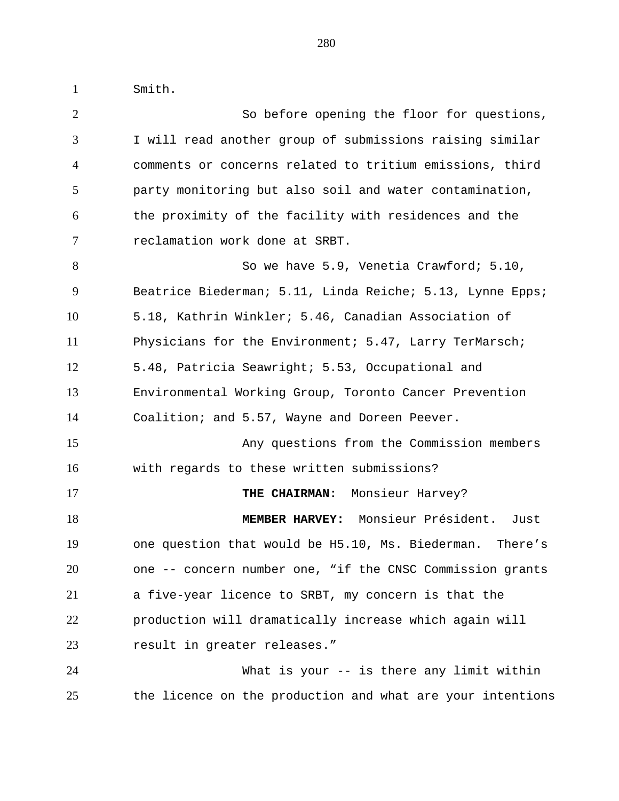Smith.

 So before opening the floor for questions, I will read another group of submissions raising similar comments or concerns related to tritium emissions, third party monitoring but also soil and water contamination, the proximity of the facility with residences and the reclamation work done at SRBT. So we have 5.9, Venetia Crawford; 5.10, Beatrice Biederman; 5.11, Linda Reiche; 5.13, Lynne Epps; 5.18, Kathrin Winkler; 5.46, Canadian Association of Physicians for the Environment; 5.47, Larry TerMarsch; 5.48, Patricia Seawright; 5.53, Occupational and Environmental Working Group, Toronto Cancer Prevention Coalition; and 5.57, Wayne and Doreen Peever. Any questions from the Commission members with regards to these written submissions? **THE CHAIRMAN:** Monsieur Harvey? **MEMBER HARVEY:** Monsieur Président. Just one question that would be H5.10, Ms. Biederman. There's one -- concern number one, "if the CNSC Commission grants a five-year licence to SRBT, my concern is that the production will dramatically increase which again will result in greater releases." What is your -- is there any limit within the licence on the production and what are your intentions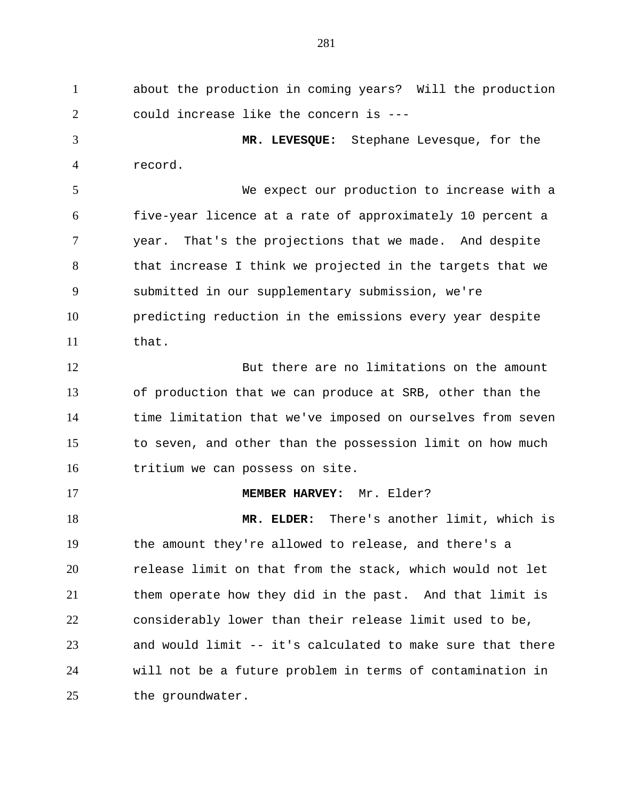about the production in coming years? Will the production could increase like the concern is ---

 **MR. LEVESQUE:** Stephane Levesque, for the record.

 We expect our production to increase with a five-year licence at a rate of approximately 10 percent a year. That's the projections that we made. And despite that increase I think we projected in the targets that we submitted in our supplementary submission, we're predicting reduction in the emissions every year despite that.

 But there are no limitations on the amount of production that we can produce at SRB, other than the time limitation that we've imposed on ourselves from seven to seven, and other than the possession limit on how much tritium we can possess on site.

**MEMBER HARVEY:** Mr. Elder?

 **MR. ELDER:** There's another limit, which is the amount they're allowed to release, and there's a release limit on that from the stack, which would not let them operate how they did in the past. And that limit is considerably lower than their release limit used to be, and would limit -- it's calculated to make sure that there will not be a future problem in terms of contamination in 25 the groundwater.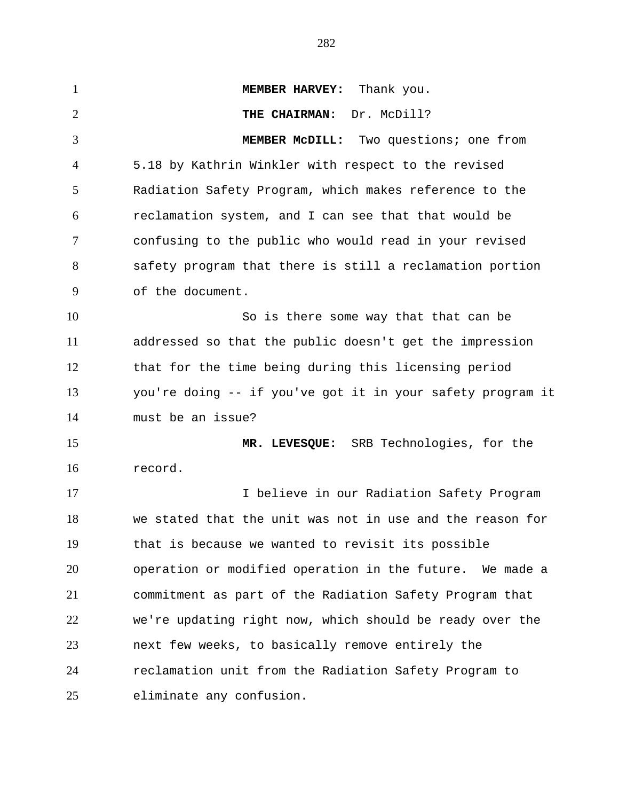**MEMBER HARVEY:** Thank you. **THE CHAIRMAN:** Dr. McDill? **MEMBER McDILL:** Two questions; one from 5.18 by Kathrin Winkler with respect to the revised Radiation Safety Program, which makes reference to the reclamation system, and I can see that that would be confusing to the public who would read in your revised safety program that there is still a reclamation portion of the document. So is there some way that that can be addressed so that the public doesn't get the impression that for the time being during this licensing period you're doing -- if you've got it in your safety program it must be an issue? **MR. LEVESQUE:** SRB Technologies, for the record. I believe in our Radiation Safety Program we stated that the unit was not in use and the reason for that is because we wanted to revisit its possible operation or modified operation in the future. We made a commitment as part of the Radiation Safety Program that we're updating right now, which should be ready over the next few weeks, to basically remove entirely the reclamation unit from the Radiation Safety Program to eliminate any confusion.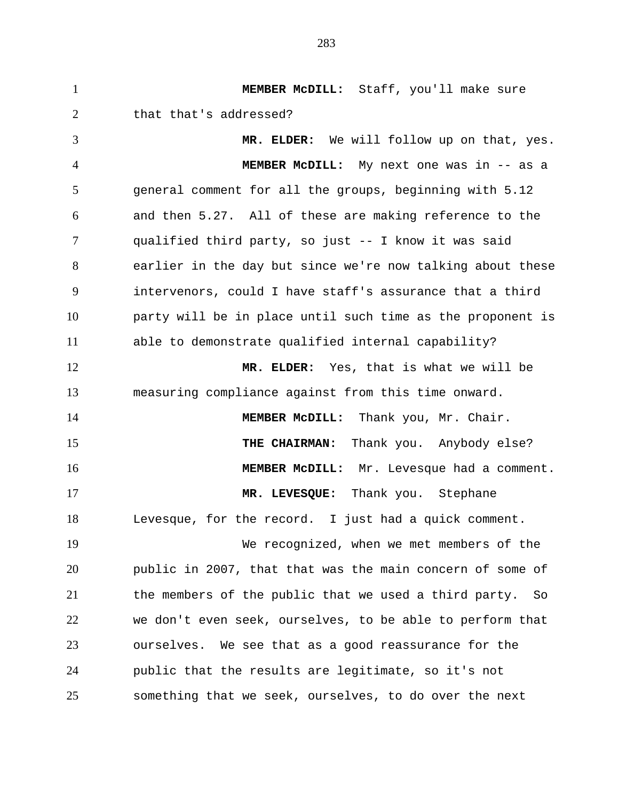**MEMBER McDILL:** Staff, you'll make sure 2 that that's addressed? **MR. ELDER:** We will follow up on that, yes. **MEMBER McDILL:** My next one was in -- as a general comment for all the groups, beginning with 5.12 and then 5.27. All of these are making reference to the qualified third party, so just -- I know it was said earlier in the day but since we're now talking about these intervenors, could I have staff's assurance that a third party will be in place until such time as the proponent is able to demonstrate qualified internal capability? **MR. ELDER:** Yes, that is what we will be measuring compliance against from this time onward. **MEMBER McDILL:** Thank you, Mr. Chair. **THE CHAIRMAN:** Thank you. Anybody else? **MEMBER McDILL:** Mr. Levesque had a comment. **MR. LEVESQUE:** Thank you. Stephane Levesque, for the record. I just had a quick comment. We recognized, when we met members of the public in 2007, that that was the main concern of some of the members of the public that we used a third party. So we don't even seek, ourselves, to be able to perform that ourselves. We see that as a good reassurance for the public that the results are legitimate, so it's not something that we seek, ourselves, to do over the next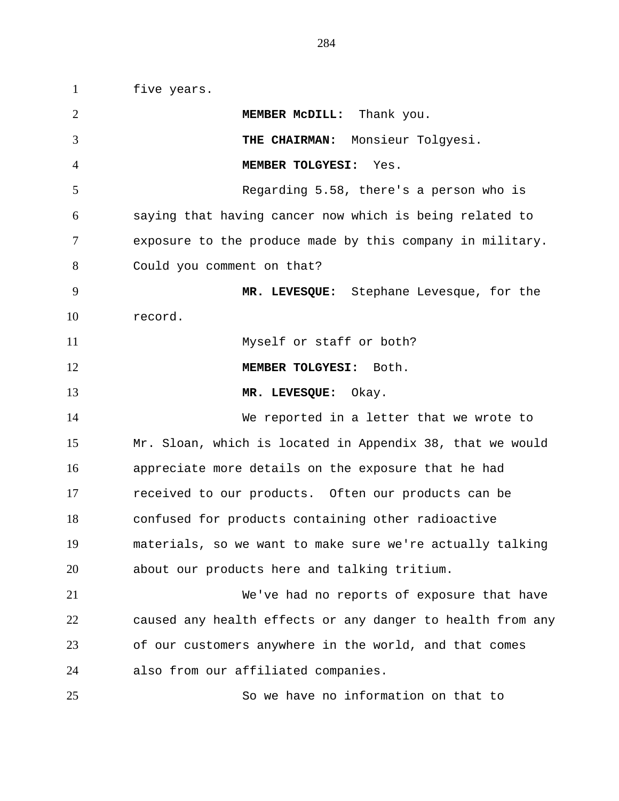five years. **MEMBER McDILL:** Thank you. **THE CHAIRMAN:** Monsieur Tolgyesi. **MEMBER TOLGYESI:** Yes. Regarding 5.58, there's a person who is saying that having cancer now which is being related to exposure to the produce made by this company in military. Could you comment on that? **MR. LEVESQUE:** Stephane Levesque, for the record. Myself or staff or both? **MEMBER TOLGYESI:** Both. **MR. LEVESQUE:** Okay. We reported in a letter that we wrote to Mr. Sloan, which is located in Appendix 38, that we would appreciate more details on the exposure that he had received to our products. Often our products can be confused for products containing other radioactive materials, so we want to make sure we're actually talking about our products here and talking tritium. We've had no reports of exposure that have caused any health effects or any danger to health from any of our customers anywhere in the world, and that comes also from our affiliated companies.

So we have no information on that to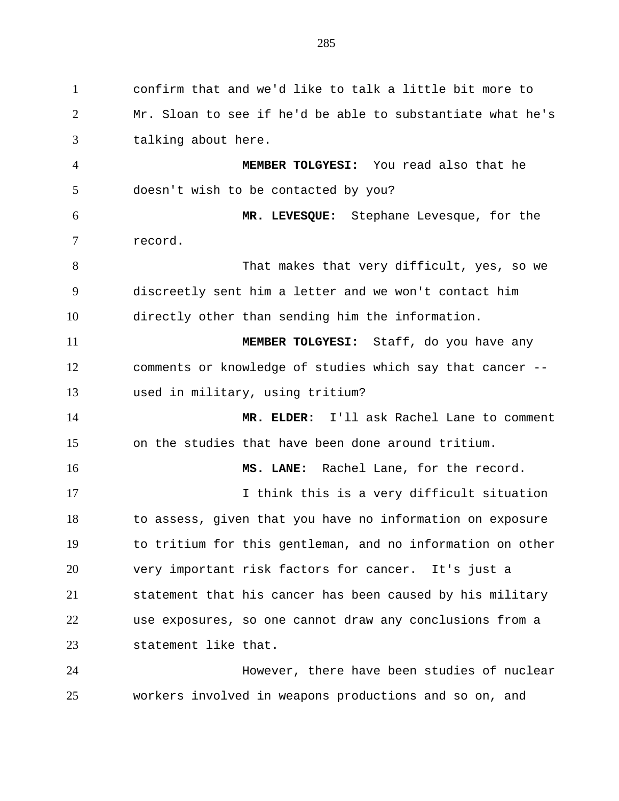confirm that and we'd like to talk a little bit more to Mr. Sloan to see if he'd be able to substantiate what he's talking about here. **MEMBER TOLGYESI:** You read also that he doesn't wish to be contacted by you? **MR. LEVESQUE:** Stephane Levesque, for the record. 8 That makes that very difficult, yes, so we discreetly sent him a letter and we won't contact him directly other than sending him the information. **MEMBER TOLGYESI:** Staff, do you have any comments or knowledge of studies which say that cancer -- used in military, using tritium? **MR. ELDER:** I'll ask Rachel Lane to comment on the studies that have been done around tritium. **MS. LANE:** Rachel Lane, for the record. I think this is a very difficult situation to assess, given that you have no information on exposure to tritium for this gentleman, and no information on other very important risk factors for cancer. It's just a statement that his cancer has been caused by his military use exposures, so one cannot draw any conclusions from a statement like that. However, there have been studies of nuclear workers involved in weapons productions and so on, and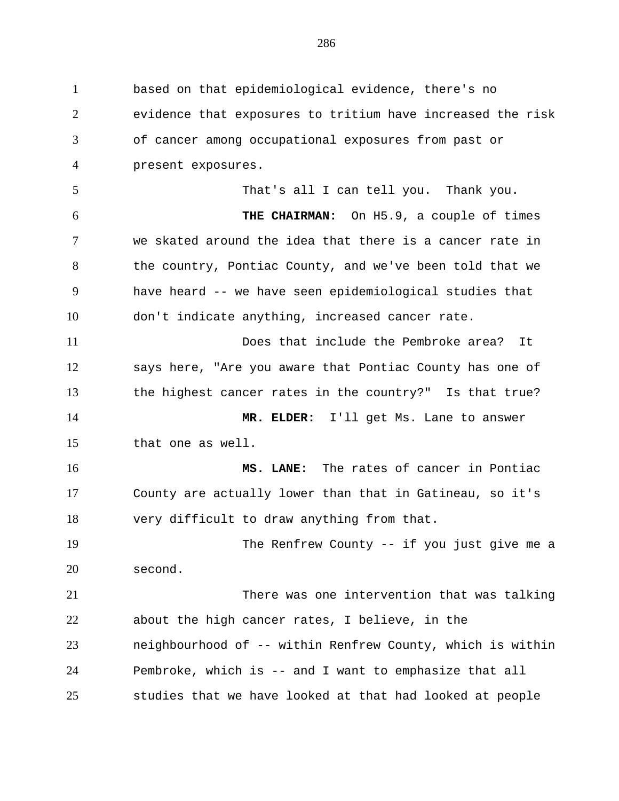based on that epidemiological evidence, there's no evidence that exposures to tritium have increased the risk of cancer among occupational exposures from past or present exposures. That's all I can tell you. Thank you. **THE CHAIRMAN:** On H5.9, a couple of times we skated around the idea that there is a cancer rate in the country, Pontiac County, and we've been told that we have heard -- we have seen epidemiological studies that don't indicate anything, increased cancer rate. Does that include the Pembroke area? It says here, "Are you aware that Pontiac County has one of the highest cancer rates in the country?" Is that true? **MR. ELDER:** I'll get Ms. Lane to answer that one as well. **MS. LANE:** The rates of cancer in Pontiac County are actually lower than that in Gatineau, so it's very difficult to draw anything from that. The Renfrew County -- if you just give me a second. There was one intervention that was talking about the high cancer rates, I believe, in the neighbourhood of -- within Renfrew County, which is within Pembroke, which is -- and I want to emphasize that all studies that we have looked at that had looked at people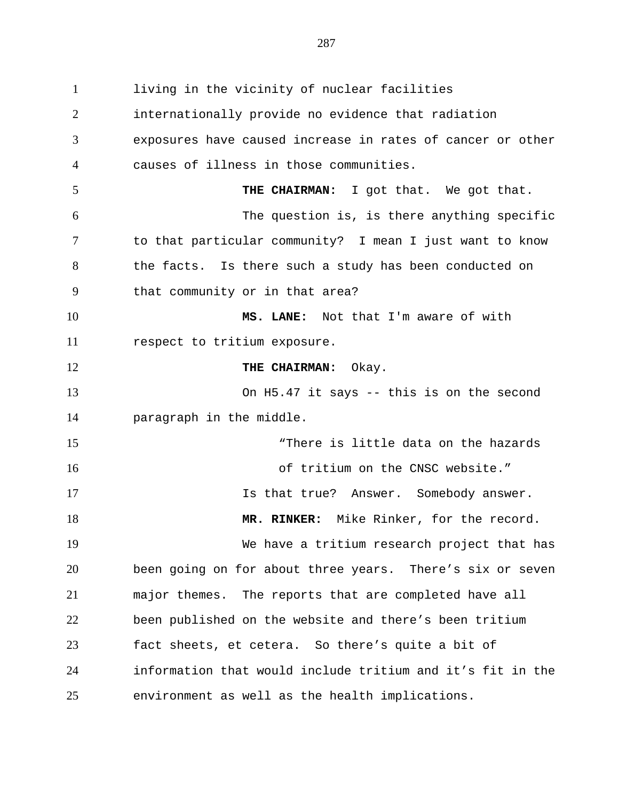living in the vicinity of nuclear facilities internationally provide no evidence that radiation exposures have caused increase in rates of cancer or other causes of illness in those communities. **THE CHAIRMAN:** I got that. We got that. The question is, is there anything specific to that particular community? I mean I just want to know the facts. Is there such a study has been conducted on that community or in that area? **MS. LANE:** Not that I'm aware of with respect to tritium exposure. **THE CHAIRMAN:** Okay. On H5.47 it says -- this is on the second paragraph in the middle. "There is little data on the hazards of tritium on the CNSC website." 17 17 Is that true? Answer. Somebody answer. **MR. RINKER:** Mike Rinker, for the record. We have a tritium research project that has been going on for about three years. There's six or seven major themes. The reports that are completed have all been published on the website and there's been tritium fact sheets, et cetera. So there's quite a bit of information that would include tritium and it's fit in the environment as well as the health implications.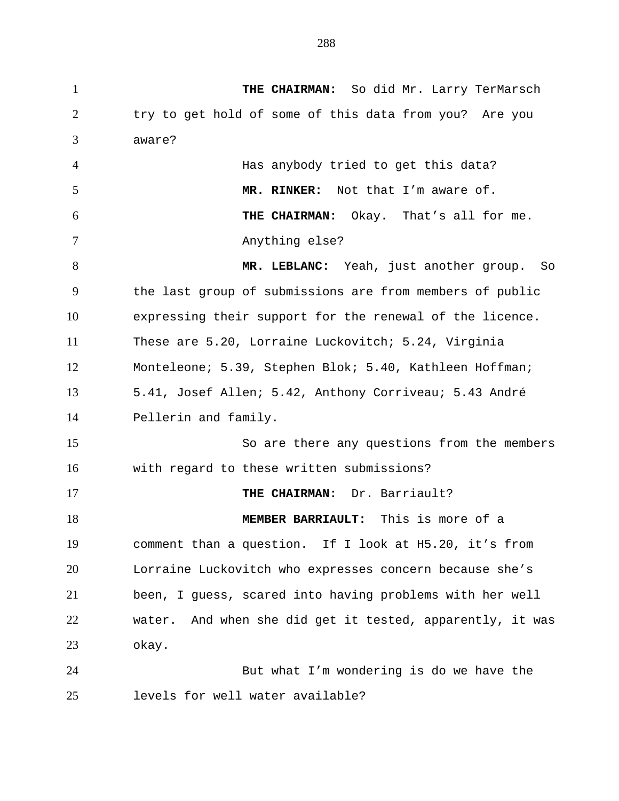**THE CHAIRMAN:** So did Mr. Larry TerMarsch try to get hold of some of this data from you? Are you aware? Has anybody tried to get this data? **MR. RINKER:** Not that I'm aware of. **THE CHAIRMAN:** Okay. That's all for me. 7 Anything else? **MR. LEBLANC:** Yeah, just another group. So the last group of submissions are from members of public expressing their support for the renewal of the licence. These are 5.20, Lorraine Luckovitch; 5.24, Virginia Monteleone; 5.39, Stephen Blok; 5.40, Kathleen Hoffman; 5.41, Josef Allen; 5.42, Anthony Corriveau; 5.43 André Pellerin and family. So are there any questions from the members with regard to these written submissions? **THE CHAIRMAN:** Dr. Barriault? **MEMBER BARRIAULT:** This is more of a comment than a question. If I look at H5.20, it's from Lorraine Luckovitch who expresses concern because she's been, I guess, scared into having problems with her well water. And when she did get it tested, apparently, it was okay. But what I'm wondering is do we have the levels for well water available?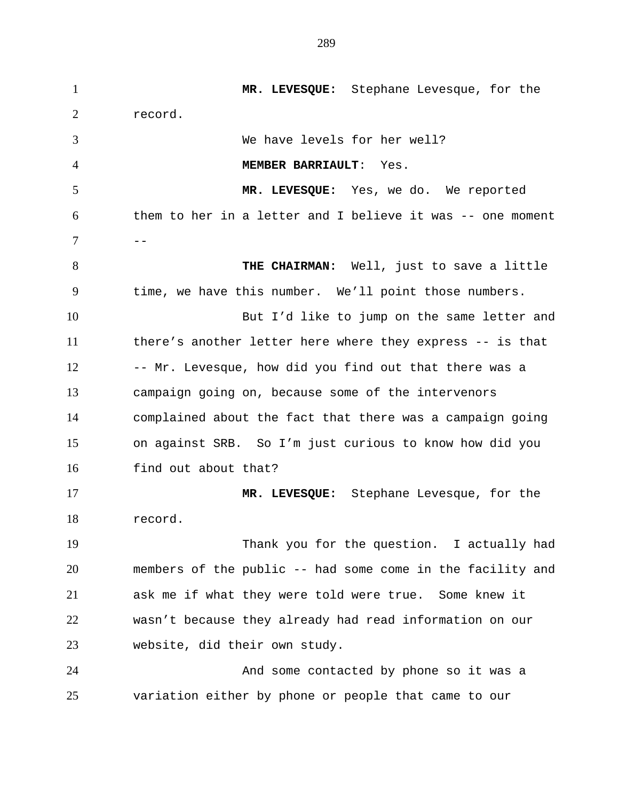**MR. LEVESQUE:** Stephane Levesque, for the record. We have levels for her well? **MEMBER BARRIAULT**: Yes. **MR. LEVESQUE:** Yes, we do. We reported them to her in a letter and I believe it was -- one moment -- **THE CHAIRMAN:** Well, just to save a little time, we have this number. We'll point those numbers. But I'd like to jump on the same letter and there's another letter here where they express -- is that 12 -- Mr. Levesque, how did you find out that there was a campaign going on, because some of the intervenors complained about the fact that there was a campaign going on against SRB. So I'm just curious to know how did you find out about that? **MR. LEVESQUE:** Stephane Levesque, for the record. Thank you for the question. I actually had members of the public -- had some come in the facility and ask me if what they were told were true. Some knew it wasn't because they already had read information on our website, did their own study. And some contacted by phone so it was a variation either by phone or people that came to our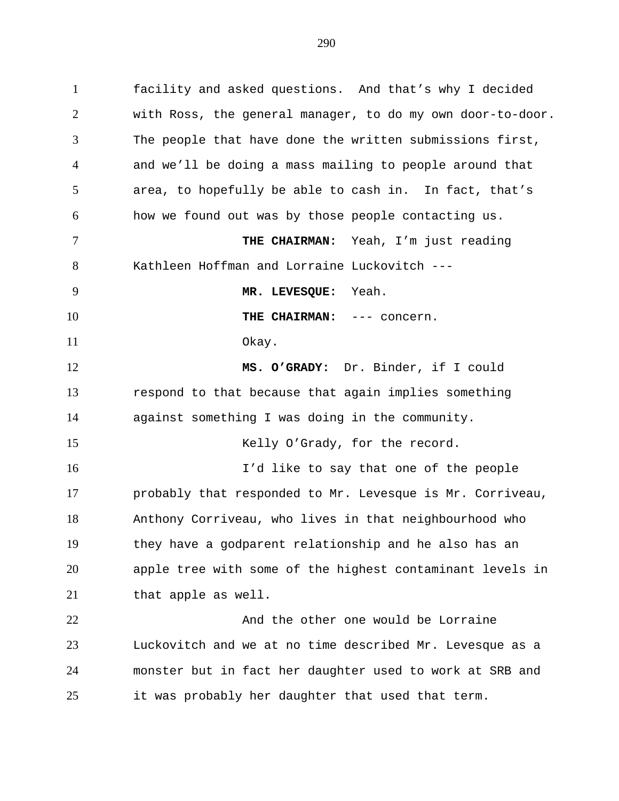facility and asked questions. And that's why I decided with Ross, the general manager, to do my own door-to-door. The people that have done the written submissions first, and we'll be doing a mass mailing to people around that area, to hopefully be able to cash in. In fact, that's how we found out was by those people contacting us.

 **THE CHAIRMAN:** Yeah, I'm just reading Kathleen Hoffman and Lorraine Luckovitch ---

**THE CHAIRMAN:** --- concern. Okay.

**MR. LEVESQUE:** Yeah.

 **MS. O'GRADY:** Dr. Binder, if I could respond to that because that again implies something against something I was doing in the community.

15 Kelly O'Grady, for the record.

 I'd like to say that one of the people probably that responded to Mr. Levesque is Mr. Corriveau, Anthony Corriveau, who lives in that neighbourhood who they have a godparent relationship and he also has an apple tree with some of the highest contaminant levels in that apple as well.

22 And the other one would be Lorraine Luckovitch and we at no time described Mr. Levesque as a monster but in fact her daughter used to work at SRB and it was probably her daughter that used that term.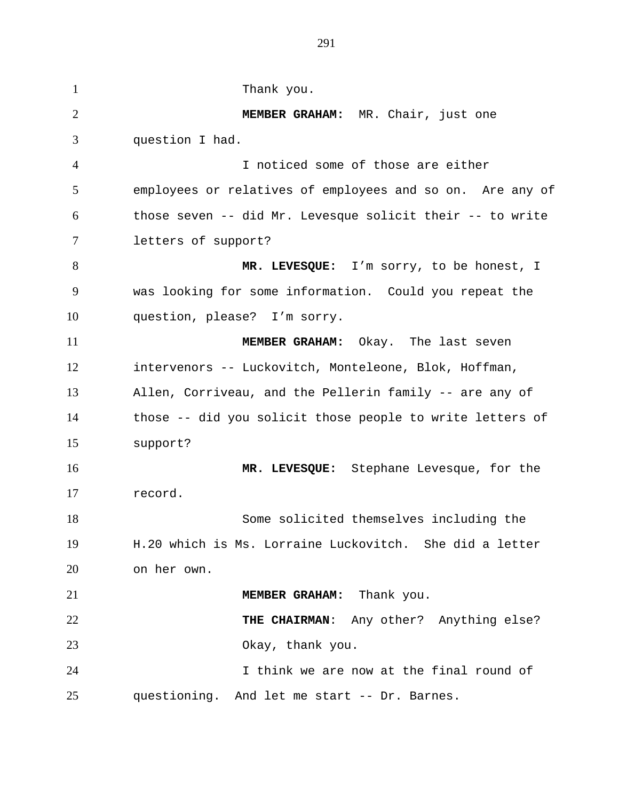1 Thank you. **MEMBER GRAHAM:** MR. Chair, just one question I had. I noticed some of those are either employees or relatives of employees and so on. Are any of those seven -- did Mr. Levesque solicit their -- to write letters of support? **MR. LEVESQUE:** I'm sorry, to be honest, I was looking for some information. Could you repeat the question, please? I'm sorry. **MEMBER GRAHAM:** Okay. The last seven intervenors -- Luckovitch, Monteleone, Blok, Hoffman, Allen, Corriveau, and the Pellerin family -- are any of those -- did you solicit those people to write letters of support? **MR. LEVESQUE:** Stephane Levesque, for the record. Some solicited themselves including the H.20 which is Ms. Lorraine Luckovitch. She did a letter on her own. **MEMBER GRAHAM:** Thank you. **THE CHAIRMAN**: Any other? Anything else? Okay, thank you. I think we are now at the final round of questioning. And let me start -- Dr. Barnes.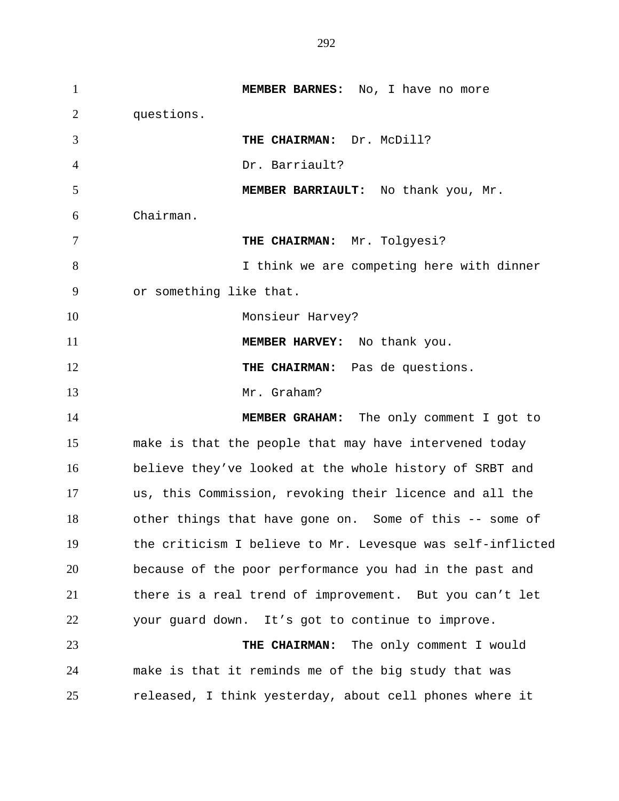**MEMBER BARNES:** No, I have no more questions. **THE CHAIRMAN:** Dr. McDill? Dr. Barriault? **MEMBER BARRIAULT:** No thank you, Mr. Chairman. **THE CHAIRMAN:** Mr. Tolgyesi? 8 I think we are competing here with dinner or something like that. 10 Monsieur Harvey? **MEMBER HARVEY:** No thank you. 12 THE CHAIRMAN: Pas de questions. Mr. Graham? **MEMBER GRAHAM:** The only comment I got to make is that the people that may have intervened today believe they've looked at the whole history of SRBT and us, this Commission, revoking their licence and all the other things that have gone on. Some of this -- some of the criticism I believe to Mr. Levesque was self-inflicted because of the poor performance you had in the past and there is a real trend of improvement. But you can't let your guard down. It's got to continue to improve. **THE CHAIRMAN:** The only comment I would make is that it reminds me of the big study that was released, I think yesterday, about cell phones where it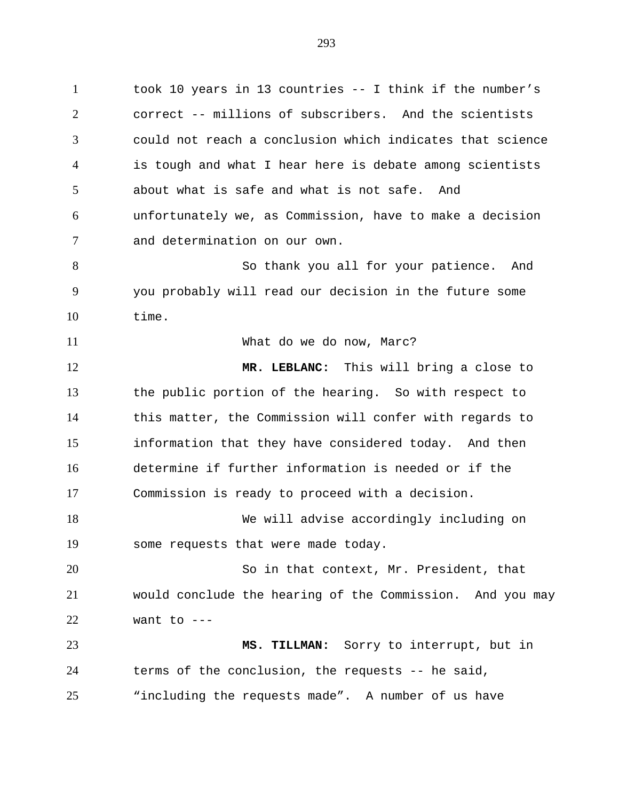took 10 years in 13 countries -- I think if the number's correct -- millions of subscribers. And the scientists could not reach a conclusion which indicates that science is tough and what I hear here is debate among scientists about what is safe and what is not safe. And unfortunately we, as Commission, have to make a decision and determination on our own.

 So thank you all for your patience. And you probably will read our decision in the future some time.

What do we do now, Marc?

 **MR. LEBLANC:** This will bring a close to the public portion of the hearing. So with respect to this matter, the Commission will confer with regards to information that they have considered today. And then determine if further information is needed or if the Commission is ready to proceed with a decision.

 We will advise accordingly including on some requests that were made today.

 So in that context, Mr. President, that would conclude the hearing of the Commission. And you may want to  $---$ 

 **MS. TILLMAN:** Sorry to interrupt, but in terms of the conclusion, the requests -- he said, "including the requests made". A number of us have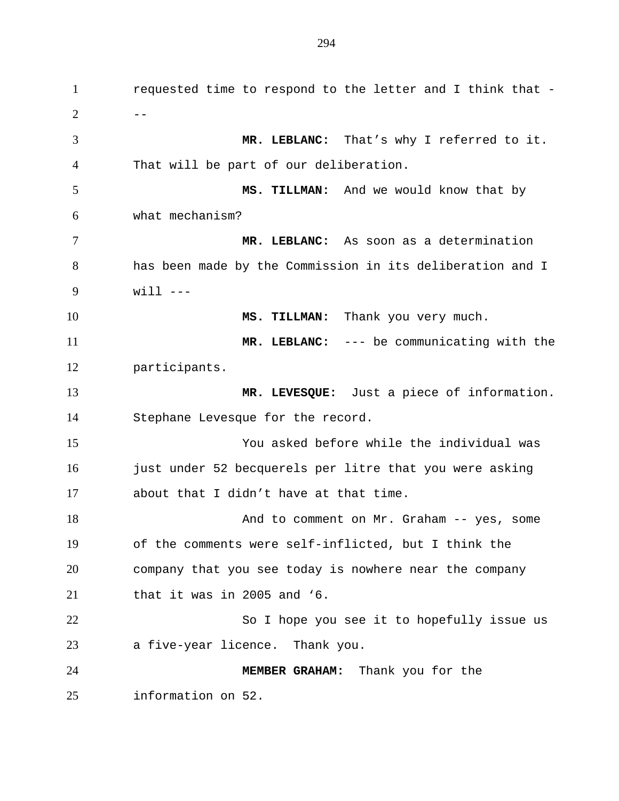requested time to respond to the letter and I think that -  $2 \left( \begin{array}{ccc} 2 & - \end{array} \right)$  **MR. LEBLANC:** That's why I referred to it. That will be part of our deliberation. **MS. TILLMAN:** And we would know that by what mechanism? **MR. LEBLANC:** As soon as a determination has been made by the Commission in its deliberation and I  $w111 - -$ 10 MS. TILLMAN: Thank you very much. **MR. LEBLANC:** --- be communicating with the participants. **MR. LEVESQUE:** Just a piece of information. Stephane Levesque for the record. You asked before while the individual was 16 just under 52 becquerels per litre that you were asking about that I didn't have at that time. 18 And to comment on Mr. Graham -- yes, some of the comments were self-inflicted, but I think the company that you see today is nowhere near the company that it was in 2005 and '6. 22 So I hope you see it to hopefully issue us a five-year licence. Thank you. **MEMBER GRAHAM:** Thank you for the information on 52.